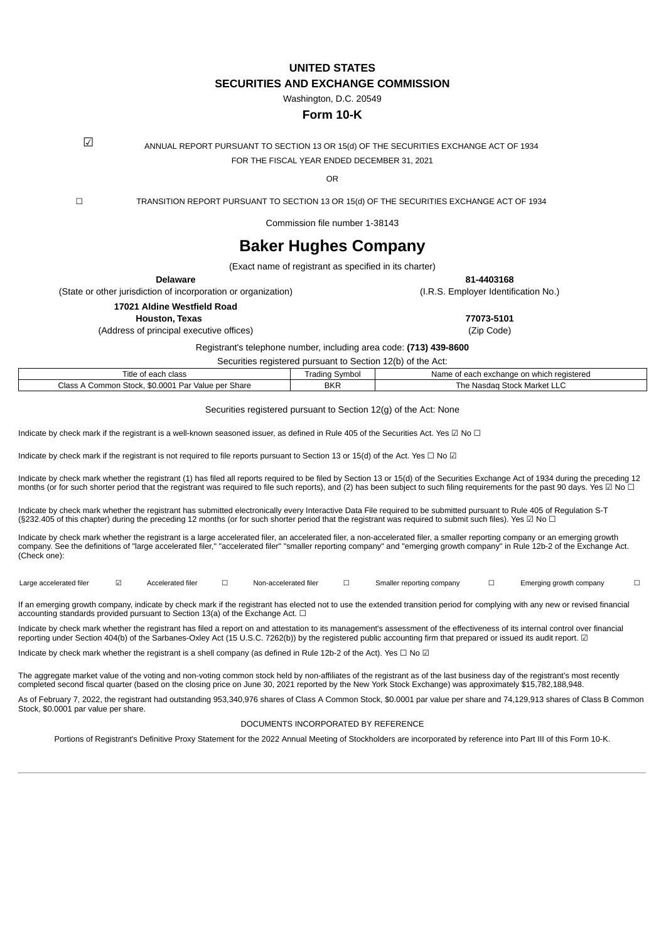**UNITED STATES SECURITIES AND EXCHANGE COMMISSION**

Washington, D.C. 20549

## **Form 10-K**

☑ ANNUAL REPORT PURSUANT TO SECTION <sup>13</sup> OR 15(d) OF THE SECURITIES EXCHANGE ACT OF <sup>1934</sup> FOR THE FISCAL YEAR ENDED DECEMBER 31, 2021

OR

☐ TRANSITION REPORT PURSUANT TO SECTION 13 OR 15(d) OF THE SECURITIES EXCHANGE ACT OF 1934

Commission file number 1-38143

# **Baker Hughes Company**

(Exact name of registrant as specified in its charter)

**Delaware 81-4403168**

(State or other jurisdiction of incorporation or organization) (I.R.S. Employer Identification No.)

**17021 Aldine Westfield Road**

(Address of principal executive offices) (Zip Code)

**Houston, Texas 77073-5101**

Registrant's telephone number, including area code: **(713) 439-8600**

Securities registered pursuant to Section 12(b) of the Act:

| class<br>coch<br>Title of<br>eacn                                          | Symbol<br>radına | reaistered<br>Name of<br>on<br>:hange<br>i which<br>exc.<br>- caur - |
|----------------------------------------------------------------------------|------------------|----------------------------------------------------------------------|
| \$0,0001<br>Par<br>Share<br>Stock<br>Value<br>ner :<br>ommon<br>URSS.<br>ີ | <b>BKR</b>       | Stock<br>: Market LLC<br>Nasdao<br>ne.                               |

Securities registered pursuant to Section 12(g) of the Act: None

Indicate by check mark if the registrant is a well-known seasoned issuer, as defined in Rule 405 of the Securities Act. Yes  $\boxtimes$  No  $\Box$ 

Indicate by check mark if the registrant is not required to file reports pursuant to Section 13 or 15(d) of the Act. Yes  $\Box$  No  $\Box$ 

Indicate by check mark whether the registrant (1) has filed all reports required to be filed by Section 13 or 15(d) of the Securities Exchange Act of 1934 during the preceding 12 months (or for such shorter period that the registrant was required to file such reports), and (2) has been subject to such filing requirements for the past 90 days. Yes ☑ No □

Indicate by check mark whether the registrant has submitted electronically every Interactive Data File required to be submitted pursuant to Rule 405 of Regulation S-T (§232.405 of this chapter) during the preceding 12 months (or for such shorter period that the registrant was required to submit such files). Yes ☑ No □

Indicate by check mark whether the registrant is a large accelerated filer, an accelerated filer, a non-accelerated filer, a smaller reporting company or an emerging growth company. See the definitions of "large accelerated filer," "accelerated filer" "smaller reporting company" and "emerging growth company" in Rule 12b-2 of the Exchange Act. (Check one):

Large accelerated filer ☑ Accelerated filer □ Non-accelerated filer □ Smaller reporting company □ Emerging growth company □

If an emerging growth company, indicate by check mark if the registrant has elected not to use the extended transition period for complying with any new or revised financial accounting standards provided pursuant to Section 13(a) of the Exchange Act.  $\Box$ 

Indicate by check mark whether the registrant has filed a report on and attestation to its management's assessment of the effectiveness of its internal control over financial reporting under Section 404(b) of the Sarbanes-Oxley Act (15 U.S.C. 7262(b)) by the registered public accounting firm that prepared or issued its audit report. ☑

Indicate by check mark whether the registrant is a shell company (as defined in Rule 12b-2 of the Act). Yes □ No ☑

The aggregate market value of the voting and non-voting common stock held by non-affiliates of the registrant as of the last business day of the registrant's most recently completed second fiscal quarter (based on the closing price on June 30, 2021 reported by the New York Stock Exchange) was approximately \$15,782,188,948.

As of February 7, 2022, the registrant had outstanding 953,340,976 shares of Class A Common Stock, \$0.0001 par value per share and 74,129,913 shares of Class B Common Stock, \$0.0001 par value per share.

#### DOCUMENTS INCORPORATED BY REFERENCE

Portions of Registrant's Definitive Proxy Statement for the 2022 Annual Meeting of Stockholders are incorporated by reference into Part III of this Form 10-K.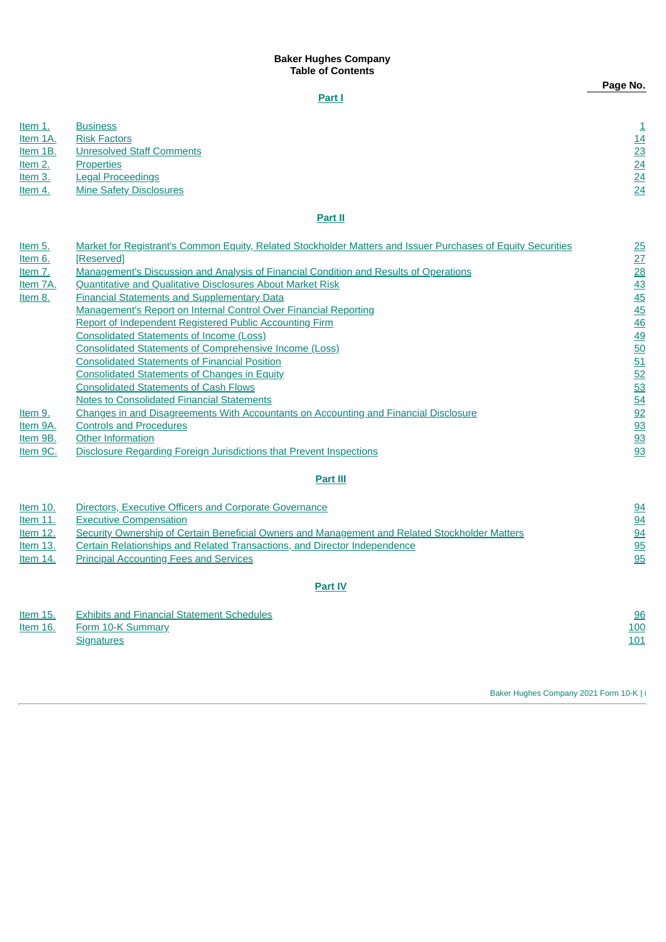## **Baker Hughes Company Table of Contents**

## **[Part](#page-1-0) I**

| Item 1.  | <b>Business</b>                  |         |    |
|----------|----------------------------------|---------|----|
| Item 1A. | <b>Risk Factors</b>              |         | 14 |
| Item 1B. | <b>Unresolved Staff Comments</b> |         | 23 |
| Item 2.  | <b>Properties</b>                |         | 24 |
| Item 3.  | <b>Legal Proceedings</b>         |         | 24 |
| Item 4.  | <b>Mine Safety Disclosures</b>   |         | 24 |
|          |                                  |         |    |
|          |                                  | Part II |    |
|          |                                  |         |    |

| Item 5.  | Market for Registrant's Common Equity, Related Stockholder Matters and Issuer Purchases of Equity Securities | 25        |
|----------|--------------------------------------------------------------------------------------------------------------|-----------|
| Item 6.  | [Reserved]                                                                                                   | 27        |
| Item 7.  | Management's Discussion and Analysis of Financial Condition and Results of Operations                        | 28        |
| Item 7A. | <b>Ouantitative and Qualitative Disclosures About Market Risk</b>                                            | 43        |
| Item 8.  | <b>Financial Statements and Supplementary Data</b>                                                           | 45        |
|          | Management's Report on Internal Control Over Financial Reporting                                             | 45        |
|          | Report of Independent Registered Public Accounting Firm                                                      | 46        |
|          | <b>Consolidated Statements of Income (Loss)</b>                                                              | <u>49</u> |
|          | <b>Consolidated Statements of Comprehensive Income (Loss)</b>                                                | 50        |
|          | <b>Consolidated Statements of Financial Position</b>                                                         | 51        |
|          | <b>Consolidated Statements of Changes in Equity</b>                                                          | 52        |
|          | <b>Consolidated Statements of Cash Flows</b>                                                                 | 53        |
|          | <b>Notes to Consolidated Financial Statements</b>                                                            | 54        |
| Item 9.  | Changes in and Disagreements With Accountants on Accounting and Financial Disclosure                         | 92        |
| Item 9A. | <b>Controls and Procedures</b>                                                                               | 93        |
| Item 9B. | <b>Other Information</b>                                                                                     | 93        |
| Item 9C. | Disclosure Regarding Foreign Jurisdictions that Prevent Inspections                                          | 93        |

#### **[Part](#page-94-2) III**

| Item $10$ . | Directors, Executive Officers and Corporate Governance                                         | 94        |
|-------------|------------------------------------------------------------------------------------------------|-----------|
| Item $11$ . | <b>Executive Compensation</b>                                                                  | 94        |
| Item $12$ . | Security Ownership of Certain Beneficial Owners and Management and Related Stockholder Matters | <u>94</u> |
| Item $13.$  | Certain Relationships and Related Transactions, and Director Independence                      | 95        |
| Item $14$ . | <b>Principal Accounting Fees and Services</b>                                                  | 95        |
|             |                                                                                                |           |

## **[Part](#page-96-1) IV**

<span id="page-1-0"></span>

| Item $15$ . | <b>Exhibits and Financial Statement Schedules</b> | 96  |
|-------------|---------------------------------------------------|-----|
| Item $16.$  | Form 10-K Summary                                 | 100 |
|             | <b>Signatures</b>                                 | 101 |

Baker Hughes Company 2021 Form 10-K | i

**Page No.**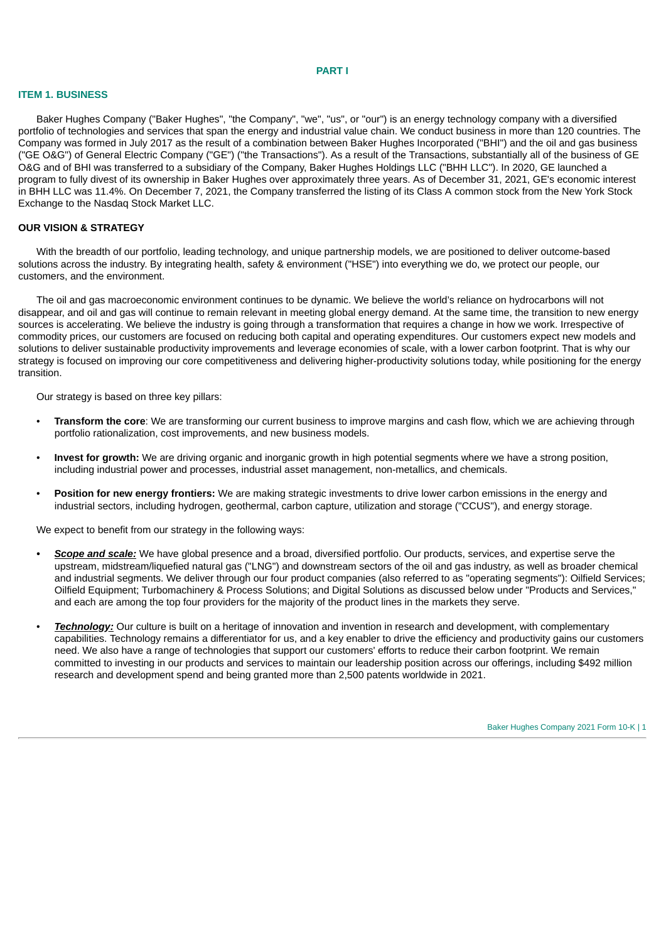#### **PART I**

#### <span id="page-2-0"></span>**ITEM 1. BUSINESS**

Baker Hughes Company ("Baker Hughes", "the Company", "we", "us", or "our") is an energy technology company with a diversified portfolio of technologies and services that span the energy and industrial value chain. We conduct business in more than 120 countries. The Company was formed in July 2017 as the result of a combination between Baker Hughes Incorporated ("BHI") and the oil and gas business ("GE O&G") of General Electric Company ("GE") ("the Transactions"). As a result of the Transactions, substantially all of the business of GE O&G and of BHI was transferred to a subsidiary of the Company, Baker Hughes Holdings LLC ("BHH LLC"). In 2020, GE launched a program to fully divest of its ownership in Baker Hughes over approximately three years. As of December 31, 2021, GE's economic interest in BHH LLC was 11.4%. On December 7, 2021, the Company transferred the listing of its Class A common stock from the New York Stock Exchange to the Nasdaq Stock Market LLC.

#### **OUR VISION & STRATEGY**

With the breadth of our portfolio, leading technology, and unique partnership models, we are positioned to deliver outcome-based solutions across the industry. By integrating health, safety & environment ("HSE") into everything we do, we protect our people, our customers, and the environment.

The oil and gas macroeconomic environment continues to be dynamic. We believe the world's reliance on hydrocarbons will not disappear, and oil and gas will continue to remain relevant in meeting global energy demand. At the same time, the transition to new energy sources is accelerating. We believe the industry is going through a transformation that requires a change in how we work. Irrespective of commodity prices, our customers are focused on reducing both capital and operating expenditures. Our customers expect new models and solutions to deliver sustainable productivity improvements and leverage economies of scale, with a lower carbon footprint. That is why our strategy is focused on improving our core competitiveness and delivering higher-productivity solutions today, while positioning for the energy transition.

Our strategy is based on three key pillars:

- **Transform the core**: We are transforming our current business to improve margins and cash flow, which we are achieving through portfolio rationalization, cost improvements, and new business models.
- **Invest for growth:** We are driving organic and inorganic growth in high potential segments where we have a strong position, including industrial power and processes, industrial asset management, non-metallics, and chemicals.
- **Position for new energy frontiers:** We are making strategic investments to drive lower carbon emissions in the energy and industrial sectors, including hydrogen, geothermal, carbon capture, utilization and storage ("CCUS"), and energy storage.

We expect to benefit from our strategy in the following ways:

- *• Scope and scale:* We have global presence and a broad, diversified portfolio. Our products, services, and expertise serve the upstream, midstream/liquefied natural gas ("LNG") and downstream sectors of the oil and gas industry, as well as broader chemical and industrial segments. We deliver through our four product companies (also referred to as "operating segments"): Oilfield Services; Oilfield Equipment; Turbomachinery & Process Solutions; and Digital Solutions as discussed below under "Products and Services," and each are among the top four providers for the majority of the product lines in the markets they serve.
- *Technology:* Our culture is built on a heritage of innovation and invention in research and development, with complementary capabilities. Technology remains a differentiator for us, and a key enabler to drive the efficiency and productivity gains our customers need. We also have a range of technologies that support our customers' efforts to reduce their carbon footprint. We remain committed to investing in our products and services to maintain our leadership position across our offerings, including \$492 million research and development spend and being granted more than 2,500 patents worldwide in 2021.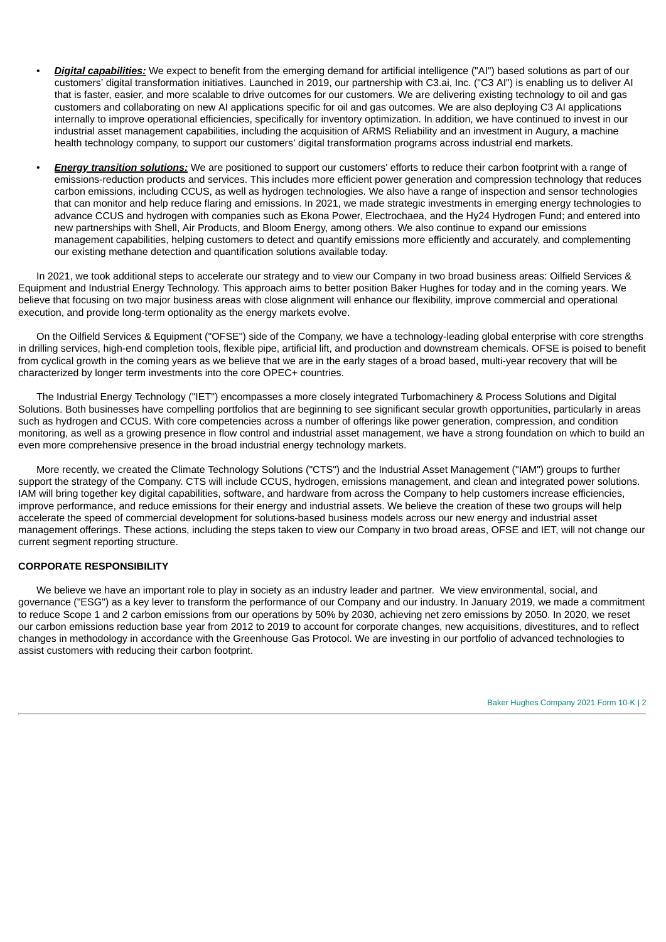- *Digital capabilities:* We expect to benefit from the emerging demand for artificial intelligence ("AI") based solutions as part of our customers' digital transformation initiatives. Launched in 2019, our partnership with C3.ai, Inc. ("C3 AI") is enabling us to deliver AI that is faster, easier, and more scalable to drive outcomes for our customers. We are delivering existing technology to oil and gas customers and collaborating on new AI applications specific for oil and gas outcomes. We are also deploying C3 AI applications internally to improve operational efficiencies, specifically for inventory optimization. In addition, we have continued to invest in our industrial asset management capabilities, including the acquisition of ARMS Reliability and an investment in Augury, a machine health technology company, to support our customers' digital transformation programs across industrial end markets.
- *Energy transition solutions:* We are positioned to support our customers' efforts to reduce their carbon footprint with a range of emissions-reduction products and services. This includes more efficient power generation and compression technology that reduces carbon emissions, including CCUS, as well as hydrogen technologies. We also have a range of inspection and sensor technologies that can monitor and help reduce flaring and emissions. In 2021, we made strategic investments in emerging energy technologies to advance CCUS and hydrogen with companies such as Ekona Power, Electrochaea, and the Hy24 Hydrogen Fund; and entered into new partnerships with Shell, Air Products, and Bloom Energy, among others. We also continue to expand our emissions management capabilities, helping customers to detect and quantify emissions more efficiently and accurately, and complementing our existing methane detection and quantification solutions available today.

In 2021, we took additional steps to accelerate our strategy and to view our Company in two broad business areas: Oilfield Services & Equipment and Industrial Energy Technology. This approach aims to better position Baker Hughes for today and in the coming years. We believe that focusing on two major business areas with close alignment will enhance our flexibility, improve commercial and operational execution, and provide long-term optionality as the energy markets evolve.

On the Oilfield Services & Equipment ("OFSE") side of the Company, we have a technology-leading global enterprise with core strengths in drilling services, high-end completion tools, flexible pipe, artificial lift, and production and downstream chemicals. OFSE is poised to benefit from cyclical growth in the coming years as we believe that we are in the early stages of a broad based, multi-year recovery that will be characterized by longer term investments into the core OPEC+ countries.

The Industrial Energy Technology ("IET") encompasses a more closely integrated Turbomachinery & Process Solutions and Digital Solutions. Both businesses have compelling portfolios that are beginning to see significant secular growth opportunities, particularly in areas such as hydrogen and CCUS. With core competencies across a number of offerings like power generation, compression, and condition monitoring, as well as a growing presence in flow control and industrial asset management, we have a strong foundation on which to build an even more comprehensive presence in the broad industrial energy technology markets.

More recently, we created the Climate Technology Solutions ("CTS") and the Industrial Asset Management ("IAM") groups to further support the strategy of the Company. CTS will include CCUS, hydrogen, emissions management, and clean and integrated power solutions. IAM will bring together key digital capabilities, software, and hardware from across the Company to help customers increase efficiencies, improve performance, and reduce emissions for their energy and industrial assets. We believe the creation of these two groups will help accelerate the speed of commercial development for solutions-based business models across our new energy and industrial asset management offerings. These actions, including the steps taken to view our Company in two broad areas, OFSE and IET, will not change our current segment reporting structure.

#### **CORPORATE RESPONSIBILITY**

We believe we have an important role to play in society as an industry leader and partner. We view environmental, social, and governance ("ESG") as a key lever to transform the performance of our Company and our industry. In January 2019, we made a commitment to reduce Scope 1 and 2 carbon emissions from our operations by 50% by 2030, achieving net zero emissions by 2050. In 2020, we reset our carbon emissions reduction base year from 2012 to 2019 to account for corporate changes, new acquisitions, divestitures, and to reflect changes in methodology in accordance with the Greenhouse Gas Protocol. We are investing in our portfolio of advanced technologies to assist customers with reducing their carbon footprint.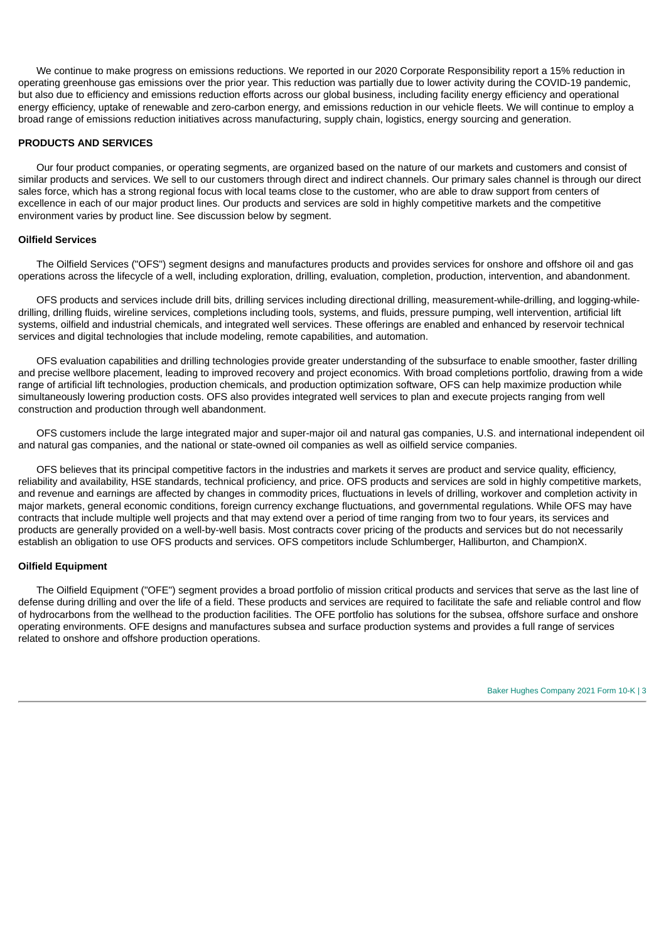We continue to make progress on emissions reductions. We reported in our 2020 Corporate Responsibility report a 15% reduction in operating greenhouse gas emissions over the prior year. This reduction was partially due to lower activity during the COVID-19 pandemic, but also due to efficiency and emissions reduction efforts across our global business, including facility energy efficiency and operational energy efficiency, uptake of renewable and zero-carbon energy, and emissions reduction in our vehicle fleets. We will continue to employ a broad range of emissions reduction initiatives across manufacturing, supply chain, logistics, energy sourcing and generation.

## **PRODUCTS AND SERVICES**

Our four product companies, or operating segments, are organized based on the nature of our markets and customers and consist of similar products and services. We sell to our customers through direct and indirect channels. Our primary sales channel is through our direct sales force, which has a strong regional focus with local teams close to the customer, who are able to draw support from centers of excellence in each of our major product lines. Our products and services are sold in highly competitive markets and the competitive environment varies by product line. See discussion below by segment.

## **Oilfield Services**

The Oilfield Services ("OFS") segment designs and manufactures products and provides services for onshore and offshore oil and gas operations across the lifecycle of a well, including exploration, drilling, evaluation, completion, production, intervention, and abandonment.

OFS products and services include drill bits, drilling services including directional drilling, measurement-while-drilling, and logging-whiledrilling, drilling fluids, wireline services, completions including tools, systems, and fluids, pressure pumping, well intervention, artificial lift systems, oilfield and industrial chemicals, and integrated well services. These offerings are enabled and enhanced by reservoir technical services and digital technologies that include modeling, remote capabilities, and automation.

OFS evaluation capabilities and drilling technologies provide greater understanding of the subsurface to enable smoother, faster drilling and precise wellbore placement, leading to improved recovery and project economics. With broad completions portfolio, drawing from a wide range of artificial lift technologies, production chemicals, and production optimization software, OFS can help maximize production while simultaneously lowering production costs. OFS also provides integrated well services to plan and execute projects ranging from well construction and production through well abandonment.

OFS customers include the large integrated major and super-major oil and natural gas companies, U.S. and international independent oil and natural gas companies, and the national or state-owned oil companies as well as oilfield service companies.

OFS believes that its principal competitive factors in the industries and markets it serves are product and service quality, efficiency, reliability and availability, HSE standards, technical proficiency, and price. OFS products and services are sold in highly competitive markets, and revenue and earnings are affected by changes in commodity prices, fluctuations in levels of drilling, workover and completion activity in major markets, general economic conditions, foreign currency exchange fluctuations, and governmental regulations. While OFS may have contracts that include multiple well projects and that may extend over a period of time ranging from two to four years, its services and products are generally provided on a well-by-well basis. Most contracts cover pricing of the products and services but do not necessarily establish an obligation to use OFS products and services. OFS competitors include Schlumberger, Halliburton, and ChampionX.

#### **Oilfield Equipment**

The Oilfield Equipment ("OFE") segment provides a broad portfolio of mission critical products and services that serve as the last line of defense during drilling and over the life of a field. These products and services are required to facilitate the safe and reliable control and flow of hydrocarbons from the wellhead to the production facilities. The OFE portfolio has solutions for the subsea, offshore surface and onshore operating environments. OFE designs and manufactures subsea and surface production systems and provides a full range of services related to onshore and offshore production operations.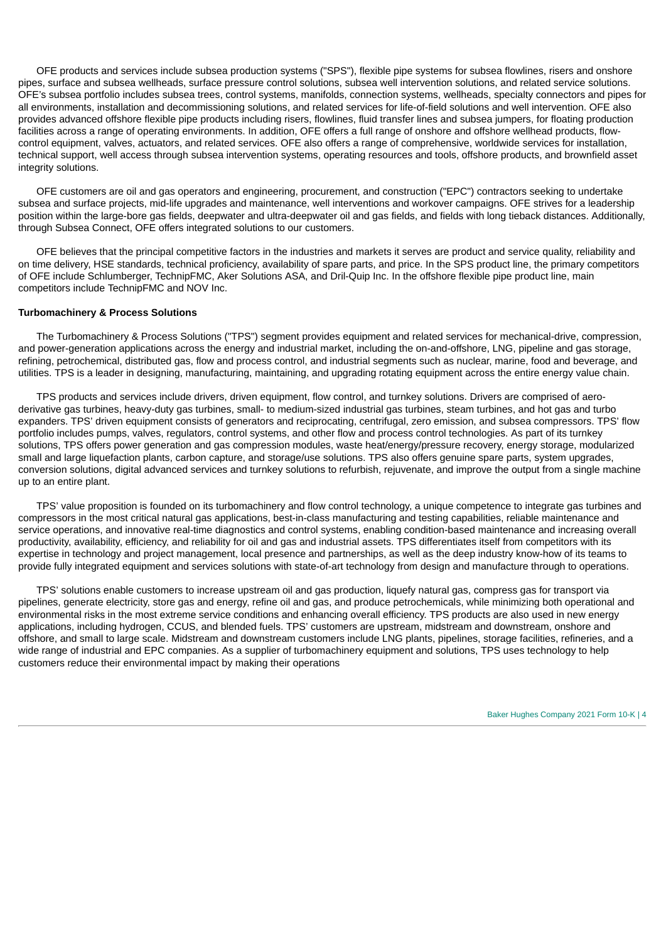OFE products and services include subsea production systems ("SPS"), flexible pipe systems for subsea flowlines, risers and onshore pipes, surface and subsea wellheads, surface pressure control solutions, subsea well intervention solutions, and related service solutions. OFE's subsea portfolio includes subsea trees, control systems, manifolds, connection systems, wellheads, specialty connectors and pipes for all environments, installation and decommissioning solutions, and related services for life-of-field solutions and well intervention. OFE also provides advanced offshore flexible pipe products including risers, flowlines, fluid transfer lines and subsea jumpers, for floating production facilities across a range of operating environments. In addition, OFE offers a full range of onshore and offshore wellhead products, flowcontrol equipment, valves, actuators, and related services. OFE also offers a range of comprehensive, worldwide services for installation, technical support, well access through subsea intervention systems, operating resources and tools, offshore products, and brownfield asset integrity solutions.

OFE customers are oil and gas operators and engineering, procurement, and construction ("EPC") contractors seeking to undertake subsea and surface projects, mid-life upgrades and maintenance, well interventions and workover campaigns. OFE strives for a leadership position within the large-bore gas fields, deepwater and ultra-deepwater oil and gas fields, and fields with long tieback distances. Additionally, through Subsea Connect, OFE offers integrated solutions to our customers.

OFE believes that the principal competitive factors in the industries and markets it serves are product and service quality, reliability and on time delivery, HSE standards, technical proficiency, availability of spare parts, and price. In the SPS product line, the primary competitors of OFE include Schlumberger, TechnipFMC, Aker Solutions ASA, and Dril-Quip Inc. In the offshore flexible pipe product line, main competitors include TechnipFMC and NOV Inc.

#### **Turbomachinery & Process Solutions**

The Turbomachinery & Process Solutions ("TPS") segment provides equipment and related services for mechanical-drive, compression, and power-generation applications across the energy and industrial market, including the on-and-offshore, LNG, pipeline and gas storage, refining, petrochemical, distributed gas, flow and process control, and industrial segments such as nuclear, marine, food and beverage, and utilities. TPS is a leader in designing, manufacturing, maintaining, and upgrading rotating equipment across the entire energy value chain.

TPS products and services include drivers, driven equipment, flow control, and turnkey solutions. Drivers are comprised of aeroderivative gas turbines, heavy-duty gas turbines, small- to medium-sized industrial gas turbines, steam turbines, and hot gas and turbo expanders. TPS' driven equipment consists of generators and reciprocating, centrifugal, zero emission, and subsea compressors. TPS' flow portfolio includes pumps, valves, regulators, control systems, and other flow and process control technologies. As part of its turnkey solutions, TPS offers power generation and gas compression modules, waste heat/energy/pressure recovery, energy storage, modularized small and large liquefaction plants, carbon capture, and storage/use solutions. TPS also offers genuine spare parts, system upgrades, conversion solutions, digital advanced services and turnkey solutions to refurbish, rejuvenate, and improve the output from a single machine up to an entire plant.

TPS' value proposition is founded on its turbomachinery and flow control technology, a unique competence to integrate gas turbines and compressors in the most critical natural gas applications, best-in-class manufacturing and testing capabilities, reliable maintenance and service operations, and innovative real-time diagnostics and control systems, enabling condition-based maintenance and increasing overall productivity, availability, efficiency, and reliability for oil and gas and industrial assets. TPS differentiates itself from competitors with its expertise in technology and project management, local presence and partnerships, as well as the deep industry know-how of its teams to provide fully integrated equipment and services solutions with state-of-art technology from design and manufacture through to operations.

TPS' solutions enable customers to increase upstream oil and gas production, liquefy natural gas, compress gas for transport via pipelines, generate electricity, store gas and energy, refine oil and gas, and produce petrochemicals, while minimizing both operational and environmental risks in the most extreme service conditions and enhancing overall efficiency. TPS products are also used in new energy applications, including hydrogen, CCUS, and blended fuels. TPS' customers are upstream, midstream and downstream, onshore and offshore, and small to large scale. Midstream and downstream customers include LNG plants, pipelines, storage facilities, refineries, and a wide range of industrial and EPC companies. As a supplier of turbomachinery equipment and solutions, TPS uses technology to help customers reduce their environmental impact by making their operations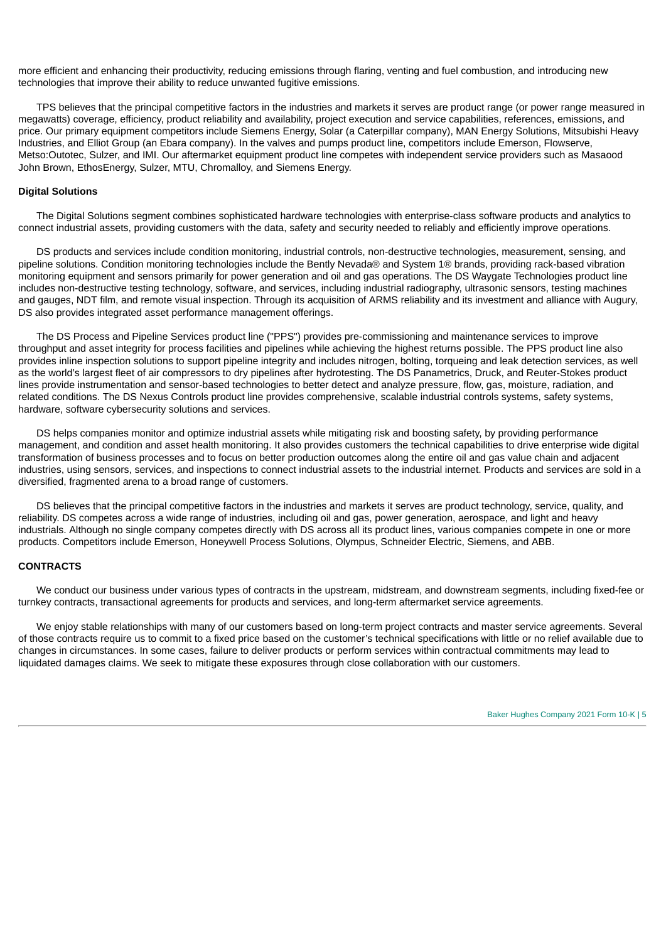more efficient and enhancing their productivity, reducing emissions through flaring, venting and fuel combustion, and introducing new technologies that improve their ability to reduce unwanted fugitive emissions.

TPS believes that the principal competitive factors in the industries and markets it serves are product range (or power range measured in megawatts) coverage, efficiency, product reliability and availability, project execution and service capabilities, references, emissions, and price. Our primary equipment competitors include Siemens Energy, Solar (a Caterpillar company), MAN Energy Solutions, Mitsubishi Heavy Industries, and Elliot Group (an Ebara company). In the valves and pumps product line, competitors include Emerson, Flowserve, Metso:Outotec, Sulzer, and IMI. Our aftermarket equipment product line competes with independent service providers such as Masaood John Brown, EthosEnergy, Sulzer, MTU, Chromalloy, and Siemens Energy.

## **Digital Solutions**

The Digital Solutions segment combines sophisticated hardware technologies with enterprise-class software products and analytics to connect industrial assets, providing customers with the data, safety and security needed to reliably and efficiently improve operations.

DS products and services include condition monitoring, industrial controls, non-destructive technologies, measurement, sensing, and pipeline solutions. Condition monitoring technologies include the Bently Nevada® and System 1® brands, providing rack-based vibration monitoring equipment and sensors primarily for power generation and oil and gas operations. The DS Waygate Technologies product line includes non-destructive testing technology, software, and services, including industrial radiography, ultrasonic sensors, testing machines and gauges, NDT film, and remote visual inspection. Through its acquisition of ARMS reliability and its investment and alliance with Augury, DS also provides integrated asset performance management offerings.

The DS Process and Pipeline Services product line ("PPS") provides pre-commissioning and maintenance services to improve throughput and asset integrity for process facilities and pipelines while achieving the highest returns possible. The PPS product line also provides inline inspection solutions to support pipeline integrity and includes nitrogen, bolting, torqueing and leak detection services, as well as the world's largest fleet of air compressors to dry pipelines after hydrotesting. The DS Panametrics, Druck, and Reuter-Stokes product lines provide instrumentation and sensor-based technologies to better detect and analyze pressure, flow, gas, moisture, radiation, and related conditions. The DS Nexus Controls product line provides comprehensive, scalable industrial controls systems, safety systems, hardware, software cybersecurity solutions and services.

DS helps companies monitor and optimize industrial assets while mitigating risk and boosting safety, by providing performance management, and condition and asset health monitoring. It also provides customers the technical capabilities to drive enterprise wide digital transformation of business processes and to focus on better production outcomes along the entire oil and gas value chain and adjacent industries, using sensors, services, and inspections to connect industrial assets to the industrial internet. Products and services are sold in a diversified, fragmented arena to a broad range of customers.

DS believes that the principal competitive factors in the industries and markets it serves are product technology, service, quality, and reliability. DS competes across a wide range of industries, including oil and gas, power generation, aerospace, and light and heavy industrials. Although no single company competes directly with DS across all its product lines, various companies compete in one or more products. Competitors include Emerson, Honeywell Process Solutions, Olympus, Schneider Electric, Siemens, and ABB.

#### **CONTRACTS**

We conduct our business under various types of contracts in the upstream, midstream, and downstream segments, including fixed-fee or turnkey contracts, transactional agreements for products and services, and long-term aftermarket service agreements.

We enjoy stable relationships with many of our customers based on long-term project contracts and master service agreements. Several of those contracts require us to commit to a fixed price based on the customer's technical specifications with little or no relief available due to changes in circumstances. In some cases, failure to deliver products or perform services within contractual commitments may lead to liquidated damages claims. We seek to mitigate these exposures through close collaboration with our customers.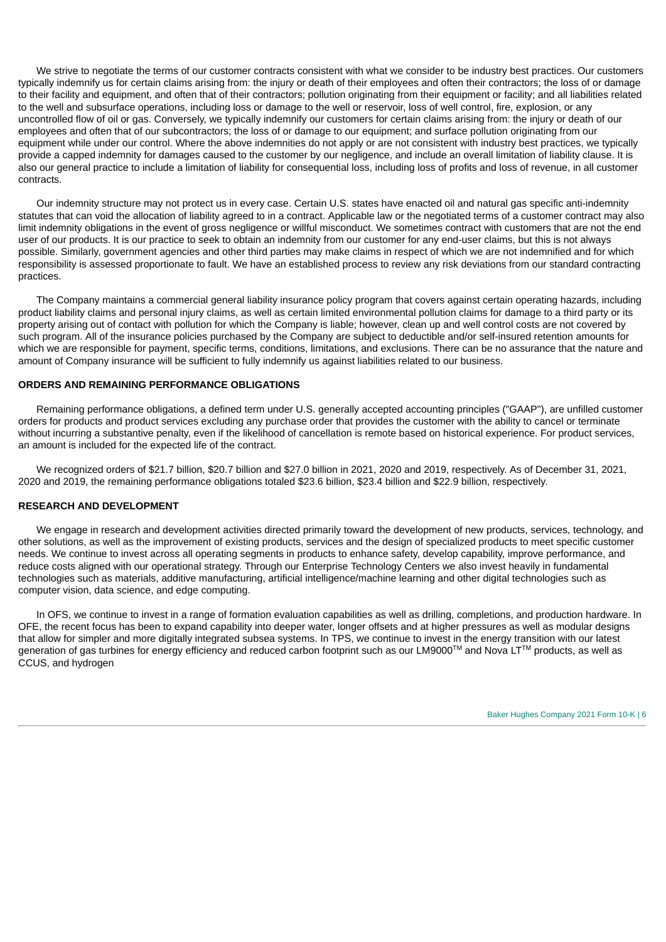We strive to negotiate the terms of our customer contracts consistent with what we consider to be industry best practices. Our customers typically indemnify us for certain claims arising from: the injury or death of their employees and often their contractors; the loss of or damage to their facility and equipment, and often that of their contractors; pollution originating from their equipment or facility; and all liabilities related to the well and subsurface operations, including loss or damage to the well or reservoir, loss of well control, fire, explosion, or any uncontrolled flow of oil or gas. Conversely, we typically indemnify our customers for certain claims arising from: the injury or death of our employees and often that of our subcontractors; the loss of or damage to our equipment; and surface pollution originating from our equipment while under our control. Where the above indemnities do not apply or are not consistent with industry best practices, we typically provide a capped indemnity for damages caused to the customer by our negligence, and include an overall limitation of liability clause. It is also our general practice to include a limitation of liability for consequential loss, including loss of profits and loss of revenue, in all customer contracts.

Our indemnity structure may not protect us in every case. Certain U.S. states have enacted oil and natural gas specific anti-indemnity statutes that can void the allocation of liability agreed to in a contract. Applicable law or the negotiated terms of a customer contract may also limit indemnity obligations in the event of gross negligence or willful misconduct. We sometimes contract with customers that are not the end user of our products. It is our practice to seek to obtain an indemnity from our customer for any end-user claims, but this is not always possible. Similarly, government agencies and other third parties may make claims in respect of which we are not indemnified and for which responsibility is assessed proportionate to fault. We have an established process to review any risk deviations from our standard contracting practices.

The Company maintains a commercial general liability insurance policy program that covers against certain operating hazards, including product liability claims and personal injury claims, as well as certain limited environmental pollution claims for damage to a third party or its property arising out of contact with pollution for which the Company is liable; however, clean up and well control costs are not covered by such program. All of the insurance policies purchased by the Company are subject to deductible and/or self-insured retention amounts for which we are responsible for payment, specific terms, conditions, limitations, and exclusions. There can be no assurance that the nature and amount of Company insurance will be sufficient to fully indemnify us against liabilities related to our business.

## **ORDERS AND REMAINING PERFORMANCE OBLIGATIONS**

Remaining performance obligations, a defined term under U.S. generally accepted accounting principles ("GAAP"), are unfilled customer orders for products and product services excluding any purchase order that provides the customer with the ability to cancel or terminate without incurring a substantive penalty, even if the likelihood of cancellation is remote based on historical experience. For product services, an amount is included for the expected life of the contract.

We recognized orders of \$21.7 billion, \$20.7 billion and \$27.0 billion in 2021, 2020 and 2019, respectively. As of December 31, 2021, 2020 and 2019, the remaining performance obligations totaled \$23.6 billion, \$23.4 billion and \$22.9 billion, respectively.

#### **RESEARCH AND DEVELOPMENT**

We engage in research and development activities directed primarily toward the development of new products, services, technology, and other solutions, as well as the improvement of existing products, services and the design of specialized products to meet specific customer needs. We continue to invest across all operating segments in products to enhance safety, develop capability, improve performance, and reduce costs aligned with our operational strategy. Through our Enterprise Technology Centers we also invest heavily in fundamental technologies such as materials, additive manufacturing, artificial intelligence/machine learning and other digital technologies such as computer vision, data science, and edge computing.

In OFS, we continue to invest in a range of formation evaluation capabilities as well as drilling, completions, and production hardware. In OFE, the recent focus has been to expand capability into deeper water, longer offsets and at higher pressures as well as modular designs that allow for simpler and more digitally integrated subsea systems. In TPS, we continue to invest in the energy transition with our latest generation of gas turbines for energy efficiency and reduced carbon footprint such as our LM9000™ and Nova LT™ products, as well as CCUS, and hydrogen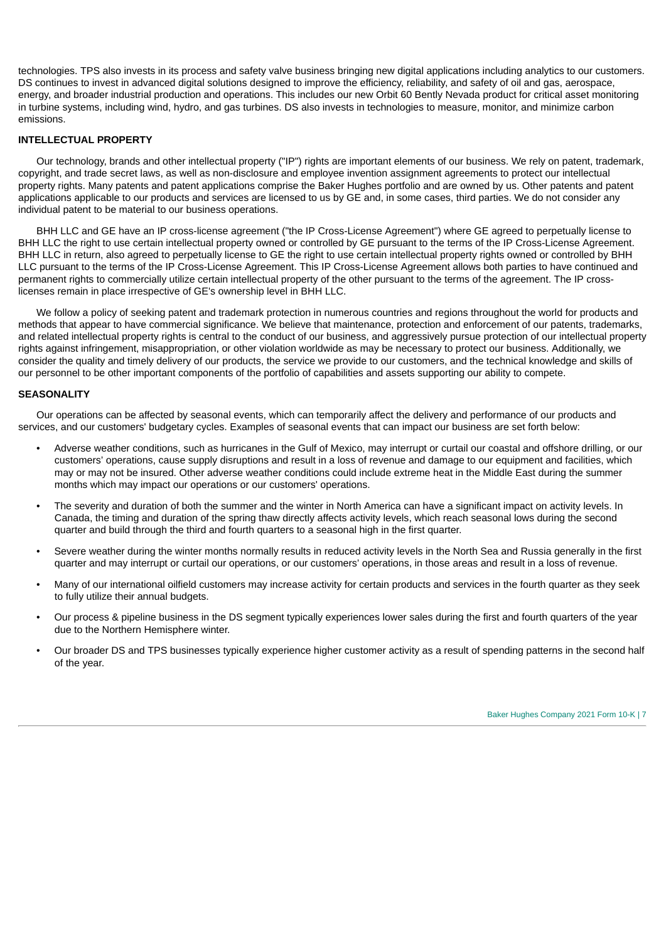technologies. TPS also invests in its process and safety valve business bringing new digital applications including analytics to our customers. DS continues to invest in advanced digital solutions designed to improve the efficiency, reliability, and safety of oil and gas, aerospace, energy, and broader industrial production and operations. This includes our new Orbit 60 Bently Nevada product for critical asset monitoring in turbine systems, including wind, hydro, and gas turbines. DS also invests in technologies to measure, monitor, and minimize carbon emissions.

## **INTELLECTUAL PROPERTY**

Our technology, brands and other intellectual property ("IP") rights are important elements of our business. We rely on patent, trademark, copyright, and trade secret laws, as well as non-disclosure and employee invention assignment agreements to protect our intellectual property rights. Many patents and patent applications comprise the Baker Hughes portfolio and are owned by us. Other patents and patent applications applicable to our products and services are licensed to us by GE and, in some cases, third parties. We do not consider any individual patent to be material to our business operations.

BHH LLC and GE have an IP cross-license agreement ("the IP Cross-License Agreement") where GE agreed to perpetually license to BHH LLC the right to use certain intellectual property owned or controlled by GE pursuant to the terms of the IP Cross-License Agreement. BHH LLC in return, also agreed to perpetually license to GE the right to use certain intellectual property rights owned or controlled by BHH LLC pursuant to the terms of the IP Cross-License Agreement. This IP Cross-License Agreement allows both parties to have continued and permanent rights to commercially utilize certain intellectual property of the other pursuant to the terms of the agreement. The IP crosslicenses remain in place irrespective of GE's ownership level in BHH LLC.

We follow a policy of seeking patent and trademark protection in numerous countries and regions throughout the world for products and methods that appear to have commercial significance. We believe that maintenance, protection and enforcement of our patents, trademarks, and related intellectual property rights is central to the conduct of our business, and aggressively pursue protection of our intellectual property rights against infringement, misappropriation, or other violation worldwide as may be necessary to protect our business. Additionally, we consider the quality and timely delivery of our products, the service we provide to our customers, and the technical knowledge and skills of our personnel to be other important components of the portfolio of capabilities and assets supporting our ability to compete.

#### **SEASONALITY**

Our operations can be affected by seasonal events, which can temporarily affect the delivery and performance of our products and services, and our customers' budgetary cycles. Examples of seasonal events that can impact our business are set forth below:

- Adverse weather conditions, such as hurricanes in the Gulf of Mexico, may interrupt or curtail our coastal and offshore drilling, or our customers' operations, cause supply disruptions and result in a loss of revenue and damage to our equipment and facilities, which may or may not be insured. Other adverse weather conditions could include extreme heat in the Middle East during the summer months which may impact our operations or our customers' operations.
- The severity and duration of both the summer and the winter in North America can have a significant impact on activity levels. In Canada, the timing and duration of the spring thaw directly affects activity levels, which reach seasonal lows during the second quarter and build through the third and fourth quarters to a seasonal high in the first quarter.
- Severe weather during the winter months normally results in reduced activity levels in the North Sea and Russia generally in the first quarter and may interrupt or curtail our operations, or our customers' operations, in those areas and result in a loss of revenue.
- Many of our international oilfield customers may increase activity for certain products and services in the fourth quarter as they seek to fully utilize their annual budgets.
- Our process & pipeline business in the DS segment typically experiences lower sales during the first and fourth quarters of the year due to the Northern Hemisphere winter.
- Our broader DS and TPS businesses typically experience higher customer activity as a result of spending patterns in the second half of the year.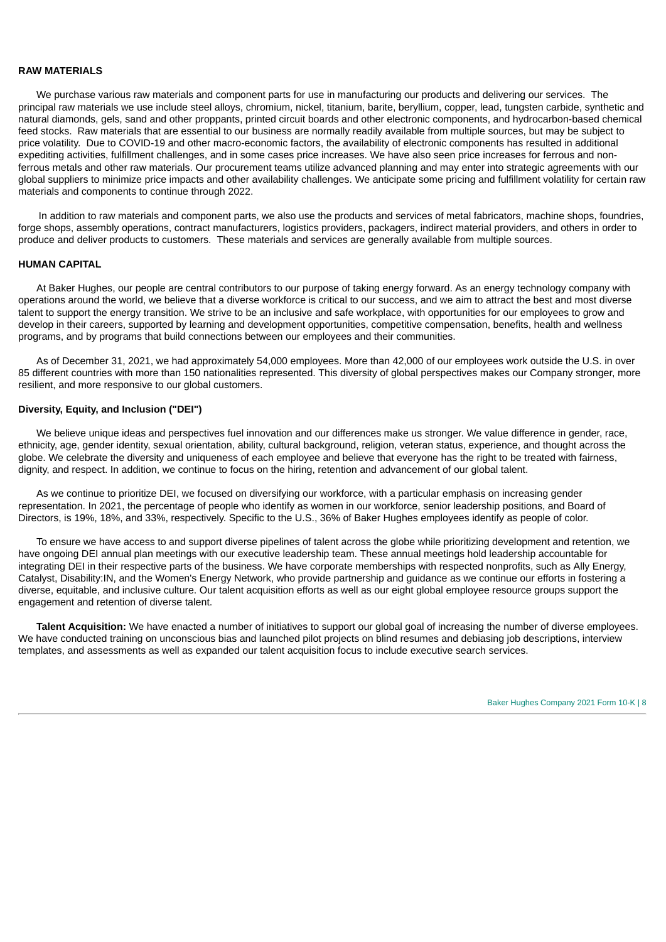#### **RAW MATERIALS**

We purchase various raw materials and component parts for use in manufacturing our products and delivering our services. The principal raw materials we use include steel alloys, chromium, nickel, titanium, barite, beryllium, copper, lead, tungsten carbide, synthetic and natural diamonds, gels, sand and other proppants, printed circuit boards and other electronic components, and hydrocarbon-based chemical feed stocks. Raw materials that are essential to our business are normally readily available from multiple sources, but may be subject to price volatility. Due to COVID-19 and other macro-economic factors, the availability of electronic components has resulted in additional expediting activities, fulfillment challenges, and in some cases price increases. We have also seen price increases for ferrous and nonferrous metals and other raw materials. Our procurement teams utilize advanced planning and may enter into strategic agreements with our global suppliers to minimize price impacts and other availability challenges. We anticipate some pricing and fulfillment volatility for certain raw materials and components to continue through 2022.

In addition to raw materials and component parts, we also use the products and services of metal fabricators, machine shops, foundries, forge shops, assembly operations, contract manufacturers, logistics providers, packagers, indirect material providers, and others in order to produce and deliver products to customers. These materials and services are generally available from multiple sources.

#### **HUMAN CAPITAL**

At Baker Hughes, our people are central contributors to our purpose of taking energy forward. As an energy technology company with operations around the world, we believe that a diverse workforce is critical to our success, and we aim to attract the best and most diverse talent to support the energy transition. We strive to be an inclusive and safe workplace, with opportunities for our employees to grow and develop in their careers, supported by learning and development opportunities, competitive compensation, benefits, health and wellness programs, and by programs that build connections between our employees and their communities.

As of December 31, 2021, we had approximately 54,000 employees. More than 42,000 of our employees work outside the U.S. in over 85 different countries with more than 150 nationalities represented. This diversity of global perspectives makes our Company stronger, more resilient, and more responsive to our global customers.

## **Diversity, Equity, and Inclusion ("DEI")**

We believe unique ideas and perspectives fuel innovation and our differences make us stronger. We value difference in gender, race, ethnicity, age, gender identity, sexual orientation, ability, cultural background, religion, veteran status, experience, and thought across the globe. We celebrate the diversity and uniqueness of each employee and believe that everyone has the right to be treated with fairness, dignity, and respect. In addition, we continue to focus on the hiring, retention and advancement of our global talent.

As we continue to prioritize DEI, we focused on diversifying our workforce, with a particular emphasis on increasing gender representation. In 2021, the percentage of people who identify as women in our workforce, senior leadership positions, and Board of Directors, is 19%, 18%, and 33%, respectively. Specific to the U.S., 36% of Baker Hughes employees identify as people of color.

To ensure we have access to and support diverse pipelines of talent across the globe while prioritizing development and retention, we have ongoing DEI annual plan meetings with our executive leadership team. These annual meetings hold leadership accountable for integrating DEI in their respective parts of the business. We have corporate memberships with respected nonprofits, such as Ally Energy, Catalyst, Disability:IN, and the Women's Energy Network, who provide partnership and guidance as we continue our efforts in fostering a diverse, equitable, and inclusive culture. Our talent acquisition efforts as well as our eight global employee resource groups support the engagement and retention of diverse talent.

**Talent Acquisition:** We have enacted a number of initiatives to support our global goal of increasing the number of diverse employees. We have conducted training on unconscious bias and launched pilot projects on blind resumes and debiasing job descriptions, interview templates, and assessments as well as expanded our talent acquisition focus to include executive search services.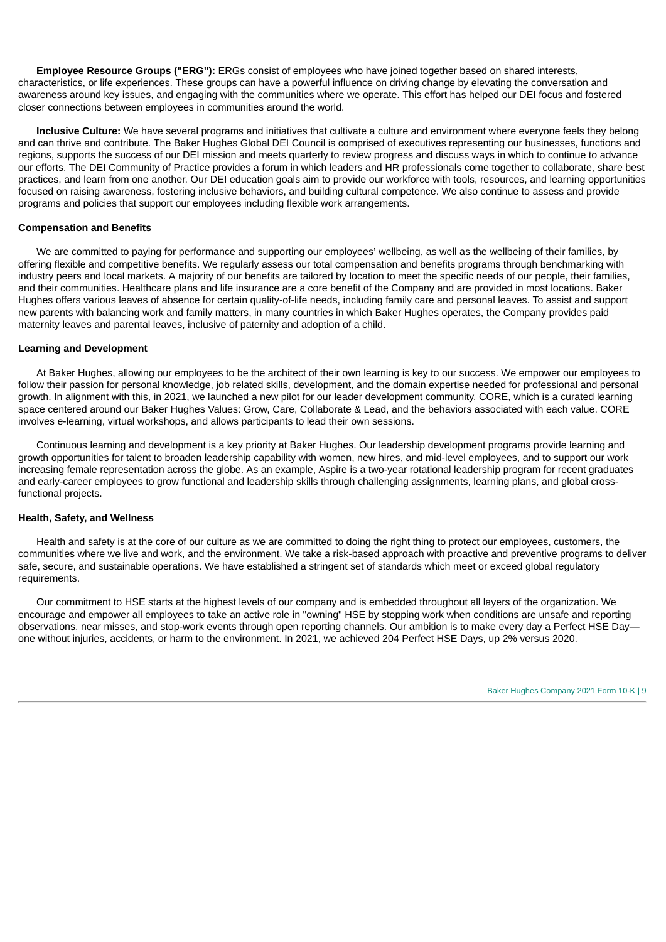**Employee Resource Groups ("ERG"):** ERGs consist of employees who have joined together based on shared interests, characteristics, or life experiences. These groups can have a powerful influence on driving change by elevating the conversation and awareness around key issues, and engaging with the communities where we operate. This effort has helped our DEI focus and fostered closer connections between employees in communities around the world.

**Inclusive Culture:** We have several programs and initiatives that cultivate a culture and environment where everyone feels they belong and can thrive and contribute. The Baker Hughes Global DEI Council is comprised of executives representing our businesses, functions and regions, supports the success of our DEI mission and meets quarterly to review progress and discuss ways in which to continue to advance our efforts. The DEI Community of Practice provides a forum in which leaders and HR professionals come together to collaborate, share best practices, and learn from one another. Our DEI education goals aim to provide our workforce with tools, resources, and learning opportunities focused on raising awareness, fostering inclusive behaviors, and building cultural competence. We also continue to assess and provide programs and policies that support our employees including flexible work arrangements.

#### **Compensation and Benefits**

We are committed to paying for performance and supporting our employees' wellbeing, as well as the wellbeing of their families, by offering flexible and competitive benefits. We regularly assess our total compensation and benefits programs through benchmarking with industry peers and local markets. A majority of our benefits are tailored by location to meet the specific needs of our people, their families, and their communities. Healthcare plans and life insurance are a core benefit of the Company and are provided in most locations. Baker Hughes offers various leaves of absence for certain quality-of-life needs, including family care and personal leaves. To assist and support new parents with balancing work and family matters, in many countries in which Baker Hughes operates, the Company provides paid maternity leaves and parental leaves, inclusive of paternity and adoption of a child.

## **Learning and Development**

At Baker Hughes, allowing our employees to be the architect of their own learning is key to our success. We empower our employees to follow their passion for personal knowledge, job related skills, development, and the domain expertise needed for professional and personal growth. In alignment with this, in 2021, we launched a new pilot for our leader development community, CORE, which is a curated learning space centered around our Baker Hughes Values: Grow, Care, Collaborate & Lead, and the behaviors associated with each value. CORE involves e-learning, virtual workshops, and allows participants to lead their own sessions.

Continuous learning and development is a key priority at Baker Hughes. Our leadership development programs provide learning and growth opportunities for talent to broaden leadership capability with women, new hires, and mid-level employees, and to support our work increasing female representation across the globe. As an example, Aspire is a two-year rotational leadership program for recent graduates and early-career employees to grow functional and leadership skills through challenging assignments, learning plans, and global crossfunctional projects.

#### **Health, Safety, and Wellness**

Health and safety is at the core of our culture as we are committed to doing the right thing to protect our employees, customers, the communities where we live and work, and the environment. We take a risk-based approach with proactive and preventive programs to deliver safe, secure, and sustainable operations. We have established a stringent set of standards which meet or exceed global regulatory requirements.

Our commitment to HSE starts at the highest levels of our company and is embedded throughout all layers of the organization. We encourage and empower all employees to take an active role in "owning" HSE by stopping work when conditions are unsafe and reporting observations, near misses, and stop-work events through open reporting channels. Our ambition is to make every day a Perfect HSE Day one without injuries, accidents, or harm to the environment. In 2021, we achieved 204 Perfect HSE Days, up 2% versus 2020.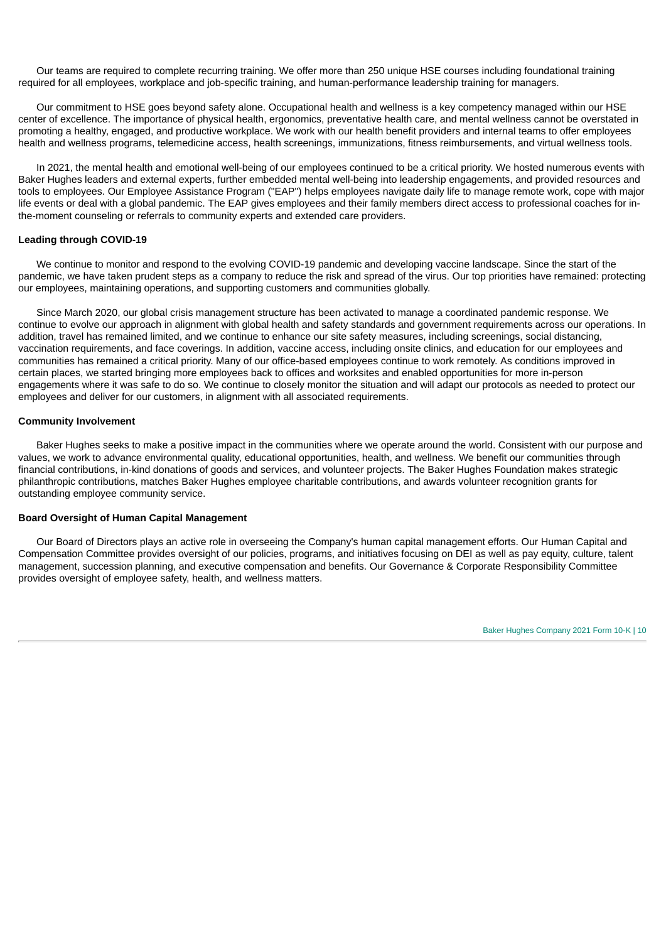Our teams are required to complete recurring training. We offer more than 250 unique HSE courses including foundational training required for all employees, workplace and job-specific training, and human-performance leadership training for managers.

Our commitment to HSE goes beyond safety alone. Occupational health and wellness is a key competency managed within our HSE center of excellence. The importance of physical health, ergonomics, preventative health care, and mental wellness cannot be overstated in promoting a healthy, engaged, and productive workplace. We work with our health benefit providers and internal teams to offer employees health and wellness programs, telemedicine access, health screenings, immunizations, fitness reimbursements, and virtual wellness tools.

In 2021, the mental health and emotional well-being of our employees continued to be a critical priority. We hosted numerous events with Baker Hughes leaders and external experts, further embedded mental well-being into leadership engagements, and provided resources and tools to employees. Our Employee Assistance Program ("EAP") helps employees navigate daily life to manage remote work, cope with major life events or deal with a global pandemic. The EAP gives employees and their family members direct access to professional coaches for inthe-moment counseling or referrals to community experts and extended care providers.

#### **Leading through COVID-19**

We continue to monitor and respond to the evolving COVID-19 pandemic and developing vaccine landscape. Since the start of the pandemic, we have taken prudent steps as a company to reduce the risk and spread of the virus. Our top priorities have remained: protecting our employees, maintaining operations, and supporting customers and communities globally.

Since March 2020, our global crisis management structure has been activated to manage a coordinated pandemic response. We continue to evolve our approach in alignment with global health and safety standards and government requirements across our operations. In addition, travel has remained limited, and we continue to enhance our site safety measures, including screenings, social distancing, vaccination requirements, and face coverings. In addition, vaccine access, including onsite clinics, and education for our employees and communities has remained a critical priority. Many of our office-based employees continue to work remotely. As conditions improved in certain places, we started bringing more employees back to offices and worksites and enabled opportunities for more in-person engagements where it was safe to do so. We continue to closely monitor the situation and will adapt our protocols as needed to protect our employees and deliver for our customers, in alignment with all associated requirements.

## **Community Involvement**

Baker Hughes seeks to make a positive impact in the communities where we operate around the world. Consistent with our purpose and values, we work to advance environmental quality, educational opportunities, health, and wellness. We benefit our communities through financial contributions, in-kind donations of goods and services, and volunteer projects. The Baker Hughes Foundation makes strategic philanthropic contributions, matches Baker Hughes employee charitable contributions, and awards volunteer recognition grants for outstanding employee community service.

#### **Board Oversight of Human Capital Management**

Our Board of Directors plays an active role in overseeing the Company's human capital management efforts. Our Human Capital and Compensation Committee provides oversight of our policies, programs, and initiatives focusing on DEI as well as pay equity, culture, talent management, succession planning, and executive compensation and benefits. Our Governance & Corporate Responsibility Committee provides oversight of employee safety, health, and wellness matters.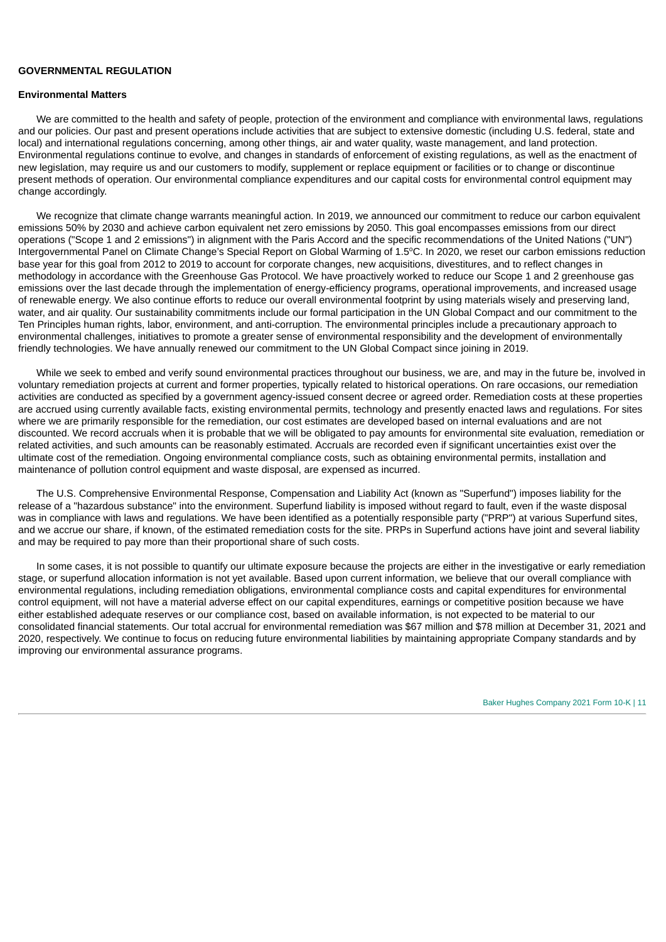#### **GOVERNMENTAL REGULATION**

#### **Environmental Matters**

We are committed to the health and safety of people, protection of the environment and compliance with environmental laws, regulations and our policies. Our past and present operations include activities that are subject to extensive domestic (including U.S. federal, state and local) and international regulations concerning, among other things, air and water quality, waste management, and land protection. Environmental regulations continue to evolve, and changes in standards of enforcement of existing regulations, as well as the enactment of new legislation, may require us and our customers to modify, supplement or replace equipment or facilities or to change or discontinue present methods of operation. Our environmental compliance expenditures and our capital costs for environmental control equipment may change accordingly.

We recognize that climate change warrants meaningful action. In 2019, we announced our commitment to reduce our carbon equivalent emissions 50% by 2030 and achieve carbon equivalent net zero emissions by 2050. This goal encompasses emissions from our direct operations ("Scope 1 and 2 emissions") in alignment with the Paris Accord and the specific recommendations of the United Nations ("UN") Intergovernmental Panel on Climate Change's Special Report on Global Warming of 1.5°C. In 2020, we reset our carbon emissions reduction base year for this goal from 2012 to 2019 to account for corporate changes, new acquisitions, divestitures, and to reflect changes in methodology in accordance with the Greenhouse Gas Protocol. We have proactively worked to reduce our Scope 1 and 2 greenhouse gas emissions over the last decade through the implementation of energy-efficiency programs, operational improvements, and increased usage of renewable energy. We also continue efforts to reduce our overall environmental footprint by using materials wisely and preserving land, water, and air quality. Our sustainability commitments include our formal participation in the UN Global Compact and our commitment to the Ten Principles human rights, labor, environment, and anti-corruption. The environmental principles include a precautionary approach to environmental challenges, initiatives to promote a greater sense of environmental responsibility and the development of environmentally friendly technologies. We have annually renewed our commitment to the UN Global Compact since joining in 2019.

While we seek to embed and verify sound environmental practices throughout our business, we are, and may in the future be, involved in voluntary remediation projects at current and former properties, typically related to historical operations. On rare occasions, our remediation activities are conducted as specified by a government agency-issued consent decree or agreed order. Remediation costs at these properties are accrued using currently available facts, existing environmental permits, technology and presently enacted laws and regulations. For sites where we are primarily responsible for the remediation, our cost estimates are developed based on internal evaluations and are not discounted. We record accruals when it is probable that we will be obligated to pay amounts for environmental site evaluation, remediation or related activities, and such amounts can be reasonably estimated. Accruals are recorded even if significant uncertainties exist over the ultimate cost of the remediation. Ongoing environmental compliance costs, such as obtaining environmental permits, installation and maintenance of pollution control equipment and waste disposal, are expensed as incurred.

The U.S. Comprehensive Environmental Response, Compensation and Liability Act (known as "Superfund") imposes liability for the release of a "hazardous substance" into the environment. Superfund liability is imposed without regard to fault, even if the waste disposal was in compliance with laws and regulations. We have been identified as a potentially responsible party ("PRP") at various Superfund sites, and we accrue our share, if known, of the estimated remediation costs for the site. PRPs in Superfund actions have joint and several liability and may be required to pay more than their proportional share of such costs.

In some cases, it is not possible to quantify our ultimate exposure because the projects are either in the investigative or early remediation stage, or superfund allocation information is not yet available. Based upon current information, we believe that our overall compliance with environmental regulations, including remediation obligations, environmental compliance costs and capital expenditures for environmental control equipment, will not have a material adverse effect on our capital expenditures, earnings or competitive position because we have either established adequate reserves or our compliance cost, based on available information, is not expected to be material to our consolidated financial statements. Our total accrual for environmental remediation was \$67 million and \$78 million at December 31, 2021 and 2020, respectively. We continue to focus on reducing future environmental liabilities by maintaining appropriate Company standards and by improving our environmental assurance programs.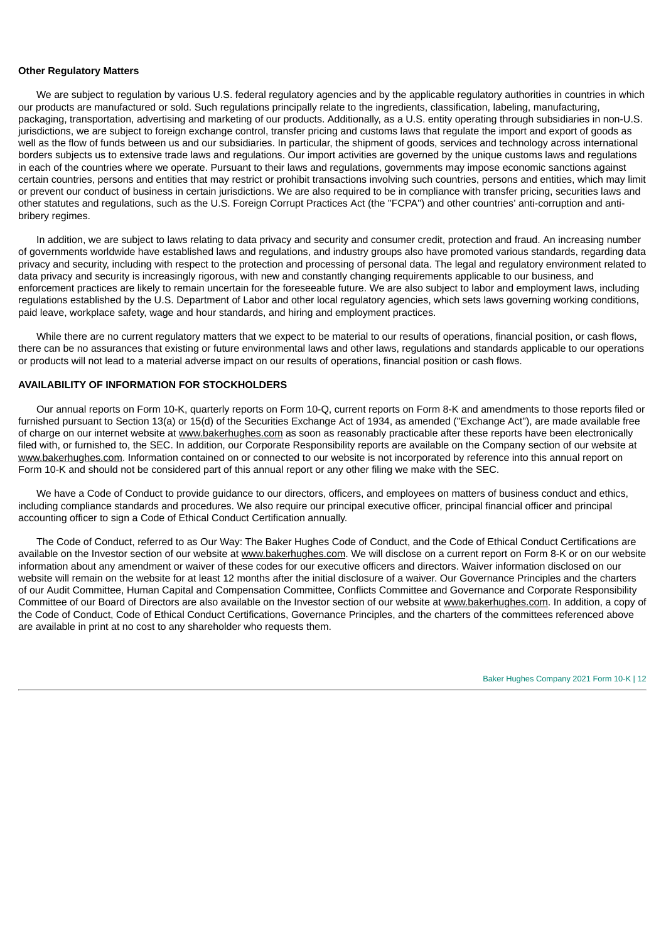#### **Other Regulatory Matters**

We are subject to regulation by various U.S. federal regulatory agencies and by the applicable regulatory authorities in countries in which our products are manufactured or sold. Such regulations principally relate to the ingredients, classification, labeling, manufacturing, packaging, transportation, advertising and marketing of our products. Additionally, as a U.S. entity operating through subsidiaries in non-U.S. jurisdictions, we are subject to foreign exchange control, transfer pricing and customs laws that regulate the import and export of goods as well as the flow of funds between us and our subsidiaries. In particular, the shipment of goods, services and technology across international borders subjects us to extensive trade laws and regulations. Our import activities are governed by the unique customs laws and regulations in each of the countries where we operate. Pursuant to their laws and regulations, governments may impose economic sanctions against certain countries, persons and entities that may restrict or prohibit transactions involving such countries, persons and entities, which may limit or prevent our conduct of business in certain jurisdictions. We are also required to be in compliance with transfer pricing, securities laws and other statutes and regulations, such as the U.S. Foreign Corrupt Practices Act (the "FCPA") and other countries' anti-corruption and antibribery regimes.

In addition, we are subject to laws relating to data privacy and security and consumer credit, protection and fraud. An increasing number of governments worldwide have established laws and regulations, and industry groups also have promoted various standards, regarding data privacy and security, including with respect to the protection and processing of personal data. The legal and regulatory environment related to data privacy and security is increasingly rigorous, with new and constantly changing requirements applicable to our business, and enforcement practices are likely to remain uncertain for the foreseeable future. We are also subject to labor and employment laws, including regulations established by the U.S. Department of Labor and other local regulatory agencies, which sets laws governing working conditions, paid leave, workplace safety, wage and hour standards, and hiring and employment practices.

While there are no current regulatory matters that we expect to be material to our results of operations, financial position, or cash flows, there can be no assurances that existing or future environmental laws and other laws, regulations and standards applicable to our operations or products will not lead to a material adverse impact on our results of operations, financial position or cash flows.

## **AVAILABILITY OF INFORMATION FOR STOCKHOLDERS**

Our annual reports on Form 10-K, quarterly reports on Form 10-Q, current reports on Form 8-K and amendments to those reports filed or furnished pursuant to Section 13(a) or 15(d) of the Securities Exchange Act of 1934, as amended ("Exchange Act"), are made available free of charge on our internet website at www.bakerhughes.com as soon as reasonably practicable after these reports have been electronically filed with, or furnished to, the SEC. In addition, our Corporate Responsibility reports are available on the Company section of our website at www.bakerhughes.com. Information contained on or connected to our website is not incorporated by reference into this annual report on Form 10-K and should not be considered part of this annual report or any other filing we make with the SEC.

We have a Code of Conduct to provide quidance to our directors, officers, and employees on matters of business conduct and ethics, including compliance standards and procedures. We also require our principal executive officer, principal financial officer and principal accounting officer to sign a Code of Ethical Conduct Certification annually.

The Code of Conduct, referred to as Our Way: The Baker Hughes Code of Conduct, and the Code of Ethical Conduct Certifications are available on the Investor section of our website at www.bakerhughes.com. We will disclose on a current report on Form 8-K or on our website information about any amendment or waiver of these codes for our executive officers and directors. Waiver information disclosed on our website will remain on the website for at least 12 months after the initial disclosure of a waiver. Our Governance Principles and the charters of our Audit Committee, Human Capital and Compensation Committee, Conflicts Committee and Governance and Corporate Responsibility Committee of our Board of Directors are also available on the Investor section of our website at www.bakerhughes.com. In addition, a copy of the Code of Conduct, Code of Ethical Conduct Certifications, Governance Principles, and the charters of the committees referenced above are available in print at no cost to any shareholder who requests them.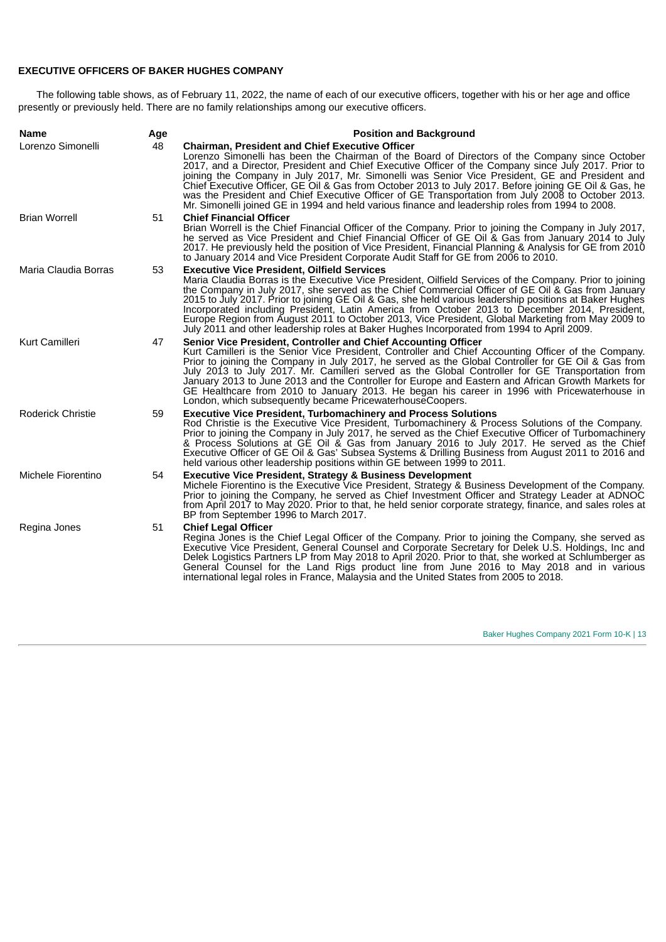## **EXECUTIVE OFFICERS OF BAKER HUGHES COMPANY**

The following table shows, as of February 11, 2022, the name of each of our executive officers, together with his or her age and office presently or previously held. There are no family relationships among our executive officers.

| <b>Name</b>              | Age | <b>Position and Background</b>                                                                                                                                                                                                                                                                                                                                                                                                                                                                                                                                                                                                                                                         |
|--------------------------|-----|----------------------------------------------------------------------------------------------------------------------------------------------------------------------------------------------------------------------------------------------------------------------------------------------------------------------------------------------------------------------------------------------------------------------------------------------------------------------------------------------------------------------------------------------------------------------------------------------------------------------------------------------------------------------------------------|
| Lorenzo Simonelli        | 48  | <b>Chairman, President and Chief Executive Officer</b><br>Lorenzo Simonelli has been the Chairman of the Board of Directors of the Company since October<br>2017, and a Director, President and Chief Executive Officer of the Company since July 2017. Prior to<br>joining the Company in July 2017, Mr. Simonelli was Senior Vice President, GE and President and<br>Chief Executive Officer, GE Oil & Gas from October 2013 to July 2017. Before joining GE Oil & Gas, he<br>was the President and Chief Executive Officer of GE Transportation from July 2008 to October 2013.<br>Mr. Simonelli joined GE in 1994 and held various finance and leadership roles from 1994 to 2008. |
| <b>Brian Worrell</b>     | 51  | <b>Chief Financial Officer</b><br>Brian Worrell is the Chief Financial Officer of the Company. Prior to joining the Company in July 2017,<br>he served as Vice President and Chief Financial Officer of GE Oil & Gas from January 2014 to July<br>2017. He previously held the position of Vice President, Financial Planning & Analysis for GE from 2010<br>to January 2014 and Vice President Corporate Audit Staff for GE from 2006 to 2010.                                                                                                                                                                                                                                        |
| Maria Claudia Borras     | 53  | <b>Executive Vice President, Oilfield Services</b><br>Maria Claudia Borras is the Executive Vice President, Oilfield Services of the Company. Prior to joining<br>the Company in July 2017, she served as the Chief Commercial Officer of GE Oil & Gas from January<br>2015 to July 2017. Prior to joining GE Oil & Gas, she held various leadership positions at Baker Hughes<br>Incorporated including President, Latin America from October 2013 to December 2014, President,<br>Europe Region from August 2011 to October 2013, Vice President, Global Marketing from May 2009 to<br>July 2011 and other leadership roles at Baker Hughes Incorporated from 1994 to April 2009.    |
| Kurt Camilleri           | 47  | Senior Vice President, Controller and Chief Accounting Officer<br>Kurt Camilleri is the Senior Vice President, Controller and Chief Accounting Officer of the Company.<br>Prior to joining the Company in July 2017, he served as the Global Controller for GE Oil & Gas from<br>July 2013 to July 2017. Mr. Camilleri served as the Global Controller for GE Transportation from<br>January 2013 to June 2013 and the Controller for Europe and Eastern and African Growth Markets for<br>GE Healthcare from 2010 to January 2013. He began his career in 1996 with Pricewaterhouse in<br>London, which subsequently became PricewaterhouseCoopers.                                   |
| <b>Roderick Christie</b> | 59  | <b>Executive Vice President, Turbomachinery and Process Solutions</b><br>Rod Christie is the Executive Vice President, Turbomachinery & Process Solutions of the Company.<br>Prior to joining the Company in July 2017, he served as the Chief Executive Officer of Turbomachinery<br>& Process Solutions at GE Oil & Gas from January 2016 to July 2017. He served as the Chief<br>Executive Officer of GE Oil & Gas' Subsea Systems & Drilling Business from August 2011 to 2016 and<br>held various other leadership positions within GE between 1999 to 2011.                                                                                                                      |
| Michele Fiorentino       | 54  | <b>Executive Vice President, Strategy &amp; Business Development</b><br>Michele Fiorentino is the Executive Vice President, Strategy & Business Development of the Company.<br>Prior to joining the Company, he served as Chief Investment Officer and Strategy Leader at ADNOC<br>from April 2017 to May 2020. Prior to that, he held senior corporate strategy, finance, and sales roles at<br>BP from September 1996 to March 2017.                                                                                                                                                                                                                                                 |
| Regina Jones             | 51  | <b>Chief Legal Officer</b><br>Regina Jones is the Chief Legal Officer of the Company. Prior to joining the Company, she served as<br>Executive Vice President, General Counsel and Corporate Secretary for Delek U.S. Holdings, Inc and<br>Delek Logistics Partners LP from May 2018 to April 2020. Prior to that, she worked at Schlumberger as<br>General Counsel for the Land Rigs product line from June 2016 to May 2018 and in various<br>international legal roles in France, Malaysia and the United States from 2005 to 2018.                                                                                                                                                 |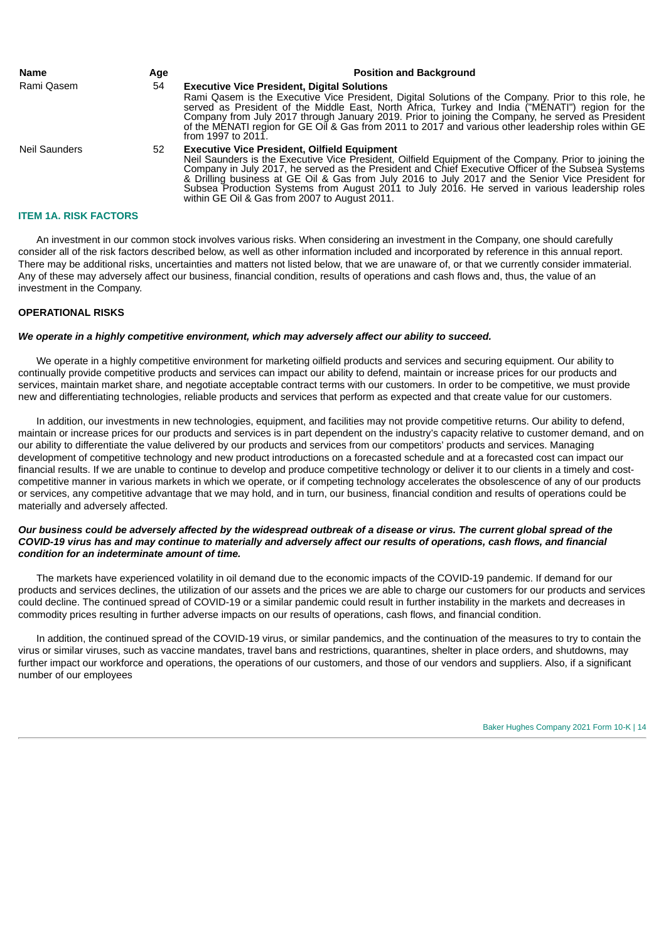| Name<br>Rami Oasem   | Age<br>54 | <b>Position and Background</b><br><b>Executive Vice President, Digital Solutions</b><br>Rami Oasem is the Executive Vice President, Digital Solutions of the Company. Prior to this role, he<br>served as President of the Middle East, North Africa, Turkey and India ("MENATI") region for the<br>Company from July 2017 through January 2019. Prior to joining the Company, he served as President<br>of the MÉNATI region for GE Oil & Gas from 2011 to 2017 and various other leadership roles within GE<br>from 1997 to 2011. |
|----------------------|-----------|-------------------------------------------------------------------------------------------------------------------------------------------------------------------------------------------------------------------------------------------------------------------------------------------------------------------------------------------------------------------------------------------------------------------------------------------------------------------------------------------------------------------------------------|
| <b>Neil Saunders</b> | 52        | <b>Executive Vice President, Oilfield Equipment</b><br>Neil Saunders is the Executive Vice President, Oilfield Equipment of the Company. Prior to joining the<br>Company in July 2017, he served as the President and Chief Executive Officer of the Subsea Systems<br>& Drilling business at GE Oil & Gas from July 2016 to July 2017 and the Senior Vice President for<br>Subsea Production Systems from August 2011 to July 2016. He served in various leadership roles<br>within GE Oil & Gas from 2007 to August 2011.         |

#### <span id="page-15-0"></span>**ITEM 1A. RISK FACTORS**

An investment in our common stock involves various risks. When considering an investment in the Company, one should carefully consider all of the risk factors described below, as well as other information included and incorporated by reference in this annual report. There may be additional risks, uncertainties and matters not listed below, that we are unaware of, or that we currently consider immaterial. Any of these may adversely affect our business, financial condition, results of operations and cash flows and, thus, the value of an investment in the Company.

## **OPERATIONAL RISKS**

## *We operate in a highly competitive environment, which may adversely affect our ability to succeed.*

We operate in a highly competitive environment for marketing oilfield products and services and securing equipment. Our ability to continually provide competitive products and services can impact our ability to defend, maintain or increase prices for our products and services, maintain market share, and negotiate acceptable contract terms with our customers. In order to be competitive, we must provide new and differentiating technologies, reliable products and services that perform as expected and that create value for our customers.

In addition, our investments in new technologies, equipment, and facilities may not provide competitive returns. Our ability to defend, maintain or increase prices for our products and services is in part dependent on the industry's capacity relative to customer demand, and on our ability to differentiate the value delivered by our products and services from our competitors' products and services. Managing development of competitive technology and new product introductions on a forecasted schedule and at a forecasted cost can impact our financial results. If we are unable to continue to develop and produce competitive technology or deliver it to our clients in a timely and costcompetitive manner in various markets in which we operate, or if competing technology accelerates the obsolescence of any of our products or services, any competitive advantage that we may hold, and in turn, our business, financial condition and results of operations could be materially and adversely affected.

## Our business could be adversely affected by the widespread outbreak of a disease or virus. The current global spread of the COVID-19 virus has and may continue to materially and adversely affect our results of operations, cash flows, and financial *condition for an indeterminate amount of time.*

The markets have experienced volatility in oil demand due to the economic impacts of the COVID-19 pandemic. If demand for our products and services declines, the utilization of our assets and the prices we are able to charge our customers for our products and services could decline. The continued spread of COVID-19 or a similar pandemic could result in further instability in the markets and decreases in commodity prices resulting in further adverse impacts on our results of operations, cash flows, and financial condition.

In addition, the continued spread of the COVID-19 virus, or similar pandemics, and the continuation of the measures to try to contain the virus or similar viruses, such as vaccine mandates, travel bans and restrictions, quarantines, shelter in place orders, and shutdowns, may further impact our workforce and operations, the operations of our customers, and those of our vendors and suppliers. Also, if a significant number of our employees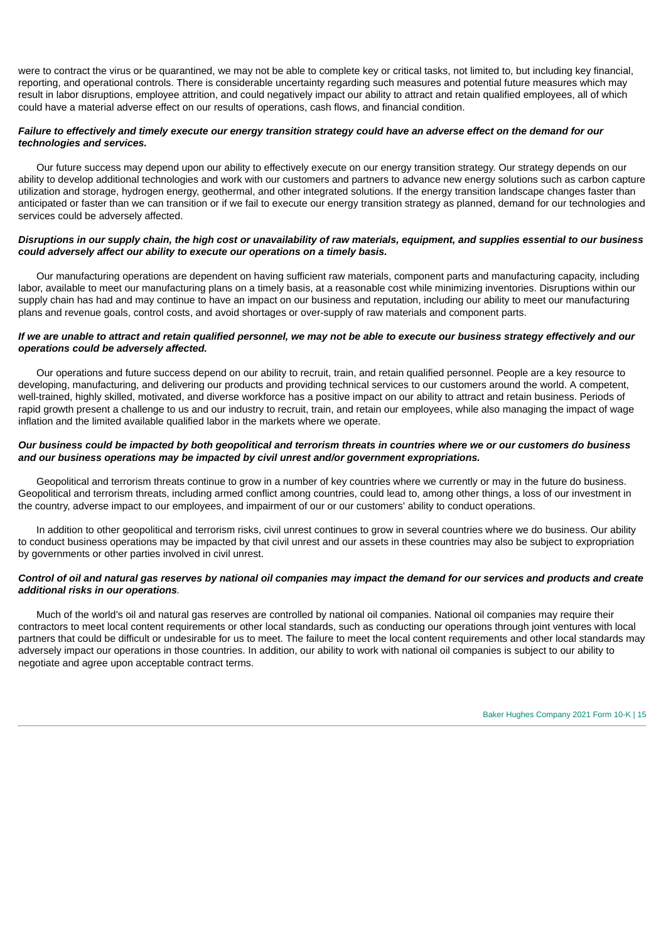were to contract the virus or be quarantined, we may not be able to complete key or critical tasks, not limited to, but including key financial, reporting, and operational controls. There is considerable uncertainty regarding such measures and potential future measures which may result in labor disruptions, employee attrition, and could negatively impact our ability to attract and retain qualified employees, all of which could have a material adverse effect on our results of operations, cash flows, and financial condition.

#### Failure to effectively and timely execute our energy transition strategy could have an adverse effect on the demand for our *technologies and services.*

Our future success may depend upon our ability to effectively execute on our energy transition strategy. Our strategy depends on our ability to develop additional technologies and work with our customers and partners to advance new energy solutions such as carbon capture utilization and storage, hydrogen energy, geothermal, and other integrated solutions. If the energy transition landscape changes faster than anticipated or faster than we can transition or if we fail to execute our energy transition strategy as planned, demand for our technologies and services could be adversely affected.

## Disruptions in our supply chain, the high cost or unavailability of raw materials, equipment, and supplies essential to our business *could adversely affect our ability to execute our operations on a timely basis.*

Our manufacturing operations are dependent on having sufficient raw materials, component parts and manufacturing capacity, including labor, available to meet our manufacturing plans on a timely basis, at a reasonable cost while minimizing inventories. Disruptions within our supply chain has had and may continue to have an impact on our business and reputation, including our ability to meet our manufacturing plans and revenue goals, control costs, and avoid shortages or over-supply of raw materials and component parts.

## If we are unable to attract and retain qualified personnel, we may not be able to execute our business strategy effectively and our *operations could be adversely affected.*

Our operations and future success depend on our ability to recruit, train, and retain qualified personnel. People are a key resource to developing, manufacturing, and delivering our products and providing technical services to our customers around the world. A competent, well-trained, highly skilled, motivated, and diverse workforce has a positive impact on our ability to attract and retain business. Periods of rapid growth present a challenge to us and our industry to recruit, train, and retain our employees, while also managing the impact of wage inflation and the limited available qualified labor in the markets where we operate.

## Our business could be impacted by both geopolitical and terrorism threats in countries where we or our customers do business *and our business operations may be impacted by civil unrest and/or government expropriations.*

Geopolitical and terrorism threats continue to grow in a number of key countries where we currently or may in the future do business. Geopolitical and terrorism threats, including armed conflict among countries, could lead to, among other things, a loss of our investment in the country, adverse impact to our employees, and impairment of our or our customers' ability to conduct operations.

In addition to other geopolitical and terrorism risks, civil unrest continues to grow in several countries where we do business. Our ability to conduct business operations may be impacted by that civil unrest and our assets in these countries may also be subject to expropriation by governments or other parties involved in civil unrest.

#### Control of oil and natural gas reserves by national oil companies may impact the demand for our services and products and create *additional risks in our operations.*

Much of the world's oil and natural gas reserves are controlled by national oil companies. National oil companies may require their contractors to meet local content requirements or other local standards, such as conducting our operations through joint ventures with local partners that could be difficult or undesirable for us to meet. The failure to meet the local content requirements and other local standards may adversely impact our operations in those countries. In addition, our ability to work with national oil companies is subject to our ability to negotiate and agree upon acceptable contract terms.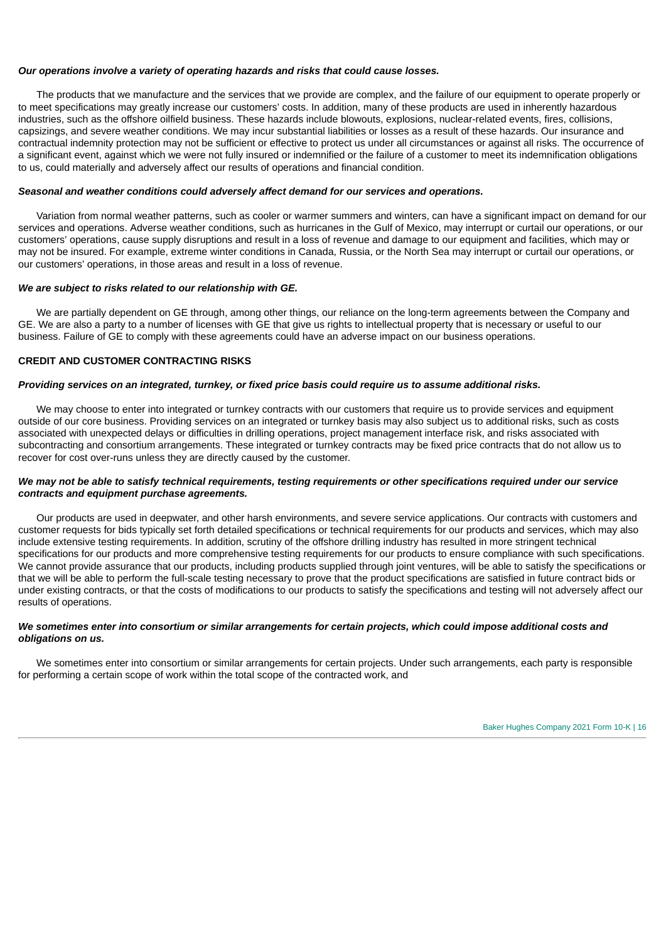## *Our operations involve a variety of operating hazards and risks that could cause losses.*

The products that we manufacture and the services that we provide are complex, and the failure of our equipment to operate properly or to meet specifications may greatly increase our customers' costs. In addition, many of these products are used in inherently hazardous industries, such as the offshore oilfield business. These hazards include blowouts, explosions, nuclear-related events, fires, collisions, capsizings, and severe weather conditions. We may incur substantial liabilities or losses as a result of these hazards. Our insurance and contractual indemnity protection may not be sufficient or effective to protect us under all circumstances or against all risks. The occurrence of a significant event, against which we were not fully insured or indemnified or the failure of a customer to meet its indemnification obligations to us, could materially and adversely affect our results of operations and financial condition.

## *Seasonal and weather conditions could adversely affect demand for our services and operations.*

Variation from normal weather patterns, such as cooler or warmer summers and winters, can have a significant impact on demand for our services and operations. Adverse weather conditions, such as hurricanes in the Gulf of Mexico, may interrupt or curtail our operations, or our customers' operations, cause supply disruptions and result in a loss of revenue and damage to our equipment and facilities, which may or may not be insured. For example, extreme winter conditions in Canada, Russia, or the North Sea may interrupt or curtail our operations, or our customers' operations, in those areas and result in a loss of revenue.

#### *We are subject to risks related to our relationship with GE.*

We are partially dependent on GE through, among other things, our reliance on the long-term agreements between the Company and GE. We are also a party to a number of licenses with GE that give us rights to intellectual property that is necessary or useful to our business. Failure of GE to comply with these agreements could have an adverse impact on our business operations.

## **CREDIT AND CUSTOMER CONTRACTING RISKS**

#### Providing services on an integrated, turnkey, or fixed price basis could require us to assume additional risks.

We may choose to enter into integrated or turnkey contracts with our customers that require us to provide services and equipment outside of our core business. Providing services on an integrated or turnkey basis may also subject us to additional risks, such as costs associated with unexpected delays or difficulties in drilling operations, project management interface risk, and risks associated with subcontracting and consortium arrangements. These integrated or turnkey contracts may be fixed price contracts that do not allow us to recover for cost over-runs unless they are directly caused by the customer.

## We may not be able to satisfy technical requirements, testing requirements or other specifications required under our service *contracts and equipment purchase agreements.*

Our products are used in deepwater, and other harsh environments, and severe service applications. Our contracts with customers and customer requests for bids typically set forth detailed specifications or technical requirements for our products and services, which may also include extensive testing requirements. In addition, scrutiny of the offshore drilling industry has resulted in more stringent technical specifications for our products and more comprehensive testing requirements for our products to ensure compliance with such specifications. We cannot provide assurance that our products, including products supplied through joint ventures, will be able to satisfy the specifications or that we will be able to perform the full-scale testing necessary to prove that the product specifications are satisfied in future contract bids or under existing contracts, or that the costs of modifications to our products to satisfy the specifications and testing will not adversely affect our results of operations.

## We sometimes enter into consortium or similar arrangements for certain projects, which could impose additional costs and *obligations on us.*

We sometimes enter into consortium or similar arrangements for certain projects. Under such arrangements, each party is responsible for performing a certain scope of work within the total scope of the contracted work, and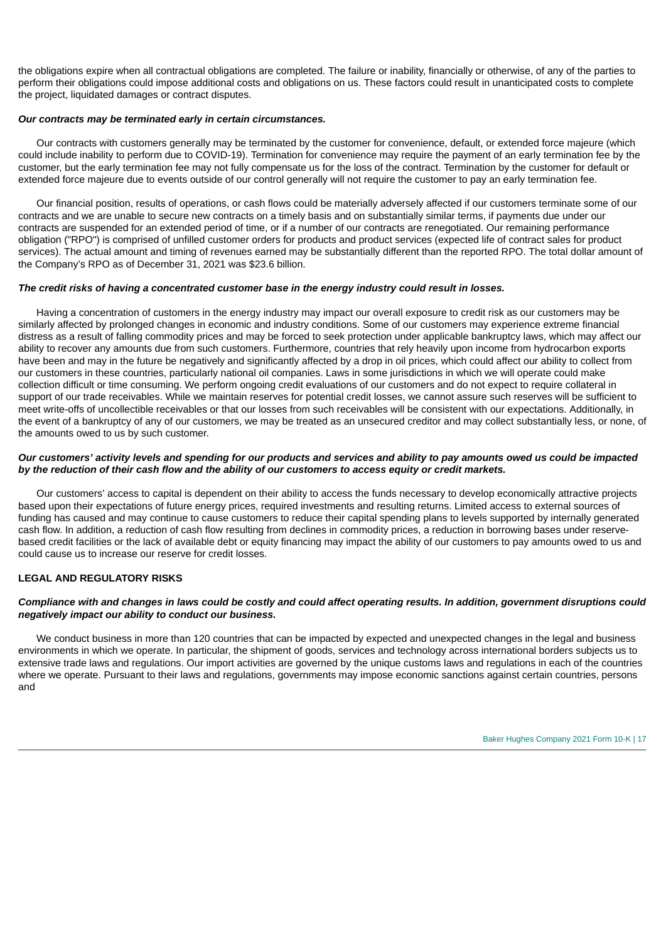the obligations expire when all contractual obligations are completed. The failure or inability, financially or otherwise, of any of the parties to perform their obligations could impose additional costs and obligations on us. These factors could result in unanticipated costs to complete the project, liquidated damages or contract disputes.

#### *Our contracts may be terminated early in certain circumstances.*

Our contracts with customers generally may be terminated by the customer for convenience, default, or extended force majeure (which could include inability to perform due to COVID-19). Termination for convenience may require the payment of an early termination fee by the customer, but the early termination fee may not fully compensate us for the loss of the contract. Termination by the customer for default or extended force majeure due to events outside of our control generally will not require the customer to pay an early termination fee.

Our financial position, results of operations, or cash flows could be materially adversely affected if our customers terminate some of our contracts and we are unable to secure new contracts on a timely basis and on substantially similar terms, if payments due under our contracts are suspended for an extended period of time, or if a number of our contracts are renegotiated. Our remaining performance obligation ("RPO") is comprised of unfilled customer orders for products and product services (expected life of contract sales for product services). The actual amount and timing of revenues earned may be substantially different than the reported RPO. The total dollar amount of the Company's RPO as of December 31, 2021 was \$23.6 billion.

#### *The credit risks of having a concentrated customer base in the energy industry could result in losses.*

Having a concentration of customers in the energy industry may impact our overall exposure to credit risk as our customers may be similarly affected by prolonged changes in economic and industry conditions. Some of our customers may experience extreme financial distress as a result of falling commodity prices and may be forced to seek protection under applicable bankruptcy laws, which may affect our ability to recover any amounts due from such customers. Furthermore, countries that rely heavily upon income from hydrocarbon exports have been and may in the future be negatively and significantly affected by a drop in oil prices, which could affect our ability to collect from our customers in these countries, particularly national oil companies. Laws in some jurisdictions in which we will operate could make collection difficult or time consuming. We perform ongoing credit evaluations of our customers and do not expect to require collateral in support of our trade receivables. While we maintain reserves for potential credit losses, we cannot assure such reserves will be sufficient to meet write-offs of uncollectible receivables or that our losses from such receivables will be consistent with our expectations. Additionally, in the event of a bankruptcy of any of our customers, we may be treated as an unsecured creditor and may collect substantially less, or none, of the amounts owed to us by such customer.

#### Our customers' activity levels and spending for our products and services and ability to pay amounts owed us could be impacted by the reduction of their cash flow and the ability of our customers to access equity or credit markets.

Our customers' access to capital is dependent on their ability to access the funds necessary to develop economically attractive projects based upon their expectations of future energy prices, required investments and resulting returns. Limited access to external sources of funding has caused and may continue to cause customers to reduce their capital spending plans to levels supported by internally generated cash flow. In addition, a reduction of cash flow resulting from declines in commodity prices, a reduction in borrowing bases under reservebased credit facilities or the lack of available debt or equity financing may impact the ability of our customers to pay amounts owed to us and could cause us to increase our reserve for credit losses.

## **LEGAL AND REGULATORY RISKS**

#### Compliance with and changes in laws could be costly and could affect operating results. In addition, government disruptions could *negatively impact our ability to conduct our business.*

We conduct business in more than 120 countries that can be impacted by expected and unexpected changes in the legal and business environments in which we operate. In particular, the shipment of goods, services and technology across international borders subjects us to extensive trade laws and regulations. Our import activities are governed by the unique customs laws and regulations in each of the countries where we operate. Pursuant to their laws and regulations, governments may impose economic sanctions against certain countries, persons and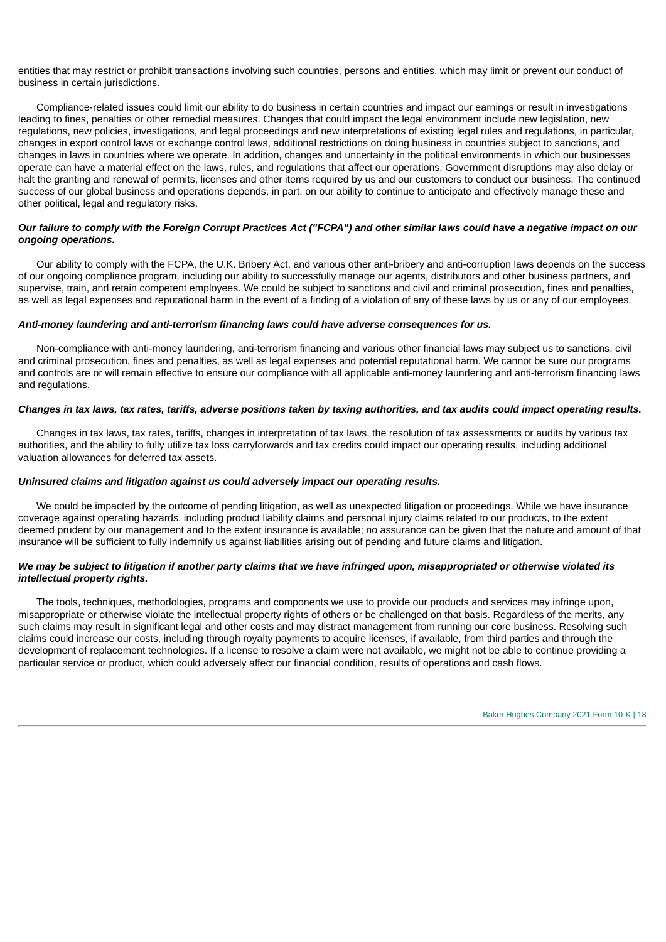entities that may restrict or prohibit transactions involving such countries, persons and entities, which may limit or prevent our conduct of business in certain jurisdictions.

Compliance-related issues could limit our ability to do business in certain countries and impact our earnings or result in investigations leading to fines, penalties or other remedial measures. Changes that could impact the legal environment include new legislation, new regulations, new policies, investigations, and legal proceedings and new interpretations of existing legal rules and regulations, in particular, changes in export control laws or exchange control laws, additional restrictions on doing business in countries subject to sanctions, and changes in laws in countries where we operate. In addition, changes and uncertainty in the political environments in which our businesses operate can have a material effect on the laws, rules, and regulations that affect our operations. Government disruptions may also delay or halt the granting and renewal of permits, licenses and other items required by us and our customers to conduct our business. The continued success of our global business and operations depends, in part, on our ability to continue to anticipate and effectively manage these and other political, legal and regulatory risks.

## Our failure to comply with the Foreign Corrupt Practices Act ("FCPA") and other similar laws could have a negative impact on our *ongoing operations.*

Our ability to comply with the FCPA, the U.K. Bribery Act, and various other anti-bribery and anti-corruption laws depends on the success of our ongoing compliance program, including our ability to successfully manage our agents, distributors and other business partners, and supervise, train, and retain competent employees. We could be subject to sanctions and civil and criminal prosecution, fines and penalties, as well as legal expenses and reputational harm in the event of a finding of a violation of any of these laws by us or any of our employees.

#### *Anti-money laundering and anti-terrorism financing laws could have adverse consequences for us.*

Non-compliance with anti-money laundering, anti-terrorism financing and various other financial laws may subject us to sanctions, civil and criminal prosecution, fines and penalties, as well as legal expenses and potential reputational harm. We cannot be sure our programs and controls are or will remain effective to ensure our compliance with all applicable anti-money laundering and anti-terrorism financing laws and regulations.

## Changes in tax laws, tax rates, tariffs, adverse positions taken by taxing authorities, and tax audits could impact operating results.

Changes in tax laws, tax rates, tariffs, changes in interpretation of tax laws, the resolution of tax assessments or audits by various tax authorities, and the ability to fully utilize tax loss carryforwards and tax credits could impact our operating results, including additional valuation allowances for deferred tax assets.

#### *Uninsured claims and litigation against us could adversely impact our operating results.*

We could be impacted by the outcome of pending litigation, as well as unexpected litigation or proceedings. While we have insurance coverage against operating hazards, including product liability claims and personal injury claims related to our products, to the extent deemed prudent by our management and to the extent insurance is available; no assurance can be given that the nature and amount of that insurance will be sufficient to fully indemnify us against liabilities arising out of pending and future claims and litigation.

#### We may be subject to litigation if another party claims that we have infringed upon, misappropriated or otherwise violated its *intellectual property rights.*

The tools, techniques, methodologies, programs and components we use to provide our products and services may infringe upon, misappropriate or otherwise violate the intellectual property rights of others or be challenged on that basis. Regardless of the merits, any such claims may result in significant legal and other costs and may distract management from running our core business. Resolving such claims could increase our costs, including through royalty payments to acquire licenses, if available, from third parties and through the development of replacement technologies. If a license to resolve a claim were not available, we might not be able to continue providing a particular service or product, which could adversely affect our financial condition, results of operations and cash flows.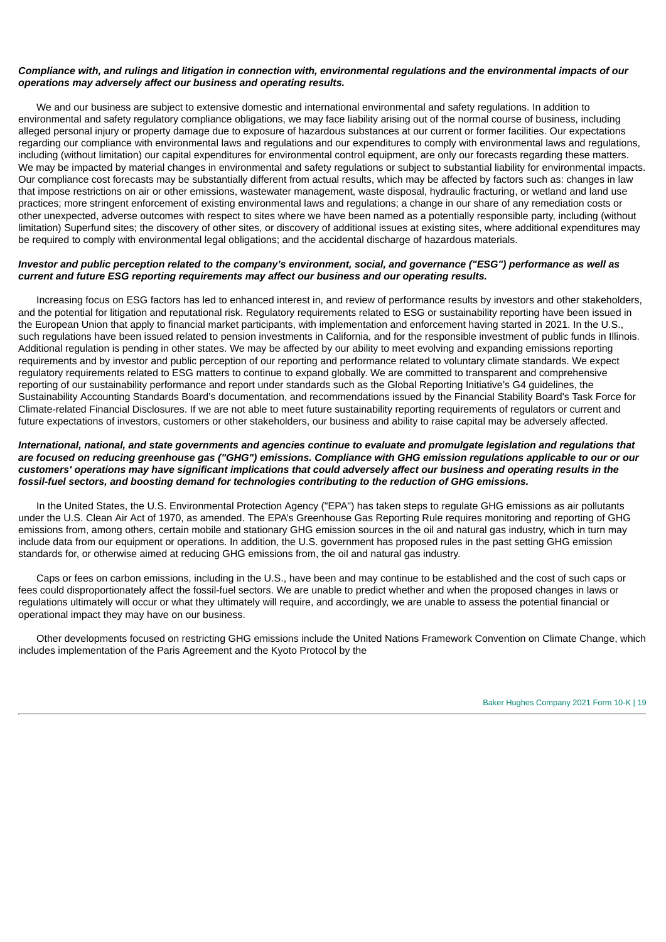## Compliance with, and rulings and litigation in connection with, environmental regulations and the environmental impacts of our *operations may adversely affect our business and operating results.*

We and our business are subject to extensive domestic and international environmental and safety regulations. In addition to environmental and safety regulatory compliance obligations, we may face liability arising out of the normal course of business, including alleged personal injury or property damage due to exposure of hazardous substances at our current or former facilities. Our expectations regarding our compliance with environmental laws and regulations and our expenditures to comply with environmental laws and regulations, including (without limitation) our capital expenditures for environmental control equipment, are only our forecasts regarding these matters. We may be impacted by material changes in environmental and safety regulations or subject to substantial liability for environmental impacts. Our compliance cost forecasts may be substantially different from actual results, which may be affected by factors such as: changes in law that impose restrictions on air or other emissions, wastewater management, waste disposal, hydraulic fracturing, or wetland and land use practices; more stringent enforcement of existing environmental laws and regulations; a change in our share of any remediation costs or other unexpected, adverse outcomes with respect to sites where we have been named as a potentially responsible party, including (without limitation) Superfund sites; the discovery of other sites, or discovery of additional issues at existing sites, where additional expenditures may be required to comply with environmental legal obligations; and the accidental discharge of hazardous materials.

#### Investor and public perception related to the company's environment, social, and governance ("ESG") performance as well as *current and future ESG reporting requirements may affect our business and our operating results.*

Increasing focus on ESG factors has led to enhanced interest in, and review of performance results by investors and other stakeholders, and the potential for litigation and reputational risk. Regulatory requirements related to ESG or sustainability reporting have been issued in the European Union that apply to financial market participants, with implementation and enforcement having started in 2021. In the U.S., such regulations have been issued related to pension investments in California, and for the responsible investment of public funds in Illinois. Additional regulation is pending in other states. We may be affected by our ability to meet evolving and expanding emissions reporting requirements and by investor and public perception of our reporting and performance related to voluntary climate standards. We expect regulatory requirements related to ESG matters to continue to expand globally. We are committed to transparent and comprehensive reporting of our sustainability performance and report under standards such as the Global Reporting Initiative's G4 guidelines, the Sustainability Accounting Standards Board's documentation, and recommendations issued by the Financial Stability Board's Task Force for Climate-related Financial Disclosures. If we are not able to meet future sustainability reporting requirements of regulators or current and future expectations of investors, customers or other stakeholders, our business and ability to raise capital may be adversely affected.

## International, national, and state governments and agencies continue to evaluate and promulgate legislation and regulations that are focused on reducing greenhouse gas ("GHG") emissions. Compliance with GHG emission regulations applicable to our or our customers' operations may have significant implications that could adversely affect our business and operating results in the *fossil-fuel sectors, and boosting demand for technologies contributing to the reduction of GHG emissions.*

In the United States, the U.S. Environmental Protection Agency ("EPA") has taken steps to regulate GHG emissions as air pollutants under the U.S. Clean Air Act of 1970, as amended. The EPA's Greenhouse Gas Reporting Rule requires monitoring and reporting of GHG emissions from, among others, certain mobile and stationary GHG emission sources in the oil and natural gas industry, which in turn may include data from our equipment or operations. In addition, the U.S. government has proposed rules in the past setting GHG emission standards for, or otherwise aimed at reducing GHG emissions from, the oil and natural gas industry.

Caps or fees on carbon emissions, including in the U.S., have been and may continue to be established and the cost of such caps or fees could disproportionately affect the fossil-fuel sectors. We are unable to predict whether and when the proposed changes in laws or regulations ultimately will occur or what they ultimately will require, and accordingly, we are unable to assess the potential financial or operational impact they may have on our business.

Other developments focused on restricting GHG emissions include the United Nations Framework Convention on Climate Change, which includes implementation of the Paris Agreement and the Kyoto Protocol by the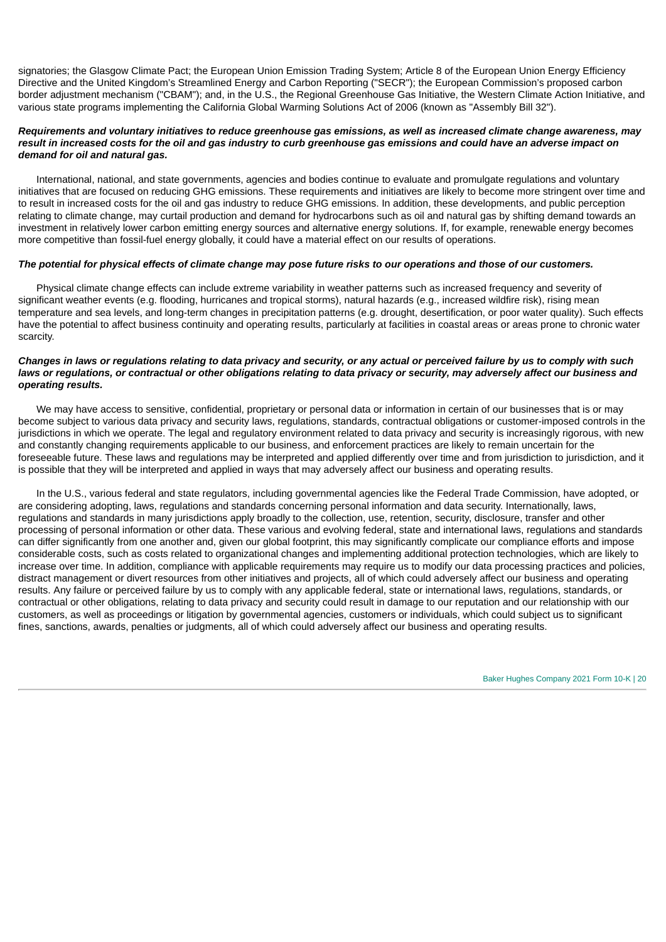signatories; the Glasgow Climate Pact; the European Union Emission Trading System; Article 8 of the European Union Energy Efficiency Directive and the United Kingdom's Streamlined Energy and Carbon Reporting ("SECR"); the European Commission's proposed carbon border adjustment mechanism ("CBAM"); and, in the U.S., the Regional Greenhouse Gas Initiative, the Western Climate Action Initiative, and various state programs implementing the California Global Warming Solutions Act of 2006 (known as "Assembly Bill 32").

#### Requirements and voluntary initiatives to reduce greenhouse gas emissions, as well as increased climate change awareness, may result in increased costs for the oil and gas industry to curb greenhouse gas emissions and could have an adverse impact on *demand for oil and natural gas.*

International, national, and state governments, agencies and bodies continue to evaluate and promulgate regulations and voluntary initiatives that are focused on reducing GHG emissions. These requirements and initiatives are likely to become more stringent over time and to result in increased costs for the oil and gas industry to reduce GHG emissions. In addition, these developments, and public perception relating to climate change, may curtail production and demand for hydrocarbons such as oil and natural gas by shifting demand towards an investment in relatively lower carbon emitting energy sources and alternative energy solutions. If, for example, renewable energy becomes more competitive than fossil-fuel energy globally, it could have a material effect on our results of operations.

## The potential for physical effects of climate change may pose future risks to our operations and those of our customers.

Physical climate change effects can include extreme variability in weather patterns such as increased frequency and severity of significant weather events (e.g. flooding, hurricanes and tropical storms), natural hazards (e.g., increased wildfire risk), rising mean temperature and sea levels, and long-term changes in precipitation patterns (e.g. drought, desertification, or poor water quality). Such effects have the potential to affect business continuity and operating results, particularly at facilities in coastal areas or areas prone to chronic water scarcity.

## Changes in laws or regulations relating to data privacy and security, or any actual or perceived failure by us to comply with such laws or regulations, or contractual or other obligations relating to data privacy or security, may adversely affect our business and *operating results.*

We may have access to sensitive, confidential, proprietary or personal data or information in certain of our businesses that is or may become subject to various data privacy and security laws, regulations, standards, contractual obligations or customer-imposed controls in the jurisdictions in which we operate. The legal and regulatory environment related to data privacy and security is increasingly rigorous, with new and constantly changing requirements applicable to our business, and enforcement practices are likely to remain uncertain for the foreseeable future. These laws and regulations may be interpreted and applied differently over time and from jurisdiction to jurisdiction, and it is possible that they will be interpreted and applied in ways that may adversely affect our business and operating results.

In the U.S., various federal and state regulators, including governmental agencies like the Federal Trade Commission, have adopted, or are considering adopting, laws, regulations and standards concerning personal information and data security. Internationally, laws, regulations and standards in many jurisdictions apply broadly to the collection, use, retention, security, disclosure, transfer and other processing of personal information or other data. These various and evolving federal, state and international laws, regulations and standards can differ significantly from one another and, given our global footprint, this may significantly complicate our compliance efforts and impose considerable costs, such as costs related to organizational changes and implementing additional protection technologies, which are likely to increase over time. In addition, compliance with applicable requirements may require us to modify our data processing practices and policies, distract management or divert resources from other initiatives and projects, all of which could adversely affect our business and operating results. Any failure or perceived failure by us to comply with any applicable federal, state or international laws, regulations, standards, or contractual or other obligations, relating to data privacy and security could result in damage to our reputation and our relationship with our customers, as well as proceedings or litigation by governmental agencies, customers or individuals, which could subject us to significant fines, sanctions, awards, penalties or judgments, all of which could adversely affect our business and operating results.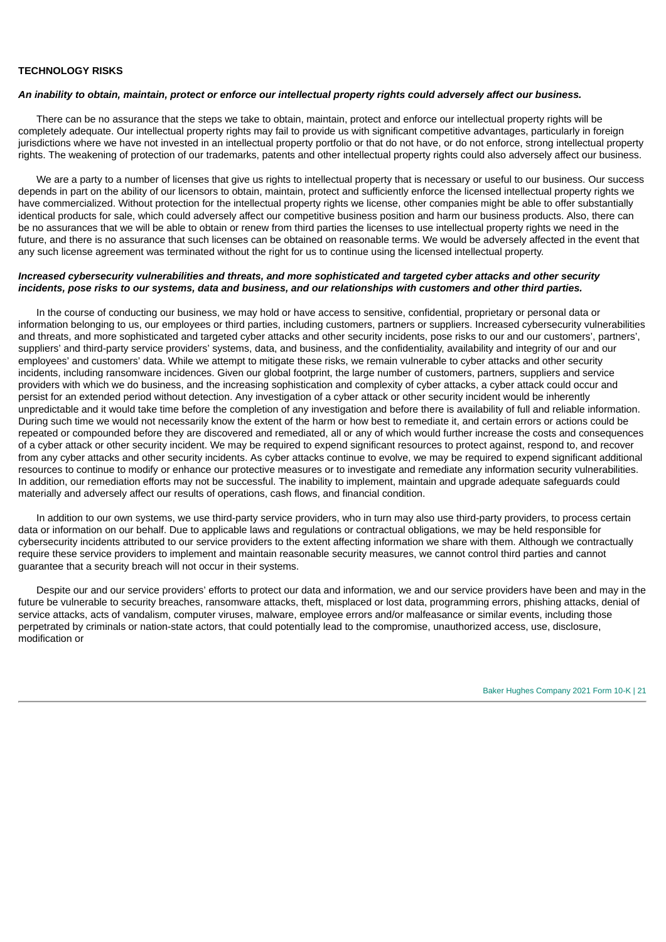## **TECHNOLOGY RISKS**

#### An inability to obtain, maintain, protect or enforce our intellectual property rights could adversely affect our business.

There can be no assurance that the steps we take to obtain, maintain, protect and enforce our intellectual property rights will be completely adequate. Our intellectual property rights may fail to provide us with significant competitive advantages, particularly in foreign jurisdictions where we have not invested in an intellectual property portfolio or that do not have, or do not enforce, strong intellectual property rights. The weakening of protection of our trademarks, patents and other intellectual property rights could also adversely affect our business.

We are a party to a number of licenses that give us rights to intellectual property that is necessary or useful to our business. Our success depends in part on the ability of our licensors to obtain, maintain, protect and sufficiently enforce the licensed intellectual property rights we have commercialized. Without protection for the intellectual property rights we license, other companies might be able to offer substantially identical products for sale, which could adversely affect our competitive business position and harm our business products. Also, there can be no assurances that we will be able to obtain or renew from third parties the licenses to use intellectual property rights we need in the future, and there is no assurance that such licenses can be obtained on reasonable terms. We would be adversely affected in the event that any such license agreement was terminated without the right for us to continue using the licensed intellectual property.

## Increased cybersecurity vulnerabilities and threats, and more sophisticated and targeted cyber attacks and other security incidents, pose risks to our systems, data and business, and our relationships with customers and other third parties.

In the course of conducting our business, we may hold or have access to sensitive, confidential, proprietary or personal data or information belonging to us, our employees or third parties, including customers, partners or suppliers. Increased cybersecurity vulnerabilities and threats, and more sophisticated and targeted cyber attacks and other security incidents, pose risks to our and our customers', partners', suppliers' and third-party service providers' systems, data, and business, and the confidentiality, availability and integrity of our and our employees' and customers' data. While we attempt to mitigate these risks, we remain vulnerable to cyber attacks and other security incidents, including ransomware incidences. Given our global footprint, the large number of customers, partners, suppliers and service providers with which we do business, and the increasing sophistication and complexity of cyber attacks, a cyber attack could occur and persist for an extended period without detection. Any investigation of a cyber attack or other security incident would be inherently unpredictable and it would take time before the completion of any investigation and before there is availability of full and reliable information. During such time we would not necessarily know the extent of the harm or how best to remediate it, and certain errors or actions could be repeated or compounded before they are discovered and remediated, all or any of which would further increase the costs and consequences of a cyber attack or other security incident. We may be required to expend significant resources to protect against, respond to, and recover from any cyber attacks and other security incidents. As cyber attacks continue to evolve, we may be required to expend significant additional resources to continue to modify or enhance our protective measures or to investigate and remediate any information security vulnerabilities. In addition, our remediation efforts may not be successful. The inability to implement, maintain and upgrade adequate safeguards could materially and adversely affect our results of operations, cash flows, and financial condition.

In addition to our own systems, we use third-party service providers, who in turn may also use third-party providers, to process certain data or information on our behalf. Due to applicable laws and regulations or contractual obligations, we may be held responsible for cybersecurity incidents attributed to our service providers to the extent affecting information we share with them. Although we contractually require these service providers to implement and maintain reasonable security measures, we cannot control third parties and cannot guarantee that a security breach will not occur in their systems.

Despite our and our service providers' efforts to protect our data and information, we and our service providers have been and may in the future be vulnerable to security breaches, ransomware attacks, theft, misplaced or lost data, programming errors, phishing attacks, denial of service attacks, acts of vandalism, computer viruses, malware, employee errors and/or malfeasance or similar events, including those perpetrated by criminals or nation-state actors, that could potentially lead to the compromise, unauthorized access, use, disclosure, modification or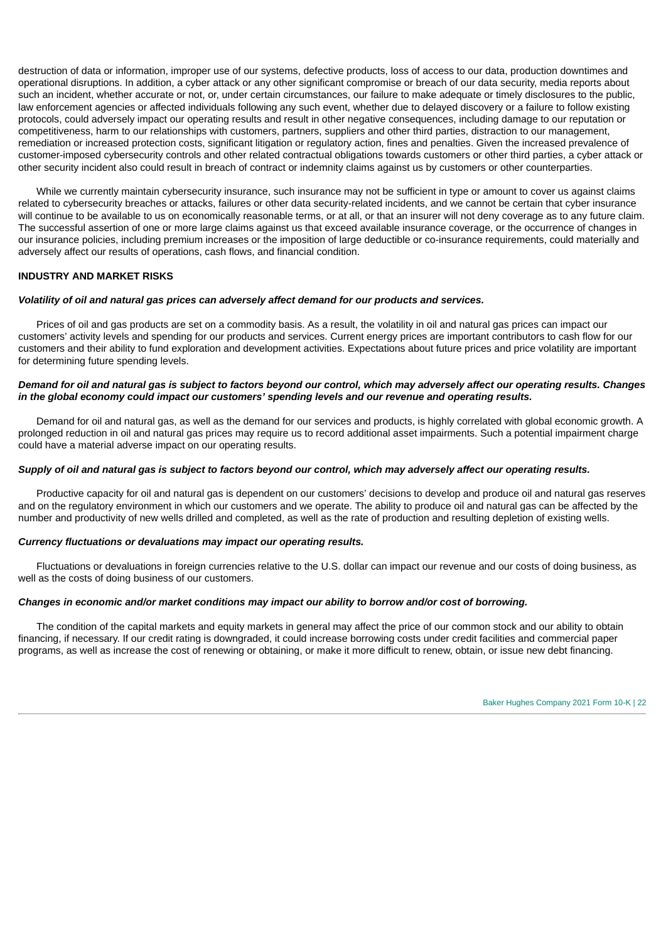destruction of data or information, improper use of our systems, defective products, loss of access to our data, production downtimes and operational disruptions. In addition, a cyber attack or any other significant compromise or breach of our data security, media reports about such an incident, whether accurate or not, or, under certain circumstances, our failure to make adequate or timely disclosures to the public, law enforcement agencies or affected individuals following any such event, whether due to delayed discovery or a failure to follow existing protocols, could adversely impact our operating results and result in other negative consequences, including damage to our reputation or competitiveness, harm to our relationships with customers, partners, suppliers and other third parties, distraction to our management, remediation or increased protection costs, significant litigation or regulatory action, fines and penalties. Given the increased prevalence of customer-imposed cybersecurity controls and other related contractual obligations towards customers or other third parties, a cyber attack or other security incident also could result in breach of contract or indemnity claims against us by customers or other counterparties.

While we currently maintain cybersecurity insurance, such insurance may not be sufficient in type or amount to cover us against claims related to cybersecurity breaches or attacks, failures or other data security-related incidents, and we cannot be certain that cyber insurance will continue to be available to us on economically reasonable terms, or at all, or that an insurer will not deny coverage as to any future claim. The successful assertion of one or more large claims against us that exceed available insurance coverage, or the occurrence of changes in our insurance policies, including premium increases or the imposition of large deductible or co-insurance requirements, could materially and adversely affect our results of operations, cash flows, and financial condition.

## **INDUSTRY AND MARKET RISKS**

#### *Volatility of oil and natural gas prices can adversely affect demand for our products and services.*

Prices of oil and gas products are set on a commodity basis. As a result, the volatility in oil and natural gas prices can impact our customers' activity levels and spending for our products and services. Current energy prices are important contributors to cash flow for our customers and their ability to fund exploration and development activities. Expectations about future prices and price volatility are important for determining future spending levels.

## Demand for oil and natural gas is subject to factors beyond our control, which may adversely affect our operating results. Changes *in the global economy could impact our customers' spending levels and our revenue and operating results.*

Demand for oil and natural gas, as well as the demand for our services and products, is highly correlated with global economic growth. A prolonged reduction in oil and natural gas prices may require us to record additional asset impairments. Such a potential impairment charge could have a material adverse impact on our operating results.

## Supply of oil and natural gas is subject to factors beyond our control, which may adversely affect our operating results.

Productive capacity for oil and natural gas is dependent on our customers' decisions to develop and produce oil and natural gas reserves and on the regulatory environment in which our customers and we operate. The ability to produce oil and natural gas can be affected by the number and productivity of new wells drilled and completed, as well as the rate of production and resulting depletion of existing wells.

#### *Currency fluctuations or devaluations may impact our operating results.*

Fluctuations or devaluations in foreign currencies relative to the U.S. dollar can impact our revenue and our costs of doing business, as well as the costs of doing business of our customers.

#### *Changes in economic and/or market conditions may impact our ability to borrow and/or cost of borrowing.*

The condition of the capital markets and equity markets in general may affect the price of our common stock and our ability to obtain financing, if necessary. If our credit rating is downgraded, it could increase borrowing costs under credit facilities and commercial paper programs, as well as increase the cost of renewing or obtaining, or make it more difficult to renew, obtain, or issue new debt financing.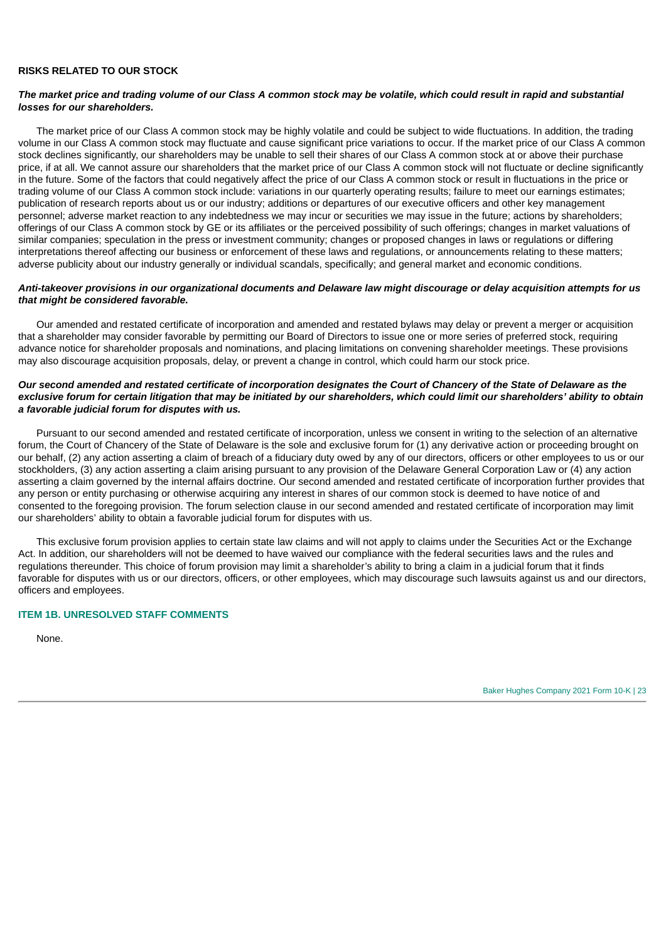#### **RISKS RELATED TO OUR STOCK**

#### The market price and trading volume of our Class A common stock may be volatile, which could result in rapid and substantial *losses for our shareholders.*

The market price of our Class A common stock may be highly volatile and could be subject to wide fluctuations. In addition, the trading volume in our Class A common stock may fluctuate and cause significant price variations to occur. If the market price of our Class A common stock declines significantly, our shareholders may be unable to sell their shares of our Class A common stock at or above their purchase price, if at all. We cannot assure our shareholders that the market price of our Class A common stock will not fluctuate or decline significantly in the future. Some of the factors that could negatively affect the price of our Class A common stock or result in fluctuations in the price or trading volume of our Class A common stock include: variations in our quarterly operating results; failure to meet our earnings estimates; publication of research reports about us or our industry; additions or departures of our executive officers and other key management personnel; adverse market reaction to any indebtedness we may incur or securities we may issue in the future; actions by shareholders; offerings of our Class A common stock by GE or its affiliates or the perceived possibility of such offerings; changes in market valuations of similar companies; speculation in the press or investment community; changes or proposed changes in laws or regulations or differing interpretations thereof affecting our business or enforcement of these laws and regulations, or announcements relating to these matters; adverse publicity about our industry generally or individual scandals, specifically; and general market and economic conditions.

#### Anti-takeover provisions in our organizational documents and Delaware law might discourage or delay acquisition attempts for us *that might be considered favorable.*

Our amended and restated certificate of incorporation and amended and restated bylaws may delay or prevent a merger or acquisition that a shareholder may consider favorable by permitting our Board of Directors to issue one or more series of preferred stock, requiring advance notice for shareholder proposals and nominations, and placing limitations on convening shareholder meetings. These provisions may also discourage acquisition proposals, delay, or prevent a change in control, which could harm our stock price.

## Our second amended and restated certificate of incorporation designates the Court of Chancery of the State of Delaware as the exclusive forum for certain litigation that may be initiated by our shareholders, which could limit our shareholders' ability to obtain *a favorable judicial forum for disputes with us.*

Pursuant to our second amended and restated certificate of incorporation, unless we consent in writing to the selection of an alternative forum, the Court of Chancery of the State of Delaware is the sole and exclusive forum for (1) any derivative action or proceeding brought on our behalf, (2) any action asserting a claim of breach of a fiduciary duty owed by any of our directors, officers or other employees to us or our stockholders, (3) any action asserting a claim arising pursuant to any provision of the Delaware General Corporation Law or (4) any action asserting a claim governed by the internal affairs doctrine. Our second amended and restated certificate of incorporation further provides that any person or entity purchasing or otherwise acquiring any interest in shares of our common stock is deemed to have notice of and consented to the foregoing provision. The forum selection clause in our second amended and restated certificate of incorporation may limit our shareholders' ability to obtain a favorable judicial forum for disputes with us.

This exclusive forum provision applies to certain state law claims and will not apply to claims under the Securities Act or the Exchange Act. In addition, our shareholders will not be deemed to have waived our compliance with the federal securities laws and the rules and regulations thereunder. This choice of forum provision may limit a shareholder's ability to bring a claim in a judicial forum that it finds favorable for disputes with us or our directors, officers, or other employees, which may discourage such lawsuits against us and our directors, officers and employees.

#### <span id="page-24-0"></span>**ITEM 1B. UNRESOLVED STAFF COMMENTS**

<span id="page-24-1"></span>None.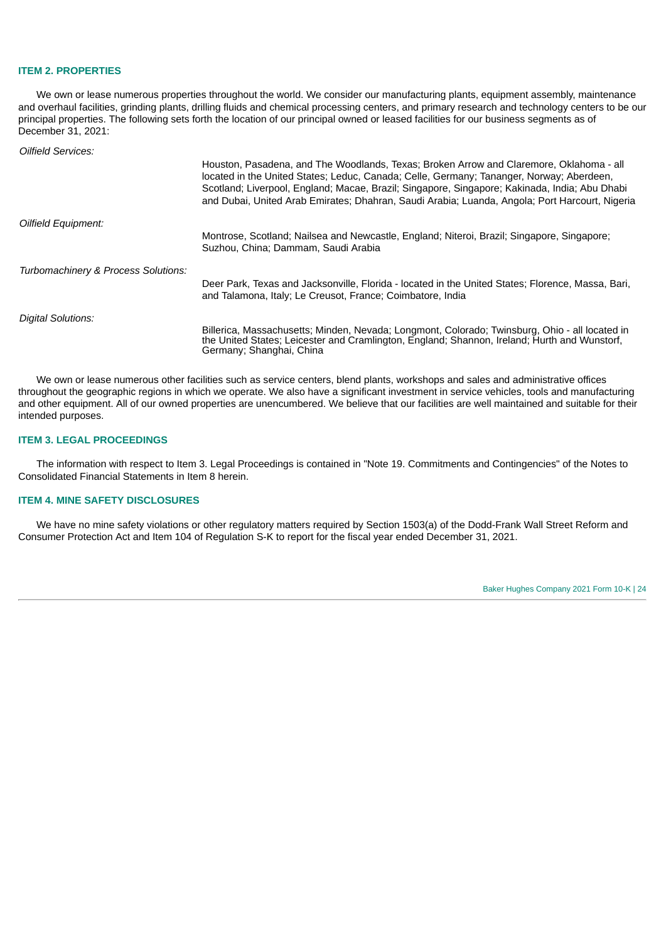#### **ITEM 2. PROPERTIES**

We own or lease numerous properties throughout the world. We consider our manufacturing plants, equipment assembly, maintenance and overhaul facilities, grinding plants, drilling fluids and chemical processing centers, and primary research and technology centers to be our principal properties. The following sets forth the location of our principal owned or leased facilities for our business segments as of December 31, 2021:

*Oilfield Services:*

|                                     | Houston, Pasadena, and The Woodlands, Texas; Broken Arrow and Claremore, Oklahoma - all<br>located in the United States; Leduc, Canada; Celle, Germany; Tananger, Norway; Aberdeen,<br>Scotland; Liverpool, England; Macae, Brazil; Singapore, Singapore; Kakinada, India; Abu Dhabi<br>and Dubai, United Arab Emirates; Dhahran, Saudi Arabia; Luanda, Angola; Port Harcourt, Nigeria |
|-------------------------------------|----------------------------------------------------------------------------------------------------------------------------------------------------------------------------------------------------------------------------------------------------------------------------------------------------------------------------------------------------------------------------------------|
| Oilfield Equipment:                 |                                                                                                                                                                                                                                                                                                                                                                                        |
|                                     | Montrose, Scotland; Nailsea and Newcastle, England; Niteroi, Brazil; Singapore, Singapore;<br>Suzhou, China; Dammam, Saudi Arabia                                                                                                                                                                                                                                                      |
| Turbomachinery & Process Solutions: |                                                                                                                                                                                                                                                                                                                                                                                        |
|                                     | Deer Park, Texas and Jacksonville, Florida - located in the United States; Florence, Massa, Bari,<br>and Talamona, Italy; Le Creusot, France; Coimbatore, India                                                                                                                                                                                                                        |
| Digital Solutions:                  |                                                                                                                                                                                                                                                                                                                                                                                        |
|                                     | Billerica, Massachusetts; Minden, Nevada; Longmont, Colorado; Twinsburg, Ohio - all located in<br>the United States; Leicester and Cramlington, England; Shannon, Ireland; Hurth and Wunstorf,<br>Germany; Shanghai, China                                                                                                                                                             |

We own or lease numerous other facilities such as service centers, blend plants, workshops and sales and administrative offices throughout the geographic regions in which we operate. We also have a significant investment in service vehicles, tools and manufacturing and other equipment. All of our owned properties are unencumbered. We believe that our facilities are well maintained and suitable for their intended purposes.

## <span id="page-25-0"></span>**ITEM 3. LEGAL PROCEEDINGS**

The information with respect to Item 3. Legal Proceedings is contained in "Note 19. Commitments and Contingencies" of the Notes to Consolidated Financial Statements in Item 8 herein.

## <span id="page-25-1"></span>**ITEM 4. MINE SAFETY DISCLOSURES**

<span id="page-25-2"></span>We have no mine safety violations or other regulatory matters required by Section 1503(a) of the Dodd-Frank Wall Street Reform and Consumer Protection Act and Item 104 of Regulation S-K to report for the fiscal year ended December 31, 2021.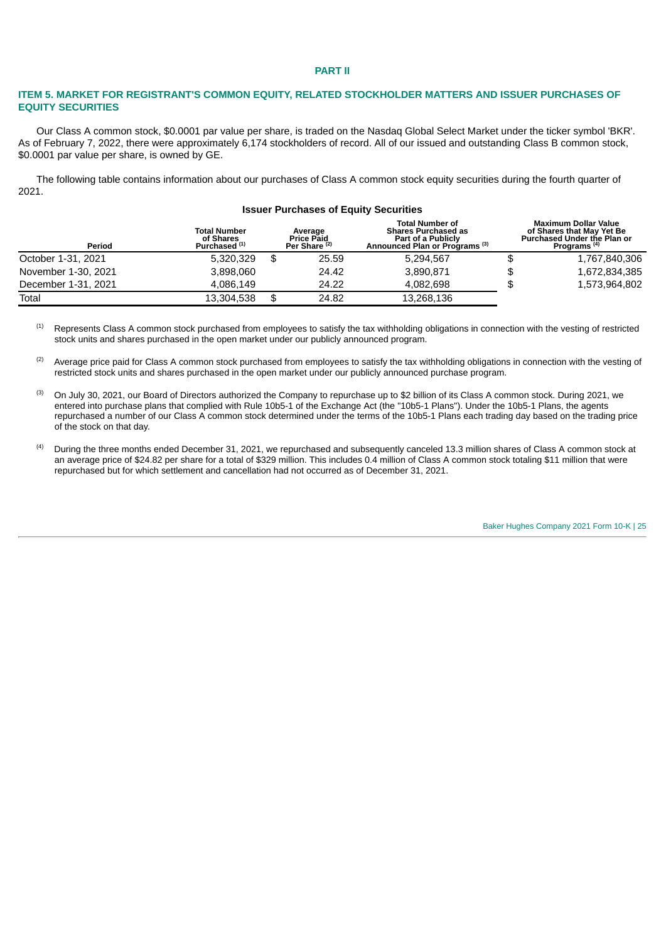#### **PART II**

## <span id="page-26-0"></span>**ITEM 5. MARKET FOR REGISTRANT'S COMMON EQUITY, RELATED STOCKHOLDER MATTERS AND ISSUER PURCHASES OF EQUITY SECURITIES**

Our Class A common stock, \$0.0001 par value per share, is traded on the Nasdaq Global Select Market under the ticker symbol 'BKR'. As of February 7, 2022, there were approximately 6,174 stockholders of record. All of our issued and outstanding Class B common stock, \$0.0001 par value per share, is owned by GE.

The following table contains information about our purchases of Class A common stock equity securities during the fourth quarter of 2021.

|                     |                                                              | <b>Issuer Purchases of Equity Securities</b>             |                                                                                                                         |                                                                                                                           |
|---------------------|--------------------------------------------------------------|----------------------------------------------------------|-------------------------------------------------------------------------------------------------------------------------|---------------------------------------------------------------------------------------------------------------------------|
| Period              | <b>Total Number</b><br>of Shares<br>Purchased <sup>(1)</sup> | Average<br><b>Price Paid</b><br>Per Share <sup>(2)</sup> | <b>Total Number of</b><br><b>Shares Purchased as</b><br>Part of a Publicly<br>Announced Plan or Programs <sup>(3)</sup> | <b>Maximum Dollar Value</b><br>of Shares that May Yet Be<br><b>Purchased Under the Plan or</b><br>Programs <sup>(4)</sup> |
| October 1-31, 2021  | 5.320.329                                                    | \$<br>25.59                                              | 5,294,567                                                                                                               | \$<br>1,767,840,306                                                                                                       |
| November 1-30, 2021 | 3.898.060                                                    | 24.42                                                    | 3,890,871                                                                                                               | \$<br>1,672,834,385                                                                                                       |
| December 1-31, 2021 | 4.086.149                                                    | 24.22                                                    | 4.082.698                                                                                                               | \$<br>1,573,964,802                                                                                                       |
| Total               | 13.304.538                                                   | \$<br>24.82                                              | 13,268,136                                                                                                              |                                                                                                                           |

Represents Class A common stock purchased from employees to satisfy the tax withholding obligations in connection with the vesting of restricted stock units and shares purchased in the open market under our publicly announced program. (1)

Average price paid for Class A common stock purchased from employees to satisfy the tax withholding obligations in connection with the vesting of restricted stock units and shares purchased in the open market under our publicly announced purchase program. (2)

On July 30, 2021, our Board of Directors authorized the Company to repurchase up to \$2 billion of its Class A common stock. During 2021, we entered into purchase plans that complied with Rule 10b5-1 of the Exchange Act (the "10b5-1 Plans"). Under the 10b5-1 Plans, the agents repurchased a number of our Class A common stock determined under the terms of the 10b5-1 Plans each trading day based on the trading price of the stock on that day. (3)

During the three months ended December 31, 2021, we repurchased and subsequently canceled 13.3 million shares of Class A common stock at an average price of \$24.82 per share for a total of \$329 million. This includes 0.4 million of Class A common stock totaling \$11 million that were repurchased but for which settlement and cancellation had not occurred as of December 31, 2021. (4)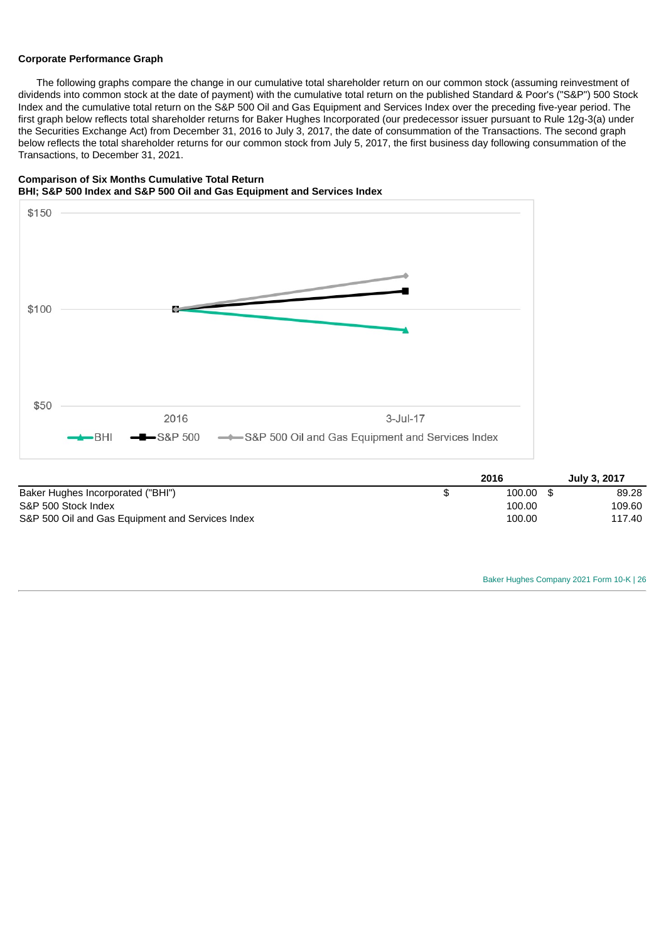#### **Corporate Performance Graph**

The following graphs compare the change in our cumulative total shareholder return on our common stock (assuming reinvestment of dividends into common stock at the date of payment) with the cumulative total return on the published Standard & Poor's ("S&P") 500 Stock Index and the cumulative total return on the S&P 500 Oil and Gas Equipment and Services Index over the preceding five-year period. The first graph below reflects total shareholder returns for Baker Hughes Incorporated (our predecessor issuer pursuant to Rule 12g-3(a) under the Securities Exchange Act) from December 31, 2016 to July 3, 2017, the date of consummation of the Transactions. The second graph below reflects the total shareholder returns for our common stock from July 5, 2017, the first business day following consummation of the Transactions, to December 31, 2021.





|                                                  | 2016   | July 3, 2017 |
|--------------------------------------------------|--------|--------------|
| Baker Hughes Incorporated ("BHI")                | 100.00 | 89.28        |
| S&P 500 Stock Index                              | 100.00 | 109.60       |
| S&P 500 Oil and Gas Equipment and Services Index | 100.00 | 117.40       |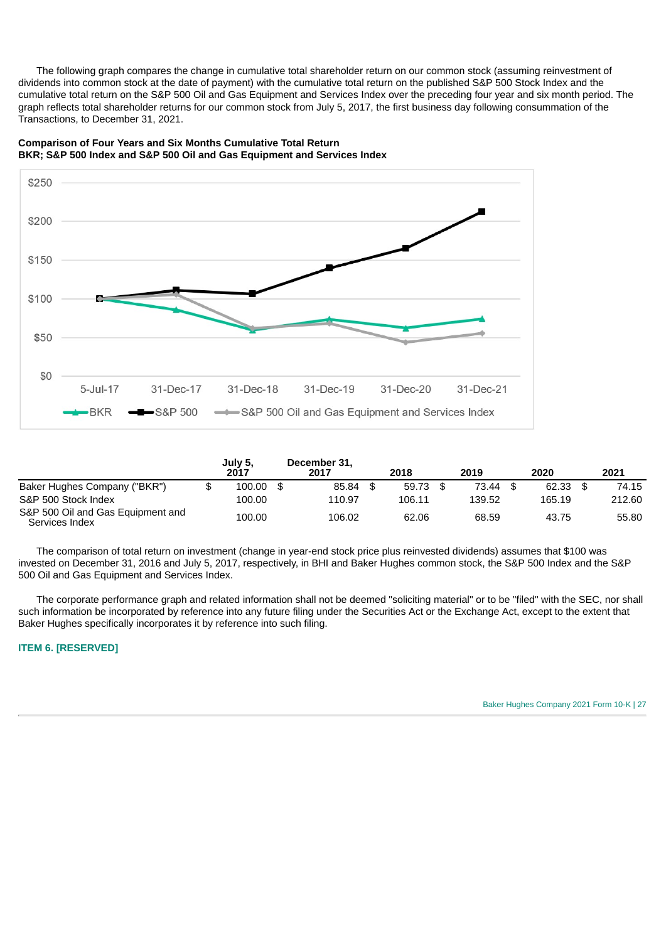The following graph compares the change in cumulative total shareholder return on our common stock (assuming reinvestment of dividends into common stock at the date of payment) with the cumulative total return on the published S&P 500 Stock Index and the cumulative total return on the S&P 500 Oil and Gas Equipment and Services Index over the preceding four year and six month period. The graph reflects total shareholder returns for our common stock from July 5, 2017, the first business day following consummation of the Transactions, to December 31, 2021.



**Comparison of Four Years and Six Months Cumulative Total Return BKR; S&P 500 Index and S&P 500 Oil and Gas Equipment and Services Index**

|                                                     | July 5,<br>2017 | December 31.<br>2017 | 2018   | 2019   | 2020   | 2021   |
|-----------------------------------------------------|-----------------|----------------------|--------|--------|--------|--------|
| Baker Hughes Company ("BKR")                        | 100.00          | 85.84                | 59.73  | 73.44  | 62.33  | 74.15  |
| S&P 500 Stock Index                                 | 100.00          | 110.97               | 106.11 | 139.52 | 165.19 | 212.60 |
| S&P 500 Oil and Gas Equipment and<br>Services Index | 100.00          | 106.02               | 62.06  | 68.59  | 43.75  | 55.80  |

The comparison of total return on investment (change in year-end stock price plus reinvested dividends) assumes that \$100 was invested on December 31, 2016 and July 5, 2017, respectively, in BHI and Baker Hughes common stock, the S&P 500 Index and the S&P 500 Oil and Gas Equipment and Services Index.

The corporate performance graph and related information shall not be deemed "soliciting material" or to be "filed" with the SEC, nor shall such information be incorporated by reference into any future filing under the Securities Act or the Exchange Act, except to the extent that Baker Hughes specifically incorporates it by reference into such filing.

<span id="page-28-1"></span><span id="page-28-0"></span>**ITEM 6. [RESERVED]**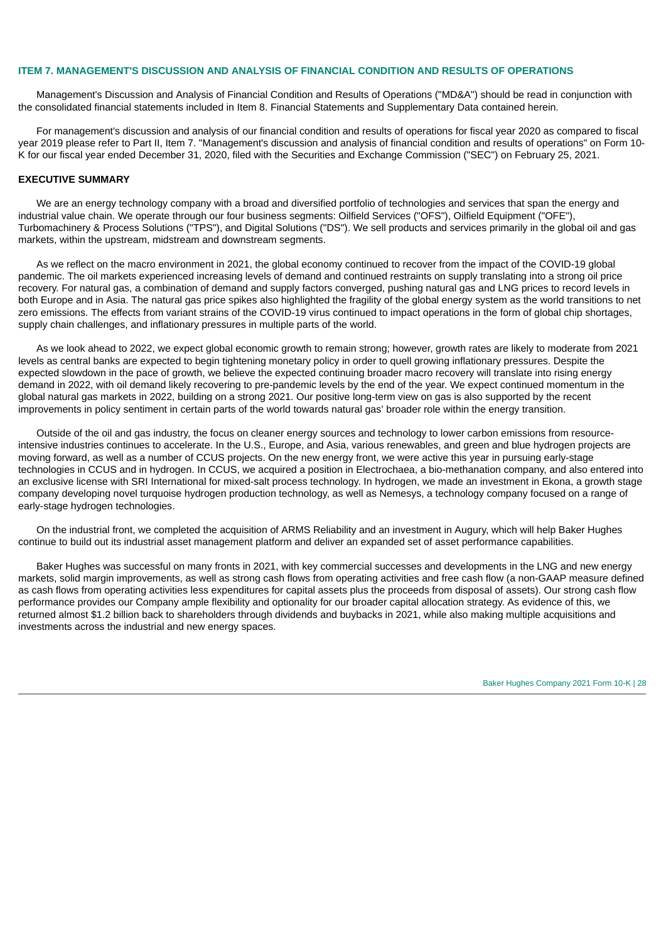#### **ITEM 7. MANAGEMENT'S DISCUSSION AND ANALYSIS OF FINANCIAL CONDITION AND RESULTS OF OPERATIONS**

Management's Discussion and Analysis of Financial Condition and Results of Operations ("MD&A") should be read in conjunction with the consolidated financial statements included in Item 8. Financial Statements and Supplementary Data contained herein.

For management's discussion and analysis of our financial condition and results of operations for fiscal year 2020 as compared to fiscal year 2019 please refer to Part II, Item 7. "Management's discussion and analysis of financial condition and results of operations" on Form 10- K for our fiscal year ended December 31, 2020, filed with the Securities and Exchange Commission ("SEC") on February 25, 2021.

## **EXECUTIVE SUMMARY**

We are an energy technology company with a broad and diversified portfolio of technologies and services that span the energy and industrial value chain. We operate through our four business segments: Oilfield Services ("OFS"), Oilfield Equipment ("OFE"), Turbomachinery & Process Solutions ("TPS"), and Digital Solutions ("DS"). We sell products and services primarily in the global oil and gas markets, within the upstream, midstream and downstream segments.

As we reflect on the macro environment in 2021, the global economy continued to recover from the impact of the COVID-19 global pandemic. The oil markets experienced increasing levels of demand and continued restraints on supply translating into a strong oil price recovery. For natural gas, a combination of demand and supply factors converged, pushing natural gas and LNG prices to record levels in both Europe and in Asia. The natural gas price spikes also highlighted the fragility of the global energy system as the world transitions to net zero emissions. The effects from variant strains of the COVID-19 virus continued to impact operations in the form of global chip shortages, supply chain challenges, and inflationary pressures in multiple parts of the world.

As we look ahead to 2022, we expect global economic growth to remain strong; however, growth rates are likely to moderate from 2021 levels as central banks are expected to begin tightening monetary policy in order to quell growing inflationary pressures. Despite the expected slowdown in the pace of growth, we believe the expected continuing broader macro recovery will translate into rising energy demand in 2022, with oil demand likely recovering to pre-pandemic levels by the end of the year. We expect continued momentum in the global natural gas markets in 2022, building on a strong 2021. Our positive long-term view on gas is also supported by the recent improvements in policy sentiment in certain parts of the world towards natural gas' broader role within the energy transition.

Outside of the oil and gas industry, the focus on cleaner energy sources and technology to lower carbon emissions from resourceintensive industries continues to accelerate. In the U.S., Europe, and Asia, various renewables, and green and blue hydrogen projects are moving forward, as well as a number of CCUS projects. On the new energy front, we were active this year in pursuing early-stage technologies in CCUS and in hydrogen. In CCUS, we acquired a position in Electrochaea, a bio-methanation company, and also entered into an exclusive license with SRI International for mixed-salt process technology. In hydrogen, we made an investment in Ekona, a growth stage company developing novel turquoise hydrogen production technology, as well as Nemesys, a technology company focused on a range of early-stage hydrogen technologies.

On the industrial front, we completed the acquisition of ARMS Reliability and an investment in Augury, which will help Baker Hughes continue to build out its industrial asset management platform and deliver an expanded set of asset performance capabilities.

Baker Hughes was successful on many fronts in 2021, with key commercial successes and developments in the LNG and new energy markets, solid margin improvements, as well as strong cash flows from operating activities and free cash flow (a non-GAAP measure defined as cash flows from operating activities less expenditures for capital assets plus the proceeds from disposal of assets). Our strong cash flow performance provides our Company ample flexibility and optionality for our broader capital allocation strategy. As evidence of this, we returned almost \$1.2 billion back to shareholders through dividends and buybacks in 2021, while also making multiple acquisitions and investments across the industrial and new energy spaces.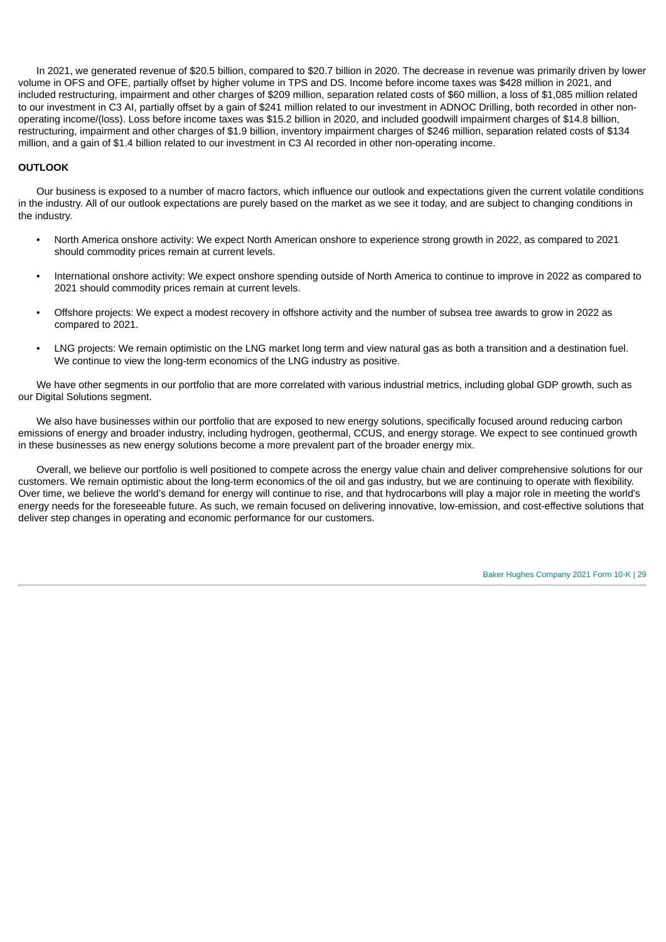In 2021, we generated revenue of \$20.5 billion, compared to \$20.7 billion in 2020. The decrease in revenue was primarily driven by lower volume in OFS and OFE, partially offset by higher volume in TPS and DS. Income before income taxes was \$428 million in 2021, and included restructuring, impairment and other charges of \$209 million, separation related costs of \$60 million, a loss of \$1,085 million related to our investment in C3 AI, partially offset by a gain of \$241 million related to our investment in ADNOC Drilling, both recorded in other nonoperating income/(loss). Loss before income taxes was \$15.2 billion in 2020, and included goodwill impairment charges of \$14.8 billion, restructuring, impairment and other charges of \$1.9 billion, inventory impairment charges of \$246 million, separation related costs of \$134 million, and a gain of \$1.4 billion related to our investment in C3 AI recorded in other non-operating income.

## **OUTLOOK**

Our business is exposed to a number of macro factors, which influence our outlook and expectations given the current volatile conditions in the industry. All of our outlook expectations are purely based on the market as we see it today, and are subject to changing conditions in the industry.

- North America onshore activity: We expect North American onshore to experience strong growth in 2022, as compared to 2021 should commodity prices remain at current levels.
- International onshore activity: We expect onshore spending outside of North America to continue to improve in 2022 as compared to 2021 should commodity prices remain at current levels.
- Offshore projects: We expect a modest recovery in offshore activity and the number of subsea tree awards to grow in 2022 as compared to 2021.
- LNG projects: We remain optimistic on the LNG market long term and view natural gas as both a transition and a destination fuel. We continue to view the long-term economics of the LNG industry as positive.

We have other segments in our portfolio that are more correlated with various industrial metrics, including global GDP growth, such as our Digital Solutions segment.

We also have businesses within our portfolio that are exposed to new energy solutions, specifically focused around reducing carbon emissions of energy and broader industry, including hydrogen, geothermal, CCUS, and energy storage. We expect to see continued growth in these businesses as new energy solutions become a more prevalent part of the broader energy mix.

Overall, we believe our portfolio is well positioned to compete across the energy value chain and deliver comprehensive solutions for our customers. We remain optimistic about the long-term economics of the oil and gas industry, but we are continuing to operate with flexibility. Over time, we believe the world's demand for energy will continue to rise, and that hydrocarbons will play a major role in meeting the world's energy needs for the foreseeable future. As such, we remain focused on delivering innovative, low-emission, and cost-effective solutions that deliver step changes in operating and economic performance for our customers.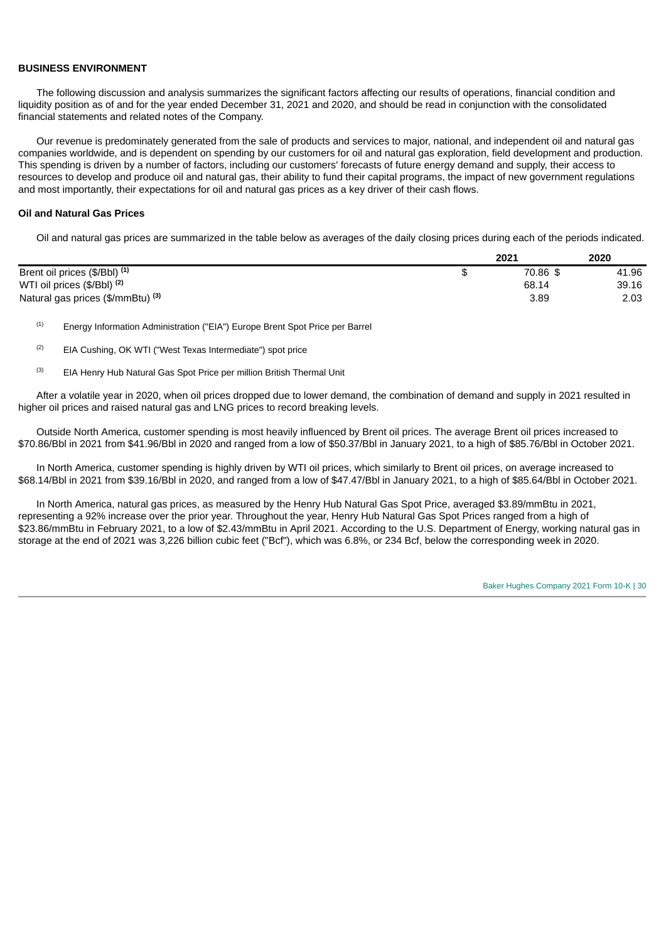#### **BUSINESS ENVIRONMENT**

The following discussion and analysis summarizes the significant factors affecting our results of operations, financial condition and liquidity position as of and for the year ended December 31, 2021 and 2020, and should be read in conjunction with the consolidated financial statements and related notes of the Company.

Our revenue is predominately generated from the sale of products and services to major, national, and independent oil and natural gas companies worldwide, and is dependent on spending by our customers for oil and natural gas exploration, field development and production. This spending is driven by a number of factors, including our customers' forecasts of future energy demand and supply, their access to resources to develop and produce oil and natural gas, their ability to fund their capital programs, the impact of new government regulations and most importantly, their expectations for oil and natural gas prices as a key driver of their cash flows.

#### **Oil and Natural Gas Prices**

Oil and natural gas prices are summarized in the table below as averages of the daily closing prices during each of the periods indicated.

|                                          | 2021     | 2020  |
|------------------------------------------|----------|-------|
| Brent oil prices (\$/Bbl) <sup>(1)</sup> | 70.86 \$ | 41.96 |
| WTI oil prices (\$/Bbl) <sup>(2)</sup>   | 68.14    | 39.16 |
| Natural gas prices (\$/mmBtu) (3)        | 3.89     | 2.03  |

Energy Information Administration ("EIA") Europe Brent Spot Price per Barrel (1)

- EIA Cushing, OK WTI ("West Texas Intermediate") spot price (2)
- EIA Henry Hub Natural Gas Spot Price per million British Thermal Unit (3)

After a volatile year in 2020, when oil prices dropped due to lower demand, the combination of demand and supply in 2021 resulted in higher oil prices and raised natural gas and LNG prices to record breaking levels.

Outside North America, customer spending is most heavily influenced by Brent oil prices. The average Brent oil prices increased to \$70.86/Bbl in 2021 from \$41.96/Bbl in 2020 and ranged from a low of \$50.37/Bbl in January 2021, to a high of \$85.76/Bbl in October 2021.

In North America, customer spending is highly driven by WTI oil prices, which similarly to Brent oil prices, on average increased to \$68.14/Bbl in 2021 from \$39.16/Bbl in 2020, and ranged from a low of \$47.47/Bbl in January 2021, to a high of \$85.64/Bbl in October 2021.

In North America, natural gas prices, as measured by the Henry Hub Natural Gas Spot Price, averaged \$3.89/mmBtu in 2021, representing a 92% increase over the prior year. Throughout the year, Henry Hub Natural Gas Spot Prices ranged from a high of \$23.86/mmBtu in February 2021, to a low of \$2.43/mmBtu in April 2021. According to the U.S. Department of Energy, working natural gas in storage at the end of 2021 was 3,226 billion cubic feet ("Bcf"), which was 6.8%, or 234 Bcf, below the corresponding week in 2020.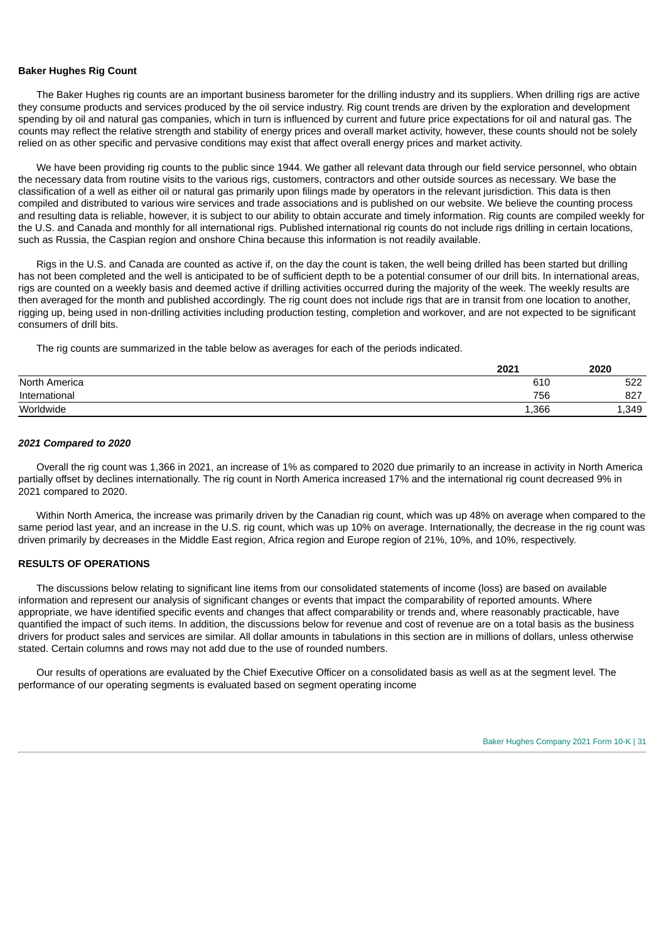#### **Baker Hughes Rig Count**

The Baker Hughes rig counts are an important business barometer for the drilling industry and its suppliers. When drilling rigs are active they consume products and services produced by the oil service industry. Rig count trends are driven by the exploration and development spending by oil and natural gas companies, which in turn is influenced by current and future price expectations for oil and natural gas. The counts may reflect the relative strength and stability of energy prices and overall market activity, however, these counts should not be solely relied on as other specific and pervasive conditions may exist that affect overall energy prices and market activity.

We have been providing rig counts to the public since 1944. We gather all relevant data through our field service personnel, who obtain the necessary data from routine visits to the various rigs, customers, contractors and other outside sources as necessary. We base the classification of a well as either oil or natural gas primarily upon filings made by operators in the relevant jurisdiction. This data is then compiled and distributed to various wire services and trade associations and is published on our website. We believe the counting process and resulting data is reliable, however, it is subject to our ability to obtain accurate and timely information. Rig counts are compiled weekly for the U.S. and Canada and monthly for all international rigs. Published international rig counts do not include rigs drilling in certain locations, such as Russia, the Caspian region and onshore China because this information is not readily available.

Rigs in the U.S. and Canada are counted as active if, on the day the count is taken, the well being drilled has been started but drilling has not been completed and the well is anticipated to be of sufficient depth to be a potential consumer of our drill bits. In international areas, rigs are counted on a weekly basis and deemed active if drilling activities occurred during the majority of the week. The weekly results are then averaged for the month and published accordingly. The rig count does not include rigs that are in transit from one location to another, rigging up, being used in non-drilling activities including production testing, completion and workover, and are not expected to be significant consumers of drill bits.

The rig counts are summarized in the table below as averages for each of the periods indicated.

|               | 2021  | 2020  |
|---------------|-------|-------|
| North America | 610   | 522   |
| International | 756   | 827   |
| Worldwide     | 1,366 | 1,349 |

#### *2021 Compared to 2020*

Overall the rig count was 1,366 in 2021, an increase of 1% as compared to 2020 due primarily to an increase in activity in North America partially offset by declines internationally. The rig count in North America increased 17% and the international rig count decreased 9% in 2021 compared to 2020.

Within North America, the increase was primarily driven by the Canadian rig count, which was up 48% on average when compared to the same period last year, and an increase in the U.S. rig count, which was up 10% on average. Internationally, the decrease in the rig count was driven primarily by decreases in the Middle East region, Africa region and Europe region of 21%, 10%, and 10%, respectively.

#### **RESULTS OF OPERATIONS**

The discussions below relating to significant line items from our consolidated statements of income (loss) are based on available information and represent our analysis of significant changes or events that impact the comparability of reported amounts. Where appropriate, we have identified specific events and changes that affect comparability or trends and, where reasonably practicable, have quantified the impact of such items. In addition, the discussions below for revenue and cost of revenue are on a total basis as the business drivers for product sales and services are similar. All dollar amounts in tabulations in this section are in millions of dollars, unless otherwise stated. Certain columns and rows may not add due to the use of rounded numbers.

Our results of operations are evaluated by the Chief Executive Officer on a consolidated basis as well as at the segment level. The performance of our operating segments is evaluated based on segment operating income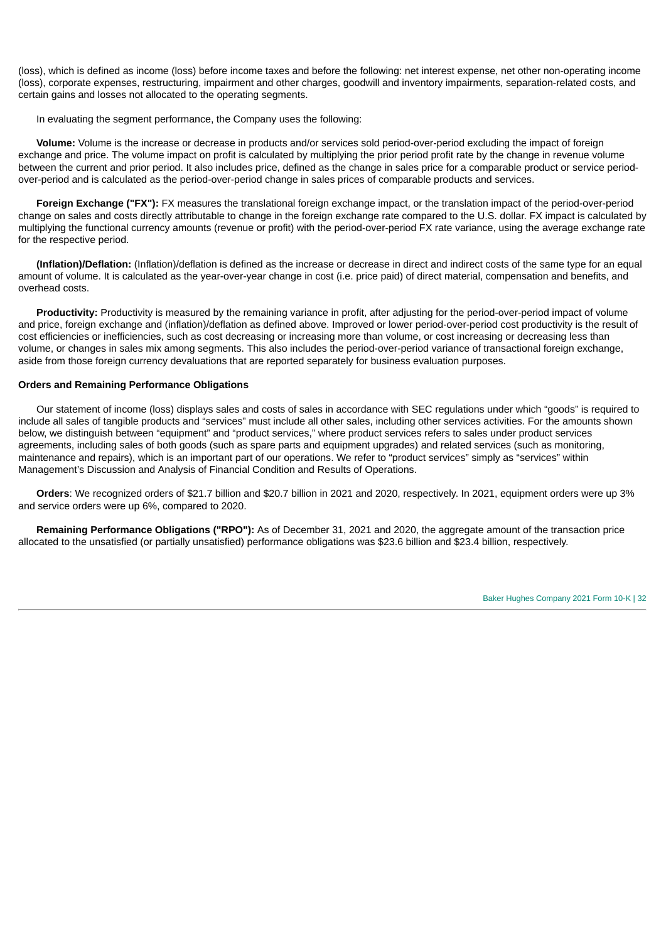(loss), which is defined as income (loss) before income taxes and before the following: net interest expense, net other non-operating income (loss), corporate expenses, restructuring, impairment and other charges, goodwill and inventory impairments, separation-related costs, and certain gains and losses not allocated to the operating segments.

In evaluating the segment performance, the Company uses the following:

**Volume:** Volume is the increase or decrease in products and/or services sold period-over-period excluding the impact of foreign exchange and price. The volume impact on profit is calculated by multiplying the prior period profit rate by the change in revenue volume between the current and prior period. It also includes price, defined as the change in sales price for a comparable product or service periodover-period and is calculated as the period-over-period change in sales prices of comparable products and services.

**Foreign Exchange ("FX"):** FX measures the translational foreign exchange impact, or the translation impact of the period-over-period change on sales and costs directly attributable to change in the foreign exchange rate compared to the U.S. dollar. FX impact is calculated by multiplying the functional currency amounts (revenue or profit) with the period-over-period FX rate variance, using the average exchange rate for the respective period.

**(Inflation)/Deflation:** (Inflation)/deflation is defined as the increase or decrease in direct and indirect costs of the same type for an equal amount of volume. It is calculated as the year-over-year change in cost (i.e. price paid) of direct material, compensation and benefits, and overhead costs.

**Productivity:** Productivity is measured by the remaining variance in profit, after adjusting for the period-over-period impact of volume and price, foreign exchange and (inflation)/deflation as defined above. Improved or lower period-over-period cost productivity is the result of cost efficiencies or inefficiencies, such as cost decreasing or increasing more than volume, or cost increasing or decreasing less than volume, or changes in sales mix among segments. This also includes the period-over-period variance of transactional foreign exchange, aside from those foreign currency devaluations that are reported separately for business evaluation purposes.

## **Orders and Remaining Performance Obligations**

Our statement of income (loss) displays sales and costs of sales in accordance with SEC regulations under which "goods" is required to include all sales of tangible products and "services" must include all other sales, including other services activities. For the amounts shown below, we distinguish between "equipment" and "product services," where product services refers to sales under product services agreements, including sales of both goods (such as spare parts and equipment upgrades) and related services (such as monitoring, maintenance and repairs), which is an important part of our operations. We refer to "product services" simply as "services" within Management's Discussion and Analysis of Financial Condition and Results of Operations.

**Orders**: We recognized orders of \$21.7 billion and \$20.7 billion in 2021 and 2020, respectively. In 2021, equipment orders were up 3% and service orders were up 6%, compared to 2020.

**Remaining Performance Obligations ("RPO"):** As of December 31, 2021 and 2020, the aggregate amount of the transaction price allocated to the unsatisfied (or partially unsatisfied) performance obligations was \$23.6 billion and \$23.4 billion, respectively.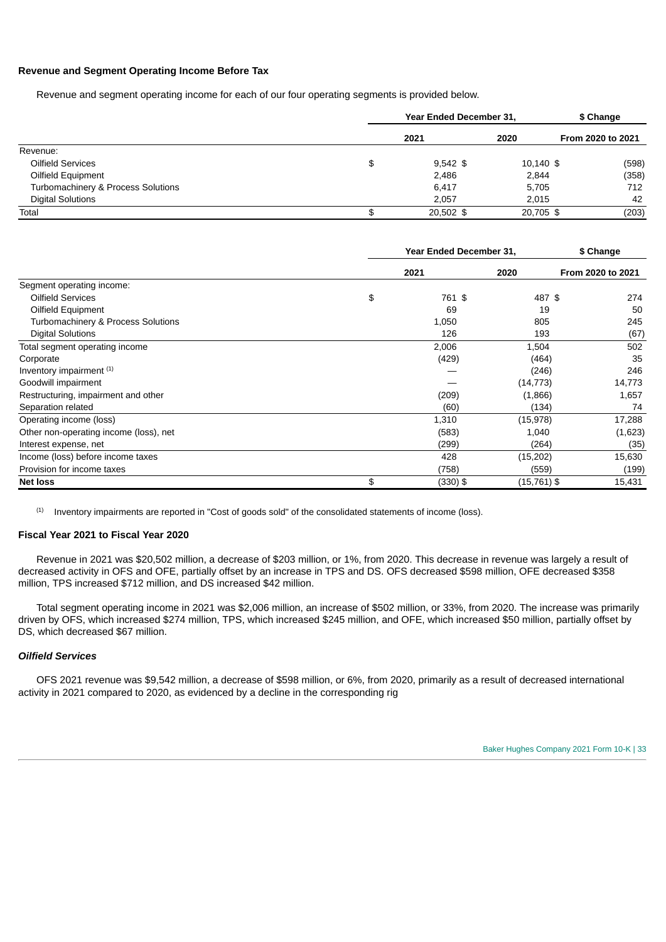#### **Revenue and Segment Operating Income Before Tax**

Revenue and segment operating income for each of our four operating segments is provided below.

|                                    | <b>Year Ended December 31.</b> |             | \$ Change   |                   |
|------------------------------------|--------------------------------|-------------|-------------|-------------------|
|                                    |                                | 2021        | 2020        | From 2020 to 2021 |
| Revenue:                           |                                |             |             |                   |
| Oilfield Services                  | \$                             | $9,542$ \$  | $10,140$ \$ | (598)             |
| Oilfield Equipment                 |                                | 2,486       | 2,844       | (358)             |
| Turbomachinery & Process Solutions |                                | 6,417       | 5,705       | 712               |
| <b>Digital Solutions</b>           |                                | 2.057       | 2,015       | 42                |
| Total                              | \$                             | $20.502$ \$ | 20,705 \$   | (203)             |

|                                        | Year Ended December 31, |            |               | \$ Change         |  |
|----------------------------------------|-------------------------|------------|---------------|-------------------|--|
|                                        |                         | 2021       | 2020          | From 2020 to 2021 |  |
| Segment operating income:              |                         |            |               |                   |  |
| Oilfield Services                      | \$                      | 761 \$     | 487 \$        | 274               |  |
| Oilfield Equipment                     |                         | 69         | 19            | 50                |  |
| Turbomachinery & Process Solutions     |                         | 1,050      | 805           | 245               |  |
| <b>Digital Solutions</b>               |                         | 126        | 193           | (67)              |  |
| Total segment operating income         |                         | 2,006      | 1,504         | 502               |  |
| Corporate                              |                         | (429)      | (464)         | 35                |  |
| Inventory impairment (1)               |                         |            | (246)         | 246               |  |
| Goodwill impairment                    |                         |            | (14, 773)     | 14,773            |  |
| Restructuring, impairment and other    |                         | (209)      | (1,866)       | 1,657             |  |
| Separation related                     |                         | (60)       | (134)         | 74                |  |
| Operating income (loss)                |                         | 1,310      | (15, 978)     | 17,288            |  |
| Other non-operating income (loss), net |                         | (583)      | 1,040         | (1,623)           |  |
| Interest expense, net                  |                         | (299)      | (264)         | (35)              |  |
| Income (loss) before income taxes      |                         | 428        | (15, 202)     | 15,630            |  |
| Provision for income taxes             |                         | (758)      | (559)         | (199)             |  |
| <b>Net loss</b>                        | \$                      | $(330)$ \$ | $(15,761)$ \$ | 15,431            |  |

Inventory impairments are reported in "Cost of goods sold" of the consolidated statements of income (loss). (1)

## **Fiscal Year 2021 to Fiscal Year 2020**

Revenue in 2021 was \$20,502 million, a decrease of \$203 million, or 1%, from 2020. This decrease in revenue was largely a result of decreased activity in OFS and OFE, partially offset by an increase in TPS and DS. OFS decreased \$598 million, OFE decreased \$358 million, TPS increased \$712 million, and DS increased \$42 million.

Total segment operating income in 2021 was \$2,006 million, an increase of \$502 million, or 33%, from 2020. The increase was primarily driven by OFS, which increased \$274 million, TPS, which increased \$245 million, and OFE, which increased \$50 million, partially offset by DS, which decreased \$67 million.

#### *Oilfield Services*

OFS 2021 revenue was \$9,542 million, a decrease of \$598 million, or 6%, from 2020, primarily as a result of decreased international activity in 2021 compared to 2020, as evidenced by a decline in the corresponding rig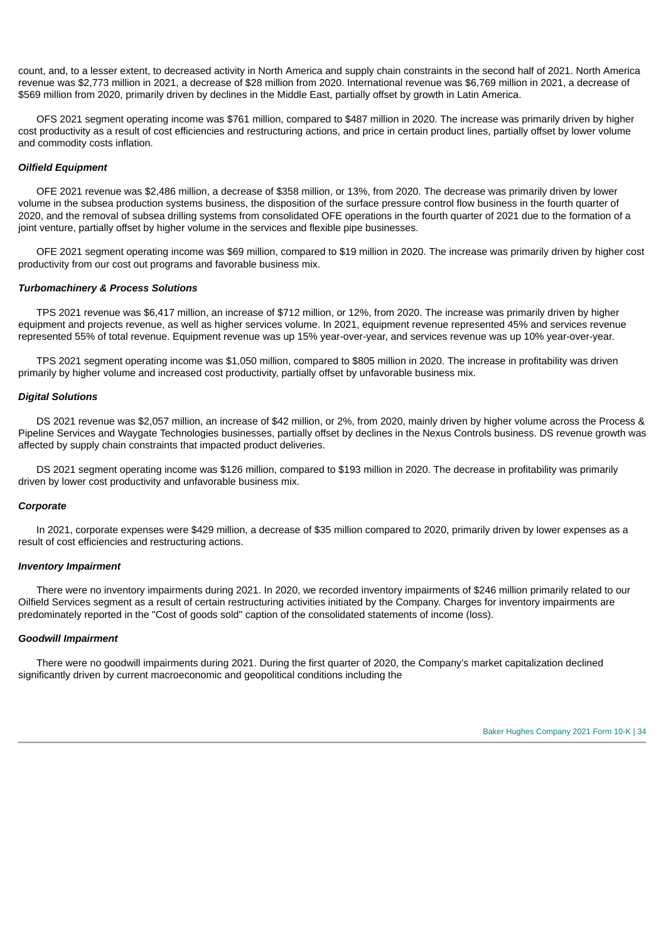count, and, to a lesser extent, to decreased activity in North America and supply chain constraints in the second half of 2021. North America revenue was \$2,773 million in 2021, a decrease of \$28 million from 2020. International revenue was \$6,769 million in 2021, a decrease of \$569 million from 2020, primarily driven by declines in the Middle East, partially offset by growth in Latin America.

OFS 2021 segment operating income was \$761 million, compared to \$487 million in 2020. The increase was primarily driven by higher cost productivity as a result of cost efficiencies and restructuring actions, and price in certain product lines, partially offset by lower volume and commodity costs inflation.

## *Oilfield Equipment*

OFE 2021 revenue was \$2,486 million, a decrease of \$358 million, or 13%, from 2020. The decrease was primarily driven by lower volume in the subsea production systems business, the disposition of the surface pressure control flow business in the fourth quarter of 2020, and the removal of subsea drilling systems from consolidated OFE operations in the fourth quarter of 2021 due to the formation of a joint venture, partially offset by higher volume in the services and flexible pipe businesses.

OFE 2021 segment operating income was \$69 million, compared to \$19 million in 2020. The increase was primarily driven by higher cost productivity from our cost out programs and favorable business mix.

#### *Turbomachinery & Process Solutions*

TPS 2021 revenue was \$6,417 million, an increase of \$712 million, or 12%, from 2020. The increase was primarily driven by higher equipment and projects revenue, as well as higher services volume. In 2021, equipment revenue represented 45% and services revenue represented 55% of total revenue. Equipment revenue was up 15% year-over-year, and services revenue was up 10% year-over-year.

TPS 2021 segment operating income was \$1,050 million, compared to \$805 million in 2020. The increase in profitability was driven primarily by higher volume and increased cost productivity, partially offset by unfavorable business mix.

#### *Digital Solutions*

DS 2021 revenue was \$2,057 million, an increase of \$42 million, or 2%, from 2020, mainly driven by higher volume across the Process & Pipeline Services and Waygate Technologies businesses, partially offset by declines in the Nexus Controls business. DS revenue growth was affected by supply chain constraints that impacted product deliveries.

DS 2021 segment operating income was \$126 million, compared to \$193 million in 2020. The decrease in profitability was primarily driven by lower cost productivity and unfavorable business mix.

#### *Corporate*

In 2021, corporate expenses were \$429 million, a decrease of \$35 million compared to 2020, primarily driven by lower expenses as a result of cost efficiencies and restructuring actions.

#### *Inventory Impairment*

There were no inventory impairments during 2021. In 2020, we recorded inventory impairments of \$246 million primarily related to our Oilfield Services segment as a result of certain restructuring activities initiated by the Company. Charges for inventory impairments are predominately reported in the "Cost of goods sold" caption of the consolidated statements of income (loss).

#### *Goodwill Impairment*

There were no goodwill impairments during 2021. During the first quarter of 2020, the Company's market capitalization declined significantly driven by current macroeconomic and geopolitical conditions including the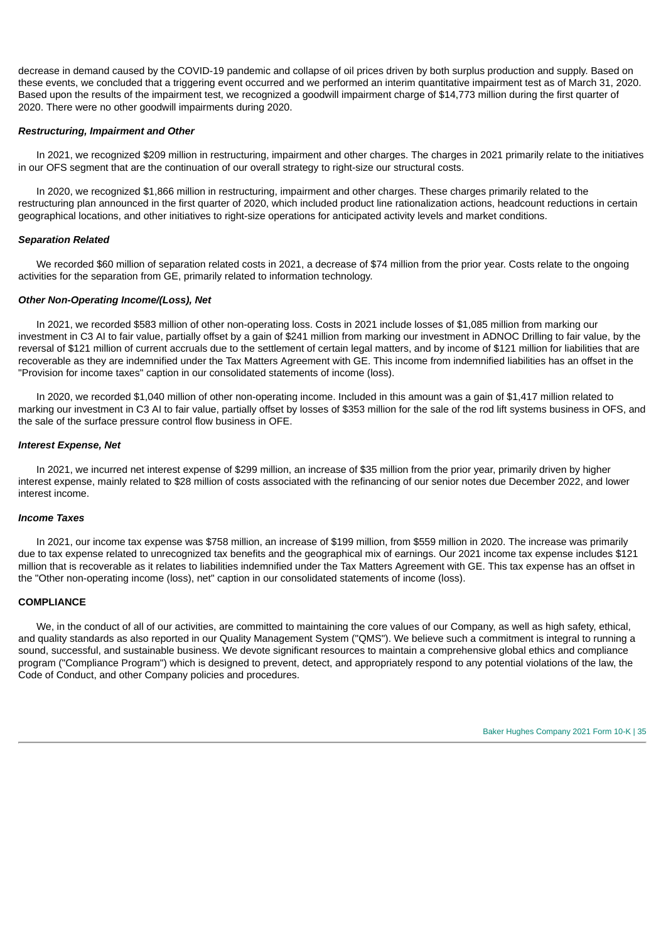decrease in demand caused by the COVID-19 pandemic and collapse of oil prices driven by both surplus production and supply. Based on these events, we concluded that a triggering event occurred and we performed an interim quantitative impairment test as of March 31, 2020. Based upon the results of the impairment test, we recognized a goodwill impairment charge of \$14,773 million during the first quarter of 2020. There were no other goodwill impairments during 2020.

### *Restructuring, Impairment and Other*

In 2021, we recognized \$209 million in restructuring, impairment and other charges. The charges in 2021 primarily relate to the initiatives in our OFS segment that are the continuation of our overall strategy to right-size our structural costs.

In 2020, we recognized \$1,866 million in restructuring, impairment and other charges. These charges primarily related to the restructuring plan announced in the first quarter of 2020, which included product line rationalization actions, headcount reductions in certain geographical locations, and other initiatives to right-size operations for anticipated activity levels and market conditions.

### *Separation Related*

We recorded \$60 million of separation related costs in 2021, a decrease of \$74 million from the prior year. Costs relate to the ongoing activities for the separation from GE, primarily related to information technology.

### *Other Non-Operating Income/(Loss), Net*

In 2021, we recorded \$583 million of other non-operating loss. Costs in 2021 include losses of \$1,085 million from marking our investment in C3 AI to fair value, partially offset by a gain of \$241 million from marking our investment in ADNOC Drilling to fair value, by the reversal of \$121 million of current accruals due to the settlement of certain legal matters, and by income of \$121 million for liabilities that are recoverable as they are indemnified under the Tax Matters Agreement with GE. This income from indemnified liabilities has an offset in the "Provision for income taxes" caption in our consolidated statements of income (loss).

In 2020, we recorded \$1,040 million of other non-operating income. Included in this amount was a gain of \$1,417 million related to marking our investment in C3 AI to fair value, partially offset by losses of \$353 million for the sale of the rod lift systems business in OFS, and the sale of the surface pressure control flow business in OFE.

### *Interest Expense, Net*

In 2021, we incurred net interest expense of \$299 million, an increase of \$35 million from the prior year, primarily driven by higher interest expense, mainly related to \$28 million of costs associated with the refinancing of our senior notes due December 2022, and lower interest income.

# *Income Taxes*

In 2021, our income tax expense was \$758 million, an increase of \$199 million, from \$559 million in 2020. The increase was primarily due to tax expense related to unrecognized tax benefits and the geographical mix of earnings. Our 2021 income tax expense includes \$121 million that is recoverable as it relates to liabilities indemnified under the Tax Matters Agreement with GE. This tax expense has an offset in the "Other non-operating income (loss), net" caption in our consolidated statements of income (loss).

#### **COMPLIANCE**

We, in the conduct of all of our activities, are committed to maintaining the core values of our Company, as well as high safety, ethical, and quality standards as also reported in our Quality Management System ("QMS"). We believe such a commitment is integral to running a sound, successful, and sustainable business. We devote significant resources to maintain a comprehensive global ethics and compliance program ("Compliance Program") which is designed to prevent, detect, and appropriately respond to any potential violations of the law, the Code of Conduct, and other Company policies and procedures.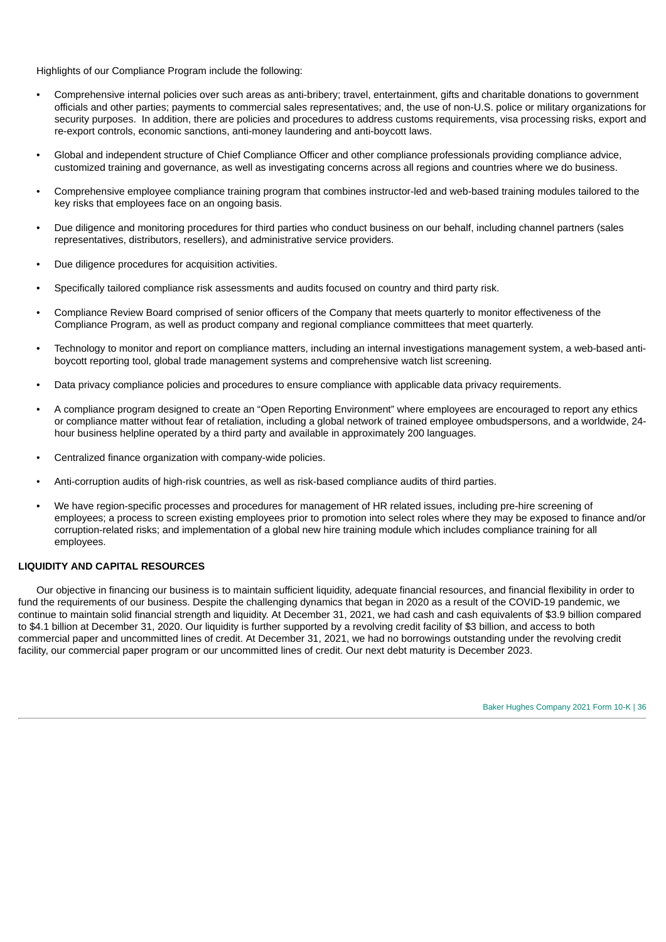Highlights of our Compliance Program include the following:

- Comprehensive internal policies over such areas as anti-bribery; travel, entertainment, gifts and charitable donations to government officials and other parties; payments to commercial sales representatives; and, the use of non-U.S. police or military organizations for security purposes. In addition, there are policies and procedures to address customs requirements, visa processing risks, export and re-export controls, economic sanctions, anti-money laundering and anti-boycott laws.
- Global and independent structure of Chief Compliance Officer and other compliance professionals providing compliance advice, customized training and governance, as well as investigating concerns across all regions and countries where we do business.
- Comprehensive employee compliance training program that combines instructor-led and web-based training modules tailored to the key risks that employees face on an ongoing basis.
- Due diligence and monitoring procedures for third parties who conduct business on our behalf, including channel partners (sales representatives, distributors, resellers), and administrative service providers.
- Due diligence procedures for acquisition activities.
- Specifically tailored compliance risk assessments and audits focused on country and third party risk.
- Compliance Review Board comprised of senior officers of the Company that meets quarterly to monitor effectiveness of the Compliance Program, as well as product company and regional compliance committees that meet quarterly.
- Technology to monitor and report on compliance matters, including an internal investigations management system, a web-based antiboycott reporting tool, global trade management systems and comprehensive watch list screening.
- Data privacy compliance policies and procedures to ensure compliance with applicable data privacy requirements.
- A compliance program designed to create an "Open Reporting Environment" where employees are encouraged to report any ethics or compliance matter without fear of retaliation, including a global network of trained employee ombudspersons, and a worldwide, 24 hour business helpline operated by a third party and available in approximately 200 languages.
- Centralized finance organization with company-wide policies.
- Anti-corruption audits of high-risk countries, as well as risk-based compliance audits of third parties.
- We have region-specific processes and procedures for management of HR related issues, including pre-hire screening of employees; a process to screen existing employees prior to promotion into select roles where they may be exposed to finance and/or corruption-related risks; and implementation of a global new hire training module which includes compliance training for all employees.

### **LIQUIDITY AND CAPITAL RESOURCES**

Our objective in financing our business is to maintain sufficient liquidity, adequate financial resources, and financial flexibility in order to fund the requirements of our business. Despite the challenging dynamics that began in 2020 as a result of the COVID-19 pandemic, we continue to maintain solid financial strength and liquidity. At December 31, 2021, we had cash and cash equivalents of \$3.9 billion compared to \$4.1 billion at December 31, 2020. Our liquidity is further supported by a revolving credit facility of \$3 billion, and access to both commercial paper and uncommitted lines of credit. At December 31, 2021, we had no borrowings outstanding under the revolving credit facility, our commercial paper program or our uncommitted lines of credit. Our next debt maturity is December 2023.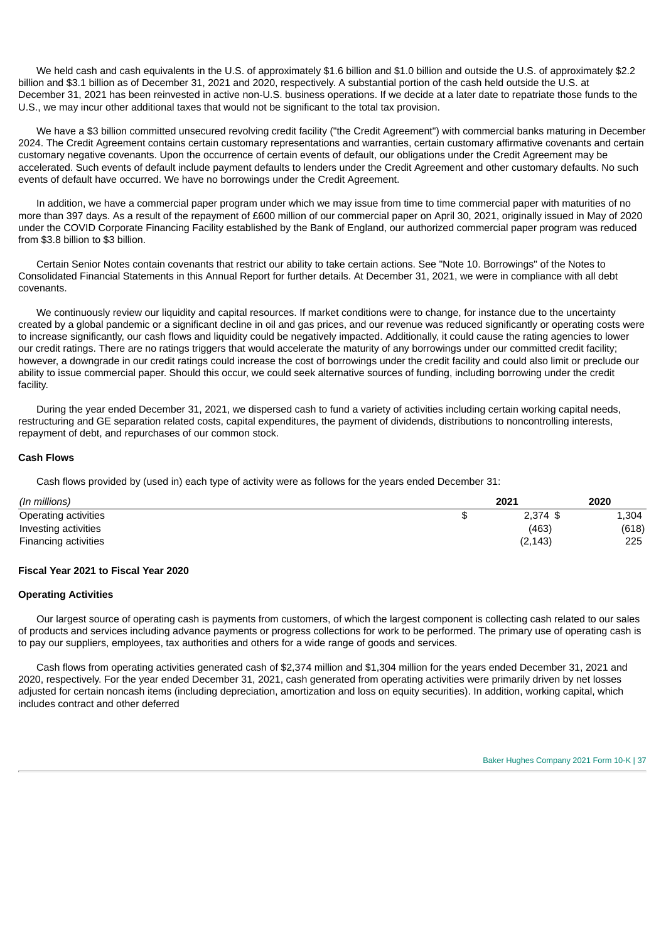We held cash and cash equivalents in the U.S. of approximately \$1.6 billion and \$1.0 billion and outside the U.S. of approximately \$2.2 billion and \$3.1 billion as of December 31, 2021 and 2020, respectively. A substantial portion of the cash held outside the U.S. at December 31, 2021 has been reinvested in active non-U.S. business operations. If we decide at a later date to repatriate those funds to the U.S., we may incur other additional taxes that would not be significant to the total tax provision.

We have a \$3 billion committed unsecured revolving credit facility ("the Credit Agreement") with commercial banks maturing in December 2024. The Credit Agreement contains certain customary representations and warranties, certain customary affirmative covenants and certain customary negative covenants. Upon the occurrence of certain events of default, our obligations under the Credit Agreement may be accelerated. Such events of default include payment defaults to lenders under the Credit Agreement and other customary defaults. No such events of default have occurred. We have no borrowings under the Credit Agreement.

In addition, we have a commercial paper program under which we may issue from time to time commercial paper with maturities of no more than 397 days. As a result of the repayment of £600 million of our commercial paper on April 30, 2021, originally issued in May of 2020 under the COVID Corporate Financing Facility established by the Bank of England, our authorized commercial paper program was reduced from \$3.8 billion to \$3 billion.

Certain Senior Notes contain covenants that restrict our ability to take certain actions. See "Note 10. Borrowings" of the Notes to Consolidated Financial Statements in this Annual Report for further details. At December 31, 2021, we were in compliance with all debt covenants.

We continuously review our liquidity and capital resources. If market conditions were to change, for instance due to the uncertainty created by a global pandemic or a significant decline in oil and gas prices, and our revenue was reduced significantly or operating costs were to increase significantly, our cash flows and liquidity could be negatively impacted. Additionally, it could cause the rating agencies to lower our credit ratings. There are no ratings triggers that would accelerate the maturity of any borrowings under our committed credit facility; however, a downgrade in our credit ratings could increase the cost of borrowings under the credit facility and could also limit or preclude our ability to issue commercial paper. Should this occur, we could seek alternative sources of funding, including borrowing under the credit facility.

During the year ended December 31, 2021, we dispersed cash to fund a variety of activities including certain working capital needs, restructuring and GE separation related costs, capital expenditures, the payment of dividends, distributions to noncontrolling interests, repayment of debt, and repurchases of our common stock.

### **Cash Flows**

Cash flows provided by (used in) each type of activity were as follows for the years ended December 31:

| (In millions)        |    | 2021       | 2020  |
|----------------------|----|------------|-------|
| Operating activities | ۰D | $2.374$ \$ | 1,304 |
| Investing activities |    | (463)      | (618) |
| Financing activities |    | (2, 143)   | 225   |

#### **Fiscal Year 2021 to Fiscal Year 2020**

### **Operating Activities**

Our largest source of operating cash is payments from customers, of which the largest component is collecting cash related to our sales of products and services including advance payments or progress collections for work to be performed. The primary use of operating cash is to pay our suppliers, employees, tax authorities and others for a wide range of goods and services.

Cash flows from operating activities generated cash of \$2,374 million and \$1,304 million for the years ended December 31, 2021 and 2020, respectively. For the year ended December 31, 2021, cash generated from operating activities were primarily driven by net losses adjusted for certain noncash items (including depreciation, amortization and loss on equity securities). In addition, working capital, which includes contract and other deferred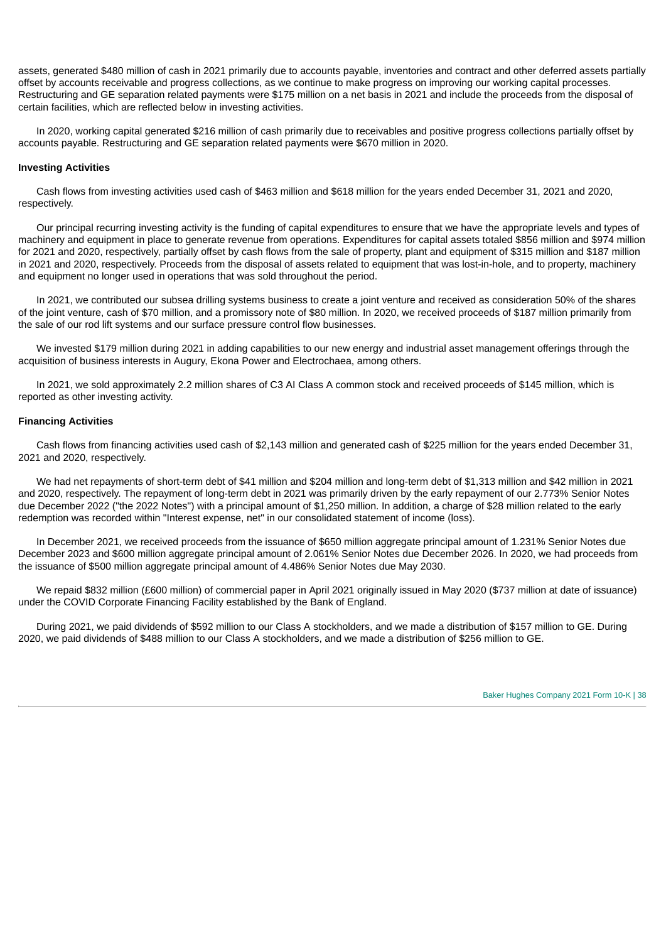assets, generated \$480 million of cash in 2021 primarily due to accounts payable, inventories and contract and other deferred assets partially offset by accounts receivable and progress collections, as we continue to make progress on improving our working capital processes. Restructuring and GE separation related payments were \$175 million on a net basis in 2021 and include the proceeds from the disposal of certain facilities, which are reflected below in investing activities.

In 2020, working capital generated \$216 million of cash primarily due to receivables and positive progress collections partially offset by accounts payable. Restructuring and GE separation related payments were \$670 million in 2020.

### **Investing Activities**

Cash flows from investing activities used cash of \$463 million and \$618 million for the years ended December 31, 2021 and 2020, respectively.

Our principal recurring investing activity is the funding of capital expenditures to ensure that we have the appropriate levels and types of machinery and equipment in place to generate revenue from operations. Expenditures for capital assets totaled \$856 million and \$974 million for 2021 and 2020, respectively, partially offset by cash flows from the sale of property, plant and equipment of \$315 million and \$187 million in 2021 and 2020, respectively. Proceeds from the disposal of assets related to equipment that was lost-in-hole, and to property, machinery and equipment no longer used in operations that was sold throughout the period.

In 2021, we contributed our subsea drilling systems business to create a joint venture and received as consideration 50% of the shares of the joint venture, cash of \$70 million, and a promissory note of \$80 million. In 2020, we received proceeds of \$187 million primarily from the sale of our rod lift systems and our surface pressure control flow businesses.

We invested \$179 million during 2021 in adding capabilities to our new energy and industrial asset management offerings through the acquisition of business interests in Augury, Ekona Power and Electrochaea, among others.

In 2021, we sold approximately 2.2 million shares of C3 AI Class A common stock and received proceeds of \$145 million, which is reported as other investing activity.

# **Financing Activities**

Cash flows from financing activities used cash of \$2,143 million and generated cash of \$225 million for the years ended December 31, 2021 and 2020, respectively.

We had net repayments of short-term debt of \$41 million and \$204 million and long-term debt of \$1,313 million and \$42 million in 2021 and 2020, respectively. The repayment of long-term debt in 2021 was primarily driven by the early repayment of our 2.773% Senior Notes due December 2022 ("the 2022 Notes") with a principal amount of \$1,250 million. In addition, a charge of \$28 million related to the early redemption was recorded within "Interest expense, net" in our consolidated statement of income (loss).

In December 2021, we received proceeds from the issuance of \$650 million aggregate principal amount of 1.231% Senior Notes due December 2023 and \$600 million aggregate principal amount of 2.061% Senior Notes due December 2026. In 2020, we had proceeds from the issuance of \$500 million aggregate principal amount of 4.486% Senior Notes due May 2030.

We repaid \$832 million (£600 million) of commercial paper in April 2021 originally issued in May 2020 (\$737 million at date of issuance) under the COVID Corporate Financing Facility established by the Bank of England.

During 2021, we paid dividends of \$592 million to our Class A stockholders, and we made a distribution of \$157 million to GE. During 2020, we paid dividends of \$488 million to our Class A stockholders, and we made a distribution of \$256 million to GE.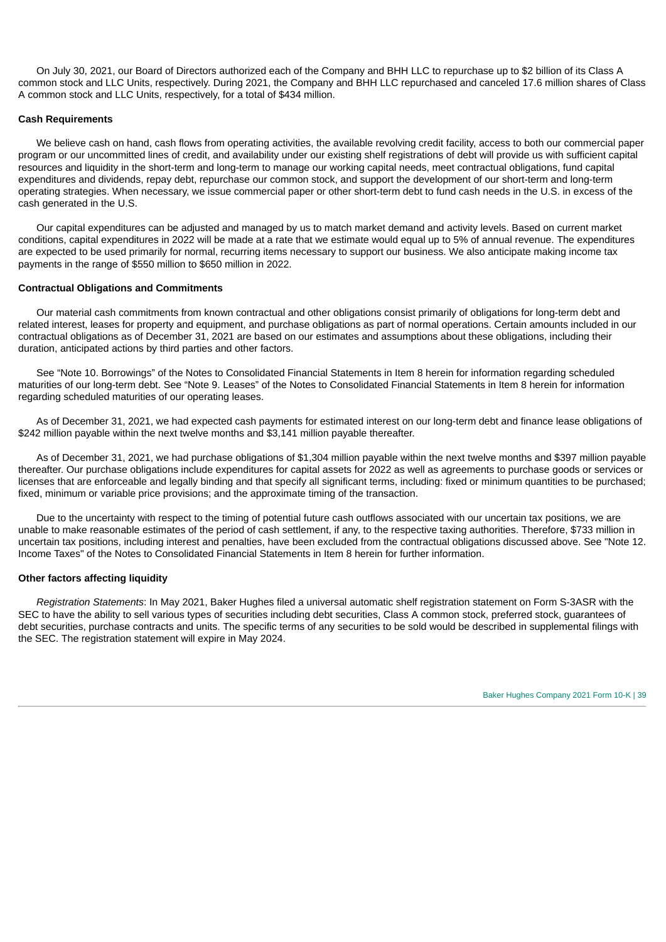On July 30, 2021, our Board of Directors authorized each of the Company and BHH LLC to repurchase up to \$2 billion of its Class A common stock and LLC Units, respectively. During 2021, the Company and BHH LLC repurchased and canceled 17.6 million shares of Class A common stock and LLC Units, respectively, for a total of \$434 million.

### **Cash Requirements**

We believe cash on hand, cash flows from operating activities, the available revolving credit facility, access to both our commercial paper program or our uncommitted lines of credit, and availability under our existing shelf registrations of debt will provide us with sufficient capital resources and liquidity in the short-term and long-term to manage our working capital needs, meet contractual obligations, fund capital expenditures and dividends, repay debt, repurchase our common stock, and support the development of our short-term and long-term operating strategies. When necessary, we issue commercial paper or other short-term debt to fund cash needs in the U.S. in excess of the cash generated in the U.S.

Our capital expenditures can be adjusted and managed by us to match market demand and activity levels. Based on current market conditions, capital expenditures in 2022 will be made at a rate that we estimate would equal up to 5% of annual revenue. The expenditures are expected to be used primarily for normal, recurring items necessary to support our business. We also anticipate making income tax payments in the range of \$550 million to \$650 million in 2022.

#### **Contractual Obligations and Commitments**

Our material cash commitments from known contractual and other obligations consist primarily of obligations for long-term debt and related interest, leases for property and equipment, and purchase obligations as part of normal operations. Certain amounts included in our contractual obligations as of December 31, 2021 are based on our estimates and assumptions about these obligations, including their duration, anticipated actions by third parties and other factors.

See "Note 10. Borrowings" of the Notes to Consolidated Financial Statements in Item 8 herein for information regarding scheduled maturities of our long-term debt. See "Note 9. Leases" of the Notes to Consolidated Financial Statements in Item 8 herein for information regarding scheduled maturities of our operating leases.

As of December 31, 2021, we had expected cash payments for estimated interest on our long-term debt and finance lease obligations of \$242 million payable within the next twelve months and \$3,141 million payable thereafter.

As of December 31, 2021, we had purchase obligations of \$1,304 million payable within the next twelve months and \$397 million payable thereafter. Our purchase obligations include expenditures for capital assets for 2022 as well as agreements to purchase goods or services or licenses that are enforceable and legally binding and that specify all significant terms, including: fixed or minimum quantities to be purchased; fixed, minimum or variable price provisions; and the approximate timing of the transaction.

Due to the uncertainty with respect to the timing of potential future cash outflows associated with our uncertain tax positions, we are unable to make reasonable estimates of the period of cash settlement, if any, to the respective taxing authorities. Therefore, \$733 million in uncertain tax positions, including interest and penalties, have been excluded from the contractual obligations discussed above. See "Note 12. Income Taxes" of the Notes to Consolidated Financial Statements in Item 8 herein for further information.

#### **Other factors affecting liquidity**

*Registration Statements*: In May 2021, Baker Hughes filed a universal automatic shelf registration statement on Form S-3ASR with the SEC to have the ability to sell various types of securities including debt securities, Class A common stock, preferred stock, guarantees of debt securities, purchase contracts and units. The specific terms of any securities to be sold would be described in supplemental filings with the SEC. The registration statement will expire in May 2024.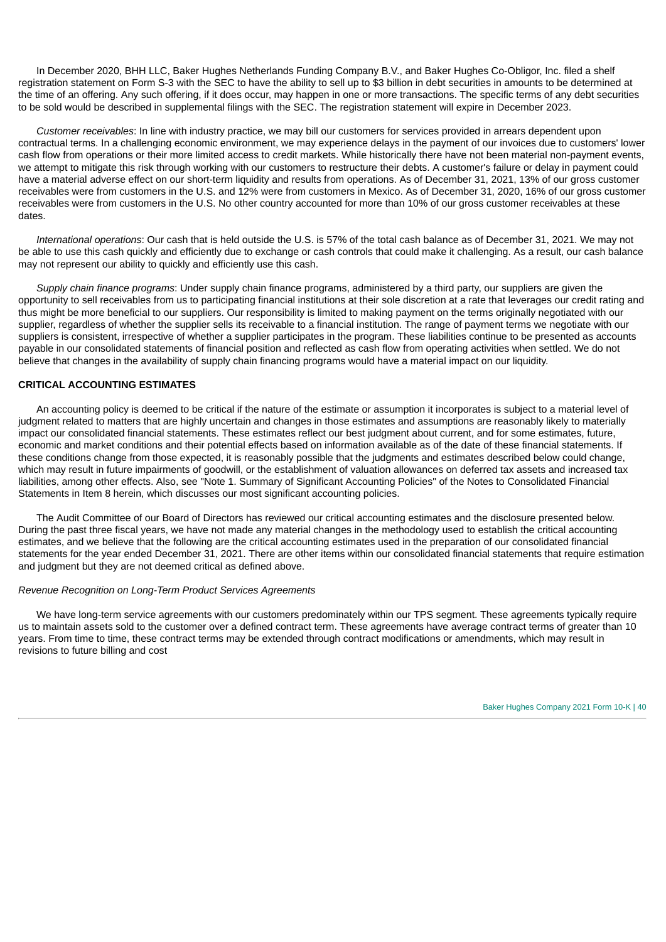In December 2020, BHH LLC, Baker Hughes Netherlands Funding Company B.V., and Baker Hughes Co-Obligor, Inc. filed a shelf registration statement on Form S-3 with the SEC to have the ability to sell up to \$3 billion in debt securities in amounts to be determined at the time of an offering. Any such offering, if it does occur, may happen in one or more transactions. The specific terms of any debt securities to be sold would be described in supplemental filings with the SEC. The registration statement will expire in December 2023.

*Customer receivables*: In line with industry practice, we may bill our customers for services provided in arrears dependent upon contractual terms. In a challenging economic environment, we may experience delays in the payment of our invoices due to customers' lower cash flow from operations or their more limited access to credit markets. While historically there have not been material non-payment events, we attempt to mitigate this risk through working with our customers to restructure their debts. A customer's failure or delay in payment could have a material adverse effect on our short-term liquidity and results from operations. As of December 31, 2021, 13% of our gross customer receivables were from customers in the U.S. and 12% were from customers in Mexico. As of December 31, 2020, 16% of our gross customer receivables were from customers in the U.S. No other country accounted for more than 10% of our gross customer receivables at these dates.

*International operations*: Our cash that is held outside the U.S. is 57% of the total cash balance as of December 31, 2021. We may not be able to use this cash quickly and efficiently due to exchange or cash controls that could make it challenging. As a result, our cash balance may not represent our ability to quickly and efficiently use this cash.

*Supply chain finance programs*: Under supply chain finance programs, administered by a third party, our suppliers are given the opportunity to sell receivables from us to participating financial institutions at their sole discretion at a rate that leverages our credit rating and thus might be more beneficial to our suppliers. Our responsibility is limited to making payment on the terms originally negotiated with our supplier, regardless of whether the supplier sells its receivable to a financial institution. The range of payment terms we negotiate with our suppliers is consistent, irrespective of whether a supplier participates in the program. These liabilities continue to be presented as accounts payable in our consolidated statements of financial position and reflected as cash flow from operating activities when settled. We do not believe that changes in the availability of supply chain financing programs would have a material impact on our liquidity.

# **CRITICAL ACCOUNTING ESTIMATES**

An accounting policy is deemed to be critical if the nature of the estimate or assumption it incorporates is subject to a material level of judgment related to matters that are highly uncertain and changes in those estimates and assumptions are reasonably likely to materially impact our consolidated financial statements. These estimates reflect our best judgment about current, and for some estimates, future, economic and market conditions and their potential effects based on information available as of the date of these financial statements. If these conditions change from those expected, it is reasonably possible that the judgments and estimates described below could change, which may result in future impairments of goodwill, or the establishment of valuation allowances on deferred tax assets and increased tax liabilities, among other effects. Also, see "Note 1. Summary of Significant Accounting Policies" of the Notes to Consolidated Financial Statements in Item 8 herein, which discusses our most significant accounting policies.

The Audit Committee of our Board of Directors has reviewed our critical accounting estimates and the disclosure presented below. During the past three fiscal years, we have not made any material changes in the methodology used to establish the critical accounting estimates, and we believe that the following are the critical accounting estimates used in the preparation of our consolidated financial statements for the year ended December 31, 2021. There are other items within our consolidated financial statements that require estimation and judgment but they are not deemed critical as defined above.

### *Revenue Recognition on Long-Term Product Services Agreements*

We have long-term service agreements with our customers predominately within our TPS segment. These agreements typically require us to maintain assets sold to the customer over a defined contract term. These agreements have average contract terms of greater than 10 years. From time to time, these contract terms may be extended through contract modifications or amendments, which may result in revisions to future billing and cost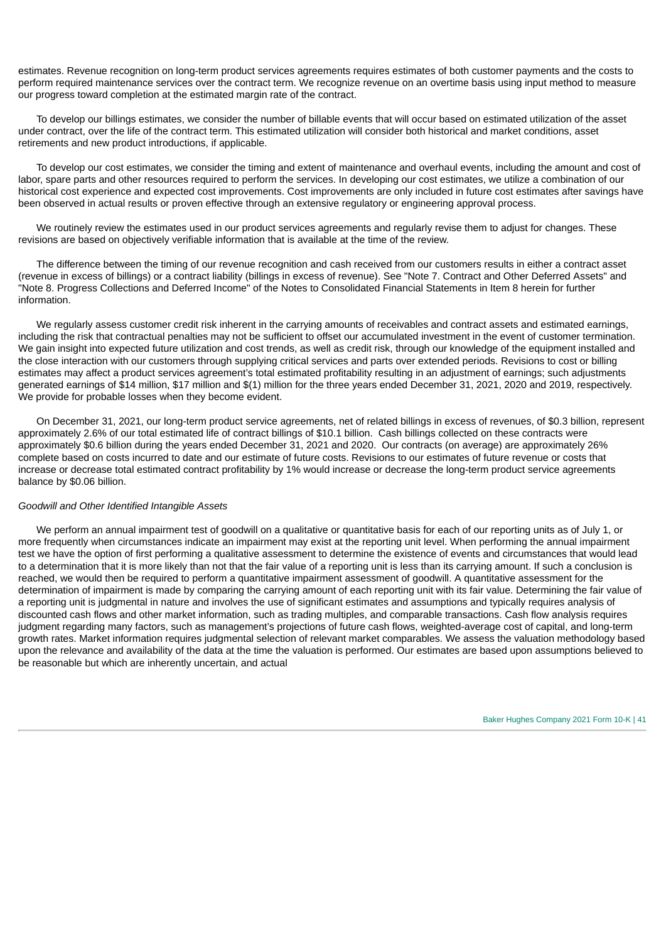estimates. Revenue recognition on long-term product services agreements requires estimates of both customer payments and the costs to perform required maintenance services over the contract term. We recognize revenue on an overtime basis using input method to measure our progress toward completion at the estimated margin rate of the contract.

To develop our billings estimates, we consider the number of billable events that will occur based on estimated utilization of the asset under contract, over the life of the contract term. This estimated utilization will consider both historical and market conditions, asset retirements and new product introductions, if applicable.

To develop our cost estimates, we consider the timing and extent of maintenance and overhaul events, including the amount and cost of labor, spare parts and other resources required to perform the services. In developing our cost estimates, we utilize a combination of our historical cost experience and expected cost improvements. Cost improvements are only included in future cost estimates after savings have been observed in actual results or proven effective through an extensive regulatory or engineering approval process.

We routinely review the estimates used in our product services agreements and regularly revise them to adjust for changes. These revisions are based on objectively verifiable information that is available at the time of the review.

The difference between the timing of our revenue recognition and cash received from our customers results in either a contract asset (revenue in excess of billings) or a contract liability (billings in excess of revenue). See "Note 7. Contract and Other Deferred Assets" and "Note 8. Progress Collections and Deferred Income" of the Notes to Consolidated Financial Statements in Item 8 herein for further information.

We regularly assess customer credit risk inherent in the carrying amounts of receivables and contract assets and estimated earnings, including the risk that contractual penalties may not be sufficient to offset our accumulated investment in the event of customer termination. We gain insight into expected future utilization and cost trends, as well as credit risk, through our knowledge of the equipment installed and the close interaction with our customers through supplying critical services and parts over extended periods. Revisions to cost or billing estimates may affect a product services agreement's total estimated profitability resulting in an adjustment of earnings; such adjustments generated earnings of \$14 million, \$17 million and \$(1) million for the three years ended December 31, 2021, 2020 and 2019, respectively. We provide for probable losses when they become evident.

On December 31, 2021, our long-term product service agreements, net of related billings in excess of revenues, of \$0.3 billion, represent approximately 2.6% of our total estimated life of contract billings of \$10.1 billion. Cash billings collected on these contracts were approximately \$0.6 billion during the years ended December 31, 2021 and 2020. Our contracts (on average) are approximately 26% complete based on costs incurred to date and our estimate of future costs. Revisions to our estimates of future revenue or costs that increase or decrease total estimated contract profitability by 1% would increase or decrease the long-term product service agreements balance by \$0.06 billion.

### *Goodwill and Other Identified Intangible Assets*

We perform an annual impairment test of goodwill on a qualitative or quantitative basis for each of our reporting units as of July 1, or more frequently when circumstances indicate an impairment may exist at the reporting unit level. When performing the annual impairment test we have the option of first performing a qualitative assessment to determine the existence of events and circumstances that would lead to a determination that it is more likely than not that the fair value of a reporting unit is less than its carrying amount. If such a conclusion is reached, we would then be required to perform a quantitative impairment assessment of goodwill. A quantitative assessment for the determination of impairment is made by comparing the carrying amount of each reporting unit with its fair value. Determining the fair value of a reporting unit is judgmental in nature and involves the use of significant estimates and assumptions and typically requires analysis of discounted cash flows and other market information, such as trading multiples, and comparable transactions. Cash flow analysis requires judgment regarding many factors, such as management's projections of future cash flows, weighted-average cost of capital, and long-term growth rates. Market information requires judgmental selection of relevant market comparables. We assess the valuation methodology based upon the relevance and availability of the data at the time the valuation is performed. Our estimates are based upon assumptions believed to be reasonable but which are inherently uncertain, and actual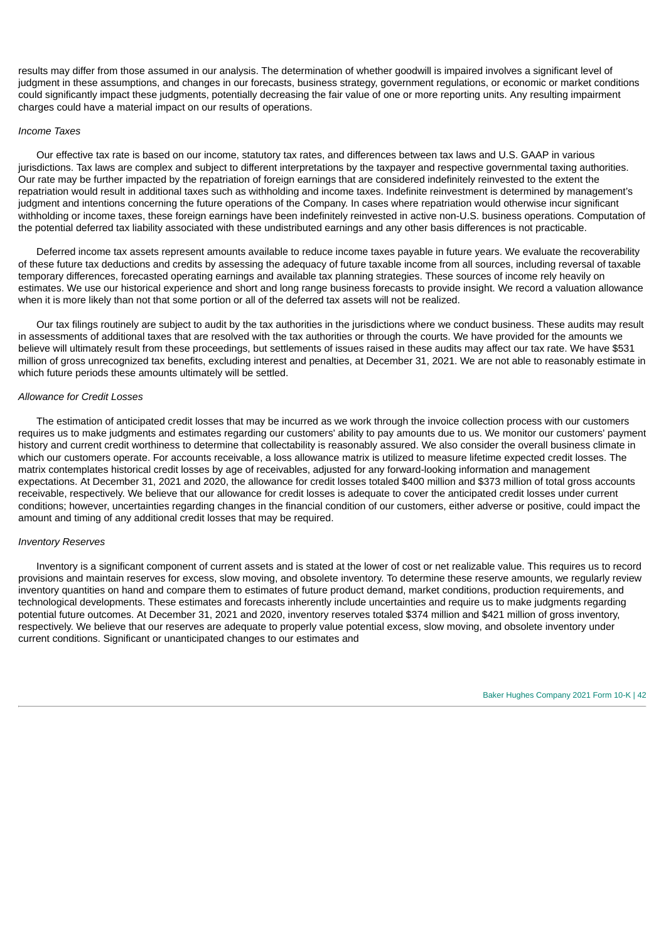results may differ from those assumed in our analysis. The determination of whether goodwill is impaired involves a significant level of judgment in these assumptions, and changes in our forecasts, business strategy, government regulations, or economic or market conditions could significantly impact these judgments, potentially decreasing the fair value of one or more reporting units. Any resulting impairment charges could have a material impact on our results of operations.

### *Income Taxes*

Our effective tax rate is based on our income, statutory tax rates, and differences between tax laws and U.S. GAAP in various jurisdictions. Tax laws are complex and subject to different interpretations by the taxpayer and respective governmental taxing authorities. Our rate may be further impacted by the repatriation of foreign earnings that are considered indefinitely reinvested to the extent the repatriation would result in additional taxes such as withholding and income taxes. Indefinite reinvestment is determined by management's judgment and intentions concerning the future operations of the Company. In cases where repatriation would otherwise incur significant withholding or income taxes, these foreign earnings have been indefinitely reinvested in active non-U.S. business operations. Computation of the potential deferred tax liability associated with these undistributed earnings and any other basis differences is not practicable.

Deferred income tax assets represent amounts available to reduce income taxes payable in future years. We evaluate the recoverability of these future tax deductions and credits by assessing the adequacy of future taxable income from all sources, including reversal of taxable temporary differences, forecasted operating earnings and available tax planning strategies. These sources of income rely heavily on estimates. We use our historical experience and short and long range business forecasts to provide insight. We record a valuation allowance when it is more likely than not that some portion or all of the deferred tax assets will not be realized.

Our tax filings routinely are subject to audit by the tax authorities in the jurisdictions where we conduct business. These audits may result in assessments of additional taxes that are resolved with the tax authorities or through the courts. We have provided for the amounts we believe will ultimately result from these proceedings, but settlements of issues raised in these audits may affect our tax rate. We have \$531 million of gross unrecognized tax benefits, excluding interest and penalties, at December 31, 2021. We are not able to reasonably estimate in which future periods these amounts ultimately will be settled.

### *Allowance for Credit Losses*

The estimation of anticipated credit losses that may be incurred as we work through the invoice collection process with our customers requires us to make judgments and estimates regarding our customers' ability to pay amounts due to us. We monitor our customers' payment history and current credit worthiness to determine that collectability is reasonably assured. We also consider the overall business climate in which our customers operate. For accounts receivable, a loss allowance matrix is utilized to measure lifetime expected credit losses. The matrix contemplates historical credit losses by age of receivables, adjusted for any forward-looking information and management expectations. At December 31, 2021 and 2020, the allowance for credit losses totaled \$400 million and \$373 million of total gross accounts receivable, respectively. We believe that our allowance for credit losses is adequate to cover the anticipated credit losses under current conditions; however, uncertainties regarding changes in the financial condition of our customers, either adverse or positive, could impact the amount and timing of any additional credit losses that may be required.

#### *Inventory Reserves*

Inventory is a significant component of current assets and is stated at the lower of cost or net realizable value. This requires us to record provisions and maintain reserves for excess, slow moving, and obsolete inventory. To determine these reserve amounts, we regularly review inventory quantities on hand and compare them to estimates of future product demand, market conditions, production requirements, and technological developments. These estimates and forecasts inherently include uncertainties and require us to make judgments regarding potential future outcomes. At December 31, 2021 and 2020, inventory reserves totaled \$374 million and \$421 million of gross inventory, respectively. We believe that our reserves are adequate to properly value potential excess, slow moving, and obsolete inventory under current conditions. Significant or unanticipated changes to our estimates and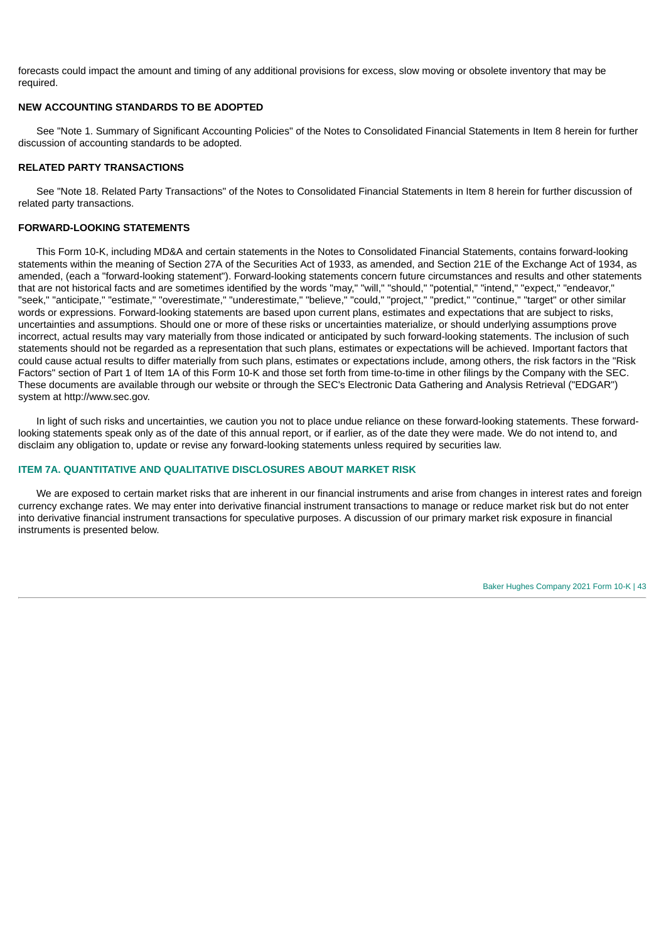forecasts could impact the amount and timing of any additional provisions for excess, slow moving or obsolete inventory that may be required.

# **NEW ACCOUNTING STANDARDS TO BE ADOPTED**

See "Note 1. Summary of Significant Accounting Policies" of the Notes to Consolidated Financial Statements in Item 8 herein for further discussion of accounting standards to be adopted.

## **RELATED PARTY TRANSACTIONS**

See "Note 18. Related Party Transactions" of the Notes to Consolidated Financial Statements in Item 8 herein for further discussion of related party transactions.

## **FORWARD-LOOKING STATEMENTS**

This Form 10-K, including MD&A and certain statements in the Notes to Consolidated Financial Statements, contains forward-looking statements within the meaning of Section 27A of the Securities Act of 1933, as amended, and Section 21E of the Exchange Act of 1934, as amended, (each a "forward-looking statement"). Forward-looking statements concern future circumstances and results and other statements that are not historical facts and are sometimes identified by the words "may," "will," "should," "potential," "intend," "expect," "endeavor," "seek," "anticipate," "estimate," "overestimate," "underestimate," "believe," "could," "project," "predict," "continue," "target" or other similar words or expressions. Forward-looking statements are based upon current plans, estimates and expectations that are subject to risks, uncertainties and assumptions. Should one or more of these risks or uncertainties materialize, or should underlying assumptions prove incorrect, actual results may vary materially from those indicated or anticipated by such forward-looking statements. The inclusion of such statements should not be regarded as a representation that such plans, estimates or expectations will be achieved. Important factors that could cause actual results to differ materially from such plans, estimates or expectations include, among others, the risk factors in the "Risk Factors" section of Part 1 of Item 1A of this Form 10-K and those set forth from time-to-time in other filings by the Company with the SEC. These documents are available through our website or through the SEC's Electronic Data Gathering and Analysis Retrieval ("EDGAR") system at http://www.sec.gov.

In light of such risks and uncertainties, we caution you not to place undue reliance on these forward-looking statements. These forwardlooking statements speak only as of the date of this annual report, or if earlier, as of the date they were made. We do not intend to, and disclaim any obligation to, update or revise any forward-looking statements unless required by securities law.

### **ITEM 7A. QUANTITATIVE AND QUALITATIVE DISCLOSURES ABOUT MARKET RISK**

We are exposed to certain market risks that are inherent in our financial instruments and arise from changes in interest rates and foreign currency exchange rates. We may enter into derivative financial instrument transactions to manage or reduce market risk but do not enter into derivative financial instrument transactions for speculative purposes. A discussion of our primary market risk exposure in financial instruments is presented below.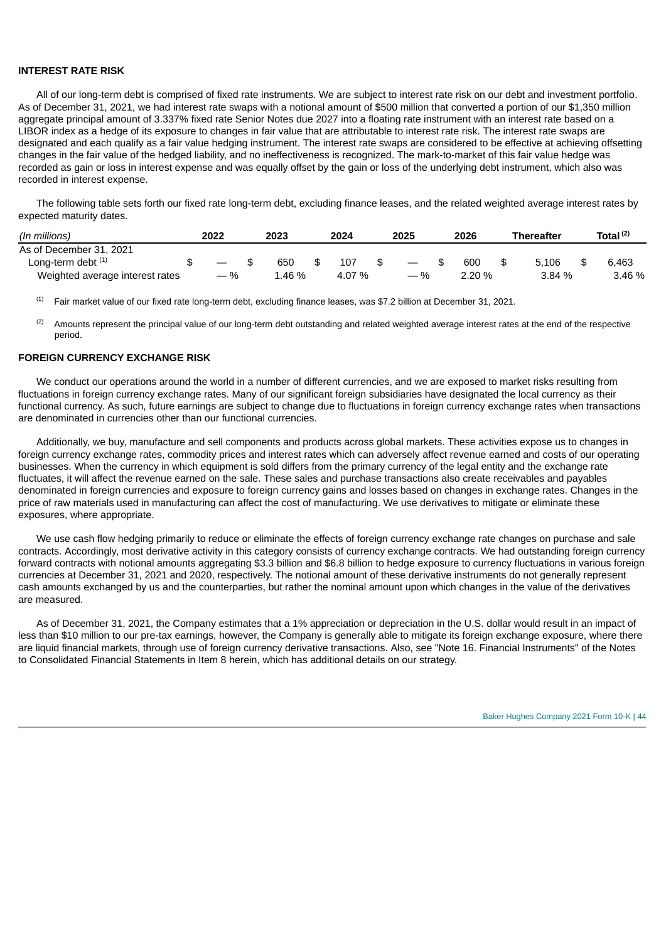### **INTEREST RATE RISK**

All of our long-term debt is comprised of fixed rate instruments. We are subject to interest rate risk on our debt and investment portfolio. As of December 31, 2021, we had interest rate swaps with a notional amount of \$500 million that converted a portion of our \$1,350 million aggregate principal amount of 3.337% fixed rate Senior Notes due 2027 into a floating rate instrument with an interest rate based on a LIBOR index as a hedge of its exposure to changes in fair value that are attributable to interest rate risk. The interest rate swaps are designated and each qualify as a fair value hedging instrument. The interest rate swaps are considered to be effective at achieving offsetting changes in the fair value of the hedged liability, and no ineffectiveness is recognized. The mark-to-market of this fair value hedge was recorded as gain or loss in interest expense and was equally offset by the gain or loss of the underlying debt instrument, which also was recorded in interest expense.

The following table sets forth our fixed rate long-term debt, excluding finance leases, and the related weighted average interest rates by expected maturity dates.

| (In millions)                   | 2022  | 2023   | 2024   | 2025                            | 2026     | <b>Thereafter</b> | Total <sup>(2)</sup> |
|---------------------------------|-------|--------|--------|---------------------------------|----------|-------------------|----------------------|
| As of December 31, 2021         |       |        |        |                                 |          |                   |                      |
| Long-term debt $(1)$            |       | 650    | 107    | $\hspace{0.1mm}-\hspace{0.1mm}$ | 600      | 5.106             | 6.463                |
| Weighted average interest rates | $-$ % | ⊥.46 % | 4.07 % | $-$ %                           | $2.20\%$ | 3.84 %            | 3.46 %               |

Fair market value of our fixed rate long-term debt, excluding finance leases, was \$7.2 billion at December 31, 2021. (1)

Amounts represent the principal value of our long-term debt outstanding and related weighted average interest rates at the end of the respective period. (2)

### **FOREIGN CURRENCY EXCHANGE RISK**

We conduct our operations around the world in a number of different currencies, and we are exposed to market risks resulting from fluctuations in foreign currency exchange rates. Many of our significant foreign subsidiaries have designated the local currency as their functional currency. As such, future earnings are subject to change due to fluctuations in foreign currency exchange rates when transactions are denominated in currencies other than our functional currencies.

Additionally, we buy, manufacture and sell components and products across global markets. These activities expose us to changes in foreign currency exchange rates, commodity prices and interest rates which can adversely affect revenue earned and costs of our operating businesses. When the currency in which equipment is sold differs from the primary currency of the legal entity and the exchange rate fluctuates, it will affect the revenue earned on the sale. These sales and purchase transactions also create receivables and payables denominated in foreign currencies and exposure to foreign currency gains and losses based on changes in exchange rates. Changes in the price of raw materials used in manufacturing can affect the cost of manufacturing. We use derivatives to mitigate or eliminate these exposures, where appropriate.

We use cash flow hedging primarily to reduce or eliminate the effects of foreign currency exchange rate changes on purchase and sale contracts. Accordingly, most derivative activity in this category consists of currency exchange contracts. We had outstanding foreign currency forward contracts with notional amounts aggregating \$3.3 billion and \$6.8 billion to hedge exposure to currency fluctuations in various foreign currencies at December 31, 2021 and 2020, respectively. The notional amount of these derivative instruments do not generally represent cash amounts exchanged by us and the counterparties, but rather the nominal amount upon which changes in the value of the derivatives are measured.

As of December 31, 2021, the Company estimates that a 1% appreciation or depreciation in the U.S. dollar would result in an impact of less than \$10 million to our pre-tax earnings, however, the Company is generally able to mitigate its foreign exchange exposure, where there are liquid financial markets, through use of foreign currency derivative transactions. Also, see "Note 16. Financial Instruments" of the Notes to Consolidated Financial Statements in Item 8 herein, which has additional details on our strategy.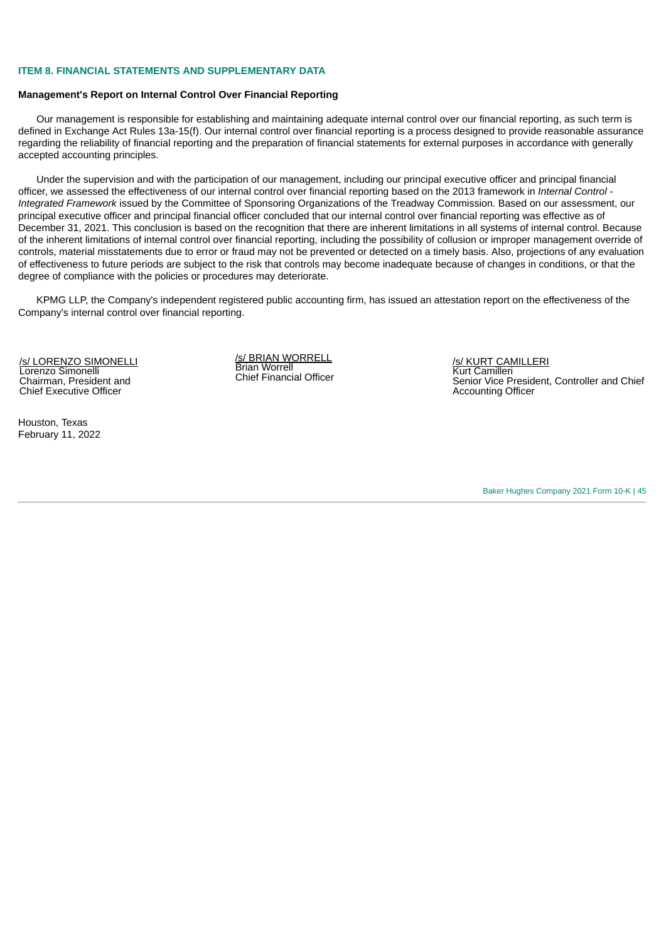### **ITEM 8. FINANCIAL STATEMENTS AND SUPPLEMENTARY DATA**

#### **Management's Report on Internal Control Over Financial Reporting**

Our management is responsible for establishing and maintaining adequate internal control over our financial reporting, as such term is defined in Exchange Act Rules 13a-15(f). Our internal control over financial reporting is a process designed to provide reasonable assurance regarding the reliability of financial reporting and the preparation of financial statements for external purposes in accordance with generally accepted accounting principles.

Under the supervision and with the participation of our management, including our principal executive officer and principal financial officer, we assessed the effectiveness of our internal control over financial reporting based on the 2013 framework in *Internal Control - Integrated Framework* issued by the Committee of Sponsoring Organizations of the Treadway Commission. Based on our assessment, our principal executive officer and principal financial officer concluded that our internal control over financial reporting was effective as of December 31, 2021. This conclusion is based on the recognition that there are inherent limitations in all systems of internal control. Because of the inherent limitations of internal control over financial reporting, including the possibility of collusion or improper management override of controls, material misstatements due to error or fraud may not be prevented or detected on a timely basis. Also, projections of any evaluation of effectiveness to future periods are subject to the risk that controls may become inadequate because of changes in conditions, or that the degree of compliance with the policies or procedures may deteriorate.

KPMG LLP, the Company's independent registered public accounting firm, has issued an attestation report on the effectiveness of the Company's internal control over financial reporting.

/s/ LORENZO SIMONELLI Lorenzo Simonelli Chairman, President and Chief Executive Officer

Houston, Texas February 11, 2022 /s/ BRIAN WORRELL Brian Worrell Chief Financial Officer

/s/ KURT CAMILLERI Kurt Camilleri Senior Vice President, Controller and Chief Accounting Officer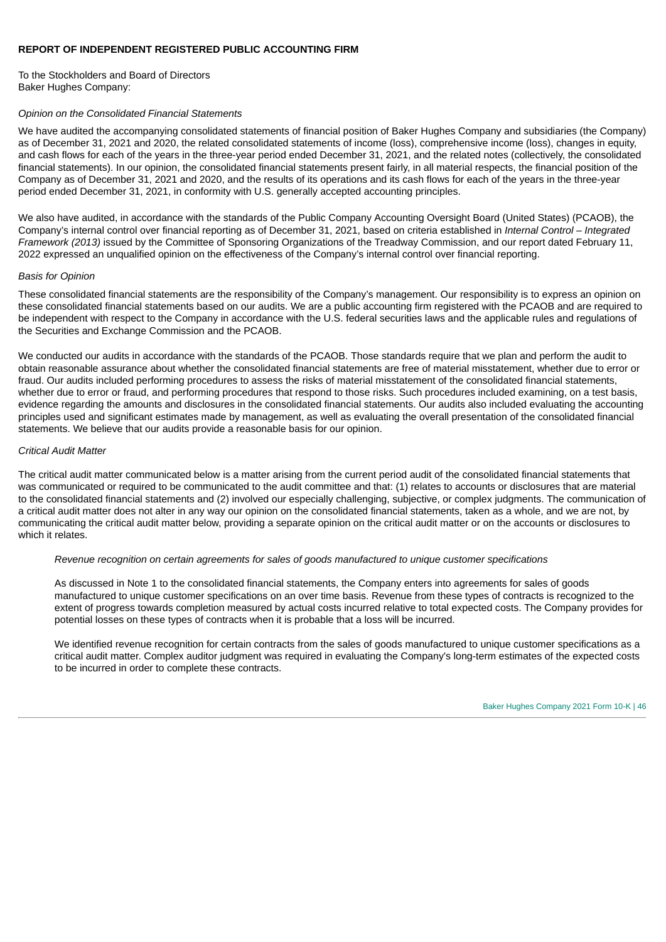# **REPORT OF INDEPENDENT REGISTERED PUBLIC ACCOUNTING FIRM**

To the Stockholders and Board of Directors Baker Hughes Company:

### *Opinion on the Consolidated Financial Statements*

We have audited the accompanying consolidated statements of financial position of Baker Hughes Company and subsidiaries (the Company) as of December 31, 2021 and 2020, the related consolidated statements of income (loss), comprehensive income (loss), changes in equity, and cash flows for each of the years in the three-year period ended December 31, 2021, and the related notes (collectively, the consolidated financial statements). In our opinion, the consolidated financial statements present fairly, in all material respects, the financial position of the Company as of December 31, 2021 and 2020, and the results of its operations and its cash flows for each of the years in the three-year period ended December 31, 2021, in conformity with U.S. generally accepted accounting principles.

We also have audited, in accordance with the standards of the Public Company Accounting Oversight Board (United States) (PCAOB), the Company's internal control over financial reporting as of December 31, 2021, based on criteria established in *Internal Control – Integrated Framework (2013)* issued by the Committee of Sponsoring Organizations of the Treadway Commission, and our report dated February 11, 2022 expressed an unqualified opinion on the effectiveness of the Company's internal control over financial reporting.

### *Basis for Opinion*

These consolidated financial statements are the responsibility of the Company's management. Our responsibility is to express an opinion on these consolidated financial statements based on our audits. We are a public accounting firm registered with the PCAOB and are required to be independent with respect to the Company in accordance with the U.S. federal securities laws and the applicable rules and regulations of the Securities and Exchange Commission and the PCAOB.

We conducted our audits in accordance with the standards of the PCAOB. Those standards require that we plan and perform the audit to obtain reasonable assurance about whether the consolidated financial statements are free of material misstatement, whether due to error or fraud. Our audits included performing procedures to assess the risks of material misstatement of the consolidated financial statements, whether due to error or fraud, and performing procedures that respond to those risks. Such procedures included examining, on a test basis, evidence regarding the amounts and disclosures in the consolidated financial statements. Our audits also included evaluating the accounting principles used and significant estimates made by management, as well as evaluating the overall presentation of the consolidated financial statements. We believe that our audits provide a reasonable basis for our opinion.

### *Critical Audit Matter*

The critical audit matter communicated below is a matter arising from the current period audit of the consolidated financial statements that was communicated or required to be communicated to the audit committee and that: (1) relates to accounts or disclosures that are material to the consolidated financial statements and (2) involved our especially challenging, subjective, or complex judgments. The communication of a critical audit matter does not alter in any way our opinion on the consolidated financial statements, taken as a whole, and we are not, by communicating the critical audit matter below, providing a separate opinion on the critical audit matter or on the accounts or disclosures to which it relates.

# *Revenue recognition on certain agreements for sales of goods manufactured to unique customer specifications*

As discussed in Note 1 to the consolidated financial statements, the Company enters into agreements for sales of goods manufactured to unique customer specifications on an over time basis. Revenue from these types of contracts is recognized to the extent of progress towards completion measured by actual costs incurred relative to total expected costs. The Company provides for potential losses on these types of contracts when it is probable that a loss will be incurred.

We identified revenue recognition for certain contracts from the sales of goods manufactured to unique customer specifications as a critical audit matter. Complex auditor judgment was required in evaluating the Company's long-term estimates of the expected costs to be incurred in order to complete these contracts.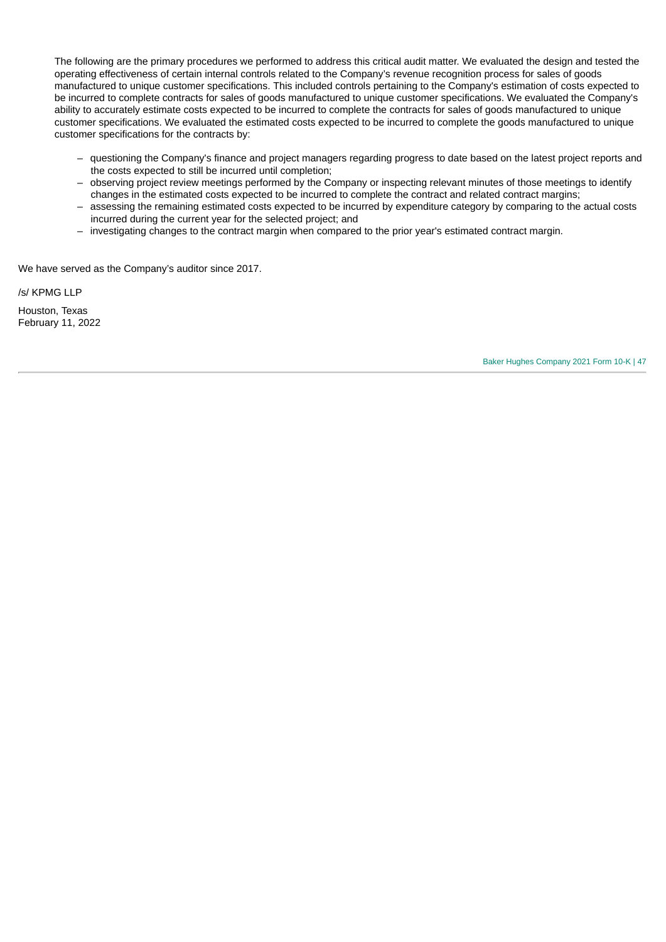The following are the primary procedures we performed to address this critical audit matter. We evaluated the design and tested the operating effectiveness of certain internal controls related to the Company's revenue recognition process for sales of goods manufactured to unique customer specifications. This included controls pertaining to the Company's estimation of costs expected to be incurred to complete contracts for sales of goods manufactured to unique customer specifications. We evaluated the Company's ability to accurately estimate costs expected to be incurred to complete the contracts for sales of goods manufactured to unique customer specifications. We evaluated the estimated costs expected to be incurred to complete the goods manufactured to unique customer specifications for the contracts by:

- questioning the Company's finance and project managers regarding progress to date based on the latest project reports and the costs expected to still be incurred until completion;
- observing project review meetings performed by the Company or inspecting relevant minutes of those meetings to identify changes in the estimated costs expected to be incurred to complete the contract and related contract margins;
- assessing the remaining estimated costs expected to be incurred by expenditure category by comparing to the actual costs incurred during the current year for the selected project; and
- investigating changes to the contract margin when compared to the prior year's estimated contract margin.

We have served as the Company's auditor since 2017.

/s/ KPMG LLP

Houston, Texas February 11, 2022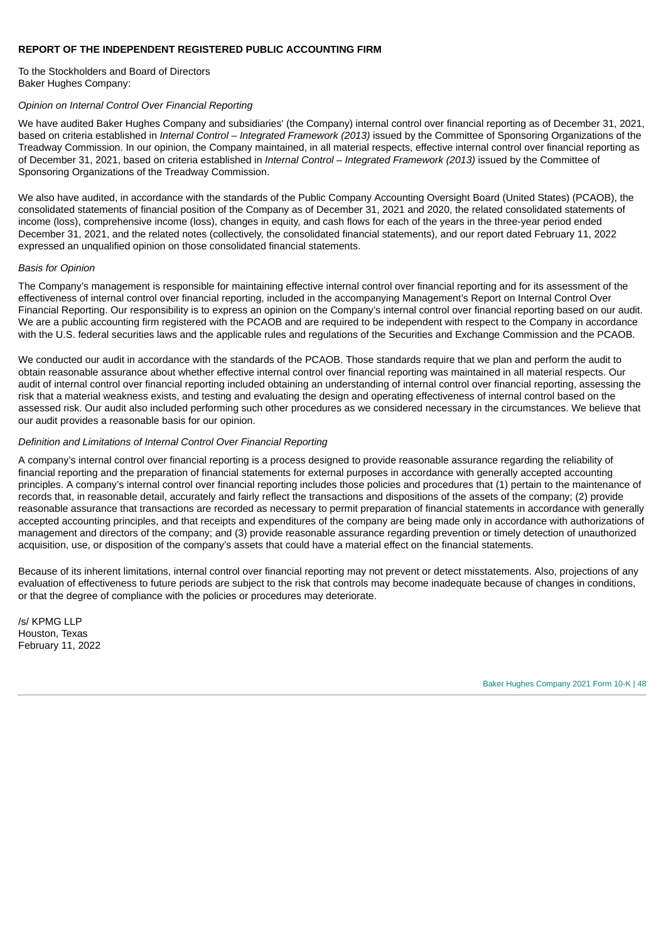## **REPORT OF THE INDEPENDENT REGISTERED PUBLIC ACCOUNTING FIRM**

To the Stockholders and Board of Directors Baker Hughes Company:

# *Opinion on Internal Control Over Financial Reporting*

We have audited Baker Hughes Company and subsidiaries' (the Company) internal control over financial reporting as of December 31, 2021, based on criteria established in *Internal Control – Integrated Framework (2013)* issued by the Committee of Sponsoring Organizations of the Treadway Commission. In our opinion, the Company maintained, in all material respects, effective internal control over financial reporting as of December 31, 2021, based on criteria established in *Internal Control – Integrated Framework (2013)* issued by the Committee of Sponsoring Organizations of the Treadway Commission.

We also have audited, in accordance with the standards of the Public Company Accounting Oversight Board (United States) (PCAOB), the consolidated statements of financial position of the Company as of December 31, 2021 and 2020, the related consolidated statements of income (loss), comprehensive income (loss), changes in equity, and cash flows for each of the years in the three-year period ended December 31, 2021, and the related notes (collectively, the consolidated financial statements), and our report dated February 11, 2022 expressed an unqualified opinion on those consolidated financial statements.

### *Basis for Opinion*

The Company's management is responsible for maintaining effective internal control over financial reporting and for its assessment of the effectiveness of internal control over financial reporting, included in the accompanying Management's Report on Internal Control Over Financial Reporting. Our responsibility is to express an opinion on the Company's internal control over financial reporting based on our audit. We are a public accounting firm registered with the PCAOB and are required to be independent with respect to the Company in accordance with the U.S. federal securities laws and the applicable rules and regulations of the Securities and Exchange Commission and the PCAOB.

We conducted our audit in accordance with the standards of the PCAOB. Those standards require that we plan and perform the audit to obtain reasonable assurance about whether effective internal control over financial reporting was maintained in all material respects. Our audit of internal control over financial reporting included obtaining an understanding of internal control over financial reporting, assessing the risk that a material weakness exists, and testing and evaluating the design and operating effectiveness of internal control based on the assessed risk. Our audit also included performing such other procedures as we considered necessary in the circumstances. We believe that our audit provides a reasonable basis for our opinion.

### *Definition and Limitations of Internal Control Over Financial Reporting*

A company's internal control over financial reporting is a process designed to provide reasonable assurance regarding the reliability of financial reporting and the preparation of financial statements for external purposes in accordance with generally accepted accounting principles. A company's internal control over financial reporting includes those policies and procedures that (1) pertain to the maintenance of records that, in reasonable detail, accurately and fairly reflect the transactions and dispositions of the assets of the company; (2) provide reasonable assurance that transactions are recorded as necessary to permit preparation of financial statements in accordance with generally accepted accounting principles, and that receipts and expenditures of the company are being made only in accordance with authorizations of management and directors of the company; and (3) provide reasonable assurance regarding prevention or timely detection of unauthorized acquisition, use, or disposition of the company's assets that could have a material effect on the financial statements.

Because of its inherent limitations, internal control over financial reporting may not prevent or detect misstatements. Also, projections of any evaluation of effectiveness to future periods are subject to the risk that controls may become inadequate because of changes in conditions, or that the degree of compliance with the policies or procedures may deteriorate.

/s/ KPMG LLP Houston, Texas February 11, 2022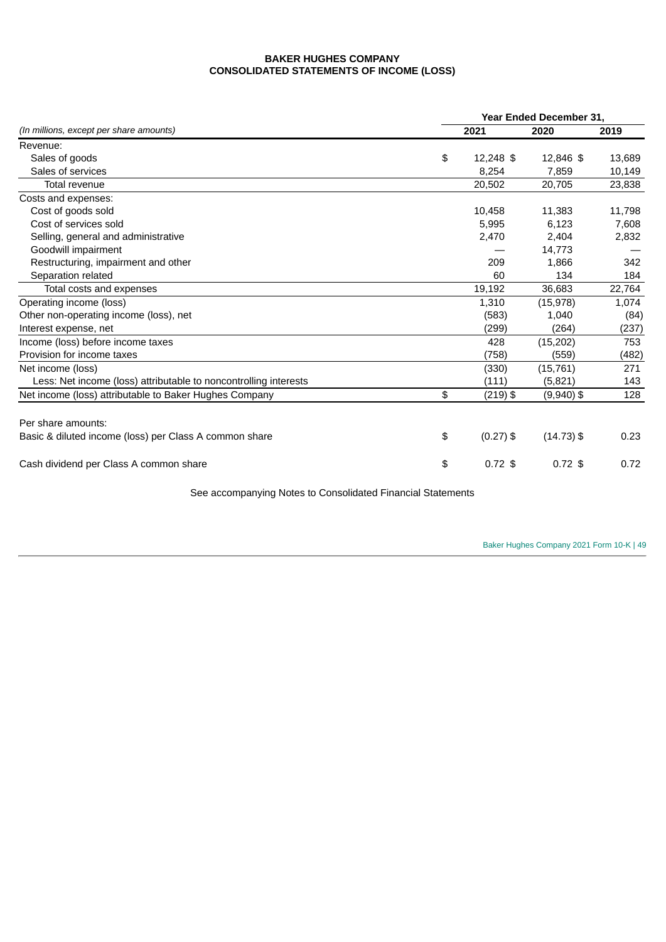# **BAKER HUGHES COMPANY CONSOLIDATED STATEMENTS OF INCOME (LOSS)**

|                                                                  |    | <b>Year Ended December 31.</b> |              |        |  |  |  |  |
|------------------------------------------------------------------|----|--------------------------------|--------------|--------|--|--|--|--|
| (In millions, except per share amounts)                          |    | 2021                           | 2020         | 2019   |  |  |  |  |
| Revenue:                                                         |    |                                |              |        |  |  |  |  |
| Sales of goods                                                   | \$ | 12,248 \$                      | 12,846 \$    | 13,689 |  |  |  |  |
| Sales of services                                                |    | 8,254                          | 7,859        | 10,149 |  |  |  |  |
| Total revenue                                                    |    | 20,502                         | 20,705       | 23,838 |  |  |  |  |
| Costs and expenses:                                              |    |                                |              |        |  |  |  |  |
| Cost of goods sold                                               |    | 10,458                         | 11,383       | 11,798 |  |  |  |  |
| Cost of services sold                                            |    | 5,995                          | 6,123        | 7,608  |  |  |  |  |
| Selling, general and administrative                              |    | 2,470                          | 2,404        | 2,832  |  |  |  |  |
| Goodwill impairment                                              |    |                                | 14,773       |        |  |  |  |  |
| Restructuring, impairment and other                              |    | 209                            | 1.866        | 342    |  |  |  |  |
| Separation related                                               |    | 60                             | 134          | 184    |  |  |  |  |
| Total costs and expenses                                         |    | 19,192                         | 36,683       | 22,764 |  |  |  |  |
| Operating income (loss)                                          |    | 1,310                          | (15, 978)    | 1,074  |  |  |  |  |
| Other non-operating income (loss), net                           |    | (583)                          | 1.040        | (84)   |  |  |  |  |
| Interest expense, net                                            |    | (299)                          | (264)        | (237)  |  |  |  |  |
| Income (loss) before income taxes                                |    | 428                            | (15, 202)    | 753    |  |  |  |  |
| Provision for income taxes                                       |    | (758)                          | (559)        | (482)  |  |  |  |  |
| Net income (loss)                                                |    | (330)                          | (15, 761)    | 271    |  |  |  |  |
| Less: Net income (loss) attributable to noncontrolling interests |    | (111)                          | (5,821)      | 143    |  |  |  |  |
| Net income (loss) attributable to Baker Hughes Company           | \$ | $(219)$ \$                     | $(9,940)$ \$ | 128    |  |  |  |  |
|                                                                  |    |                                |              |        |  |  |  |  |
| Per share amounts:                                               |    |                                |              |        |  |  |  |  |
| Basic & diluted income (loss) per Class A common share           | \$ | $(0.27)$ \$                    | $(14.73)$ \$ | 0.23   |  |  |  |  |
| Cash dividend per Class A common share                           | \$ | $0.72$ \$                      | $0.72$ \$    | 0.72   |  |  |  |  |

See accompanying Notes to Consolidated Financial Statements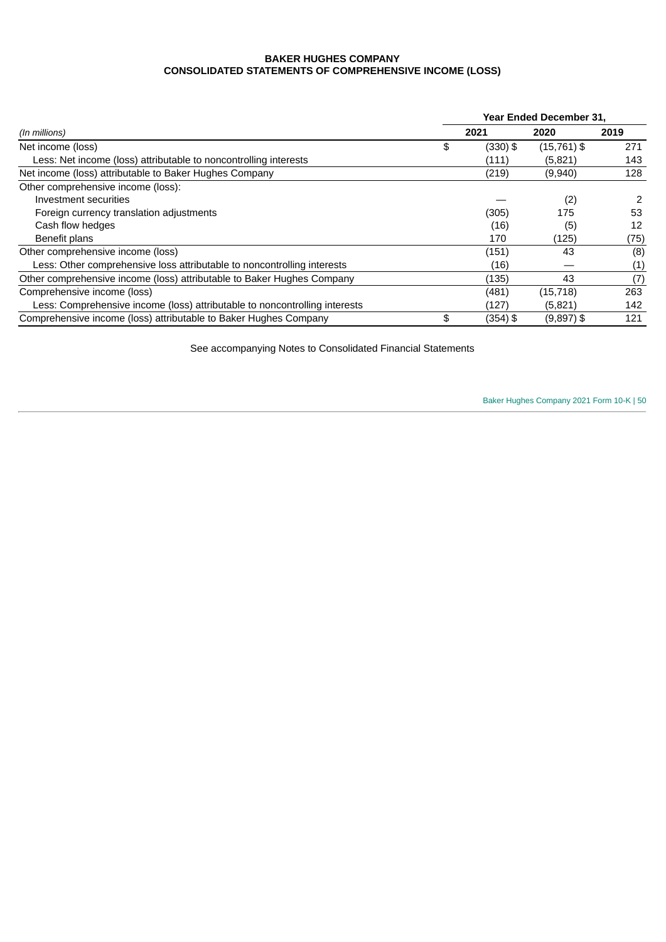# **BAKER HUGHES COMPANY CONSOLIDATED STATEMENTS OF COMPREHENSIVE INCOME (LOSS)**

|                                                                            |    | <b>Year Ended December 31.</b> |               |      |  |  |  |
|----------------------------------------------------------------------------|----|--------------------------------|---------------|------|--|--|--|
| (In millions)                                                              |    | 2021                           | 2020          | 2019 |  |  |  |
| Net income (loss)                                                          | \$ | (330) \$                       | $(15,761)$ \$ | 271  |  |  |  |
| Less: Net income (loss) attributable to noncontrolling interests           |    | (111)                          | (5,821)       | 143  |  |  |  |
| Net income (loss) attributable to Baker Hughes Company                     |    | (219)                          | (9,940)       | 128  |  |  |  |
| Other comprehensive income (loss):                                         |    |                                |               |      |  |  |  |
| Investment securities                                                      |    |                                | (2)           | 2    |  |  |  |
| Foreign currency translation adjustments                                   |    | (305)                          | 175           | 53   |  |  |  |
| Cash flow hedges                                                           |    | (16)                           | (5)           | 12   |  |  |  |
| Benefit plans                                                              |    | 170                            | (125)         | (75) |  |  |  |
| Other comprehensive income (loss)                                          |    | (151)                          | 43            | (8)  |  |  |  |
| Less: Other comprehensive loss attributable to noncontrolling interests    |    | (16)                           |               | (1)  |  |  |  |
| Other comprehensive income (loss) attributable to Baker Hughes Company     |    | (135)                          | 43            | (7)  |  |  |  |
| Comprehensive income (loss)                                                |    | (481)                          | (15, 718)     | 263  |  |  |  |
| Less: Comprehensive income (loss) attributable to noncontrolling interests |    | (127)                          | (5,821)       | 142  |  |  |  |
| Comprehensive income (loss) attributable to Baker Hughes Company           | \$ | (354) \$                       | $(9,897)$ \$  | 121  |  |  |  |

See accompanying Notes to Consolidated Financial Statements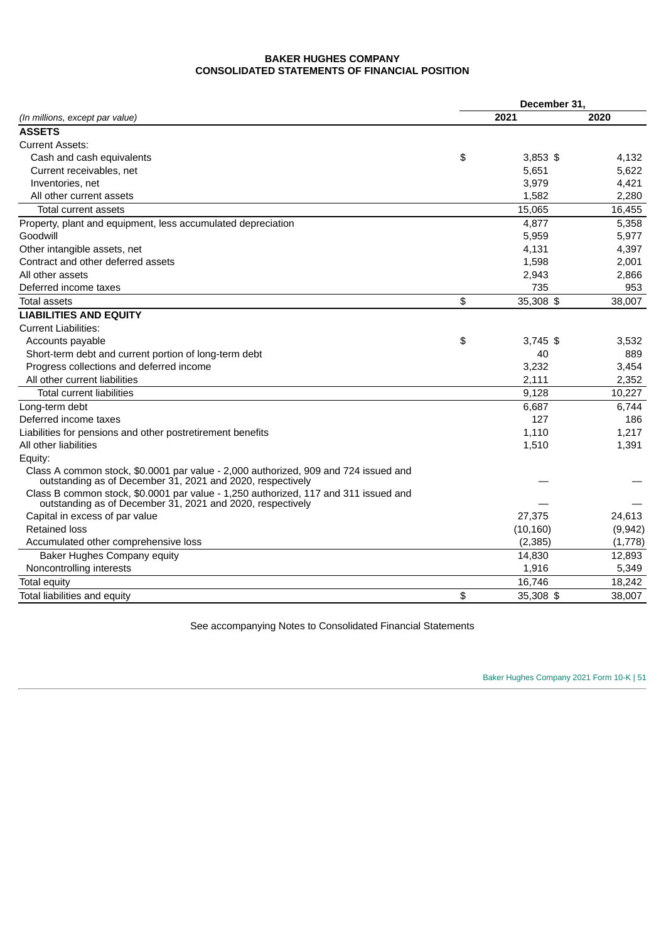# **BAKER HUGHES COMPANY CONSOLIDATED STATEMENTS OF FINANCIAL POSITION**

|                                                                                                                                                   | December 31, |            |          |  |  |  |
|---------------------------------------------------------------------------------------------------------------------------------------------------|--------------|------------|----------|--|--|--|
| (In millions, except par value)                                                                                                                   |              | 2021       | 2020     |  |  |  |
| <b>ASSETS</b>                                                                                                                                     |              |            |          |  |  |  |
| <b>Current Assets:</b>                                                                                                                            |              |            |          |  |  |  |
| Cash and cash equivalents                                                                                                                         | \$           | $3.853$ \$ | 4,132    |  |  |  |
| Current receivables, net                                                                                                                          |              | 5.651      | 5.622    |  |  |  |
| Inventories, net                                                                                                                                  |              | 3,979      | 4,421    |  |  |  |
| All other current assets                                                                                                                          |              | 1,582      | 2.280    |  |  |  |
| Total current assets                                                                                                                              |              | 15,065     | 16,455   |  |  |  |
| Property, plant and equipment, less accumulated depreciation                                                                                      |              | 4,877      | 5,358    |  |  |  |
| Goodwill                                                                                                                                          |              | 5,959      | 5,977    |  |  |  |
| Other intangible assets, net                                                                                                                      |              | 4,131      | 4,397    |  |  |  |
| Contract and other deferred assets                                                                                                                |              | 1,598      | 2,001    |  |  |  |
| All other assets                                                                                                                                  |              | 2,943      | 2,866    |  |  |  |
| Deferred income taxes                                                                                                                             |              | 735        | 953      |  |  |  |
| Total assets                                                                                                                                      | \$           | 35,308 \$  | 38,007   |  |  |  |
| <b>LIABILITIES AND EQUITY</b>                                                                                                                     |              |            |          |  |  |  |
| <b>Current Liabilities:</b>                                                                                                                       |              |            |          |  |  |  |
| Accounts payable                                                                                                                                  | \$           | $3,745$ \$ | 3,532    |  |  |  |
| Short-term debt and current portion of long-term debt                                                                                             |              | 40         | 889      |  |  |  |
| Progress collections and deferred income                                                                                                          |              | 3,232      | 3,454    |  |  |  |
| All other current liabilities                                                                                                                     |              | 2,111      | 2,352    |  |  |  |
| <b>Total current liabilities</b>                                                                                                                  |              | 9,128      | 10,227   |  |  |  |
| Long-term debt                                                                                                                                    |              | 6,687      | 6,744    |  |  |  |
| Deferred income taxes                                                                                                                             |              | 127        | 186      |  |  |  |
| Liabilities for pensions and other postretirement benefits                                                                                        |              | 1,110      | 1,217    |  |  |  |
| All other liabilities                                                                                                                             |              | 1,510      | 1,391    |  |  |  |
| Equity:                                                                                                                                           |              |            |          |  |  |  |
| Class A common stock, \$0.0001 par value - 2,000 authorized, 909 and 724 issued and<br>outstanding as of December 31, 2021 and 2020, respectively |              |            |          |  |  |  |
| Class B common stock, \$0.0001 par value - 1,250 authorized, 117 and 311 issued and<br>outstanding as of December 31, 2021 and 2020, respectively |              |            |          |  |  |  |
| Capital in excess of par value                                                                                                                    |              | 27,375     | 24,613   |  |  |  |
| <b>Retained loss</b>                                                                                                                              |              | (10, 160)  | (9, 942) |  |  |  |
| Accumulated other comprehensive loss                                                                                                              |              | (2, 385)   | (1,778)  |  |  |  |
| <b>Baker Hughes Company equity</b>                                                                                                                |              | 14,830     | 12,893   |  |  |  |
| Noncontrolling interests                                                                                                                          |              | 1,916      | 5,349    |  |  |  |
| Total equity                                                                                                                                      |              | 16,746     | 18,242   |  |  |  |
| Total liabilities and equity                                                                                                                      | \$           | 35,308 \$  | 38,007   |  |  |  |

See accompanying Notes to Consolidated Financial Statements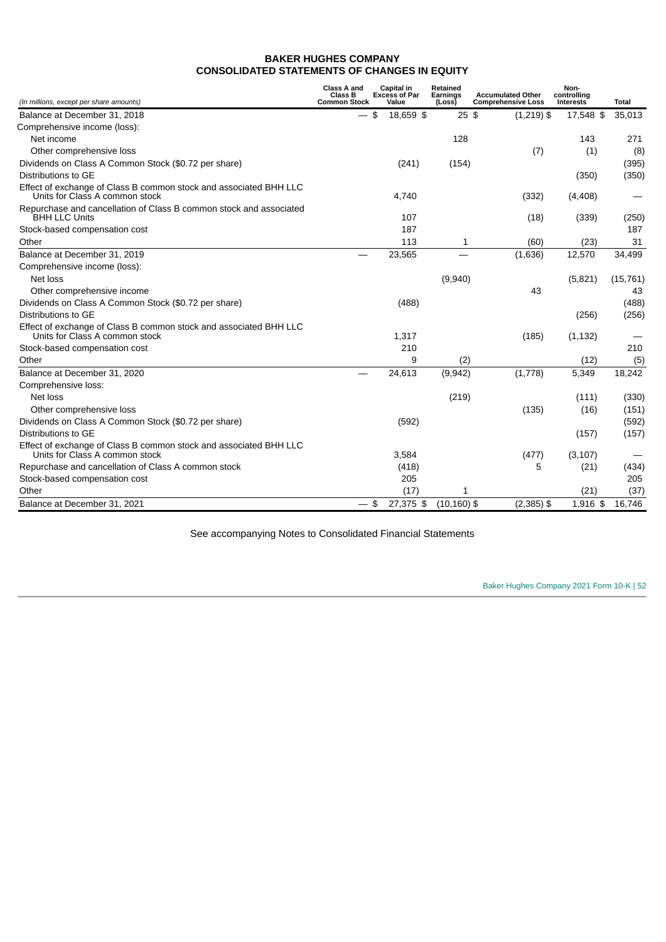# **BAKER HUGHES COMPANY CONSOLIDATED STATEMENTS OF CHANGES IN EQUITY**

| (In millions, except per share amounts)                                                             | Class A and<br><b>Class B</b><br><b>Common Stock</b> | Capital in<br><b>Excess of Par</b><br>Value | Retained<br><b>Earnings</b><br>(Loss) | <b>Accumulated Other</b><br><b>Comprehensive Loss</b> | Non-<br>controlling<br><b>Interests</b> | Total     |
|-----------------------------------------------------------------------------------------------------|------------------------------------------------------|---------------------------------------------|---------------------------------------|-------------------------------------------------------|-----------------------------------------|-----------|
| Balance at December 31, 2018                                                                        |                                                      | \$<br>18,659 \$                             | $25$ \$                               | $(1,219)$ \$                                          | 17,548 \$                               | 35,013    |
| Comprehensive income (loss):                                                                        |                                                      |                                             |                                       |                                                       |                                         |           |
| Net income                                                                                          |                                                      |                                             | 128                                   |                                                       | 143                                     | 271       |
| Other comprehensive loss                                                                            |                                                      |                                             |                                       | (7)                                                   | (1)                                     | (8)       |
| Dividends on Class A Common Stock (\$0.72 per share)                                                |                                                      | (241)                                       | (154)                                 |                                                       |                                         | (395)     |
| Distributions to GE                                                                                 |                                                      |                                             |                                       |                                                       | (350)                                   | (350)     |
| Effect of exchange of Class B common stock and associated BHH LLC<br>Units for Class A common stock |                                                      | 4,740                                       |                                       | (332)                                                 | (4, 408)                                |           |
| Repurchase and cancellation of Class B common stock and associated<br><b>BHH LLC Units</b>          |                                                      | 107                                         |                                       | (18)                                                  | (339)                                   | (250)     |
| Stock-based compensation cost                                                                       |                                                      | 187                                         |                                       |                                                       |                                         | 187       |
| Other                                                                                               |                                                      | 113                                         | 1                                     | (60)                                                  | (23)                                    | 31        |
| Balance at December 31, 2019                                                                        |                                                      | 23,565                                      |                                       | (1,636)                                               | 12,570                                  | 34,499    |
| Comprehensive income (loss):                                                                        |                                                      |                                             |                                       |                                                       |                                         |           |
| Net loss                                                                                            |                                                      |                                             | (9,940)                               |                                                       | (5,821)                                 | (15, 761) |
| Other comprehensive income                                                                          |                                                      |                                             |                                       | 43                                                    |                                         | 43        |
| Dividends on Class A Common Stock (\$0.72 per share)                                                |                                                      | (488)                                       |                                       |                                                       |                                         | (488)     |
| Distributions to GE                                                                                 |                                                      |                                             |                                       |                                                       | (256)                                   | (256)     |
| Effect of exchange of Class B common stock and associated BHH LLC<br>Units for Class A common stock |                                                      | 1,317                                       |                                       | (185)                                                 | (1, 132)                                |           |
| Stock-based compensation cost                                                                       |                                                      | 210                                         |                                       |                                                       |                                         | 210       |
| Other                                                                                               |                                                      | 9                                           | (2)                                   |                                                       | (12)                                    | (5)       |
| Balance at December 31, 2020                                                                        |                                                      | 24,613                                      | (9,942)                               | (1,778)                                               | 5,349                                   | 18,242    |
| Comprehensive loss:                                                                                 |                                                      |                                             |                                       |                                                       |                                         |           |
| Net loss                                                                                            |                                                      |                                             | (219)                                 |                                                       | (111)                                   | (330)     |
| Other comprehensive loss                                                                            |                                                      |                                             |                                       | (135)                                                 | (16)                                    | (151)     |
| Dividends on Class A Common Stock (\$0.72 per share)                                                |                                                      | (592)                                       |                                       |                                                       |                                         | (592)     |
| Distributions to GE                                                                                 |                                                      |                                             |                                       |                                                       | (157)                                   | (157)     |
| Effect of exchange of Class B common stock and associated BHH LLC<br>Units for Class A common stock |                                                      | 3,584                                       |                                       | (477)                                                 | (3, 107)                                |           |
| Repurchase and cancellation of Class A common stock                                                 |                                                      | (418)                                       |                                       | 5                                                     | (21)                                    | (434)     |
| Stock-based compensation cost                                                                       |                                                      | 205                                         |                                       |                                                       |                                         | 205       |
| Other                                                                                               |                                                      | (17)                                        | 1                                     |                                                       | (21)                                    | (37)      |
| Balance at December 31, 2021                                                                        | $-$ \$                                               | 27,375 \$                                   | $(10, 160)$ \$                        | $(2,385)$ \$                                          | 1,916 \$                                | 16,746    |

See accompanying Notes to Consolidated Financial Statements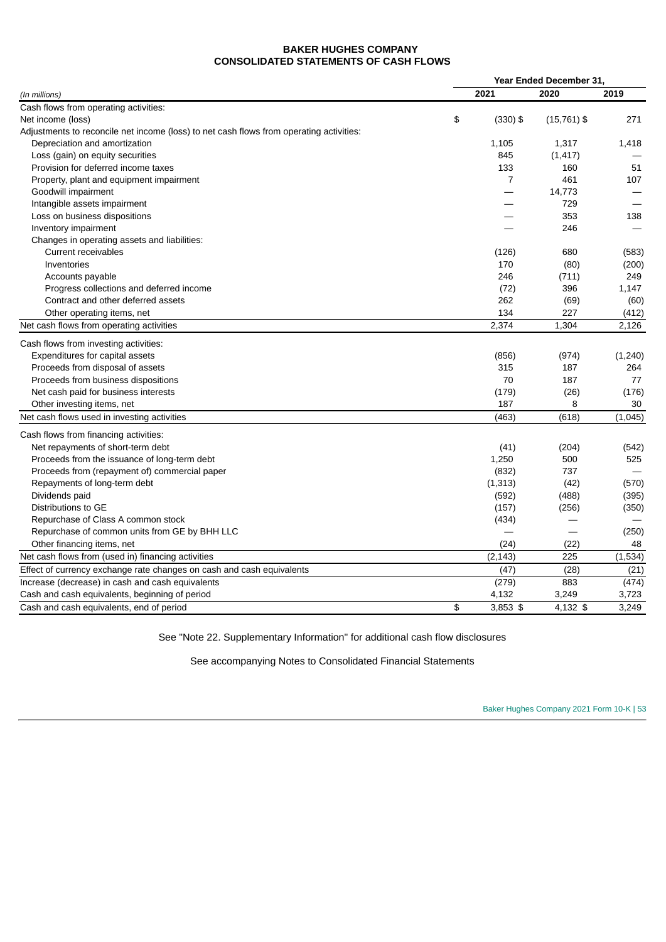# **BAKER HUGHES COMPANY CONSOLIDATED STATEMENTS OF CASH FLOWS**

|                                                                                         | Year Ended December 31, |               |         |
|-----------------------------------------------------------------------------------------|-------------------------|---------------|---------|
| (In millions)                                                                           | 2021                    | 2020          | 2019    |
| Cash flows from operating activities:                                                   |                         |               |         |
| Net income (loss)                                                                       | \$<br>$(330)$ \$        | $(15,761)$ \$ | 271     |
| Adjustments to reconcile net income (loss) to net cash flows from operating activities: |                         |               |         |
| Depreciation and amortization                                                           | 1,105                   | 1,317         | 1,418   |
| Loss (gain) on equity securities                                                        | 845                     | (1, 417)      |         |
| Provision for deferred income taxes                                                     | 133                     | 160           | 51      |
| Property, plant and equipment impairment                                                | $\overline{7}$          | 461           | 107     |
| Goodwill impairment                                                                     |                         | 14,773        |         |
| Intangible assets impairment                                                            |                         | 729           |         |
| Loss on business dispositions                                                           |                         | 353           | 138     |
| Inventory impairment                                                                    |                         | 246           |         |
| Changes in operating assets and liabilities:                                            |                         |               |         |
| <b>Current receivables</b>                                                              | (126)                   | 680           | (583)   |
| Inventories                                                                             | 170                     | (80)          | (200)   |
| Accounts payable                                                                        | 246                     | (711)         | 249     |
| Progress collections and deferred income                                                | (72)                    | 396           | 1,147   |
| Contract and other deferred assets                                                      | 262                     | (69)          | (60)    |
| Other operating items, net                                                              | 134                     | 227           | (412)   |
| Net cash flows from operating activities                                                | 2,374                   | 1,304         | 2,126   |
| Cash flows from investing activities:                                                   |                         |               |         |
| Expenditures for capital assets                                                         | (856)                   | (974)         | (1,240) |
| Proceeds from disposal of assets                                                        | 315                     | 187           | 264     |
| Proceeds from business dispositions                                                     | 70                      | 187           | 77      |
| Net cash paid for business interests                                                    | (179)                   | (26)          | (176)   |
| Other investing items, net                                                              | 187                     | 8             | 30      |
| Net cash flows used in investing activities                                             | (463)                   | (618)         | (1,045) |
| Cash flows from financing activities:                                                   |                         |               |         |
| Net repayments of short-term debt                                                       | (41)                    | (204)         | (542)   |
| Proceeds from the issuance of long-term debt                                            | 1,250                   | 500           | 525     |
| Proceeds from (repayment of) commercial paper                                           | (832)                   | 737           |         |
| Repayments of long-term debt                                                            | (1, 313)                | (42)          | (570)   |
| Dividends paid                                                                          | (592)                   | (488)         | (395)   |
| Distributions to GE                                                                     | (157)                   | (256)         | (350)   |
| Repurchase of Class A common stock                                                      | (434)                   |               |         |
| Repurchase of common units from GE by BHH LLC                                           |                         |               | (250)   |
| Other financing items, net                                                              | (24)                    | (22)          | 48      |
| Net cash flows from (used in) financing activities                                      | (2, 143)                | 225           | (1,534) |
| Effect of currency exchange rate changes on cash and cash equivalents                   | (47)                    | (28)          | (21)    |
| Increase (decrease) in cash and cash equivalents                                        | (279)                   | 883           | (474)   |
| Cash and cash equivalents, beginning of period                                          | 4,132                   | 3,249         | 3,723   |
| Cash and cash equivalents, end of period                                                | \$<br>$3,853$ \$        | 4,132 \$      | 3,249   |

See "Note 22. Supplementary Information" for additional cash flow disclosures

See accompanying Notes to Consolidated Financial Statements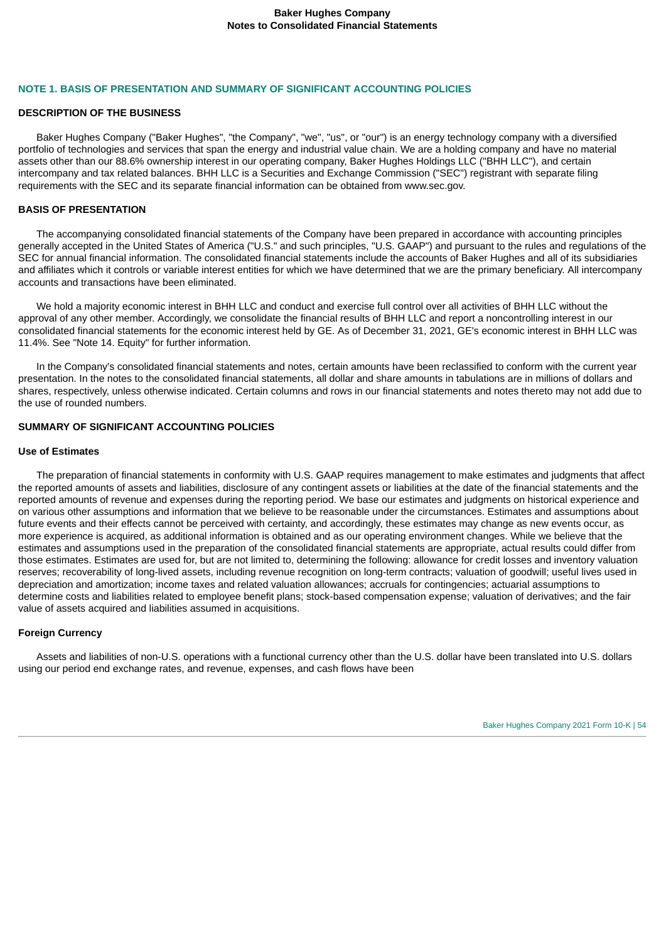### **NOTE 1. BASIS OF PRESENTATION AND SUMMARY OF SIGNIFICANT ACCOUNTING POLICIES**

#### **DESCRIPTION OF THE BUSINESS**

Baker Hughes Company ("Baker Hughes", "the Company", "we", "us", or "our") is an energy technology company with a diversified portfolio of technologies and services that span the energy and industrial value chain. We are a holding company and have no material assets other than our 88.6% ownership interest in our operating company, Baker Hughes Holdings LLC ("BHH LLC"), and certain intercompany and tax related balances. BHH LLC is a Securities and Exchange Commission ("SEC") registrant with separate filing requirements with the SEC and its separate financial information can be obtained from www.sec.gov.

### **BASIS OF PRESENTATION**

The accompanying consolidated financial statements of the Company have been prepared in accordance with accounting principles generally accepted in the United States of America ("U.S." and such principles, "U.S. GAAP") and pursuant to the rules and regulations of the SEC for annual financial information. The consolidated financial statements include the accounts of Baker Hughes and all of its subsidiaries and affiliates which it controls or variable interest entities for which we have determined that we are the primary beneficiary. All intercompany accounts and transactions have been eliminated.

We hold a majority economic interest in BHH LLC and conduct and exercise full control over all activities of BHH LLC without the approval of any other member. Accordingly, we consolidate the financial results of BHH LLC and report a noncontrolling interest in our consolidated financial statements for the economic interest held by GE. As of December 31, 2021, GE's economic interest in BHH LLC was 11.4%. See "Note 14. Equity" for further information.

In the Company's consolidated financial statements and notes, certain amounts have been reclassified to conform with the current year presentation. In the notes to the consolidated financial statements, all dollar and share amounts in tabulations are in millions of dollars and shares, respectively, unless otherwise indicated. Certain columns and rows in our financial statements and notes thereto may not add due to the use of rounded numbers.

# **SUMMARY OF SIGNIFICANT ACCOUNTING POLICIES**

### **Use of Estimates**

The preparation of financial statements in conformity with U.S. GAAP requires management to make estimates and judgments that affect the reported amounts of assets and liabilities, disclosure of any contingent assets or liabilities at the date of the financial statements and the reported amounts of revenue and expenses during the reporting period. We base our estimates and judgments on historical experience and on various other assumptions and information that we believe to be reasonable under the circumstances. Estimates and assumptions about future events and their effects cannot be perceived with certainty, and accordingly, these estimates may change as new events occur, as more experience is acquired, as additional information is obtained and as our operating environment changes. While we believe that the estimates and assumptions used in the preparation of the consolidated financial statements are appropriate, actual results could differ from those estimates. Estimates are used for, but are not limited to, determining the following: allowance for credit losses and inventory valuation reserves; recoverability of long-lived assets, including revenue recognition on long-term contracts; valuation of goodwill; useful lives used in depreciation and amortization; income taxes and related valuation allowances; accruals for contingencies; actuarial assumptions to determine costs and liabilities related to employee benefit plans; stock-based compensation expense; valuation of derivatives; and the fair value of assets acquired and liabilities assumed in acquisitions.

### **Foreign Currency**

Assets and liabilities of non-U.S. operations with a functional currency other than the U.S. dollar have been translated into U.S. dollars using our period end exchange rates, and revenue, expenses, and cash flows have been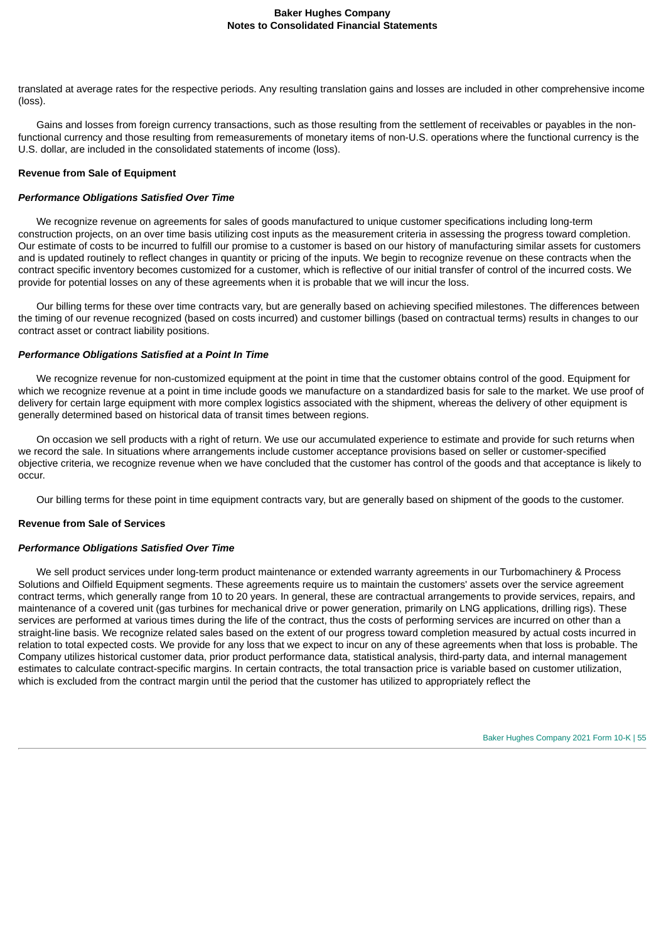translated at average rates for the respective periods. Any resulting translation gains and losses are included in other comprehensive income (loss).

Gains and losses from foreign currency transactions, such as those resulting from the settlement of receivables or payables in the nonfunctional currency and those resulting from remeasurements of monetary items of non-U.S. operations where the functional currency is the U.S. dollar, are included in the consolidated statements of income (loss).

### **Revenue from Sale of Equipment**

### *Performance Obligations Satisfied Over Time*

We recognize revenue on agreements for sales of goods manufactured to unique customer specifications including long-term construction projects, on an over time basis utilizing cost inputs as the measurement criteria in assessing the progress toward completion. Our estimate of costs to be incurred to fulfill our promise to a customer is based on our history of manufacturing similar assets for customers and is updated routinely to reflect changes in quantity or pricing of the inputs. We begin to recognize revenue on these contracts when the contract specific inventory becomes customized for a customer, which is reflective of our initial transfer of control of the incurred costs. We provide for potential losses on any of these agreements when it is probable that we will incur the loss.

Our billing terms for these over time contracts vary, but are generally based on achieving specified milestones. The differences between the timing of our revenue recognized (based on costs incurred) and customer billings (based on contractual terms) results in changes to our contract asset or contract liability positions.

### *Performance Obligations Satisfied at a Point In Time*

We recognize revenue for non-customized equipment at the point in time that the customer obtains control of the good. Equipment for which we recognize revenue at a point in time include goods we manufacture on a standardized basis for sale to the market. We use proof of delivery for certain large equipment with more complex logistics associated with the shipment, whereas the delivery of other equipment is generally determined based on historical data of transit times between regions.

On occasion we sell products with a right of return. We use our accumulated experience to estimate and provide for such returns when we record the sale. In situations where arrangements include customer acceptance provisions based on seller or customer-specified objective criteria, we recognize revenue when we have concluded that the customer has control of the goods and that acceptance is likely to occur.

Our billing terms for these point in time equipment contracts vary, but are generally based on shipment of the goods to the customer.

#### **Revenue from Sale of Services**

#### *Performance Obligations Satisfied Over Time*

We sell product services under long-term product maintenance or extended warranty agreements in our Turbomachinery & Process Solutions and Oilfield Equipment segments. These agreements require us to maintain the customers' assets over the service agreement contract terms, which generally range from 10 to 20 years. In general, these are contractual arrangements to provide services, repairs, and maintenance of a covered unit (gas turbines for mechanical drive or power generation, primarily on LNG applications, drilling rigs). These services are performed at various times during the life of the contract, thus the costs of performing services are incurred on other than a straight-line basis. We recognize related sales based on the extent of our progress toward completion measured by actual costs incurred in relation to total expected costs. We provide for any loss that we expect to incur on any of these agreements when that loss is probable. The Company utilizes historical customer data, prior product performance data, statistical analysis, third-party data, and internal management estimates to calculate contract-specific margins. In certain contracts, the total transaction price is variable based on customer utilization, which is excluded from the contract margin until the period that the customer has utilized to appropriately reflect the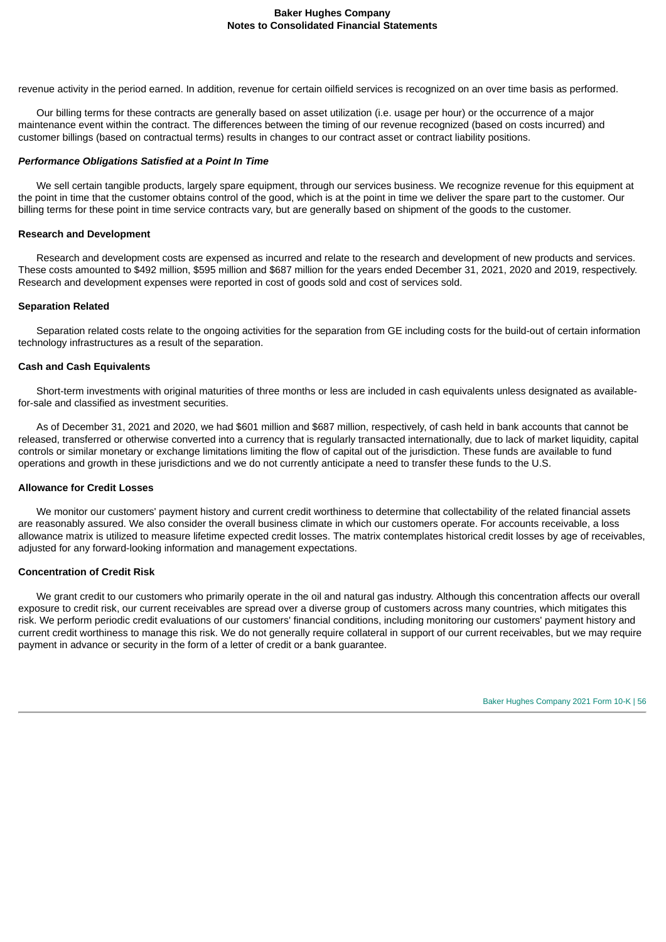revenue activity in the period earned. In addition, revenue for certain oilfield services is recognized on an over time basis as performed.

Our billing terms for these contracts are generally based on asset utilization (i.e. usage per hour) or the occurrence of a major maintenance event within the contract. The differences between the timing of our revenue recognized (based on costs incurred) and customer billings (based on contractual terms) results in changes to our contract asset or contract liability positions.

### *Performance Obligations Satisfied at a Point In Time*

We sell certain tangible products, largely spare equipment, through our services business. We recognize revenue for this equipment at the point in time that the customer obtains control of the good, which is at the point in time we deliver the spare part to the customer. Our billing terms for these point in time service contracts vary, but are generally based on shipment of the goods to the customer.

### **Research and Development**

Research and development costs are expensed as incurred and relate to the research and development of new products and services. These costs amounted to \$492 million, \$595 million and \$687 million for the years ended December 31, 2021, 2020 and 2019, respectively. Research and development expenses were reported in cost of goods sold and cost of services sold.

### **Separation Related**

Separation related costs relate to the ongoing activities for the separation from GE including costs for the build-out of certain information technology infrastructures as a result of the separation.

### **Cash and Cash Equivalents**

Short-term investments with original maturities of three months or less are included in cash equivalents unless designated as availablefor-sale and classified as investment securities.

As of December 31, 2021 and 2020, we had \$601 million and \$687 million, respectively, of cash held in bank accounts that cannot be released, transferred or otherwise converted into a currency that is regularly transacted internationally, due to lack of market liquidity, capital controls or similar monetary or exchange limitations limiting the flow of capital out of the jurisdiction. These funds are available to fund operations and growth in these jurisdictions and we do not currently anticipate a need to transfer these funds to the U.S.

#### **Allowance for Credit Losses**

We monitor our customers' payment history and current credit worthiness to determine that collectability of the related financial assets are reasonably assured. We also consider the overall business climate in which our customers operate. For accounts receivable, a loss allowance matrix is utilized to measure lifetime expected credit losses. The matrix contemplates historical credit losses by age of receivables, adjusted for any forward-looking information and management expectations.

#### **Concentration of Credit Risk**

We grant credit to our customers who primarily operate in the oil and natural gas industry. Although this concentration affects our overall exposure to credit risk, our current receivables are spread over a diverse group of customers across many countries, which mitigates this risk. We perform periodic credit evaluations of our customers' financial conditions, including monitoring our customers' payment history and current credit worthiness to manage this risk. We do not generally require collateral in support of our current receivables, but we may require payment in advance or security in the form of a letter of credit or a bank guarantee.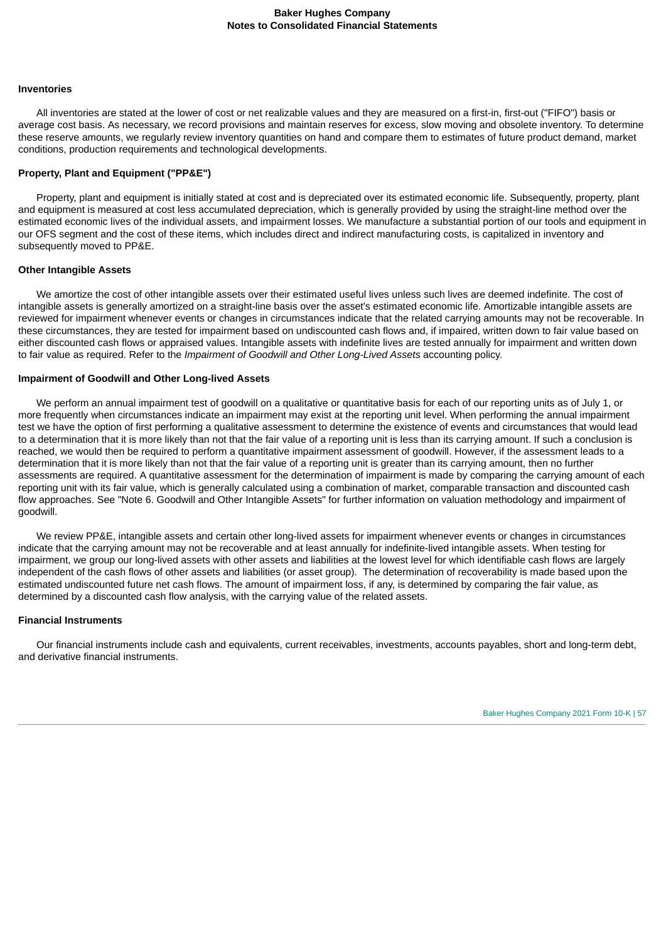#### **Inventories**

All inventories are stated at the lower of cost or net realizable values and they are measured on a first-in, first-out ("FIFO") basis or average cost basis. As necessary, we record provisions and maintain reserves for excess, slow moving and obsolete inventory. To determine these reserve amounts, we regularly review inventory quantities on hand and compare them to estimates of future product demand, market conditions, production requirements and technological developments.

### **Property, Plant and Equipment ("PP&E")**

Property, plant and equipment is initially stated at cost and is depreciated over its estimated economic life. Subsequently, property, plant and equipment is measured at cost less accumulated depreciation, which is generally provided by using the straight-line method over the estimated economic lives of the individual assets, and impairment losses. We manufacture a substantial portion of our tools and equipment in our OFS segment and the cost of these items, which includes direct and indirect manufacturing costs, is capitalized in inventory and subsequently moved to PP&E.

#### **Other Intangible Assets**

We amortize the cost of other intangible assets over their estimated useful lives unless such lives are deemed indefinite. The cost of intangible assets is generally amortized on a straight-line basis over the asset's estimated economic life. Amortizable intangible assets are reviewed for impairment whenever events or changes in circumstances indicate that the related carrying amounts may not be recoverable. In these circumstances, they are tested for impairment based on undiscounted cash flows and, if impaired, written down to fair value based on either discounted cash flows or appraised values. Intangible assets with indefinite lives are tested annually for impairment and written down to fair value as required. Refer to the *Impairment of Goodwill and Other Long-Lived Assets* accounting policy.

#### **Impairment of Goodwill and Other Long-lived Assets**

We perform an annual impairment test of goodwill on a qualitative or quantitative basis for each of our reporting units as of July 1, or more frequently when circumstances indicate an impairment may exist at the reporting unit level. When performing the annual impairment test we have the option of first performing a qualitative assessment to determine the existence of events and circumstances that would lead to a determination that it is more likely than not that the fair value of a reporting unit is less than its carrying amount. If such a conclusion is reached, we would then be required to perform a quantitative impairment assessment of goodwill. However, if the assessment leads to a determination that it is more likely than not that the fair value of a reporting unit is greater than its carrying amount, then no further assessments are required. A quantitative assessment for the determination of impairment is made by comparing the carrying amount of each reporting unit with its fair value, which is generally calculated using a combination of market, comparable transaction and discounted cash flow approaches. See "Note 6. Goodwill and Other Intangible Assets" for further information on valuation methodology and impairment of goodwill.

We review PP&E, intangible assets and certain other long-lived assets for impairment whenever events or changes in circumstances indicate that the carrying amount may not be recoverable and at least annually for indefinite-lived intangible assets. When testing for impairment, we group our long-lived assets with other assets and liabilities at the lowest level for which identifiable cash flows are largely independent of the cash flows of other assets and liabilities (or asset group). The determination of recoverability is made based upon the estimated undiscounted future net cash flows. The amount of impairment loss, if any, is determined by comparing the fair value, as determined by a discounted cash flow analysis, with the carrying value of the related assets.

### **Financial Instruments**

Our financial instruments include cash and equivalents, current receivables, investments, accounts payables, short and long-term debt, and derivative financial instruments.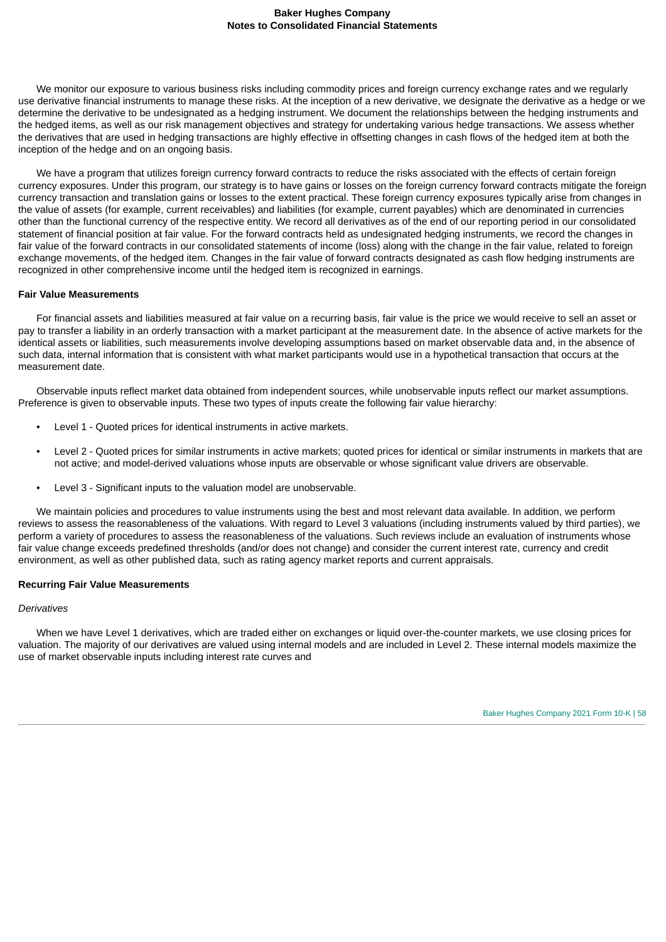We monitor our exposure to various business risks including commodity prices and foreign currency exchange rates and we regularly use derivative financial instruments to manage these risks. At the inception of a new derivative, we designate the derivative as a hedge or we determine the derivative to be undesignated as a hedging instrument. We document the relationships between the hedging instruments and the hedged items, as well as our risk management objectives and strategy for undertaking various hedge transactions. We assess whether the derivatives that are used in hedging transactions are highly effective in offsetting changes in cash flows of the hedged item at both the inception of the hedge and on an ongoing basis.

We have a program that utilizes foreign currency forward contracts to reduce the risks associated with the effects of certain foreign currency exposures. Under this program, our strategy is to have gains or losses on the foreign currency forward contracts mitigate the foreign currency transaction and translation gains or losses to the extent practical. These foreign currency exposures typically arise from changes in the value of assets (for example, current receivables) and liabilities (for example, current payables) which are denominated in currencies other than the functional currency of the respective entity. We record all derivatives as of the end of our reporting period in our consolidated statement of financial position at fair value. For the forward contracts held as undesignated hedging instruments, we record the changes in fair value of the forward contracts in our consolidated statements of income (loss) along with the change in the fair value, related to foreign exchange movements, of the hedged item. Changes in the fair value of forward contracts designated as cash flow hedging instruments are recognized in other comprehensive income until the hedged item is recognized in earnings.

### **Fair Value Measurements**

For financial assets and liabilities measured at fair value on a recurring basis, fair value is the price we would receive to sell an asset or pay to transfer a liability in an orderly transaction with a market participant at the measurement date. In the absence of active markets for the identical assets or liabilities, such measurements involve developing assumptions based on market observable data and, in the absence of such data, internal information that is consistent with what market participants would use in a hypothetical transaction that occurs at the measurement date.

Observable inputs reflect market data obtained from independent sources, while unobservable inputs reflect our market assumptions. Preference is given to observable inputs. These two types of inputs create the following fair value hierarchy:

- Level 1 Quoted prices for identical instruments in active markets.
- Level 2 Quoted prices for similar instruments in active markets; quoted prices for identical or similar instruments in markets that are not active; and model-derived valuations whose inputs are observable or whose significant value drivers are observable.
- Level 3 Significant inputs to the valuation model are unobservable.

We maintain policies and procedures to value instruments using the best and most relevant data available. In addition, we perform reviews to assess the reasonableness of the valuations. With regard to Level 3 valuations (including instruments valued by third parties), we perform a variety of procedures to assess the reasonableness of the valuations. Such reviews include an evaluation of instruments whose fair value change exceeds predefined thresholds (and/or does not change) and consider the current interest rate, currency and credit environment, as well as other published data, such as rating agency market reports and current appraisals.

### **Recurring Fair Value Measurements**

#### *Derivatives*

When we have Level 1 derivatives, which are traded either on exchanges or liquid over-the-counter markets, we use closing prices for valuation. The majority of our derivatives are valued using internal models and are included in Level 2. These internal models maximize the use of market observable inputs including interest rate curves and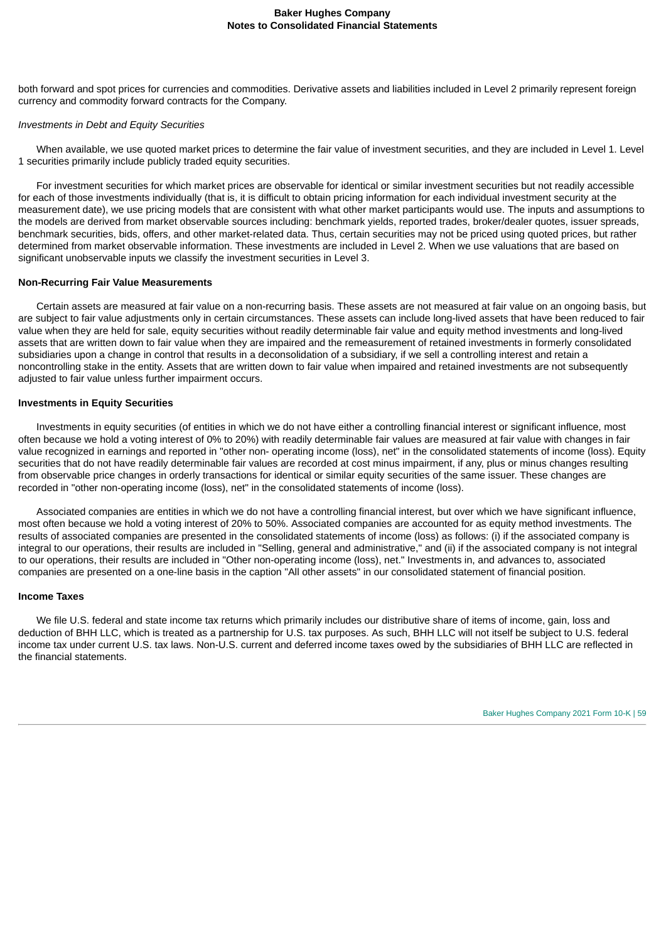both forward and spot prices for currencies and commodities. Derivative assets and liabilities included in Level 2 primarily represent foreign currency and commodity forward contracts for the Company.

### *Investments in Debt and Equity Securities*

When available, we use quoted market prices to determine the fair value of investment securities, and they are included in Level 1. Level 1 securities primarily include publicly traded equity securities.

For investment securities for which market prices are observable for identical or similar investment securities but not readily accessible for each of those investments individually (that is, it is difficult to obtain pricing information for each individual investment security at the measurement date), we use pricing models that are consistent with what other market participants would use. The inputs and assumptions to the models are derived from market observable sources including: benchmark yields, reported trades, broker/dealer quotes, issuer spreads, benchmark securities, bids, offers, and other market-related data. Thus, certain securities may not be priced using quoted prices, but rather determined from market observable information. These investments are included in Level 2. When we use valuations that are based on significant unobservable inputs we classify the investment securities in Level 3.

### **Non-Recurring Fair Value Measurements**

Certain assets are measured at fair value on a non-recurring basis. These assets are not measured at fair value on an ongoing basis, but are subject to fair value adjustments only in certain circumstances. These assets can include long-lived assets that have been reduced to fair value when they are held for sale, equity securities without readily determinable fair value and equity method investments and long-lived assets that are written down to fair value when they are impaired and the remeasurement of retained investments in formerly consolidated subsidiaries upon a change in control that results in a deconsolidation of a subsidiary, if we sell a controlling interest and retain a noncontrolling stake in the entity. Assets that are written down to fair value when impaired and retained investments are not subsequently adjusted to fair value unless further impairment occurs.

### **Investments in Equity Securities**

Investments in equity securities (of entities in which we do not have either a controlling financial interest or significant influence, most often because we hold a voting interest of 0% to 20%) with readily determinable fair values are measured at fair value with changes in fair value recognized in earnings and reported in "other non- operating income (loss), net" in the consolidated statements of income (loss). Equity securities that do not have readily determinable fair values are recorded at cost minus impairment, if any, plus or minus changes resulting from observable price changes in orderly transactions for identical or similar equity securities of the same issuer. These changes are recorded in "other non-operating income (loss), net" in the consolidated statements of income (loss).

Associated companies are entities in which we do not have a controlling financial interest, but over which we have significant influence, most often because we hold a voting interest of 20% to 50%. Associated companies are accounted for as equity method investments. The results of associated companies are presented in the consolidated statements of income (loss) as follows: (i) if the associated company is integral to our operations, their results are included in "Selling, general and administrative," and (ii) if the associated company is not integral to our operations, their results are included in "Other non-operating income (loss), net." Investments in, and advances to, associated companies are presented on a one-line basis in the caption "All other assets" in our consolidated statement of financial position.

### **Income Taxes**

We file U.S. federal and state income tax returns which primarily includes our distributive share of items of income, gain, loss and deduction of BHH LLC, which is treated as a partnership for U.S. tax purposes. As such, BHH LLC will not itself be subject to U.S. federal income tax under current U.S. tax laws. Non-U.S. current and deferred income taxes owed by the subsidiaries of BHH LLC are reflected in the financial statements.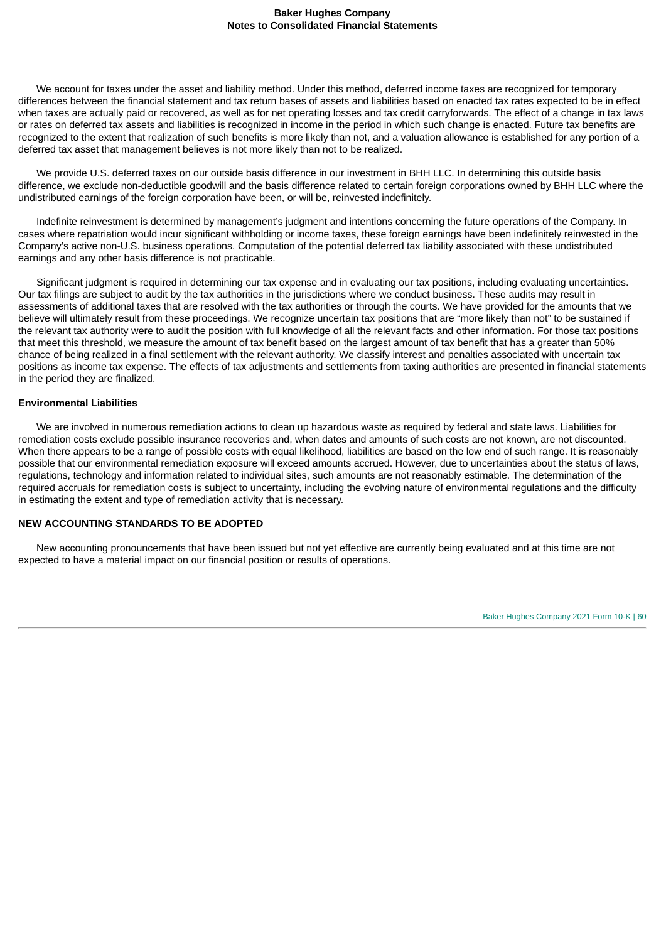We account for taxes under the asset and liability method. Under this method, deferred income taxes are recognized for temporary differences between the financial statement and tax return bases of assets and liabilities based on enacted tax rates expected to be in effect when taxes are actually paid or recovered, as well as for net operating losses and tax credit carryforwards. The effect of a change in tax laws or rates on deferred tax assets and liabilities is recognized in income in the period in which such change is enacted. Future tax benefits are recognized to the extent that realization of such benefits is more likely than not, and a valuation allowance is established for any portion of a deferred tax asset that management believes is not more likely than not to be realized.

We provide U.S. deferred taxes on our outside basis difference in our investment in BHH LLC. In determining this outside basis difference, we exclude non-deductible goodwill and the basis difference related to certain foreign corporations owned by BHH LLC where the undistributed earnings of the foreign corporation have been, or will be, reinvested indefinitely.

Indefinite reinvestment is determined by management's judgment and intentions concerning the future operations of the Company. In cases where repatriation would incur significant withholding or income taxes, these foreign earnings have been indefinitely reinvested in the Company's active non-U.S. business operations. Computation of the potential deferred tax liability associated with these undistributed earnings and any other basis difference is not practicable.

Significant judgment is required in determining our tax expense and in evaluating our tax positions, including evaluating uncertainties. Our tax filings are subject to audit by the tax authorities in the jurisdictions where we conduct business. These audits may result in assessments of additional taxes that are resolved with the tax authorities or through the courts. We have provided for the amounts that we believe will ultimately result from these proceedings. We recognize uncertain tax positions that are "more likely than not" to be sustained if the relevant tax authority were to audit the position with full knowledge of all the relevant facts and other information. For those tax positions that meet this threshold, we measure the amount of tax benefit based on the largest amount of tax benefit that has a greater than 50% chance of being realized in a final settlement with the relevant authority. We classify interest and penalties associated with uncertain tax positions as income tax expense. The effects of tax adjustments and settlements from taxing authorities are presented in financial statements in the period they are finalized.

# **Environmental Liabilities**

We are involved in numerous remediation actions to clean up hazardous waste as required by federal and state laws. Liabilities for remediation costs exclude possible insurance recoveries and, when dates and amounts of such costs are not known, are not discounted. When there appears to be a range of possible costs with equal likelihood, liabilities are based on the low end of such range. It is reasonably possible that our environmental remediation exposure will exceed amounts accrued. However, due to uncertainties about the status of laws, regulations, technology and information related to individual sites, such amounts are not reasonably estimable. The determination of the required accruals for remediation costs is subject to uncertainty, including the evolving nature of environmental regulations and the difficulty in estimating the extent and type of remediation activity that is necessary.

# **NEW ACCOUNTING STANDARDS TO BE ADOPTED**

New accounting pronouncements that have been issued but not yet effective are currently being evaluated and at this time are not expected to have a material impact on our financial position or results of operations.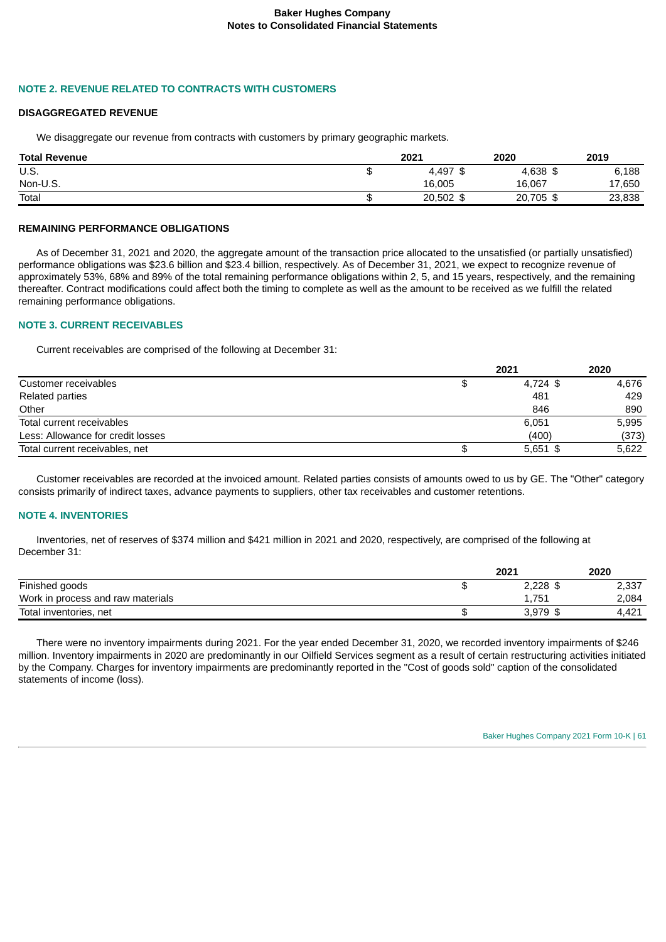# **NOTE 2. REVENUE RELATED TO CONTRACTS WITH CUSTOMERS**

#### **DISAGGREGATED REVENUE**

We disaggregate our revenue from contracts with customers by primary geographic markets.

| <b>Total Revenue</b> | 2021   | 2020          | 2019   |
|----------------------|--------|---------------|--------|
| U.S.                 | 4.497  | 4,638 \$      | 6,188  |
| Non-U.S.             | 16,005 | 16,067        | 17,650 |
| Total                | 20,502 | 20,705<br>-\$ | 23,838 |

### **REMAINING PERFORMANCE OBLIGATIONS**

As of December 31, 2021 and 2020, the aggregate amount of the transaction price allocated to the unsatisfied (or partially unsatisfied) performance obligations was \$23.6 billion and \$23.4 billion, respectively. As of December 31, 2021, we expect to recognize revenue of approximately 53%, 68% and 89% of the total remaining performance obligations within 2, 5, and 15 years, respectively, and the remaining thereafter. Contract modifications could affect both the timing to complete as well as the amount to be received as we fulfill the related remaining performance obligations.

# **NOTE 3. CURRENT RECEIVABLES**

Current receivables are comprised of the following at December 31:

|                                   | 2021       | 2020  |
|-----------------------------------|------------|-------|
| Customer receivables              | 4,724 \$   | 4,676 |
| Related parties                   | 481        | 429   |
| Other                             | 846        | 890   |
| Total current receivables         | 6,051      | 5,995 |
| Less: Allowance for credit losses | (400)      | (373) |
| Total current receivables, net    | $5,651$ \$ | 5,622 |
|                                   |            |       |

Customer receivables are recorded at the invoiced amount. Related parties consists of amounts owed to us by GE. The "Other" category consists primarily of indirect taxes, advance payments to suppliers, other tax receivables and customer retentions.

# **NOTE 4. INVENTORIES**

Inventories, net of reserves of \$374 million and \$421 million in 2021 and 2020, respectively, are comprised of the following at December 31:

|                                   | 2021       | 2020  |
|-----------------------------------|------------|-------|
| Finished goods                    | $2,228$ \$ | 2.337 |
| Work in process and raw materials | 1,751      | 2,084 |
| Total inventories, net            | 3.979      | 4.421 |

There were no inventory impairments during 2021. For the year ended December 31, 2020, we recorded inventory impairments of \$246 million. Inventory impairments in 2020 are predominantly in our Oilfield Services segment as a result of certain restructuring activities initiated by the Company. Charges for inventory impairments are predominantly reported in the "Cost of goods sold" caption of the consolidated statements of income (loss).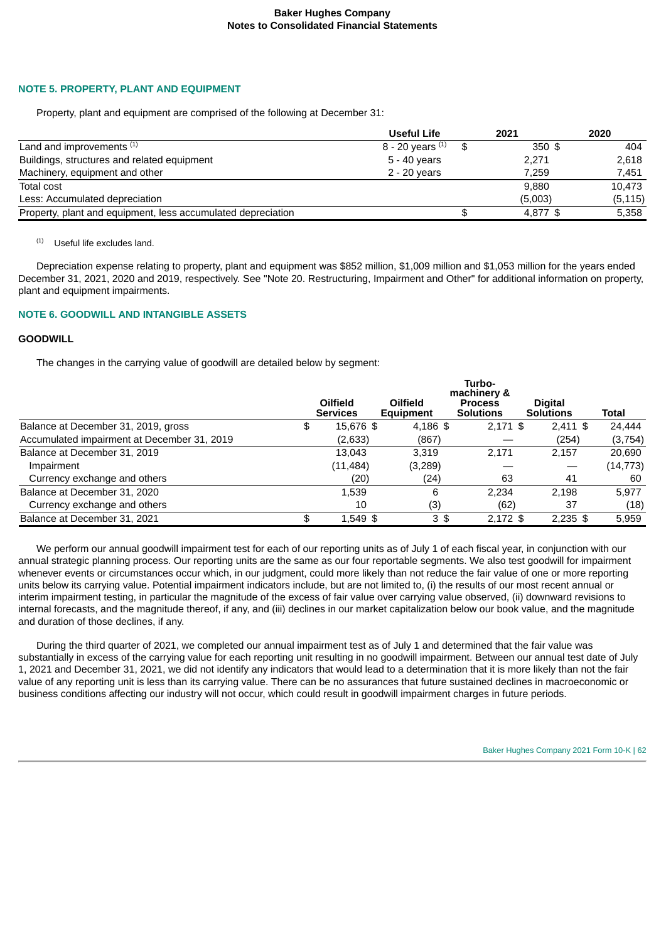# **NOTE 5. PROPERTY, PLANT AND EQUIPMENT**

Property, plant and equipment are comprised of the following at December 31:

|                                                              | <b>Useful Life</b> | 2021     | 2020     |
|--------------------------------------------------------------|--------------------|----------|----------|
| Land and improvements (1)                                    | 8 - 20 years $(1)$ | $350$ \$ | 404      |
| Buildings, structures and related equipment                  | 5 - 40 years       | 2,271    | 2,618    |
| Machinery, equipment and other                               | 2 - 20 years       | 7.259    | 7,451    |
| Total cost                                                   |                    | 9.880    | 10,473   |
| Less: Accumulated depreciation                               |                    | (5,003)  | (5, 115) |
| Property, plant and equipment, less accumulated depreciation |                    | 4,877 \$ | 5,358    |

 $(1)$  Useful life excludes land.

Depreciation expense relating to property, plant and equipment was \$852 million, \$1,009 million and \$1,053 million for the years ended December 31, 2021, 2020 and 2019, respectively. See "Note 20. Restructuring, Impairment and Other" for additional information on property, plant and equipment impairments.

# **NOTE 6. GOODWILL AND INTANGIBLE ASSETS**

# **GOODWILL**

The changes in the carrying value of goodwill are detailed below by segment:

|                                             | Turbo-<br>machinery & |                             |                              |                                    |                                    |              |  |
|---------------------------------------------|-----------------------|-----------------------------|------------------------------|------------------------------------|------------------------------------|--------------|--|
|                                             |                       | Oilfield<br><b>Services</b> | Oilfield<br><b>Equipment</b> | <b>Process</b><br><b>Solutions</b> | <b>Digital</b><br><b>Solutions</b> | <b>Total</b> |  |
| Balance at December 31, 2019, gross         | \$                    | 15,676 \$                   | $4,186$ \$                   | $2,171$ \$                         | $2,411$ \$                         | 24.444       |  |
| Accumulated impairment at December 31, 2019 |                       | (2,633)                     | (867)                        |                                    | (254)                              | (3,754)      |  |
| Balance at December 31, 2019                |                       | 13.043                      | 3.319                        | 2.171                              | 2.157                              | 20.690       |  |
| Impairment                                  |                       | (11, 484)                   | (3,289)                      |                                    |                                    | (14, 773)    |  |
| Currency exchange and others                |                       | (20)                        | (24)                         | 63                                 | 41                                 | 60           |  |
| Balance at December 31, 2020                |                       | 1,539                       | 6                            | 2.234                              | 2,198                              | 5.977        |  |
| Currency exchange and others                |                       | 10                          | (3)                          | (62)                               | 37                                 | (18)         |  |
| Balance at December 31, 2021                | \$                    | 1,549 \$                    | 3\$                          | $2.172$ \$                         | $2.235$ \$                         | 5.959        |  |

We perform our annual goodwill impairment test for each of our reporting units as of July 1 of each fiscal year, in conjunction with our annual strategic planning process. Our reporting units are the same as our four reportable segments. We also test goodwill for impairment whenever events or circumstances occur which, in our judgment, could more likely than not reduce the fair value of one or more reporting units below its carrying value. Potential impairment indicators include, but are not limited to, (i) the results of our most recent annual or interim impairment testing, in particular the magnitude of the excess of fair value over carrying value observed, (ii) downward revisions to internal forecasts, and the magnitude thereof, if any, and (iii) declines in our market capitalization below our book value, and the magnitude and duration of those declines, if any.

During the third quarter of 2021, we completed our annual impairment test as of July 1 and determined that the fair value was substantially in excess of the carrying value for each reporting unit resulting in no goodwill impairment. Between our annual test date of July 1, 2021 and December 31, 2021, we did not identify any indicators that would lead to a determination that it is more likely than not the fair value of any reporting unit is less than its carrying value. There can be no assurances that future sustained declines in macroeconomic or business conditions affecting our industry will not occur, which could result in goodwill impairment charges in future periods.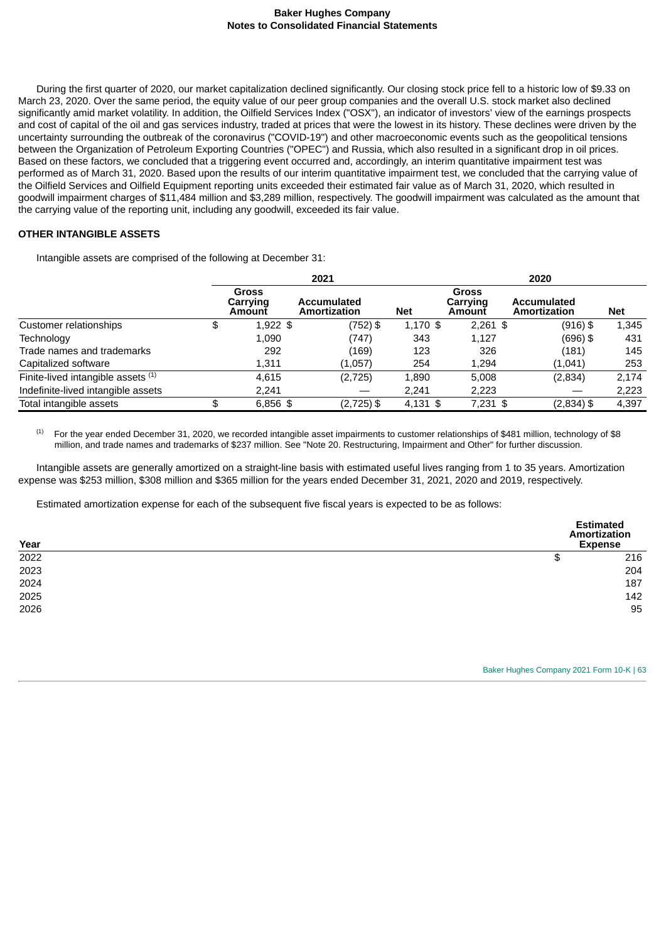During the first quarter of 2020, our market capitalization declined significantly. Our closing stock price fell to a historic low of \$9.33 on March 23, 2020. Over the same period, the equity value of our peer group companies and the overall U.S. stock market also declined significantly amid market volatility. In addition, the Oilfield Services Index ("OSX"), an indicator of investors' view of the earnings prospects and cost of capital of the oil and gas services industry, traded at prices that were the lowest in its history. These declines were driven by the uncertainty surrounding the outbreak of the coronavirus ("COVID-19") and other macroeconomic events such as the geopolitical tensions between the Organization of Petroleum Exporting Countries ("OPEC") and Russia, which also resulted in a significant drop in oil prices. Based on these factors, we concluded that a triggering event occurred and, accordingly, an interim quantitative impairment test was performed as of March 31, 2020. Based upon the results of our interim quantitative impairment test, we concluded that the carrying value of the Oilfield Services and Oilfield Equipment reporting units exceeded their estimated fair value as of March 31, 2020, which resulted in goodwill impairment charges of \$11,484 million and \$3,289 million, respectively. The goodwill impairment was calculated as the amount that the carrying value of the reporting unit, including any goodwill, exceeded its fair value.

# **OTHER INTANGIBLE ASSETS**

Intangible assets are comprised of the following at December 31:

|                                    |                                    | 2020<br>2021                       |            |                                    |                                    |       |
|------------------------------------|------------------------------------|------------------------------------|------------|------------------------------------|------------------------------------|-------|
|                                    | <b>Gross</b><br>Carrying<br>Amount | <b>Accumulated</b><br>Amortization | <b>Net</b> | <b>Gross</b><br>Carrying<br>Amount | <b>Accumulated</b><br>Amortization | Net   |
| Customer relationships             | \$<br>$1,922$ \$                   | (752) \$                           | $1,170$ \$ | $2,261$ \$                         | $(916)$ \$                         | 1,345 |
| Technology                         | 1.090                              | (747)                              | 343        | 1.127                              | $(696)$ \$                         | 431   |
| Trade names and trademarks         | 292                                | (169)                              | 123        | 326                                | (181)                              | 145   |
| Capitalized software               | 1,311                              | (1,057)                            | 254        | 1.294                              | (1,041)                            | 253   |
| Finite-lived intangible assets (1) | 4.615                              | (2,725)                            | 1.890      | 5.008                              | (2,834)                            | 2.174 |
| Indefinite-lived intangible assets | 2.241                              |                                    | 2.241      | 2,223                              |                                    | 2,223 |
| Total intangible assets            | \$<br>$6,856$ \$                   | $(2,725)$ \$                       | $4,131$ \$ | $7,231$ \$                         | $(2,834)$ \$                       | 4,397 |

For the year ended December 31, 2020, we recorded intangible asset impairments to customer relationships of \$481 million, technology of \$8 million, and trade names and trademarks of \$237 million. See "Note 20. Restructuring, Impairment and Other" for further discussion. (1)

Intangible assets are generally amortized on a straight-line basis with estimated useful lives ranging from 1 to 35 years. Amortization expense was \$253 million, \$308 million and \$365 million for the years ended December 31, 2021, 2020 and 2019, respectively.

Estimated amortization expense for each of the subsequent five fiscal years is expected to be as follows:

| Year | <b>Estimated</b><br>Amortization<br><b>Expense</b> |  |
|------|----------------------------------------------------|--|
| 2022 | \$<br>216                                          |  |
| 2023 | 204                                                |  |
| 2024 | 187                                                |  |
| 2025 | 142                                                |  |
| 2026 | 95                                                 |  |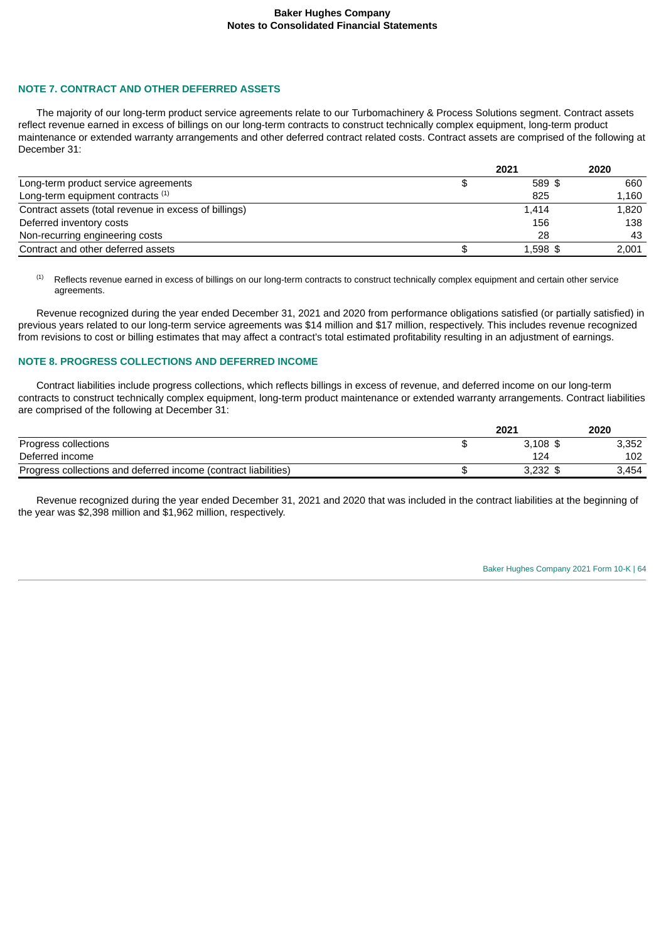### **NOTE 7. CONTRACT AND OTHER DEFERRED ASSETS**

The majority of our long-term product service agreements relate to our Turbomachinery & Process Solutions segment. Contract assets reflect revenue earned in excess of billings on our long-term contracts to construct technically complex equipment, long-term product maintenance or extended warranty arrangements and other deferred contract related costs. Contract assets are comprised of the following at December 31:

|                                                       | 2021       | 2020  |
|-------------------------------------------------------|------------|-------|
| Long-term product service agreements                  | 589 \$     | 660   |
| Long-term equipment contracts <sup>(1)</sup>          | 825        | 1.160 |
| Contract assets (total revenue in excess of billings) | 1.414      | 1,820 |
| Deferred inventory costs                              | 156        | 138   |
| Non-recurring engineering costs                       | 28         | 43    |
| Contract and other deferred assets                    | $1,598$ \$ | 2.001 |

Reflects revenue earned in excess of billings on our long-term contracts to construct technically complex equipment and certain other service agreements. (1)

Revenue recognized during the year ended December 31, 2021 and 2020 from performance obligations satisfied (or partially satisfied) in previous years related to our long-term service agreements was \$14 million and \$17 million, respectively. This includes revenue recognized from revisions to cost or billing estimates that may affect a contract's total estimated profitability resulting in an adjustment of earnings.

## **NOTE 8. PROGRESS COLLECTIONS AND DEFERRED INCOME**

Contract liabilities include progress collections, which reflects billings in excess of revenue, and deferred income on our long-term contracts to construct technically complex equipment, long-term product maintenance or extended warranty arrangements. Contract liabilities are comprised of the following at December 31:

|                                                                 | 2021       | 2020  |
|-----------------------------------------------------------------|------------|-------|
| Progress collections                                            | $3.108$ \$ | 3,352 |
| Deferred income                                                 | 124        | 102   |
| Progress collections and deferred income (contract liabilities) | $3.232$ \$ | 3,454 |

Revenue recognized during the year ended December 31, 2021 and 2020 that was included in the contract liabilities at the beginning of the year was \$2,398 million and \$1,962 million, respectively.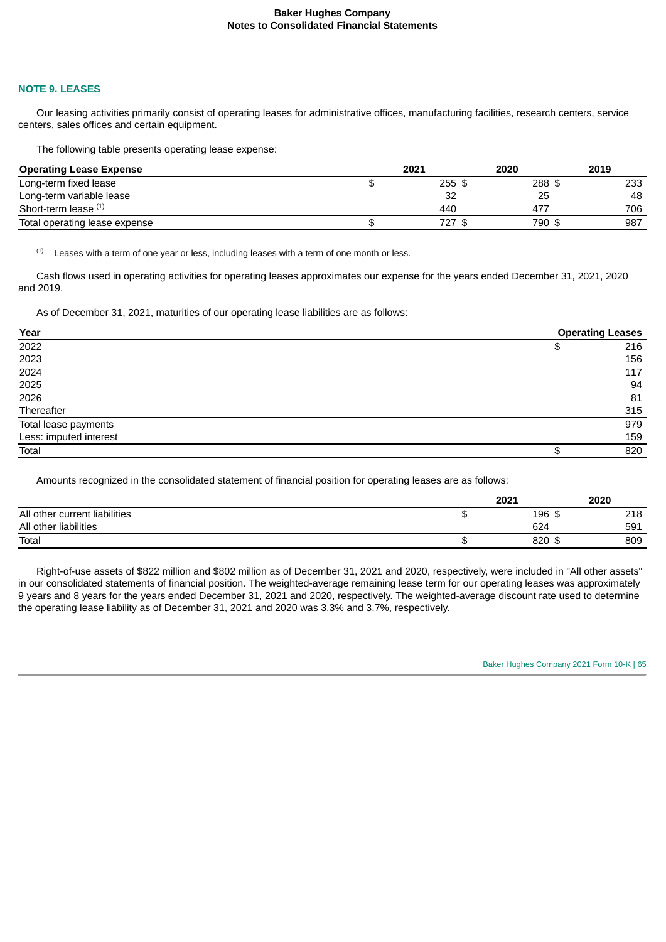#### **NOTE 9. LEASES**

Our leasing activities primarily consist of operating leases for administrative offices, manufacturing facilities, research centers, service centers, sales offices and certain equipment.

The following table presents operating lease expense:

| <b>Operating Lease Expense</b> | 2021   | 2020   | 2019 |
|--------------------------------|--------|--------|------|
| Long-term fixed lease          | 255 \$ | 288 \$ | 233  |
| Long-term variable lease       | 32     | 25     | 48   |
| Short-term lease (1)           | 440    | 477    | 706  |
| Total operating lease expense  | 727 \$ | 790 \$ | 987  |

Leases with a term of one year or less, including leases with a term of one month or less. (1)

Cash flows used in operating activities for operating leases approximates our expense for the years ended December 31, 2021, 2020 and 2019.

As of December 31, 2021, maturities of our operating lease liabilities are as follows:

| Year                   | <b>Operating Leases</b> |
|------------------------|-------------------------|
| 2022                   | \$<br>216               |
| 2023                   | 156                     |
| 2024                   | 117                     |
| 2025                   | 94                      |
| 2026                   | 81                      |
| Thereafter             | 315                     |
| Total lease payments   | 979                     |
| Less: imputed interest | 159                     |
| Total                  | \$<br>820               |

Amounts recognized in the consolidated statement of financial position for operating leases are as follows:

|                               | 2021      | 2020 |
|-------------------------------|-----------|------|
| All other current liabilities | 196<br>\$ | 218  |
| All other liabilities         | 624       | 591  |
| Total                         | 820<br>\$ | 809  |

Right-of-use assets of \$822 million and \$802 million as of December 31, 2021 and 2020, respectively, were included in "All other assets" in our consolidated statements of financial position. The weighted-average remaining lease term for our operating leases was approximately 9 years and 8 years for the years ended December 31, 2021 and 2020, respectively. The weighted-average discount rate used to determine the operating lease liability as of December 31, 2021 and 2020 was 3.3% and 3.7%, respectively.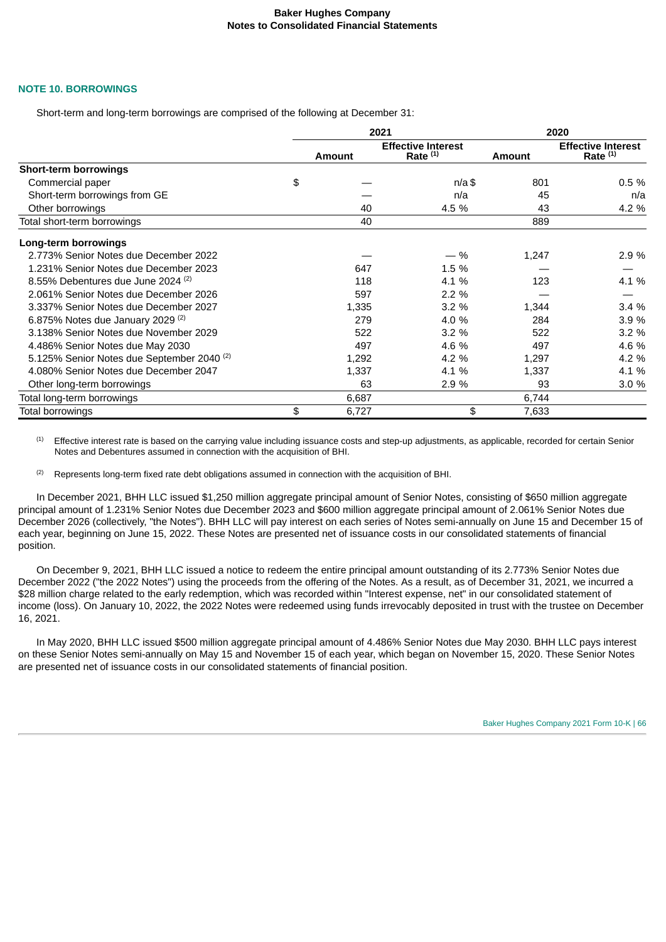### **NOTE 10. BORROWINGS**

Short-term and long-term borrowings are comprised of the following at December 31:

|                                                       |               | 2021                                    | 2020          |                                         |  |
|-------------------------------------------------------|---------------|-----------------------------------------|---------------|-----------------------------------------|--|
|                                                       | <b>Amount</b> | <b>Effective Interest</b><br>Rate $(1)$ | <b>Amount</b> | <b>Effective Interest</b><br>Rate $(1)$ |  |
| <b>Short-term borrowings</b>                          |               |                                         |               |                                         |  |
| Commercial paper                                      | \$            | $n/a$ \$                                | 801           | 0.5%                                    |  |
| Short-term borrowings from GE                         |               | n/a                                     | 45            | n/a                                     |  |
| Other borrowings                                      | 40            | 4.5 %                                   | 43            | 4.2 %                                   |  |
| Total short-term borrowings                           | 40            |                                         | 889           |                                         |  |
| Long-term borrowings                                  |               |                                         |               |                                         |  |
| 2.773% Senior Notes due December 2022                 |               | $-$ %                                   | 1,247         | 2.9%                                    |  |
| 1.231% Senior Notes due December 2023                 | 647           | 1.5 %                                   |               |                                         |  |
| 8.55% Debentures due June 2024 $(2)$                  | 118           | 4.1 %                                   | 123           | 4.1 %                                   |  |
| 2.061% Senior Notes due December 2026                 | 597           | 2.2%                                    |               |                                         |  |
| 3.337% Senior Notes due December 2027                 | 1,335         | 3.2%                                    | 1,344         | 3.4%                                    |  |
| 6.875% Notes due January 2029 $(2)$                   | 279           | 4.0 %                                   | 284           | 3.9 %                                   |  |
| 3.138% Senior Notes due November 2029                 | 522           | 3.2%                                    | 522           | 3.2%                                    |  |
| 4.486% Senior Notes due May 2030                      | 497           | 4.6 %                                   | 497           | 4.6 %                                   |  |
| 5.125% Senior Notes due September 2040 <sup>(2)</sup> | 1,292         | 4.2 %                                   | 1,297         | 4.2 %                                   |  |
| 4.080% Senior Notes due December 2047                 | 1,337         | 4.1 %                                   | 1,337         | 4.1 %                                   |  |
| Other long-term borrowings                            | 63            | 2.9 %                                   | 93            | 3.0%                                    |  |
| Total long-term borrowings                            | 6,687         |                                         | 6,744         |                                         |  |
| Total borrowings                                      | \$<br>6,727   | \$                                      | 7,633         |                                         |  |

Effective interest rate is based on the carrying value including issuance costs and step-up adjustments, as applicable, recorded for certain Senior Notes and Debentures assumed in connection with the acquisition of BHI. (1)

Represents long-term fixed rate debt obligations assumed in connection with the acquisition of BHI. (2)

In December 2021, BHH LLC issued \$1,250 million aggregate principal amount of Senior Notes, consisting of \$650 million aggregate principal amount of 1.231% Senior Notes due December 2023 and \$600 million aggregate principal amount of 2.061% Senior Notes due December 2026 (collectively, "the Notes"). BHH LLC will pay interest on each series of Notes semi-annually on June 15 and December 15 of each year, beginning on June 15, 2022. These Notes are presented net of issuance costs in our consolidated statements of financial position.

On December 9, 2021, BHH LLC issued a notice to redeem the entire principal amount outstanding of its 2.773% Senior Notes due December 2022 ("the 2022 Notes") using the proceeds from the offering of the Notes. As a result, as of December 31, 2021, we incurred a \$28 million charge related to the early redemption, which was recorded within "Interest expense, net" in our consolidated statement of income (loss). On January 10, 2022, the 2022 Notes were redeemed using funds irrevocably deposited in trust with the trustee on December 16, 2021.

In May 2020, BHH LLC issued \$500 million aggregate principal amount of 4.486% Senior Notes due May 2030. BHH LLC pays interest on these Senior Notes semi-annually on May 15 and November 15 of each year, which began on November 15, 2020. These Senior Notes are presented net of issuance costs in our consolidated statements of financial position.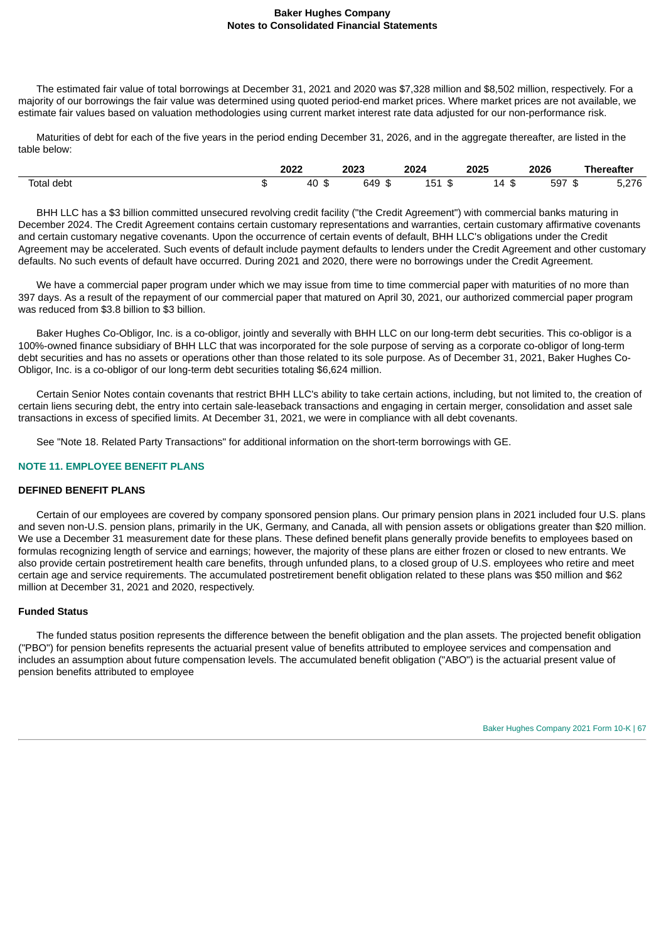The estimated fair value of total borrowings at December 31, 2021 and 2020 was \$7,328 million and \$8,502 million, respectively. For a majority of our borrowings the fair value was determined using quoted period-end market prices. Where market prices are not available, we estimate fair values based on valuation methodologies using current market interest rate data adjusted for our non-performance risk.

Maturities of debt for each of the five years in the period ending December 31, 2026, and in the aggregate thereafter, are listed in the table below:

|            |         | 2022         | 2023<br>__ | 2024     | 2025<br>___              | 2026<br>___ | <b>Thereafter</b>                    |
|------------|---------|--------------|------------|----------|--------------------------|-------------|--------------------------------------|
| Total debt | æ<br>.n | 40<br>œ<br>◡ | 649<br>.n  | 151<br>ີ | $\sim$<br><b>14</b><br>ື | 597<br>- 12 | 276<br>$\mathbf{u} \cdot \mathbf{v}$ |

BHH LLC has a \$3 billion committed unsecured revolving credit facility ("the Credit Agreement") with commercial banks maturing in December 2024. The Credit Agreement contains certain customary representations and warranties, certain customary affirmative covenants and certain customary negative covenants. Upon the occurrence of certain events of default, BHH LLC's obligations under the Credit Agreement may be accelerated. Such events of default include payment defaults to lenders under the Credit Agreement and other customary defaults. No such events of default have occurred. During 2021 and 2020, there were no borrowings under the Credit Agreement.

We have a commercial paper program under which we may issue from time to time commercial paper with maturities of no more than 397 days. As a result of the repayment of our commercial paper that matured on April 30, 2021, our authorized commercial paper program was reduced from \$3.8 billion to \$3 billion.

Baker Hughes Co-Obligor, Inc. is a co-obligor, jointly and severally with BHH LLC on our long-term debt securities. This co-obligor is a 100%-owned finance subsidiary of BHH LLC that was incorporated for the sole purpose of serving as a corporate co-obligor of long-term debt securities and has no assets or operations other than those related to its sole purpose. As of December 31, 2021, Baker Hughes Co-Obligor, Inc. is a co-obligor of our long-term debt securities totaling \$6,624 million.

Certain Senior Notes contain covenants that restrict BHH LLC's ability to take certain actions, including, but not limited to, the creation of certain liens securing debt, the entry into certain sale-leaseback transactions and engaging in certain merger, consolidation and asset sale transactions in excess of specified limits. At December 31, 2021, we were in compliance with all debt covenants.

See "Note 18. Related Party Transactions" for additional information on the short-term borrowings with GE.

# **NOTE 11. EMPLOYEE BENEFIT PLANS**

### **DEFINED BENEFIT PLANS**

Certain of our employees are covered by company sponsored pension plans. Our primary pension plans in 2021 included four U.S. plans and seven non-U.S. pension plans, primarily in the UK, Germany, and Canada, all with pension assets or obligations greater than \$20 million. We use a December 31 measurement date for these plans. These defined benefit plans generally provide benefits to employees based on formulas recognizing length of service and earnings; however, the majority of these plans are either frozen or closed to new entrants. We also provide certain postretirement health care benefits, through unfunded plans, to a closed group of U.S. employees who retire and meet certain age and service requirements. The accumulated postretirement benefit obligation related to these plans was \$50 million and \$62 million at December 31, 2021 and 2020, respectively.

# **Funded Status**

The funded status position represents the difference between the benefit obligation and the plan assets. The projected benefit obligation ("PBO") for pension benefits represents the actuarial present value of benefits attributed to employee services and compensation and includes an assumption about future compensation levels. The accumulated benefit obligation ("ABO") is the actuarial present value of pension benefits attributed to employee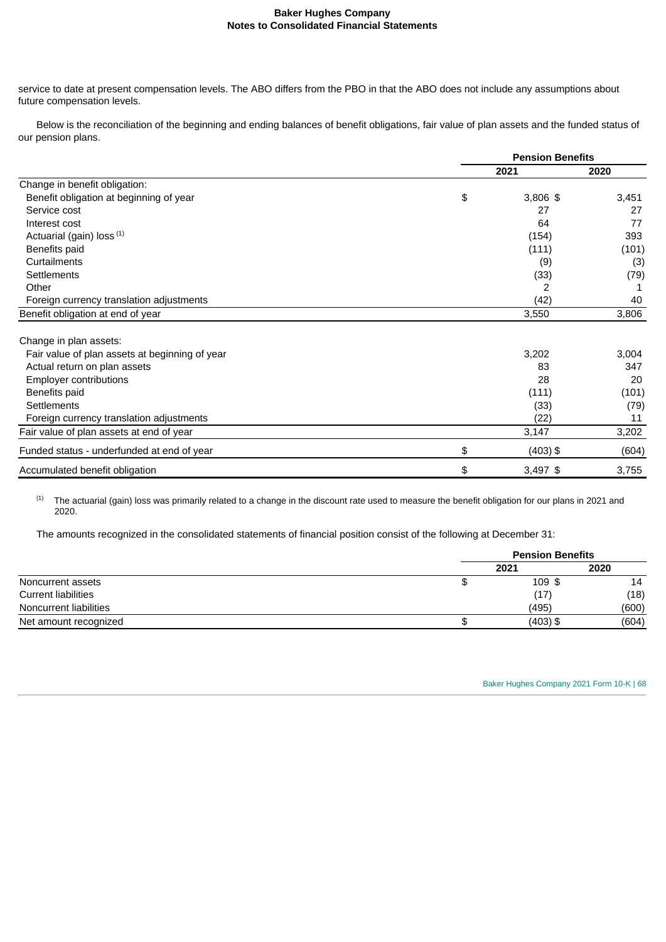service to date at present compensation levels. The ABO differs from the PBO in that the ABO does not include any assumptions about future compensation levels.

Below is the reconciliation of the beginning and ending balances of benefit obligations, fair value of plan assets and the funded status of our pension plans.

|                                                | <b>Pension Benefits</b> |       |  |
|------------------------------------------------|-------------------------|-------|--|
|                                                | 2021                    | 2020  |  |
| Change in benefit obligation:                  |                         |       |  |
| Benefit obligation at beginning of year        | \$<br>3,806 \$          | 3,451 |  |
| Service cost                                   | 27                      | 27    |  |
| Interest cost                                  | 64                      | 77    |  |
| Actuarial (gain) loss (1)                      | (154)                   | 393   |  |
| Benefits paid                                  | (111)                   | (101) |  |
| Curtailments                                   | (9)                     | (3)   |  |
| Settlements                                    | (33)                    | (79)  |  |
| Other                                          | 2                       |       |  |
| Foreign currency translation adjustments       | (42)                    | 40    |  |
| Benefit obligation at end of year              | 3,550                   | 3,806 |  |
| Change in plan assets:                         |                         |       |  |
| Fair value of plan assets at beginning of year | 3,202                   | 3,004 |  |
| Actual return on plan assets                   | 83                      | 347   |  |
| <b>Employer contributions</b>                  | 28                      | 20    |  |
| Benefits paid                                  | (111)                   | (101) |  |
| Settlements                                    | (33)                    | (79)  |  |
| Foreign currency translation adjustments       | (22)                    | 11    |  |
| Fair value of plan assets at end of year       | 3,147                   | 3,202 |  |
| Funded status - underfunded at end of year     | \$<br>$(403)$ \$        | (604) |  |
| Accumulated benefit obligation                 | \$<br>3,497 \$          | 3,755 |  |

The actuarial (gain) loss was primarily related to a change in the discount rate used to measure the benefit obligation for our plans in 2021 and 2020. (1)

The amounts recognized in the consolidated statements of financial position consist of the following at December 31:

|                            | <b>Pension Benefits</b> |       |  |
|----------------------------|-------------------------|-------|--|
|                            | 2021                    | 2020  |  |
| Noncurrent assets          | 109 \$                  | 14    |  |
| <b>Current liabilities</b> | (17)                    | (18)  |  |
| Noncurrent liabilities     | (495)                   | (600) |  |
| Net amount recognized      | $(403)$ \$              | (604) |  |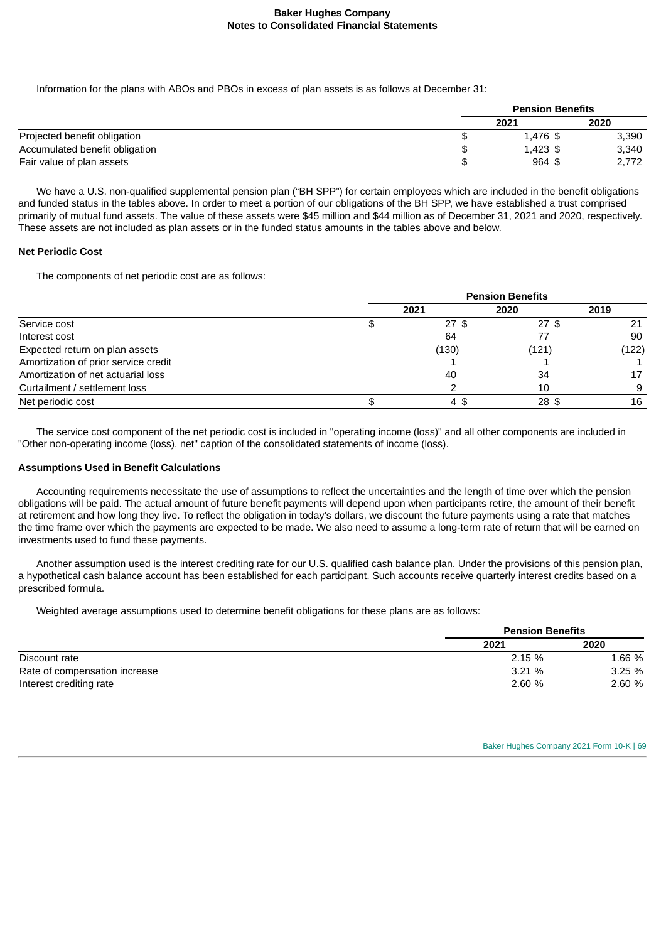Information for the plans with ABOs and PBOs in excess of plan assets is as follows at December 31:

|                                | <b>Pension Benefits</b> |       |  |
|--------------------------------|-------------------------|-------|--|
|                                | 2021                    | 2020  |  |
| Projected benefit obligation   | 1.476 \$                | 3,390 |  |
| Accumulated benefit obligation | $1.423$ \$              | 3,340 |  |
| Fair value of plan assets      | $964$ \$                | 2,772 |  |

We have a U.S. non-qualified supplemental pension plan ("BH SPP") for certain employees which are included in the benefit obligations and funded status in the tables above. In order to meet a portion of our obligations of the BH SPP, we have established a trust comprised primarily of mutual fund assets. The value of these assets were \$45 million and \$44 million as of December 31, 2021 and 2020, respectively. These assets are not included as plan assets or in the funded status amounts in the tables above and below.

## **Net Periodic Cost**

The components of net periodic cost are as follows:

|                                      | <b>Pension Benefits</b> |         |         |       |
|--------------------------------------|-------------------------|---------|---------|-------|
|                                      |                         | 2021    | 2020    | 2019  |
| Service cost                         |                         | $27$ \$ | $27$ \$ | 21    |
| Interest cost                        |                         | 64      |         | 90    |
| Expected return on plan assets       |                         | (130)   | (121)   | (122) |
| Amortization of prior service credit |                         |         |         |       |
| Amortization of net actuarial loss   |                         | 40      | 34      | 17    |
| Curtailment / settlement loss        |                         |         | 10      | 9     |
| Net periodic cost                    |                         | 4\$     | 28 \$   | 16    |

The service cost component of the net periodic cost is included in "operating income (loss)" and all other components are included in "Other non-operating income (loss), net" caption of the consolidated statements of income (loss).

### **Assumptions Used in Benefit Calculations**

Accounting requirements necessitate the use of assumptions to reflect the uncertainties and the length of time over which the pension obligations will be paid. The actual amount of future benefit payments will depend upon when participants retire, the amount of their benefit at retirement and how long they live. To reflect the obligation in today's dollars, we discount the future payments using a rate that matches the time frame over which the payments are expected to be made. We also need to assume a long-term rate of return that will be earned on investments used to fund these payments.

Another assumption used is the interest crediting rate for our U.S. qualified cash balance plan. Under the provisions of this pension plan, a hypothetical cash balance account has been established for each participant. Such accounts receive quarterly interest credits based on a prescribed formula.

Weighted average assumptions used to determine benefit obligations for these plans are as follows:

|                               |        | <b>Pension Benefits</b> |  |  |
|-------------------------------|--------|-------------------------|--|--|
|                               | 2021   | 2020                    |  |  |
| Discount rate                 | 2.15 % | 1.66 %                  |  |  |
| Rate of compensation increase | 3.21%  | 3.25%                   |  |  |
| Interest crediting rate       | 2.60%  | 2.60 %                  |  |  |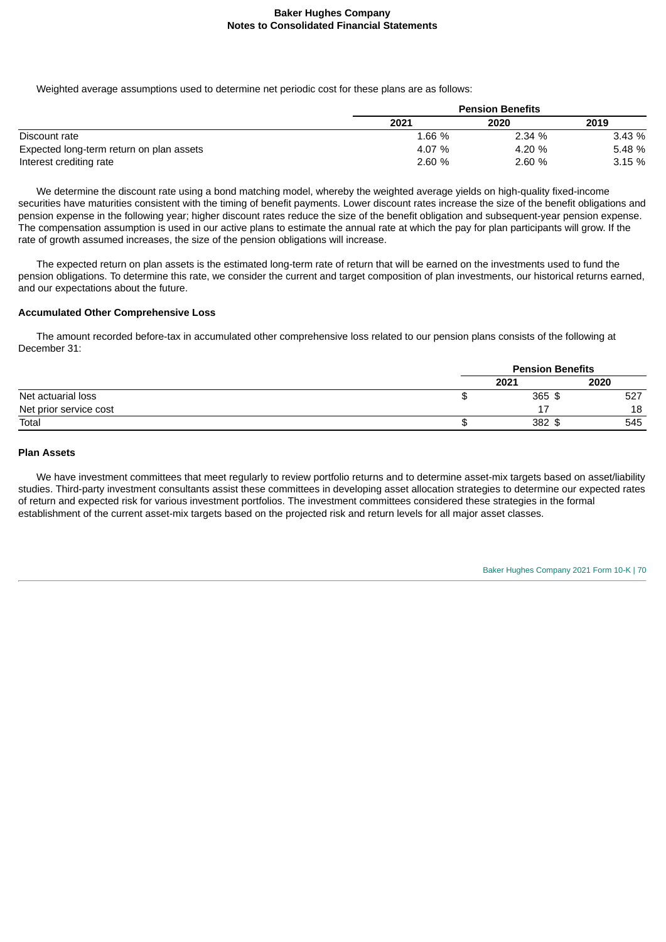Weighted average assumptions used to determine net periodic cost for these plans are as follows:

|                                          |        | <b>Pension Benefits</b> |        |  |  |
|------------------------------------------|--------|-------------------------|--------|--|--|
|                                          | 2021   | 2020                    | 2019   |  |  |
| Discount rate                            | 1.66 % | 2.34 %                  | 3.43 % |  |  |
| Expected long-term return on plan assets | 4.07 % | 4.20 %                  | 5.48 % |  |  |
| Interest crediting rate                  | 2.60 % | 2.60%                   | 3.15%  |  |  |

We determine the discount rate using a bond matching model, whereby the weighted average yields on high-quality fixed-income securities have maturities consistent with the timing of benefit payments. Lower discount rates increase the size of the benefit obligations and pension expense in the following year; higher discount rates reduce the size of the benefit obligation and subsequent-year pension expense. The compensation assumption is used in our active plans to estimate the annual rate at which the pay for plan participants will grow. If the rate of growth assumed increases, the size of the pension obligations will increase.

The expected return on plan assets is the estimated long-term rate of return that will be earned on the investments used to fund the pension obligations. To determine this rate, we consider the current and target composition of plan investments, our historical returns earned, and our expectations about the future.

# **Accumulated Other Comprehensive Loss**

The amount recorded before-tax in accumulated other comprehensive loss related to our pension plans consists of the following at December 31:

|                        | <b>Pension Benefits</b> |      |  |
|------------------------|-------------------------|------|--|
|                        | 2021                    | 2020 |  |
| Net actuarial loss     | $365$ \$                | 527  |  |
| Net prior service cost | 17<br>٠.                | 18   |  |
| Total                  | 382<br>᠊ᡮ               | 545  |  |

### **Plan Assets**

We have investment committees that meet regularly to review portfolio returns and to determine asset-mix targets based on asset/liability studies. Third-party investment consultants assist these committees in developing asset allocation strategies to determine our expected rates of return and expected risk for various investment portfolios. The investment committees considered these strategies in the formal establishment of the current asset-mix targets based on the projected risk and return levels for all major asset classes.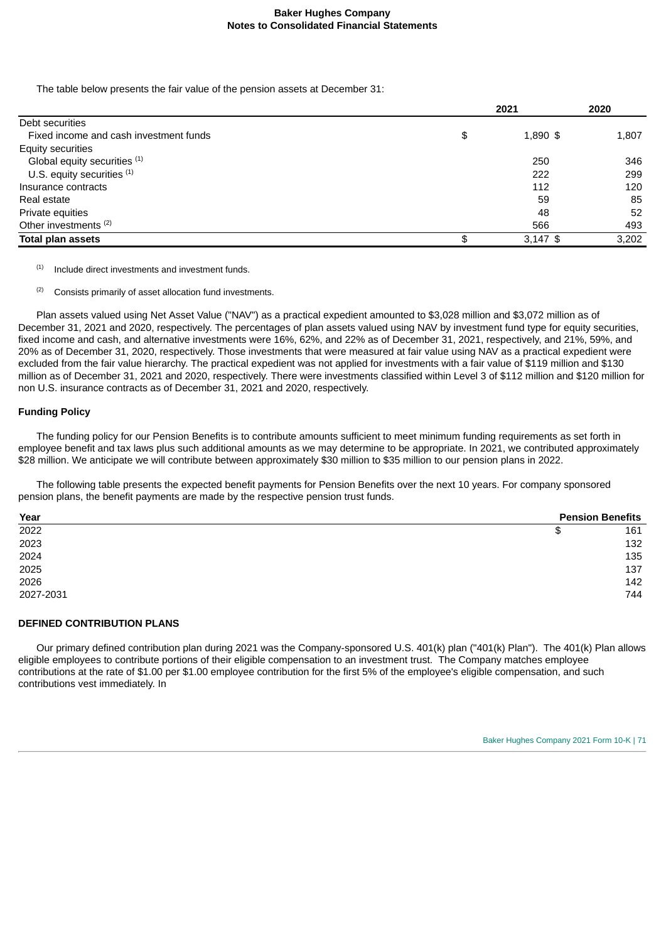The table below presents the fair value of the pension assets at December 31:

| 2021           | 2020  |  |
|----------------|-------|--|
|                |       |  |
| \$<br>1,890 \$ | 1,807 |  |
|                |       |  |
| 250            | 346   |  |
| 222            | 299   |  |
| 112            | 120   |  |
| 59             | 85    |  |
| 48             | 52    |  |
| 566            | 493   |  |
| $3,147$ \$     | 3,202 |  |
|                |       |  |

Include direct investments and investment funds. (1)

Consists primarily of asset allocation fund investments. (2)

Plan assets valued using Net Asset Value ("NAV") as a practical expedient amounted to \$3,028 million and \$3,072 million as of December 31, 2021 and 2020, respectively. The percentages of plan assets valued using NAV by investment fund type for equity securities, fixed income and cash, and alternative investments were 16%, 62%, and 22% as of December 31, 2021, respectively, and 21%, 59%, and 20% as of December 31, 2020, respectively. Those investments that were measured at fair value using NAV as a practical expedient were excluded from the fair value hierarchy. The practical expedient was not applied for investments with a fair value of \$119 million and \$130 million as of December 31, 2021 and 2020, respectively. There were investments classified within Level 3 of \$112 million and \$120 million for non U.S. insurance contracts as of December 31, 2021 and 2020, respectively.

### **Funding Policy**

The funding policy for our Pension Benefits is to contribute amounts sufficient to meet minimum funding requirements as set forth in employee benefit and tax laws plus such additional amounts as we may determine to be appropriate. In 2021, we contributed approximately \$28 million. We anticipate we will contribute between approximately \$30 million to \$35 million to our pension plans in 2022.

The following table presents the expected benefit payments for Pension Benefits over the next 10 years. For company sponsored pension plans, the benefit payments are made by the respective pension trust funds.

| Year      | <b>Pension Benefits</b> |
|-----------|-------------------------|
| 2022      | 161<br>Ъ                |
| 2023      | 132                     |
| 2024      | 135                     |
| 2025      | 137                     |
| 2026      | 142                     |
| 2027-2031 | 744                     |

#### **DEFINED CONTRIBUTION PLANS**

Our primary defined contribution plan during 2021 was the Company-sponsored U.S. 401(k) plan ("401(k) Plan"). The 401(k) Plan allows eligible employees to contribute portions of their eligible compensation to an investment trust. The Company matches employee contributions at the rate of \$1.00 per \$1.00 employee contribution for the first 5% of the employee's eligible compensation, and such contributions vest immediately. In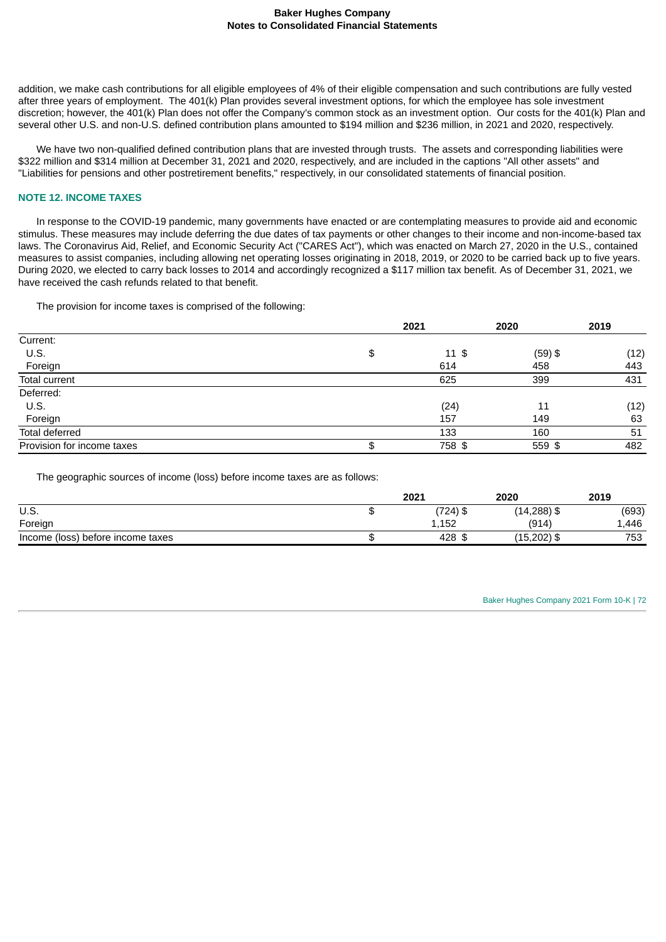addition, we make cash contributions for all eligible employees of 4% of their eligible compensation and such contributions are fully vested after three years of employment. The 401(k) Plan provides several investment options, for which the employee has sole investment discretion; however, the 401(k) Plan does not offer the Company's common stock as an investment option. Our costs for the 401(k) Plan and several other U.S. and non-U.S. defined contribution plans amounted to \$194 million and \$236 million, in 2021 and 2020, respectively.

We have two non-qualified defined contribution plans that are invested through trusts. The assets and corresponding liabilities were \$322 million and \$314 million at December 31, 2021 and 2020, respectively, and are included in the captions "All other assets" and "Liabilities for pensions and other postretirement benefits," respectively, in our consolidated statements of financial position.

#### **NOTE 12. INCOME TAXES**

In response to the COVID-19 pandemic, many governments have enacted or are contemplating measures to provide aid and economic stimulus. These measures may include deferring the due dates of tax payments or other changes to their income and non-income-based tax laws. The Coronavirus Aid, Relief, and Economic Security Act ("CARES Act"), which was enacted on March 27, 2020 in the U.S., contained measures to assist companies, including allowing net operating losses originating in 2018, 2019, or 2020 to be carried back up to five years. During 2020, we elected to carry back losses to 2014 and accordingly recognized a \$117 million tax benefit. As of December 31, 2021, we have received the cash refunds related to that benefit.

The provision for income taxes is comprised of the following:

|                            | 2021                   | 2020      | 2019 |
|----------------------------|------------------------|-----------|------|
| Current:                   |                        |           |      |
| U.S.                       | \$<br>$11 \text{ }$ \$ | $(59)$ \$ | (12) |
| Foreign                    | 614                    | 458       | 443  |
| <b>Total current</b>       | 625                    | 399       | 431  |
| Deferred:                  |                        |           |      |
| U.S.                       | (24)                   | 11        | (12) |
| Foreign                    | 157                    | 149       | 63   |
| Total deferred             | 133                    | 160       | 51   |
| Provision for income taxes | \$<br>758 \$           | $559$ \$  | 482  |

The geographic sources of income (loss) before income taxes are as follows:

|                                   | 2021        | 2020           | 2019  |
|-----------------------------------|-------------|----------------|-------|
| U.S.                              | $(724)$ \$  | $(14, 288)$ \$ | (693) |
| Foreign                           | 1.152       | (914)          | 1.446 |
| Income (loss) before income taxes | 428<br>- \$ | (15,202) \$    | 753   |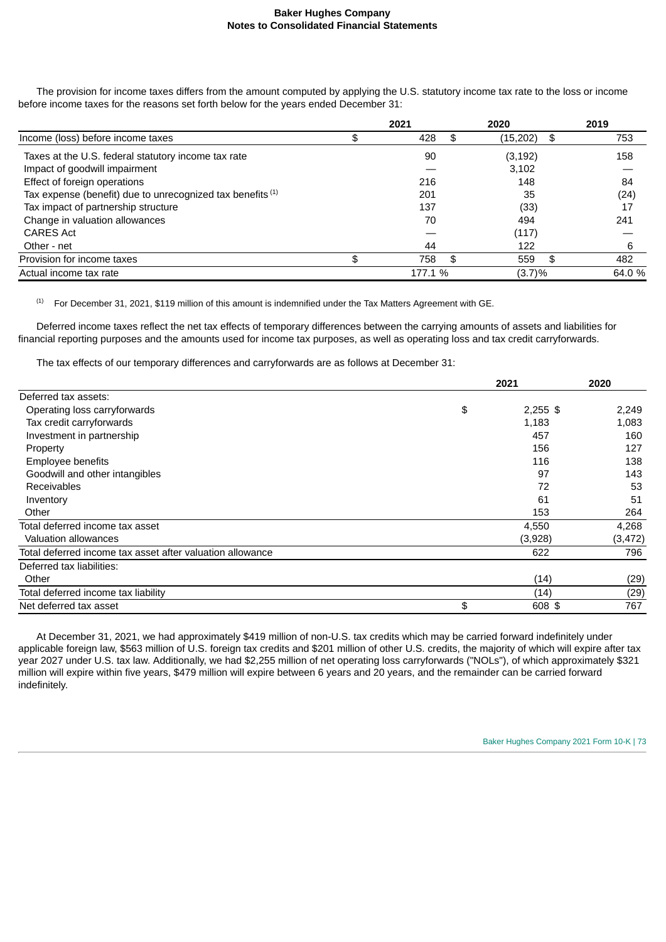The provision for income taxes differs from the amount computed by applying the U.S. statutory income tax rate to the loss or income before income taxes for the reasons set forth below for the years ended December 31:

|                                                                       | 2021      |     | 2020      | 2019      |
|-----------------------------------------------------------------------|-----------|-----|-----------|-----------|
| Income (loss) before income taxes                                     | \$<br>428 | \$. | (15, 202) | \$<br>753 |
| Taxes at the U.S. federal statutory income tax rate                   | 90        |     | (3, 192)  | 158       |
| Impact of goodwill impairment                                         |           |     | 3,102     |           |
| Effect of foreign operations                                          | 216       |     | 148       | 84        |
| Tax expense (benefit) due to unrecognized tax benefits <sup>(1)</sup> | 201       |     | 35        | (24)      |
| Tax impact of partnership structure                                   | 137       |     | (33)      | 17        |
| Change in valuation allowances                                        | 70        |     | 494       | 241       |
| <b>CARES Act</b>                                                      |           |     | (117)     |           |
| Other - net                                                           | 44        |     | 122       | 6         |
| Provision for income taxes                                            | \$<br>758 | \$  | 559       | \$<br>482 |
| Actual income tax rate                                                | 177.1 %   |     | (3.7)%    | 64.0 %    |

For December 31, 2021, \$119 million of this amount is indemnified under the Tax Matters Agreement with GE. (1)

Deferred income taxes reflect the net tax effects of temporary differences between the carrying amounts of assets and liabilities for financial reporting purposes and the amounts used for income tax purposes, as well as operating loss and tax credit carryforwards.

The tax effects of our temporary differences and carryforwards are as follows at December 31:

|                                                           | 2021             | 2020     |
|-----------------------------------------------------------|------------------|----------|
| Deferred tax assets:                                      |                  |          |
| Operating loss carryforwards                              | \$<br>$2,255$ \$ | 2,249    |
| Tax credit carryforwards                                  | 1,183            | 1,083    |
| Investment in partnership                                 | 457              | 160      |
| Property                                                  | 156              | 127      |
| Employee benefits                                         | 116              | 138      |
| Goodwill and other intangibles                            | 97               | 143      |
| <b>Receivables</b>                                        | 72               | 53       |
| Inventory                                                 | 61               | 51       |
| Other                                                     | 153              | 264      |
| Total deferred income tax asset                           | 4,550            | 4,268    |
| Valuation allowances                                      | (3,928)          | (3, 472) |
| Total deferred income tax asset after valuation allowance | 622              | 796      |
| Deferred tax liabilities:                                 |                  |          |
| Other                                                     | (14)             | (29)     |
| Total deferred income tax liability                       | (14)             | (29)     |
| Net deferred tax asset                                    | \$<br>608 \$     | 767      |

At December 31, 2021, we had approximately \$419 million of non-U.S. tax credits which may be carried forward indefinitely under applicable foreign law, \$563 million of U.S. foreign tax credits and \$201 million of other U.S. credits, the majority of which will expire after tax year 2027 under U.S. tax law. Additionally, we had \$2,255 million of net operating loss carryforwards ("NOLs"), of which approximately \$321 million will expire within five years, \$479 million will expire between 6 years and 20 years, and the remainder can be carried forward indefinitely.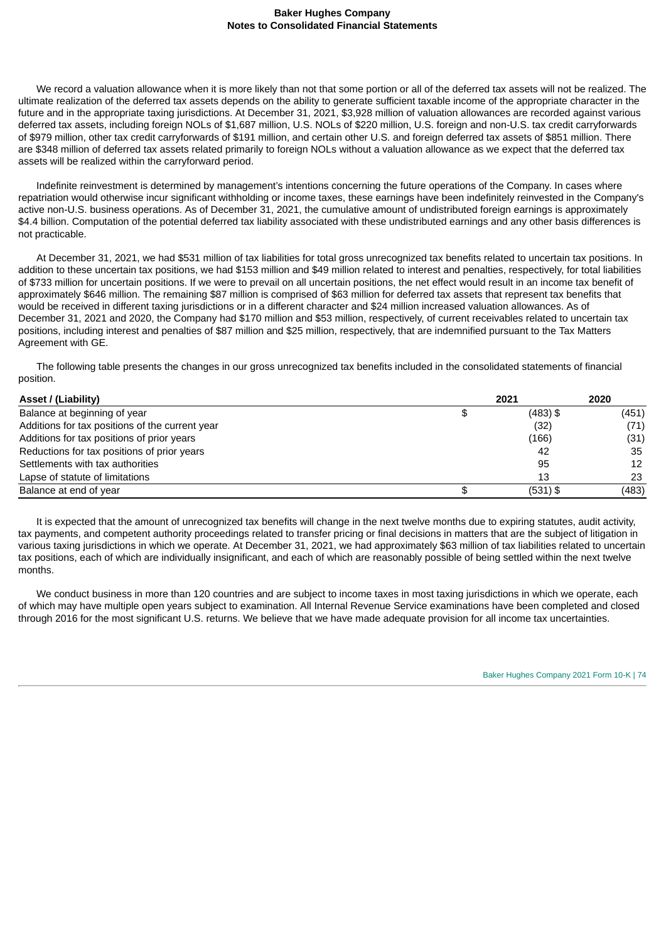We record a valuation allowance when it is more likely than not that some portion or all of the deferred tax assets will not be realized. The ultimate realization of the deferred tax assets depends on the ability to generate sufficient taxable income of the appropriate character in the future and in the appropriate taxing jurisdictions. At December 31, 2021, \$3,928 million of valuation allowances are recorded against various deferred tax assets, including foreign NOLs of \$1,687 million, U.S. NOLs of \$220 million, U.S. foreign and non-U.S. tax credit carryforwards of \$979 million, other tax credit carryforwards of \$191 million, and certain other U.S. and foreign deferred tax assets of \$851 million. There are \$348 million of deferred tax assets related primarily to foreign NOLs without a valuation allowance as we expect that the deferred tax assets will be realized within the carryforward period.

Indefinite reinvestment is determined by management's intentions concerning the future operations of the Company. In cases where repatriation would otherwise incur significant withholding or income taxes, these earnings have been indefinitely reinvested in the Company's active non-U.S. business operations. As of December 31, 2021, the cumulative amount of undistributed foreign earnings is approximately \$4.4 billion. Computation of the potential deferred tax liability associated with these undistributed earnings and any other basis differences is not practicable.

At December 31, 2021, we had \$531 million of tax liabilities for total gross unrecognized tax benefits related to uncertain tax positions. In addition to these uncertain tax positions, we had \$153 million and \$49 million related to interest and penalties, respectively, for total liabilities of \$733 million for uncertain positions. If we were to prevail on all uncertain positions, the net effect would result in an income tax benefit of approximately \$646 million. The remaining \$87 million is comprised of \$63 million for deferred tax assets that represent tax benefits that would be received in different taxing jurisdictions or in a different character and \$24 million increased valuation allowances. As of December 31, 2021 and 2020, the Company had \$170 million and \$53 million, respectively, of current receivables related to uncertain tax positions, including interest and penalties of \$87 million and \$25 million, respectively, that are indemnified pursuant to the Tax Matters Agreement with GE.

The following table presents the changes in our gross unrecognized tax benefits included in the consolidated statements of financial position.

| Asset / (Liability)                             | 2021       | 2020  |
|-------------------------------------------------|------------|-------|
| Balance at beginning of year                    | $(483)$ \$ | (451) |
| Additions for tax positions of the current year | (32)       | (71)  |
| Additions for tax positions of prior years      | (166)      | (31)  |
| Reductions for tax positions of prior years     | 42         | 35    |
| Settlements with tax authorities                | 95         | 12    |
| Lapse of statute of limitations                 | 13         | 23    |
| Balance at end of year                          | (531) \$   | (483) |

It is expected that the amount of unrecognized tax benefits will change in the next twelve months due to expiring statutes, audit activity, tax payments, and competent authority proceedings related to transfer pricing or final decisions in matters that are the subject of litigation in various taxing jurisdictions in which we operate. At December 31, 2021, we had approximately \$63 million of tax liabilities related to uncertain tax positions, each of which are individually insignificant, and each of which are reasonably possible of being settled within the next twelve months.

We conduct business in more than 120 countries and are subject to income taxes in most taxing jurisdictions in which we operate, each of which may have multiple open years subject to examination. All Internal Revenue Service examinations have been completed and closed through 2016 for the most significant U.S. returns. We believe that we have made adequate provision for all income tax uncertainties.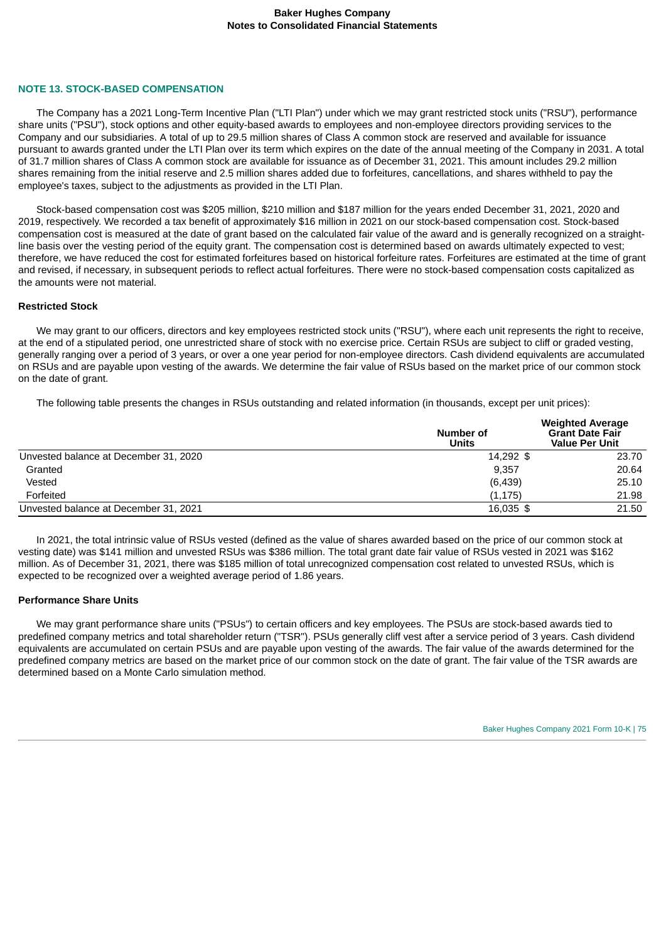#### **NOTE 13. STOCK-BASED COMPENSATION**

The Company has a 2021 Long-Term Incentive Plan ("LTI Plan") under which we may grant restricted stock units ("RSU"), performance share units ("PSU"), stock options and other equity-based awards to employees and non-employee directors providing services to the Company and our subsidiaries. A total of up to 29.5 million shares of Class A common stock are reserved and available for issuance pursuant to awards granted under the LTI Plan over its term which expires on the date of the annual meeting of the Company in 2031. A total of 31.7 million shares of Class A common stock are available for issuance as of December 31, 2021. This amount includes 29.2 million shares remaining from the initial reserve and 2.5 million shares added due to forfeitures, cancellations, and shares withheld to pay the employee's taxes, subject to the adjustments as provided in the LTI Plan.

Stock-based compensation cost was \$205 million, \$210 million and \$187 million for the years ended December 31, 2021, 2020 and 2019, respectively. We recorded a tax benefit of approximately \$16 million in 2021 on our stock-based compensation cost. Stock-based compensation cost is measured at the date of grant based on the calculated fair value of the award and is generally recognized on a straightline basis over the vesting period of the equity grant. The compensation cost is determined based on awards ultimately expected to vest; therefore, we have reduced the cost for estimated forfeitures based on historical forfeiture rates. Forfeitures are estimated at the time of grant and revised, if necessary, in subsequent periods to reflect actual forfeitures. There were no stock-based compensation costs capitalized as the amounts were not material.

## **Restricted Stock**

We may grant to our officers, directors and key employees restricted stock units ("RSU"), where each unit represents the right to receive, at the end of a stipulated period, one unrestricted share of stock with no exercise price. Certain RSUs are subject to cliff or graded vesting, generally ranging over a period of 3 years, or over a one year period for non-employee directors. Cash dividend equivalents are accumulated on RSUs and are payable upon vesting of the awards. We determine the fair value of RSUs based on the market price of our common stock on the date of grant.

The following table presents the changes in RSUs outstanding and related information (in thousands, except per unit prices):

|                                       | Number of<br><b>Units</b> | <b>Weighted Average</b><br><b>Grant Date Fair</b><br><b>Value Per Unit</b> |
|---------------------------------------|---------------------------|----------------------------------------------------------------------------|
| Unvested balance at December 31, 2020 | 14,292 \$                 | 23.70                                                                      |
| Granted                               | 9.357                     | 20.64                                                                      |
| Vested                                | (6,439)                   | 25.10                                                                      |
| Forfeited                             | (1, 175)                  | 21.98                                                                      |
| Unvested balance at December 31, 2021 | 16,035 \$                 | 21.50                                                                      |

In 2021, the total intrinsic value of RSUs vested (defined as the value of shares awarded based on the price of our common stock at vesting date) was \$141 million and unvested RSUs was \$386 million. The total grant date fair value of RSUs vested in 2021 was \$162 million. As of December 31, 2021, there was \$185 million of total unrecognized compensation cost related to unvested RSUs, which is expected to be recognized over a weighted average period of 1.86 years.

#### **Performance Share Units**

We may grant performance share units ("PSUs") to certain officers and key employees. The PSUs are stock-based awards tied to predefined company metrics and total shareholder return ("TSR"). PSUs generally cliff vest after a service period of 3 years. Cash dividend equivalents are accumulated on certain PSUs and are payable upon vesting of the awards. The fair value of the awards determined for the predefined company metrics are based on the market price of our common stock on the date of grant. The fair value of the TSR awards are determined based on a Monte Carlo simulation method.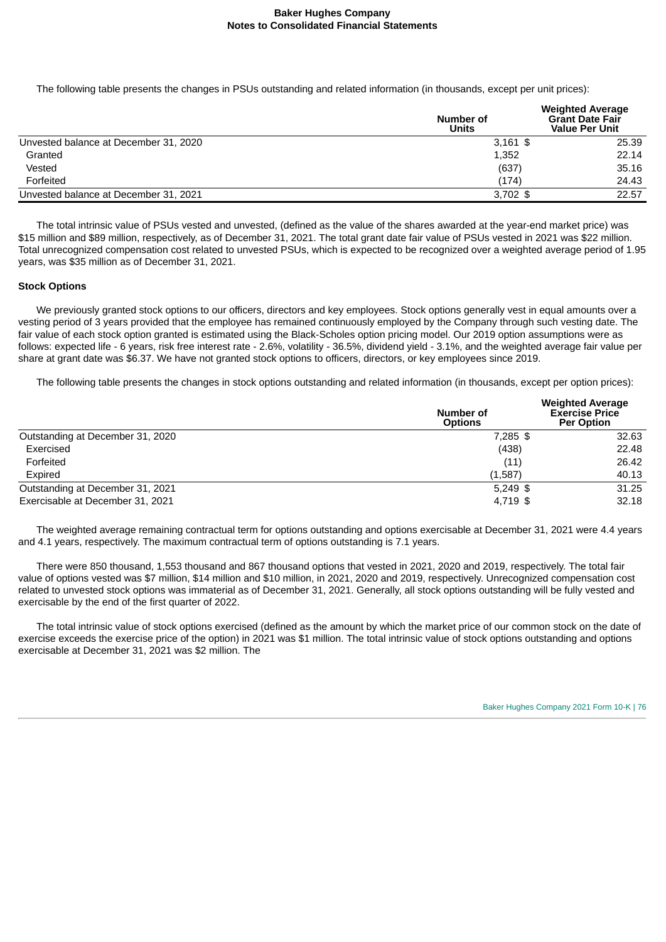The following table presents the changes in PSUs outstanding and related information (in thousands, except per unit prices):

|                                       | Number of<br>Units | <b>Weighted Average</b><br><b>Grant Date Fair</b><br><b>Value Per Unit</b> |
|---------------------------------------|--------------------|----------------------------------------------------------------------------|
| Unvested balance at December 31, 2020 | $3,161$ \$         | 25.39                                                                      |
| Granted                               | 1,352              | 22.14                                                                      |
| Vested                                | (637)              | 35.16                                                                      |
| Forfeited                             | (174)              | 24.43                                                                      |
| Unvested balance at December 31, 2021 | $3.702$ \$         | 22.57                                                                      |

The total intrinsic value of PSUs vested and unvested, (defined as the value of the shares awarded at the year-end market price) was \$15 million and \$89 million, respectively, as of December 31, 2021. The total grant date fair value of PSUs vested in 2021 was \$22 million. Total unrecognized compensation cost related to unvested PSUs, which is expected to be recognized over a weighted average period of 1.95 years, was \$35 million as of December 31, 2021.

#### **Stock Options**

We previously granted stock options to our officers, directors and key employees. Stock options generally vest in equal amounts over a vesting period of 3 years provided that the employee has remained continuously employed by the Company through such vesting date. The fair value of each stock option granted is estimated using the Black-Scholes option pricing model. Our 2019 option assumptions were as follows: expected life - 6 years, risk free interest rate - 2.6%, volatility - 36.5%, dividend yield - 3.1%, and the weighted average fair value per share at grant date was \$6.37. We have not granted stock options to officers, directors, or key employees since 2019.

The following table presents the changes in stock options outstanding and related information (in thousands, except per option prices):

|                                  | Number of<br><b>Options</b> | <b>Weighted Average</b><br><b>Exercise Price</b><br><b>Per Option</b> |
|----------------------------------|-----------------------------|-----------------------------------------------------------------------|
| Outstanding at December 31, 2020 | $7.285$ \$                  | 32.63                                                                 |
| Exercised                        | (438)                       | 22.48                                                                 |
| Forfeited                        | (11)                        | 26.42                                                                 |
| Expired                          | (1,587)                     | 40.13                                                                 |
| Outstanding at December 31, 2021 | $5,249$ \$                  | 31.25                                                                 |
| Exercisable at December 31, 2021 | 4.719 \$                    | 32.18                                                                 |

The weighted average remaining contractual term for options outstanding and options exercisable at December 31, 2021 were 4.4 years and 4.1 years, respectively. The maximum contractual term of options outstanding is 7.1 years.

There were 850 thousand, 1,553 thousand and 867 thousand options that vested in 2021, 2020 and 2019, respectively. The total fair value of options vested was \$7 million, \$14 million and \$10 million, in 2021, 2020 and 2019, respectively. Unrecognized compensation cost related to unvested stock options was immaterial as of December 31, 2021. Generally, all stock options outstanding will be fully vested and exercisable by the end of the first quarter of 2022.

The total intrinsic value of stock options exercised (defined as the amount by which the market price of our common stock on the date of exercise exceeds the exercise price of the option) in 2021 was \$1 million. The total intrinsic value of stock options outstanding and options exercisable at December 31, 2021 was \$2 million. The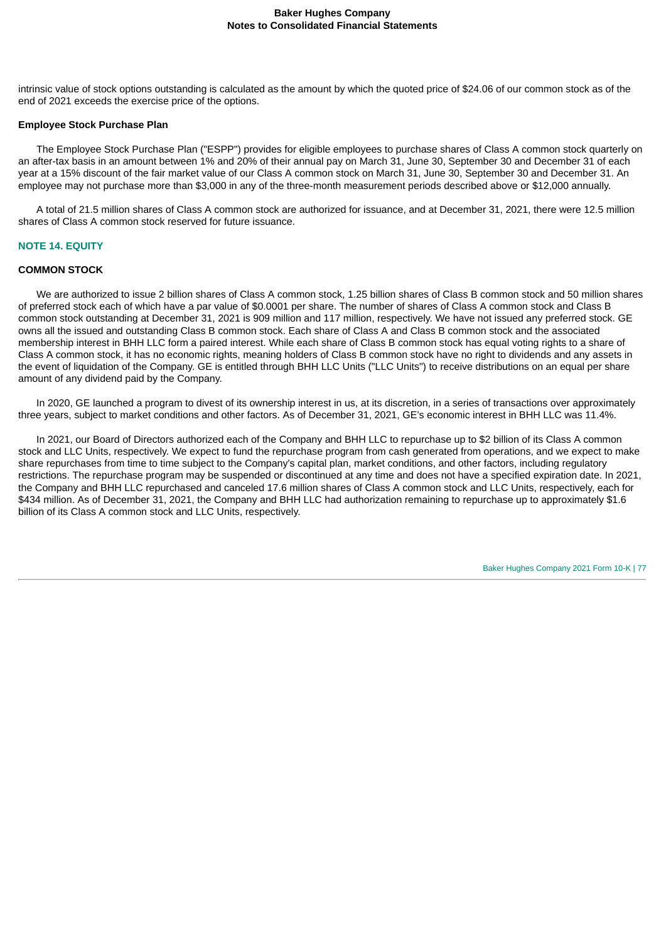intrinsic value of stock options outstanding is calculated as the amount by which the quoted price of \$24.06 of our common stock as of the end of 2021 exceeds the exercise price of the options.

#### **Employee Stock Purchase Plan**

The Employee Stock Purchase Plan ("ESPP") provides for eligible employees to purchase shares of Class A common stock quarterly on an after-tax basis in an amount between 1% and 20% of their annual pay on March 31, June 30, September 30 and December 31 of each year at a 15% discount of the fair market value of our Class A common stock on March 31, June 30, September 30 and December 31. An employee may not purchase more than \$3,000 in any of the three-month measurement periods described above or \$12,000 annually.

A total of 21.5 million shares of Class A common stock are authorized for issuance, and at December 31, 2021, there were 12.5 million shares of Class A common stock reserved for future issuance.

#### **NOTE 14. EQUITY**

#### **COMMON STOCK**

We are authorized to issue 2 billion shares of Class A common stock, 1.25 billion shares of Class B common stock and 50 million shares of preferred stock each of which have a par value of \$0.0001 per share. The number of shares of Class A common stock and Class B common stock outstanding at December 31, 2021 is 909 million and 117 million, respectively. We have not issued any preferred stock. GE owns all the issued and outstanding Class B common stock. Each share of Class A and Class B common stock and the associated membership interest in BHH LLC form a paired interest. While each share of Class B common stock has equal voting rights to a share of Class A common stock, it has no economic rights, meaning holders of Class B common stock have no right to dividends and any assets in the event of liquidation of the Company. GE is entitled through BHH LLC Units ("LLC Units") to receive distributions on an equal per share amount of any dividend paid by the Company.

In 2020, GE launched a program to divest of its ownership interest in us, at its discretion, in a series of transactions over approximately three years, subject to market conditions and other factors. As of December 31, 2021, GE's economic interest in BHH LLC was 11.4%.

In 2021, our Board of Directors authorized each of the Company and BHH LLC to repurchase up to \$2 billion of its Class A common stock and LLC Units, respectively. We expect to fund the repurchase program from cash generated from operations, and we expect to make share repurchases from time to time subject to the Company's capital plan, market conditions, and other factors, including regulatory restrictions. The repurchase program may be suspended or discontinued at any time and does not have a specified expiration date. In 2021, the Company and BHH LLC repurchased and canceled 17.6 million shares of Class A common stock and LLC Units, respectively, each for \$434 million. As of December 31, 2021, the Company and BHH LLC had authorization remaining to repurchase up to approximately \$1.6 billion of its Class A common stock and LLC Units, respectively.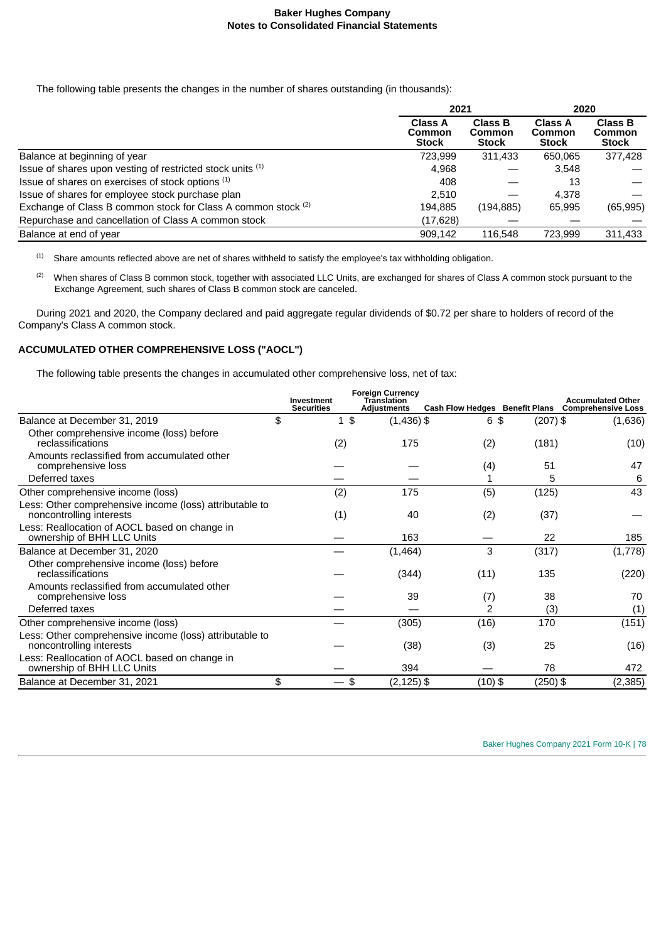The following table presents the changes in the number of shares outstanding (in thousands):

|                                                               |                                          | 2021                                     |                                          | 2020                                            |
|---------------------------------------------------------------|------------------------------------------|------------------------------------------|------------------------------------------|-------------------------------------------------|
|                                                               | <b>Class A</b><br>Common<br><b>Stock</b> | <b>Class B</b><br>Common<br><b>Stock</b> | <b>Class A</b><br>Common<br><b>Stock</b> | <b>Class B</b><br><b>Common</b><br><b>Stock</b> |
| Balance at beginning of year                                  | 723.999                                  | 311,433                                  | 650.065                                  | 377,428                                         |
| Issue of shares upon vesting of restricted stock units (1)    | 4.968                                    |                                          | 3,548                                    |                                                 |
| Issue of shares on exercises of stock options (1)             | 408                                      |                                          | 13                                       |                                                 |
| Issue of shares for employee stock purchase plan              | 2.510                                    |                                          | 4.378                                    |                                                 |
| Exchange of Class B common stock for Class A common stock (2) | 194,885                                  | (194, 885)                               | 65.995                                   | (65, 995)                                       |
| Repurchase and cancellation of Class A common stock           | (17, 628)                                |                                          |                                          |                                                 |
| Balance at end of year                                        | 909.142                                  | 116,548                                  | 723.999                                  | 311.433                                         |

 Share amounts reflected above are net of shares withheld to satisfy the employee's tax withholding obligation. (1)

<sup>(2)</sup> When shares of Class B common stock, together with associated LLC Units, are exchanged for shares of Class A common stock pursuant to the Exchange Agreement, such shares of Class B common stock are canceled.

During 2021 and 2020, the Company declared and paid aggregate regular dividends of \$0.72 per share to holders of record of the Company's Class A common stock.

# **ACCUMULATED OTHER COMPREHENSIVE LOSS ("AOCL")**

The following table presents the changes in accumulated other comprehensive loss, net of tax:

|                                                                                     | Investment        | <b>Foreign Currency</b><br><b>Translation</b> |                                       |            | <b>Accumulated Other</b>  |
|-------------------------------------------------------------------------------------|-------------------|-----------------------------------------------|---------------------------------------|------------|---------------------------|
|                                                                                     | <b>Securities</b> | <b>Adjustments</b>                            | <b>Cash Flow Hedges Benefit Plans</b> |            | <b>Comprehensive Loss</b> |
| Balance at December 31, 2019                                                        | \$<br>1\$         | $(1,436)$ \$                                  | 6\$                                   | $(207)$ \$ | (1,636)                   |
| Other comprehensive income (loss) before<br>reclassifications                       | (2)               | 175                                           | (2)                                   | (181)      | (10)                      |
| Amounts reclassified from accumulated other<br>comprehensive loss                   |                   |                                               | (4)                                   | 51         | 47                        |
| Deferred taxes                                                                      |                   |                                               |                                       | 5          | 6                         |
| Other comprehensive income (loss)                                                   | (2)               | 175                                           | (5)                                   | (125)      | 43                        |
| Less: Other comprehensive income (loss) attributable to<br>noncontrolling interests | (1)               | 40                                            | (2)                                   | (37)       |                           |
| Less: Reallocation of AOCL based on change in<br>ownership of BHH LLC Units         |                   | 163                                           |                                       | 22         | 185                       |
| Balance at December 31, 2020                                                        |                   | (1,464)                                       | 3                                     | (317)      | (1,778)                   |
| Other comprehensive income (loss) before<br>reclassifications                       |                   | (344)                                         | (11)                                  | 135        | (220)                     |
| Amounts reclassified from accumulated other<br>comprehensive loss                   |                   | 39                                            | (7)                                   | 38         | 70                        |
| Deferred taxes                                                                      |                   |                                               | 2                                     | (3)        | (1)                       |
| Other comprehensive income (loss)                                                   |                   | (305)                                         | (16)                                  | 170        | (151)                     |
| Less: Other comprehensive income (loss) attributable to<br>noncontrolling interests |                   | (38)                                          | (3)                                   | 25         | (16)                      |
| Less: Reallocation of AOCL based on change in<br>ownership of BHH LLC Units         |                   | 394                                           |                                       | 78         | 472                       |
| Balance at December 31, 2021                                                        | \$                | $(2, 125)$ \$<br>\$                           | $(10)$ \$                             | (250) \$   | (2, 385)                  |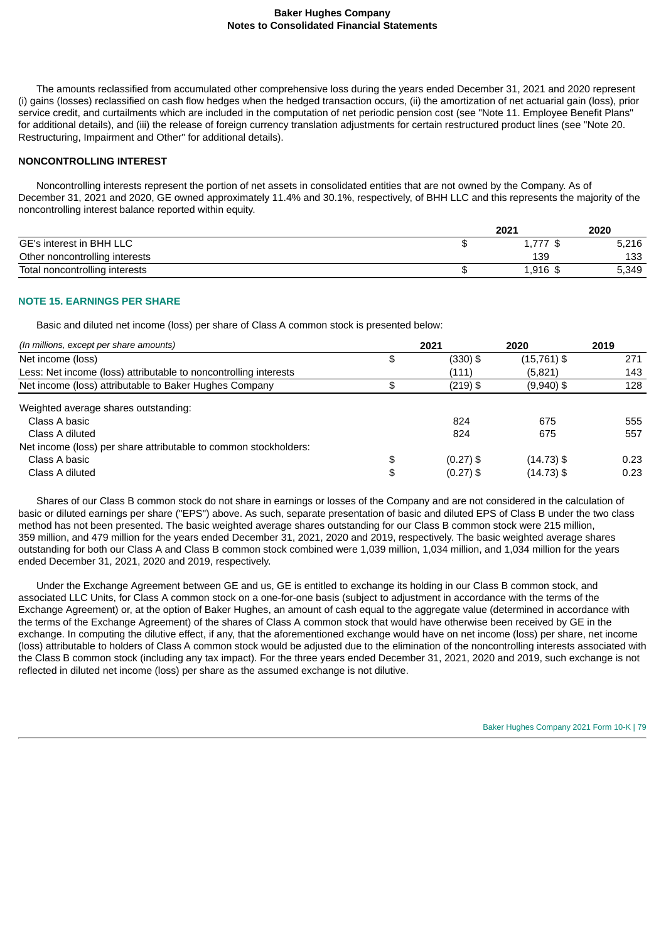The amounts reclassified from accumulated other comprehensive loss during the years ended December 31, 2021 and 2020 represent (i) gains (losses) reclassified on cash flow hedges when the hedged transaction occurs, (ii) the amortization of net actuarial gain (loss), prior service credit, and curtailments which are included in the computation of net periodic pension cost (see "Note 11. Employee Benefit Plans" for additional details), and (iii) the release of foreign currency translation adjustments for certain restructured product lines (see "Note 20. Restructuring, Impairment and Other" for additional details).

### **NONCONTROLLING INTEREST**

Noncontrolling interests represent the portion of net assets in consolidated entities that are not owned by the Company. As of December 31, 2021 and 2020, GE owned approximately 11.4% and 30.1%, respectively, of BHH LLC and this represents the majority of the noncontrolling interest balance reported within equity.

|                                | 2021          | 2020  |
|--------------------------------|---------------|-------|
| GE's interest in BHH LLC       | 777<br>1, 111 | 5,216 |
| Other noncontrolling interests | 139           | 133   |
| Total noncontrolling interests | $1,916$ \$    | 5,349 |

## **NOTE 15. EARNINGS PER SHARE**

Basic and diluted net income (loss) per share of Class A common stock is presented below:

| (In millions, except per share amounts)                          | 2021              | 2020          | 2019 |
|------------------------------------------------------------------|-------------------|---------------|------|
| Net income (loss)                                                | \$<br>(330) \$    | $(15,761)$ \$ | 271  |
| Less: Net income (loss) attributable to noncontrolling interests | (111)             | (5,821)       | 143  |
| Net income (loss) attributable to Baker Hughes Company           | $(219)$ \$        | $(9,940)$ \$  | 128  |
| Weighted average shares outstanding:                             |                   |               |      |
| Class A basic                                                    | 824               | 675           | 555  |
| Class A diluted                                                  | 824               | 675           | 557  |
| Net income (loss) per share attributable to common stockholders: |                   |               |      |
| Class A basic                                                    | \$<br>$(0.27)$ \$ | (14.73)\$     | 0.23 |
| Class A diluted                                                  | \$<br>$(0.27)$ \$ | $(14.73)$ \$  | 0.23 |

Shares of our Class B common stock do not share in earnings or losses of the Company and are not considered in the calculation of basic or diluted earnings per share ("EPS") above. As such, separate presentation of basic and diluted EPS of Class B under the two class method has not been presented. The basic weighted average shares outstanding for our Class B common stock were 215 million, 359 million, and 479 million for the years ended December 31, 2021, 2020 and 2019, respectively. The basic weighted average shares outstanding for both our Class A and Class B common stock combined were 1,039 million, 1,034 million, and 1,034 million for the years ended December 31, 2021, 2020 and 2019, respectively.

Under the Exchange Agreement between GE and us, GE is entitled to exchange its holding in our Class B common stock, and associated LLC Units, for Class A common stock on a one-for-one basis (subject to adjustment in accordance with the terms of the Exchange Agreement) or, at the option of Baker Hughes, an amount of cash equal to the aggregate value (determined in accordance with the terms of the Exchange Agreement) of the shares of Class A common stock that would have otherwise been received by GE in the exchange. In computing the dilutive effect, if any, that the aforementioned exchange would have on net income (loss) per share, net income (loss) attributable to holders of Class A common stock would be adjusted due to the elimination of the noncontrolling interests associated with the Class B common stock (including any tax impact). For the three years ended December 31, 2021, 2020 and 2019, such exchange is not reflected in diluted net income (loss) per share as the assumed exchange is not dilutive.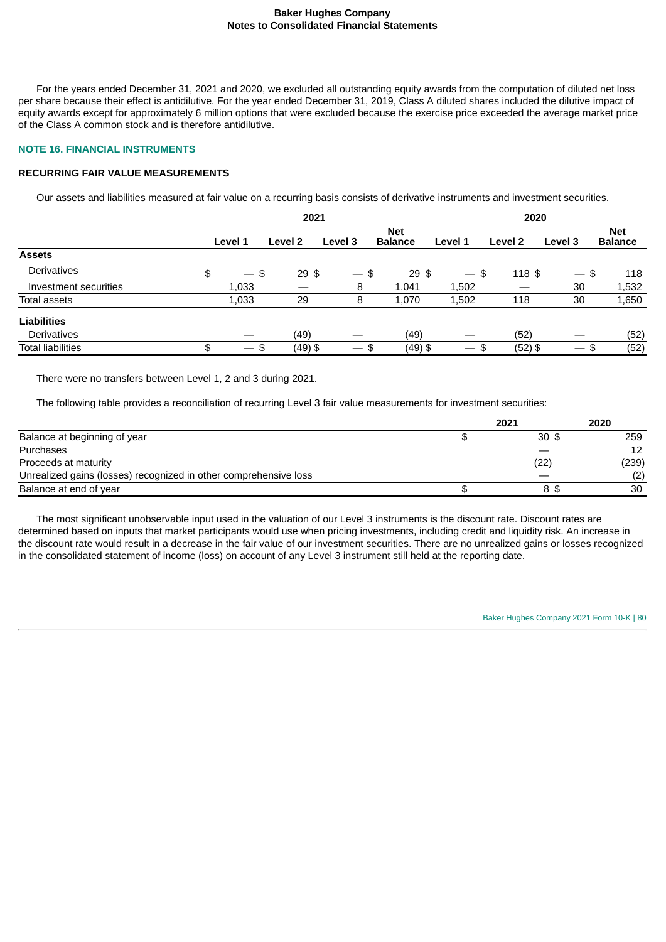For the years ended December 31, 2021 and 2020, we excluded all outstanding equity awards from the computation of diluted net loss per share because their effect is antidilutive. For the year ended December 31, 2019, Class A diluted shares included the dilutive impact of equity awards except for approximately 6 million options that were excluded because the exercise price exceeded the average market price of the Class A common stock and is therefore antidilutive.

## **NOTE 16. FINANCIAL INSTRUMENTS**

# **RECURRING FAIR VALUE MEASUREMENTS**

Our assets and liabilities measured at fair value on a recurring basis consists of derivative instruments and investment securities.

|                          | 2021                                 |                 |                                |                              |                          | 2020      |         |                              |
|--------------------------|--------------------------------------|-----------------|--------------------------------|------------------------------|--------------------------|-----------|---------|------------------------------|
|                          | Level 1                              | Level 2         | Level 3                        | <b>Net</b><br><b>Balance</b> | Level 1                  | Level 2   | Level 3 | <b>Net</b><br><b>Balance</b> |
| <b>Assets</b>            |                                      |                 |                                |                              |                          |           |         |                              |
| Derivatives              | \$<br>\$<br>$\overline{\phantom{a}}$ | 29 <sup>5</sup> | $-$ \$                         | $29$ \$                      | $-$ \$                   | $118$ \$  | $-$ \$  | 118                          |
| Investment securities    | 1,033                                |                 | 8                              | 1,041                        | 1,502                    |           | 30      | 1,532                        |
| <b>Total assets</b>      | 1,033                                | 29              | 8                              | 1,070                        | 1,502                    | 118       | 30      | 1,650                        |
| <b>Liabilities</b>       |                                      |                 |                                |                              |                          |           |         |                              |
| <b>Derivatives</b>       |                                      | (49)            |                                | (49)                         |                          | (52)      |         | (52)                         |
| <b>Total liabilities</b> | \$<br>\$<br>$\overline{\phantom{0}}$ | $(49)$ \$       | $\overline{\phantom{0}}$<br>\$ | $(49)$ \$                    | $\overline{\phantom{m}}$ | $(52)$ \$ | $-$ \$  | (52)                         |

There were no transfers between Level 1, 2 and 3 during 2021.

The following table provides a reconciliation of recurring Level 3 fair value measurements for investment securities:

|                                                                  | 2021            | 2020  |
|------------------------------------------------------------------|-----------------|-------|
| Balance at beginning of year                                     | 30 <sup>5</sup> | 259   |
| Purchases                                                        |                 | 12    |
| Proceeds at maturity                                             | (22)            | (239) |
| Unrealized gains (losses) recognized in other comprehensive loss |                 | (2)   |
| Balance at end of year                                           | 8\$             | 30    |

The most significant unobservable input used in the valuation of our Level 3 instruments is the discount rate. Discount rates are determined based on inputs that market participants would use when pricing investments, including credit and liquidity risk. An increase in the discount rate would result in a decrease in the fair value of our investment securities. There are no unrealized gains or losses recognized in the consolidated statement of income (loss) on account of any Level 3 instrument still held at the reporting date.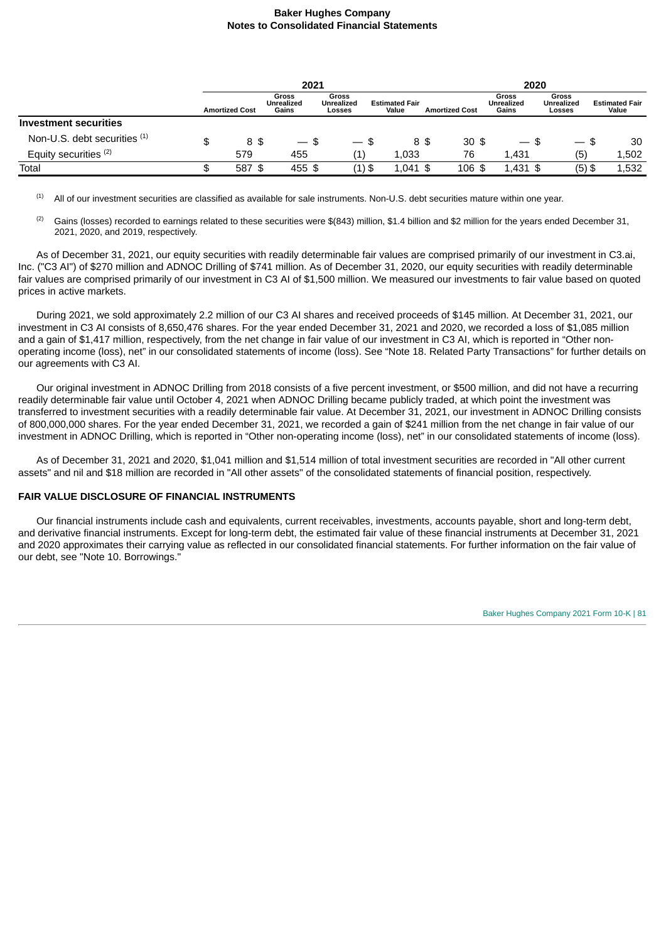|                              |    | 2021                  |                                     |                                             |                                | 2020                   |                                     |                                      |                                |
|------------------------------|----|-----------------------|-------------------------------------|---------------------------------------------|--------------------------------|------------------------|-------------------------------------|--------------------------------------|--------------------------------|
|                              |    | <b>Amortized Cost</b> | Gross<br><b>Unrealized</b><br>Gains | <b>Gross</b><br><b>Unrealized</b><br>Losses | <b>Estimated Fair</b><br>Value | <b>Amortized Cost</b>  | <b>Gross</b><br>Unrealized<br>Gains | Gross<br><b>Unrealized</b><br>Losses | <b>Estimated Fair</b><br>Value |
| Investment securities        |    |                       |                                     |                                             |                                |                        |                                     |                                      |                                |
| Non-U.S. debt securities (1) | \$ | 8\$                   | £.<br>$\hspace{0.05cm}$             | $\overline{\phantom{0}}$                    | \$                             | 30 <sup>5</sup><br>8\$ | $\overline{\phantom{m}}$            | \$.<br>$\overline{\phantom{m}}$      | 30<br>\$.                      |
| Equity securities (2)        |    | 579                   | 455                                 | Ŧ,                                          | 1,033                          | 76                     | 1.431                               | (5)                                  | 1,502                          |
| Total                        | J  | 587 \$                | 455 \$                              | (1) \$                                      | $1,041$ \$                     | $106$ \$               | $1.431$ \$                          | $(5)$ \$                             | 1,532                          |

All of our investment securities are classified as available for sale instruments. Non-U.S. debt securities mature within one year. (1)

Gains (losses) recorded to earnings related to these securities were \$(843) million, \$1.4 billion and \$2 million for the years ended December 31, 2021, 2020, and 2019, respectively. (2)

As of December 31, 2021, our equity securities with readily determinable fair values are comprised primarily of our investment in C3.ai, Inc. ("C3 AI") of \$270 million and ADNOC Drilling of \$741 million. As of December 31, 2020, our equity securities with readily determinable fair values are comprised primarily of our investment in C3 AI of \$1,500 million. We measured our investments to fair value based on quoted prices in active markets.

During 2021, we sold approximately 2.2 million of our C3 AI shares and received proceeds of \$145 million. At December 31, 2021, our investment in C3 AI consists of 8,650,476 shares. For the year ended December 31, 2021 and 2020, we recorded a loss of \$1,085 million and a gain of \$1,417 million, respectively, from the net change in fair value of our investment in C3 AI, which is reported in "Other nonoperating income (loss), net" in our consolidated statements of income (loss). See "Note 18. Related Party Transactions" for further details on our agreements with C3 AI.

Our original investment in ADNOC Drilling from 2018 consists of a five percent investment, or \$500 million, and did not have a recurring readily determinable fair value until October 4, 2021 when ADNOC Drilling became publicly traded, at which point the investment was transferred to investment securities with a readily determinable fair value. At December 31, 2021, our investment in ADNOC Drilling consists of 800,000,000 shares. For the year ended December 31, 2021, we recorded a gain of \$241 million from the net change in fair value of our investment in ADNOC Drilling, which is reported in "Other non-operating income (loss), net" in our consolidated statements of income (loss).

As of December 31, 2021 and 2020, \$1,041 million and \$1,514 million of total investment securities are recorded in "All other current assets" and nil and \$18 million are recorded in "All other assets" of the consolidated statements of financial position, respectively.

## **FAIR VALUE DISCLOSURE OF FINANCIAL INSTRUMENTS**

Our financial instruments include cash and equivalents, current receivables, investments, accounts payable, short and long-term debt, and derivative financial instruments. Except for long-term debt, the estimated fair value of these financial instruments at December 31, 2021 and 2020 approximates their carrying value as reflected in our consolidated financial statements. For further information on the fair value of our debt, see "Note 10. Borrowings."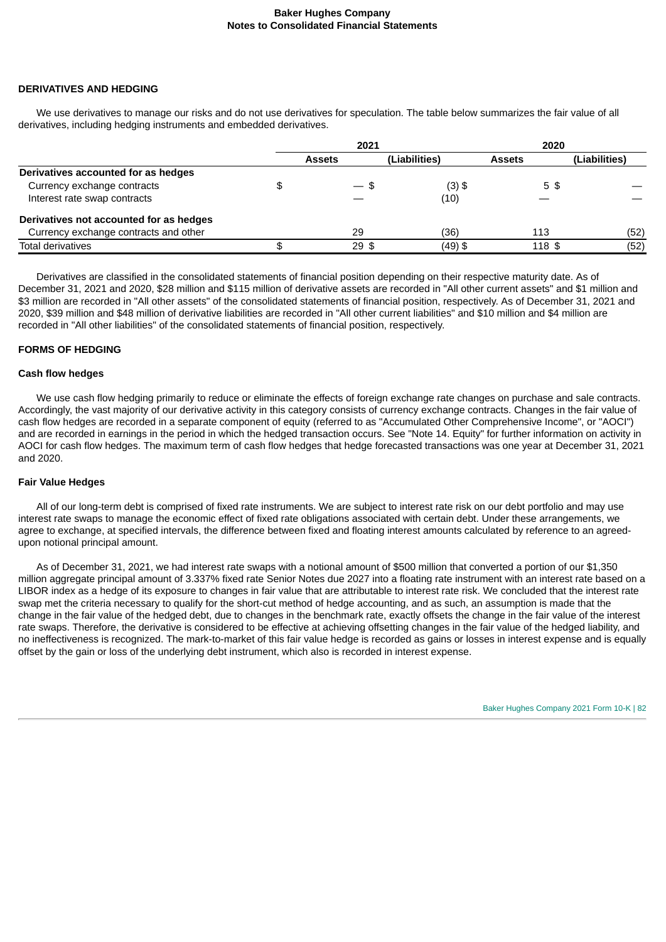#### **DERIVATIVES AND HEDGING**

We use derivatives to manage our risks and do not use derivatives for speculation. The table below summarizes the fair value of all derivatives, including hedging instruments and embedded derivatives.

|                                         | 2021          |                 | 2020          |               |               |
|-----------------------------------------|---------------|-----------------|---------------|---------------|---------------|
|                                         | <b>Assets</b> |                 | (Liabilities) | <b>Assets</b> | (Liabilities) |
| Derivatives accounted for as hedges     |               |                 |               |               |               |
| Currency exchange contracts             |               | — \$            | $(3)$ \$      | 5\$           |               |
| Interest rate swap contracts            |               |                 | (10)          |               |               |
| Derivatives not accounted for as hedges |               |                 |               |               |               |
| Currency exchange contracts and other   |               | 29              | (36)          | 113           | (52)          |
| <b>Total derivatives</b>                |               | 29 <sup>5</sup> | (49) \$       | 118 \$        | (52)          |

Derivatives are classified in the consolidated statements of financial position depending on their respective maturity date. As of December 31, 2021 and 2020, \$28 million and \$115 million of derivative assets are recorded in "All other current assets" and \$1 million and \$3 million are recorded in "All other assets" of the consolidated statements of financial position, respectively. As of December 31, 2021 and 2020, \$39 million and \$48 million of derivative liabilities are recorded in "All other current liabilities" and \$10 million and \$4 million are recorded in "All other liabilities" of the consolidated statements of financial position, respectively.

### **FORMS OF HEDGING**

#### **Cash flow hedges**

We use cash flow hedging primarily to reduce or eliminate the effects of foreign exchange rate changes on purchase and sale contracts. Accordingly, the vast majority of our derivative activity in this category consists of currency exchange contracts. Changes in the fair value of cash flow hedges are recorded in a separate component of equity (referred to as "Accumulated Other Comprehensive Income", or "AOCI") and are recorded in earnings in the period in which the hedged transaction occurs. See "Note 14. Equity" for further information on activity in AOCI for cash flow hedges. The maximum term of cash flow hedges that hedge forecasted transactions was one year at December 31, 2021 and 2020.

#### **Fair Value Hedges**

All of our long-term debt is comprised of fixed rate instruments. We are subject to interest rate risk on our debt portfolio and may use interest rate swaps to manage the economic effect of fixed rate obligations associated with certain debt. Under these arrangements, we agree to exchange, at specified intervals, the difference between fixed and floating interest amounts calculated by reference to an agreedupon notional principal amount.

As of December 31, 2021, we had interest rate swaps with a notional amount of \$500 million that converted a portion of our \$1,350 million aggregate principal amount of 3.337% fixed rate Senior Notes due 2027 into a floating rate instrument with an interest rate based on a LIBOR index as a hedge of its exposure to changes in fair value that are attributable to interest rate risk. We concluded that the interest rate swap met the criteria necessary to qualify for the short-cut method of hedge accounting, and as such, an assumption is made that the change in the fair value of the hedged debt, due to changes in the benchmark rate, exactly offsets the change in the fair value of the interest rate swaps. Therefore, the derivative is considered to be effective at achieving offsetting changes in the fair value of the hedged liability, and no ineffectiveness is recognized. The mark-to-market of this fair value hedge is recorded as gains or losses in interest expense and is equally offset by the gain or loss of the underlying debt instrument, which also is recorded in interest expense.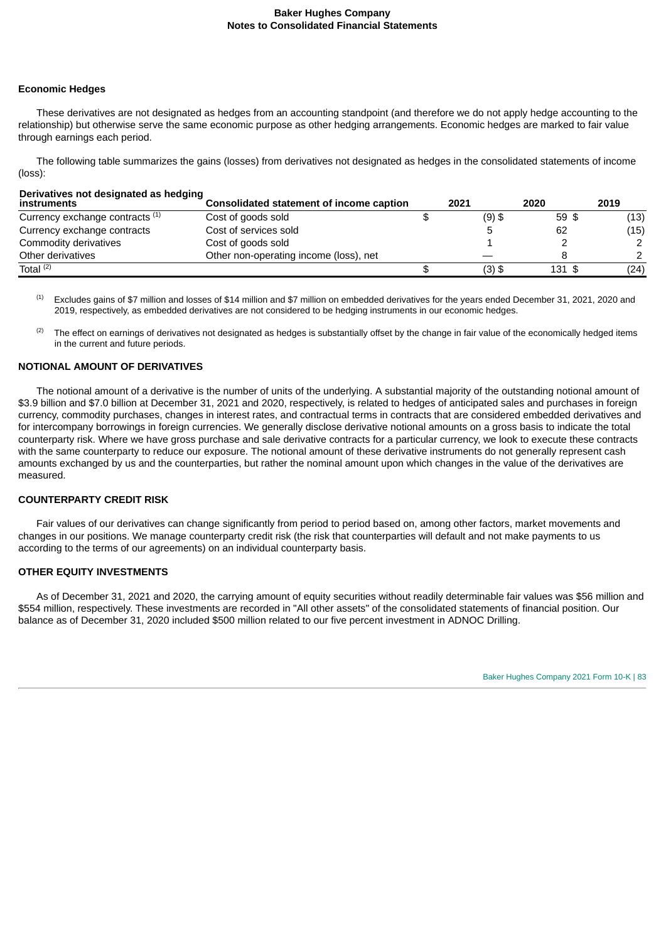#### **Economic Hedges**

These derivatives are not designated as hedges from an accounting standpoint (and therefore we do not apply hedge accounting to the relationship) but otherwise serve the same economic purpose as other hedging arrangements. Economic hedges are marked to fair value through earnings each period.

The following table summarizes the gains (losses) from derivatives not designated as hedges in the consolidated statements of income (loss):

| Derivatives not designated as hedging<br>instruments | Consolidated statement of income caption | 2021     | 2020   | 2019 |
|------------------------------------------------------|------------------------------------------|----------|--------|------|
| Currency exchange contracts (1)                      | Cost of goods sold                       | $(9)$ \$ | 59 \$  | (13) |
| Currency exchange contracts                          | Cost of services sold                    |          | 62     | (15) |
| Commodity derivatives                                | Cost of goods sold                       |          |        |      |
| Other derivatives                                    | Other non-operating income (loss), net   |          |        |      |
| Total $(2)$                                          |                                          | $(3)$ \$ | 131 \$ | (24) |

Excludes gains of \$7 million and losses of \$14 million and \$7 million on embedded derivatives for the years ended December 31, 2021, 2020 and 2019, respectively, as embedded derivatives are not considered to be hedging instruments in our economic hedges. (1)

The effect on earnings of derivatives not designated as hedges is substantially offset by the change in fair value of the economically hedged items in the current and future periods. (2)

#### **NOTIONAL AMOUNT OF DERIVATIVES**

The notional amount of a derivative is the number of units of the underlying. A substantial majority of the outstanding notional amount of \$3.9 billion and \$7.0 billion at December 31, 2021 and 2020, respectively, is related to hedges of anticipated sales and purchases in foreign currency, commodity purchases, changes in interest rates, and contractual terms in contracts that are considered embedded derivatives and for intercompany borrowings in foreign currencies. We generally disclose derivative notional amounts on a gross basis to indicate the total counterparty risk. Where we have gross purchase and sale derivative contracts for a particular currency, we look to execute these contracts with the same counterparty to reduce our exposure. The notional amount of these derivative instruments do not generally represent cash amounts exchanged by us and the counterparties, but rather the nominal amount upon which changes in the value of the derivatives are measured.

## **COUNTERPARTY CREDIT RISK**

Fair values of our derivatives can change significantly from period to period based on, among other factors, market movements and changes in our positions. We manage counterparty credit risk (the risk that counterparties will default and not make payments to us according to the terms of our agreements) on an individual counterparty basis.

## **OTHER EQUITY INVESTMENTS**

As of December 31, 2021 and 2020, the carrying amount of equity securities without readily determinable fair values was \$56 million and \$554 million, respectively. These investments are recorded in "All other assets" of the consolidated statements of financial position. Our balance as of December 31, 2020 included \$500 million related to our five percent investment in ADNOC Drilling.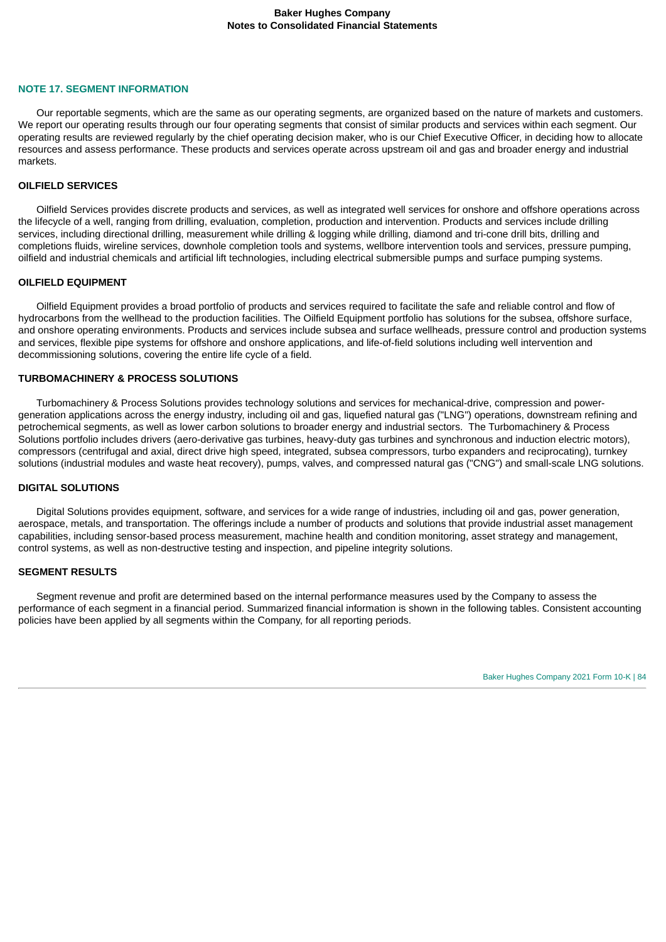#### **NOTE 17. SEGMENT INFORMATION**

Our reportable segments, which are the same as our operating segments, are organized based on the nature of markets and customers. We report our operating results through our four operating segments that consist of similar products and services within each segment. Our operating results are reviewed regularly by the chief operating decision maker, who is our Chief Executive Officer, in deciding how to allocate resources and assess performance. These products and services operate across upstream oil and gas and broader energy and industrial markets.

#### **OILFIELD SERVICES**

Oilfield Services provides discrete products and services, as well as integrated well services for onshore and offshore operations across the lifecycle of a well, ranging from drilling, evaluation, completion, production and intervention. Products and services include drilling services, including directional drilling, measurement while drilling & logging while drilling, diamond and tri-cone drill bits, drilling and completions fluids, wireline services, downhole completion tools and systems, wellbore intervention tools and services, pressure pumping, oilfield and industrial chemicals and artificial lift technologies, including electrical submersible pumps and surface pumping systems.

#### **OILFIELD EQUIPMENT**

Oilfield Equipment provides a broad portfolio of products and services required to facilitate the safe and reliable control and flow of hydrocarbons from the wellhead to the production facilities. The Oilfield Equipment portfolio has solutions for the subsea, offshore surface, and onshore operating environments. Products and services include subsea and surface wellheads, pressure control and production systems and services, flexible pipe systems for offshore and onshore applications, and life-of-field solutions including well intervention and decommissioning solutions, covering the entire life cycle of a field.

#### **TURBOMACHINERY & PROCESS SOLUTIONS**

Turbomachinery & Process Solutions provides technology solutions and services for mechanical-drive, compression and powergeneration applications across the energy industry, including oil and gas, liquefied natural gas ("LNG") operations, downstream refining and petrochemical segments, as well as lower carbon solutions to broader energy and industrial sectors. The Turbomachinery & Process Solutions portfolio includes drivers (aero-derivative gas turbines, heavy-duty gas turbines and synchronous and induction electric motors), compressors (centrifugal and axial, direct drive high speed, integrated, subsea compressors, turbo expanders and reciprocating), turnkey solutions (industrial modules and waste heat recovery), pumps, valves, and compressed natural gas ("CNG") and small-scale LNG solutions.

#### **DIGITAL SOLUTIONS**

Digital Solutions provides equipment, software, and services for a wide range of industries, including oil and gas, power generation, aerospace, metals, and transportation. The offerings include a number of products and solutions that provide industrial asset management capabilities, including sensor-based process measurement, machine health and condition monitoring, asset strategy and management, control systems, as well as non-destructive testing and inspection, and pipeline integrity solutions.

#### **SEGMENT RESULTS**

Segment revenue and profit are determined based on the internal performance measures used by the Company to assess the performance of each segment in a financial period. Summarized financial information is shown in the following tables. Consistent accounting policies have been applied by all segments within the Company, for all reporting periods.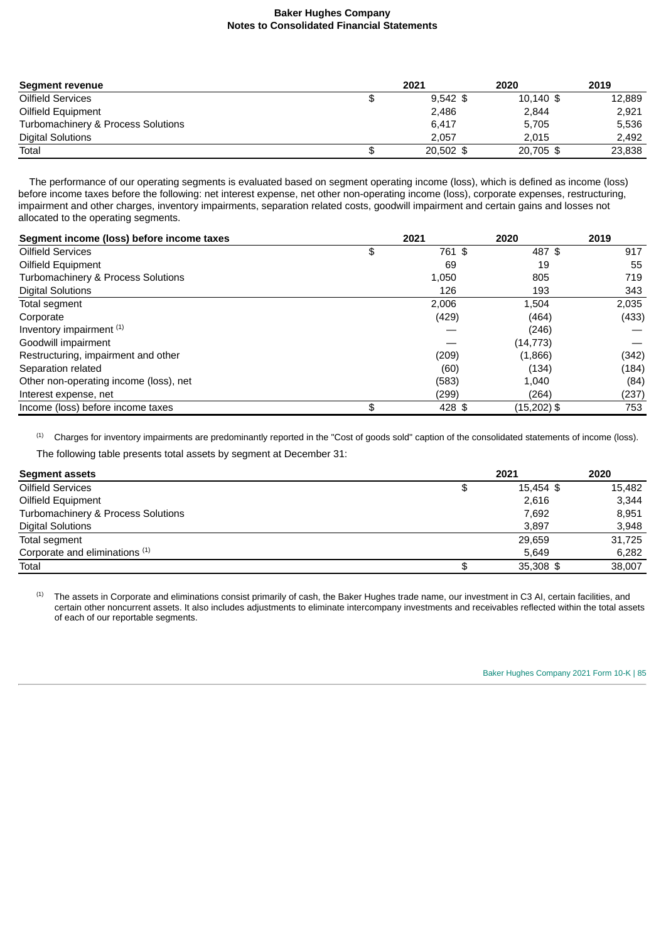| Segment revenue                    | 2021       | 2020        | 2019   |
|------------------------------------|------------|-------------|--------|
| Oilfield Services                  | $9.542$ \$ | $10,140$ \$ | 12,889 |
| Oilfield Equipment                 | 2,486      | 2,844       | 2,921  |
| Turbomachinery & Process Solutions | 6.417      | 5,705       | 5,536  |
| <b>Digital Solutions</b>           | 2.057      | 2.015       | 2,492  |
| Total                              | 20.502 \$  | 20,705 \$   | 23,838 |

The performance of our operating segments is evaluated based on segment operating income (loss), which is defined as income (loss) before income taxes before the following: net interest expense, net other non-operating income (loss), corporate expenses, restructuring, impairment and other charges, inventory impairments, separation related costs, goodwill impairment and certain gains and losses not allocated to the operating segments.

| Segment income (loss) before income taxes | 2021         | 2020          | 2019  |
|-------------------------------------------|--------------|---------------|-------|
| <b>Oilfield Services</b>                  | \$<br>761 \$ | 487 \$        | 917   |
| Oilfield Equipment                        | 69           | 19            | 55    |
| Turbomachinery & Process Solutions        | 1,050        | 805           | 719   |
| <b>Digital Solutions</b>                  | 126          | 193           | 343   |
| Total segment                             | 2,006        | 1,504         | 2,035 |
| Corporate                                 | (429)        | (464)         | (433) |
| Inventory impairment (1)                  |              | (246)         |       |
| Goodwill impairment                       |              | (14, 773)     |       |
| Restructuring, impairment and other       | (209)        | (1,866)       | (342) |
| Separation related                        | (60)         | (134)         | (184) |
| Other non-operating income (loss), net    | (583)        | 1,040         | (84)  |
| Interest expense, net                     | (299)        | (264)         | (237) |
| Income (loss) before income taxes         | \$<br>428 \$ | $(15,202)$ \$ | 753   |

Charges for inventory impairments are predominantly reported in the "Cost of goods sold" caption of the consolidated statements of income (loss). (1)

The following table presents total assets by segment at December 31:

| <b>Segment assets</b>                     |   | 2021      | 2020   |
|-------------------------------------------|---|-----------|--------|
| Oilfield Services                         | œ | 15,454 \$ | 15,482 |
| Oilfield Equipment                        |   | 2.616     | 3.344  |
| Turbomachinery & Process Solutions        |   | 7,692     | 8,951  |
| <b>Digital Solutions</b>                  |   | 3.897     | 3,948  |
| Total segment                             |   | 29.659    | 31,725 |
| Corporate and eliminations <sup>(1)</sup> |   | 5.649     | 6,282  |
| Total                                     |   | 35,308 \$ | 38.007 |

The assets in Corporate and eliminations consist primarily of cash, the Baker Hughes trade name, our investment in C3 AI, certain facilities, and certain other noncurrent assets. It also includes adjustments to eliminate intercompany investments and receivables reflected within the total assets of each of our reportable segments. (1)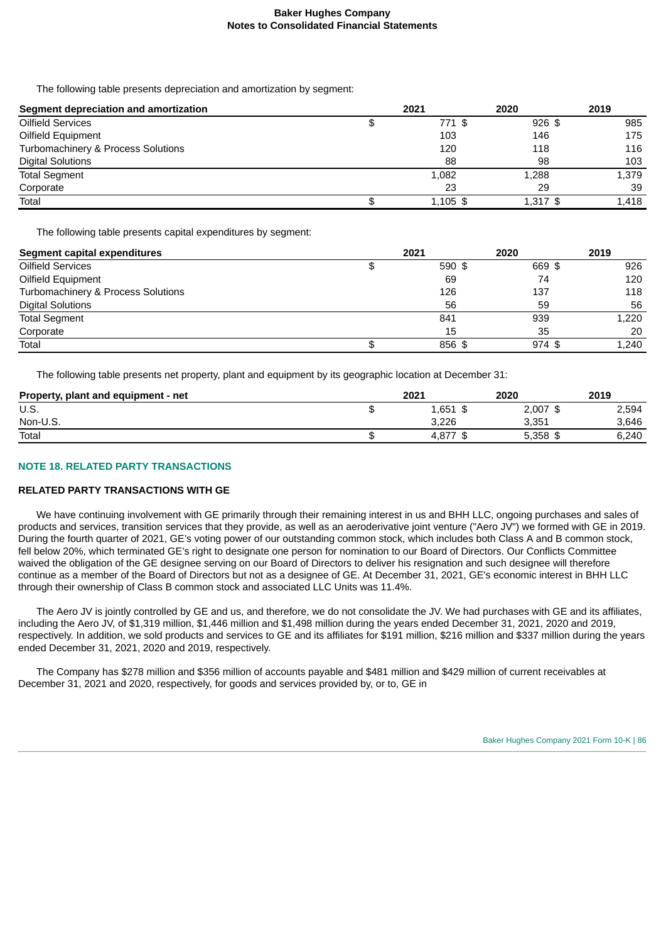The following table presents depreciation and amortization by segment:

| Segment depreciation and amortization | 2021       | 2020     | 2019  |
|---------------------------------------|------------|----------|-------|
| Oilfield Services                     | 771 \$     | $926$ \$ | 985   |
| Oilfield Equipment                    | 103        | 146      | 175   |
| Turbomachinery & Process Solutions    | 120        | 118      | 116   |
| <b>Digital Solutions</b>              | 88         | 98       | 103   |
| <b>Total Segment</b>                  | 1,082      | 1,288    | 1,379 |
| Corporate                             | 23         | 29       | 39    |
| Total                                 | $1,105$ \$ | 1,317 \$ | 1.418 |

The following table presents capital expenditures by segment:

| <b>Segment capital expenditures</b> |   | 2021   | 2020     | 2019  |
|-------------------------------------|---|--------|----------|-------|
| Oilfield Services                   |   | 590 \$ | 669 \$   | 926   |
| Oilfield Equipment                  |   | 69     | 74       | 120   |
| Turbomachinery & Process Solutions  |   | 126    | 137      | 118   |
| <b>Digital Solutions</b>            |   | 56     | 59       | 56    |
| <b>Total Segment</b>                |   | 841    | 939      | 1,220 |
| Corporate                           |   | 15     | 35       | 20    |
| Total                               | Φ | 856 \$ | $974$ \$ | 1,240 |

The following table presents net property, plant and equipment by its geographic location at December 31:

| Property, plant and equipment - net | 2021  | 2020         | 2019  |
|-------------------------------------|-------|--------------|-------|
| U.S.                                | 1,651 | 2.007<br>\$  | 2,594 |
| Non-U.S.                            | 3.226 | 3.351        | 3.646 |
| Total                               | 4.877 | 5.358<br>-\$ | 6.240 |

## **NOTE 18. RELATED PARTY TRANSACTIONS**

## **RELATED PARTY TRANSACTIONS WITH GE**

We have continuing involvement with GE primarily through their remaining interest in us and BHH LLC, ongoing purchases and sales of products and services, transition services that they provide, as well as an aeroderivative joint venture ("Aero JV") we formed with GE in 2019. During the fourth quarter of 2021, GE's voting power of our outstanding common stock, which includes both Class A and B common stock, fell below 20%, which terminated GE's right to designate one person for nomination to our Board of Directors. Our Conflicts Committee waived the obligation of the GE designee serving on our Board of Directors to deliver his resignation and such designee will therefore continue as a member of the Board of Directors but not as a designee of GE. At December 31, 2021, GE's economic interest in BHH LLC through their ownership of Class B common stock and associated LLC Units was 11.4%.

The Aero JV is jointly controlled by GE and us, and therefore, we do not consolidate the JV. We had purchases with GE and its affiliates, including the Aero JV, of \$1,319 million, \$1,446 million and \$1,498 million during the years ended December 31, 2021, 2020 and 2019, respectively. In addition, we sold products and services to GE and its affiliates for \$191 million, \$216 million and \$337 million during the years ended December 31, 2021, 2020 and 2019, respectively.

The Company has \$278 million and \$356 million of accounts payable and \$481 million and \$429 million of current receivables at December 31, 2021 and 2020, respectively, for goods and services provided by, or to, GE in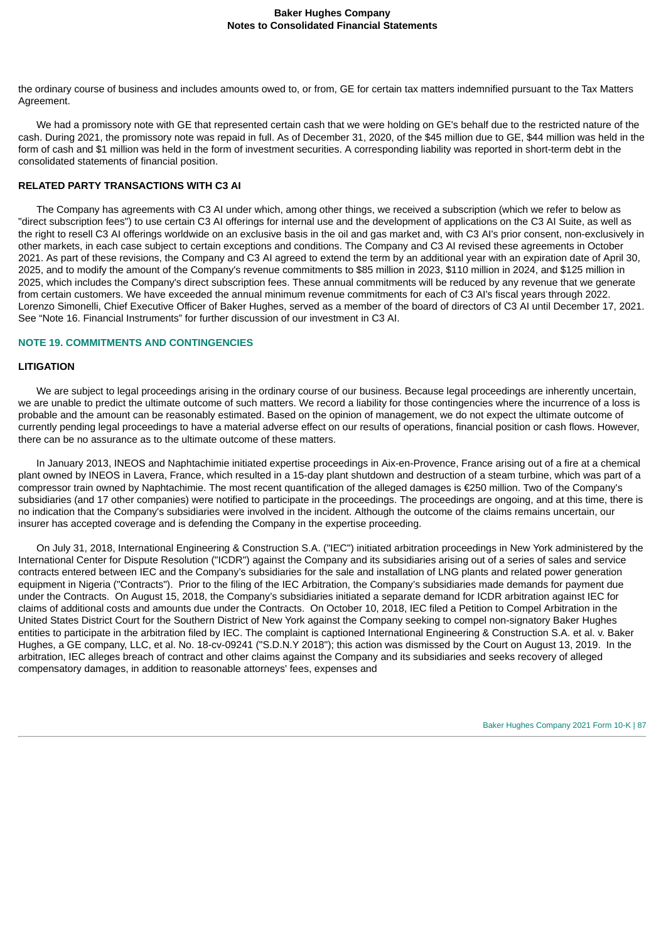the ordinary course of business and includes amounts owed to, or from, GE for certain tax matters indemnified pursuant to the Tax Matters Agreement.

We had a promissory note with GE that represented certain cash that we were holding on GE's behalf due to the restricted nature of the cash. During 2021, the promissory note was repaid in full. As of December 31, 2020, of the \$45 million due to GE, \$44 million was held in the form of cash and \$1 million was held in the form of investment securities. A corresponding liability was reported in short-term debt in the consolidated statements of financial position.

### **RELATED PARTY TRANSACTIONS WITH C3 AI**

The Company has agreements with C3 AI under which, among other things, we received a subscription (which we refer to below as "direct subscription fees") to use certain C3 AI offerings for internal use and the development of applications on the C3 AI Suite, as well as the right to resell C3 AI offerings worldwide on an exclusive basis in the oil and gas market and, with C3 AI's prior consent, non-exclusively in other markets, in each case subject to certain exceptions and conditions. The Company and C3 AI revised these agreements in October 2021. As part of these revisions, the Company and C3 AI agreed to extend the term by an additional year with an expiration date of April 30, 2025, and to modify the amount of the Company's revenue commitments to \$85 million in 2023, \$110 million in 2024, and \$125 million in 2025, which includes the Company's direct subscription fees. These annual commitments will be reduced by any revenue that we generate from certain customers. We have exceeded the annual minimum revenue commitments for each of C3 AI's fiscal years through 2022. Lorenzo Simonelli, Chief Executive Officer of Baker Hughes, served as a member of the board of directors of C3 AI until December 17, 2021. See "Note 16. Financial Instruments" for further discussion of our investment in C3 AI.

#### **NOTE 19. COMMITMENTS AND CONTINGENCIES**

#### **LITIGATION**

We are subject to legal proceedings arising in the ordinary course of our business. Because legal proceedings are inherently uncertain, we are unable to predict the ultimate outcome of such matters. We record a liability for those contingencies where the incurrence of a loss is probable and the amount can be reasonably estimated. Based on the opinion of management, we do not expect the ultimate outcome of currently pending legal proceedings to have a material adverse effect on our results of operations, financial position or cash flows. However, there can be no assurance as to the ultimate outcome of these matters.

In January 2013, INEOS and Naphtachimie initiated expertise proceedings in Aix-en-Provence, France arising out of a fire at a chemical plant owned by INEOS in Lavera, France, which resulted in a 15-day plant shutdown and destruction of a steam turbine, which was part of a compressor train owned by Naphtachimie. The most recent quantification of the alleged damages is €250 million. Two of the Company's subsidiaries (and 17 other companies) were notified to participate in the proceedings. The proceedings are ongoing, and at this time, there is no indication that the Company's subsidiaries were involved in the incident. Although the outcome of the claims remains uncertain, our insurer has accepted coverage and is defending the Company in the expertise proceeding.

On July 31, 2018, International Engineering & Construction S.A. ("IEC") initiated arbitration proceedings in New York administered by the International Center for Dispute Resolution ("ICDR") against the Company and its subsidiaries arising out of a series of sales and service contracts entered between IEC and the Company's subsidiaries for the sale and installation of LNG plants and related power generation equipment in Nigeria ("Contracts"). Prior to the filing of the IEC Arbitration, the Company's subsidiaries made demands for payment due under the Contracts. On August 15, 2018, the Company's subsidiaries initiated a separate demand for ICDR arbitration against IEC for claims of additional costs and amounts due under the Contracts. On October 10, 2018, IEC filed a Petition to Compel Arbitration in the United States District Court for the Southern District of New York against the Company seeking to compel non-signatory Baker Hughes entities to participate in the arbitration filed by IEC. The complaint is captioned International Engineering & Construction S.A. et al. v. Baker Hughes, a GE company, LLC, et al. No. 18-cv-09241 ("S.D.N.Y 2018"); this action was dismissed by the Court on August 13, 2019. In the arbitration, IEC alleges breach of contract and other claims against the Company and its subsidiaries and seeks recovery of alleged compensatory damages, in addition to reasonable attorneys' fees, expenses and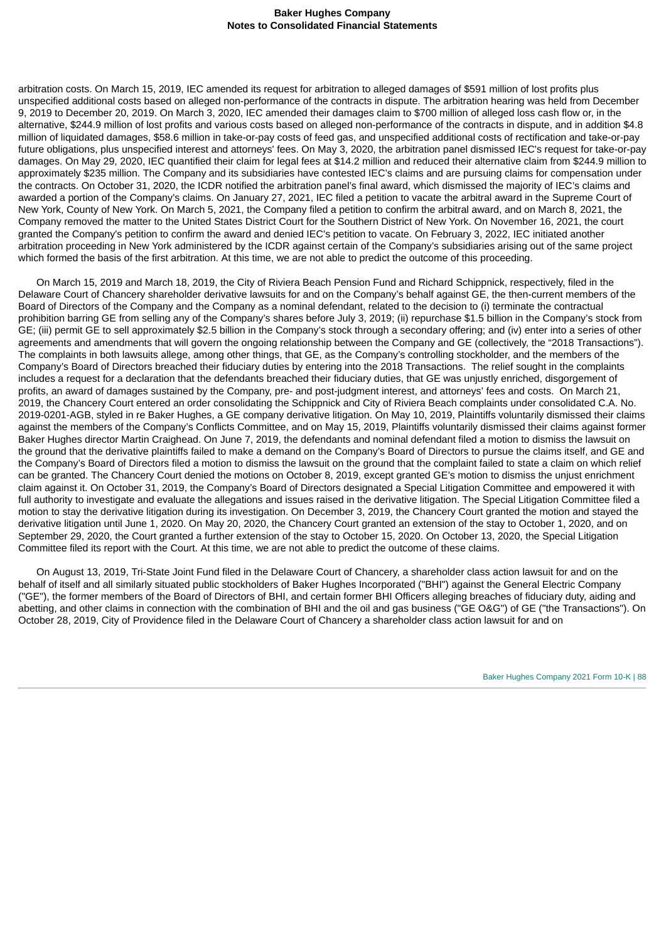arbitration costs. On March 15, 2019, IEC amended its request for arbitration to alleged damages of \$591 million of lost profits plus unspecified additional costs based on alleged non-performance of the contracts in dispute. The arbitration hearing was held from December 9, 2019 to December 20, 2019. On March 3, 2020, IEC amended their damages claim to \$700 million of alleged loss cash flow or, in the alternative, \$244.9 million of lost profits and various costs based on alleged non-performance of the contracts in dispute, and in addition \$4.8 million of liquidated damages, \$58.6 million in take-or-pay costs of feed gas, and unspecified additional costs of rectification and take-or-pay future obligations, plus unspecified interest and attorneys' fees. On May 3, 2020, the arbitration panel dismissed IEC's request for take-or-pay damages. On May 29, 2020, IEC quantified their claim for legal fees at \$14.2 million and reduced their alternative claim from \$244.9 million to approximately \$235 million. The Company and its subsidiaries have contested IEC's claims and are pursuing claims for compensation under the contracts. On October 31, 2020, the ICDR notified the arbitration panel's final award, which dismissed the majority of IEC's claims and awarded a portion of the Company's claims. On January 27, 2021, IEC filed a petition to vacate the arbitral award in the Supreme Court of New York, County of New York. On March 5, 2021, the Company filed a petition to confirm the arbitral award, and on March 8, 2021, the Company removed the matter to the United States District Court for the Southern District of New York. On November 16, 2021, the court granted the Company's petition to confirm the award and denied IEC's petition to vacate. On February 3, 2022, IEC initiated another arbitration proceeding in New York administered by the ICDR against certain of the Company's subsidiaries arising out of the same project which formed the basis of the first arbitration. At this time, we are not able to predict the outcome of this proceeding.

On March 15, 2019 and March 18, 2019, the City of Riviera Beach Pension Fund and Richard Schippnick, respectively, filed in the Delaware Court of Chancery shareholder derivative lawsuits for and on the Company's behalf against GE, the then-current members of the Board of Directors of the Company and the Company as a nominal defendant, related to the decision to (i) terminate the contractual prohibition barring GE from selling any of the Company's shares before July 3, 2019; (ii) repurchase \$1.5 billion in the Company's stock from GE; (iii) permit GE to sell approximately \$2.5 billion in the Company's stock through a secondary offering; and (iv) enter into a series of other agreements and amendments that will govern the ongoing relationship between the Company and GE (collectively, the "2018 Transactions"). The complaints in both lawsuits allege, among other things, that GE, as the Company's controlling stockholder, and the members of the Company's Board of Directors breached their fiduciary duties by entering into the 2018 Transactions. The relief sought in the complaints includes a request for a declaration that the defendants breached their fiduciary duties, that GE was unjustly enriched, disgorgement of profits, an award of damages sustained by the Company, pre- and post-judgment interest, and attorneys' fees and costs. On March 21, 2019, the Chancery Court entered an order consolidating the Schippnick and City of Riviera Beach complaints under consolidated C.A. No. 2019-0201-AGB, styled in re Baker Hughes, a GE company derivative litigation. On May 10, 2019, Plaintiffs voluntarily dismissed their claims against the members of the Company's Conflicts Committee, and on May 15, 2019, Plaintiffs voluntarily dismissed their claims against former Baker Hughes director Martin Craighead. On June 7, 2019, the defendants and nominal defendant filed a motion to dismiss the lawsuit on the ground that the derivative plaintiffs failed to make a demand on the Company's Board of Directors to pursue the claims itself, and GE and the Company's Board of Directors filed a motion to dismiss the lawsuit on the ground that the complaint failed to state a claim on which relief can be granted. The Chancery Court denied the motions on October 8, 2019, except granted GE's motion to dismiss the unjust enrichment claim against it. On October 31, 2019, the Company's Board of Directors designated a Special Litigation Committee and empowered it with full authority to investigate and evaluate the allegations and issues raised in the derivative litigation. The Special Litigation Committee filed a motion to stay the derivative litigation during its investigation. On December 3, 2019, the Chancery Court granted the motion and stayed the derivative litigation until June 1, 2020. On May 20, 2020, the Chancery Court granted an extension of the stay to October 1, 2020, and on September 29, 2020, the Court granted a further extension of the stay to October 15, 2020. On October 13, 2020, the Special Litigation Committee filed its report with the Court. At this time, we are not able to predict the outcome of these claims.

On August 13, 2019, Tri-State Joint Fund filed in the Delaware Court of Chancery, a shareholder class action lawsuit for and on the behalf of itself and all similarly situated public stockholders of Baker Hughes Incorporated ("BHI") against the General Electric Company ("GE"), the former members of the Board of Directors of BHI, and certain former BHI Officers alleging breaches of fiduciary duty, aiding and abetting, and other claims in connection with the combination of BHI and the oil and gas business ("GE O&G") of GE ("the Transactions"). On October 28, 2019, City of Providence filed in the Delaware Court of Chancery a shareholder class action lawsuit for and on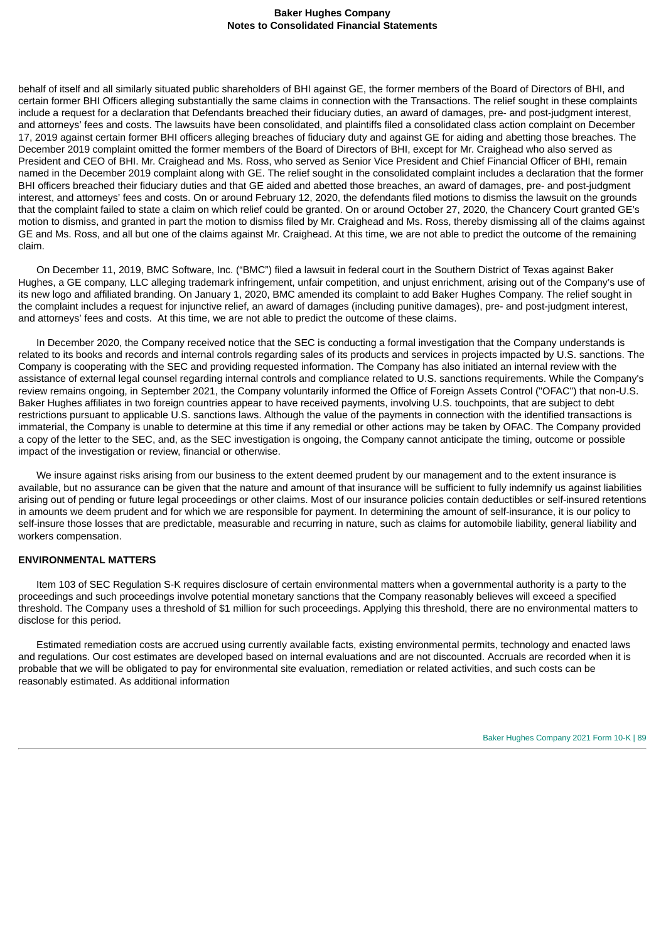behalf of itself and all similarly situated public shareholders of BHI against GE, the former members of the Board of Directors of BHI, and certain former BHI Officers alleging substantially the same claims in connection with the Transactions. The relief sought in these complaints include a request for a declaration that Defendants breached their fiduciary duties, an award of damages, pre- and post-judgment interest, and attorneys' fees and costs. The lawsuits have been consolidated, and plaintiffs filed a consolidated class action complaint on December 17, 2019 against certain former BHI officers alleging breaches of fiduciary duty and against GE for aiding and abetting those breaches. The December 2019 complaint omitted the former members of the Board of Directors of BHI, except for Mr. Craighead who also served as President and CEO of BHI. Mr. Craighead and Ms. Ross, who served as Senior Vice President and Chief Financial Officer of BHI, remain named in the December 2019 complaint along with GE. The relief sought in the consolidated complaint includes a declaration that the former BHI officers breached their fiduciary duties and that GE aided and abetted those breaches, an award of damages, pre- and post-judgment interest, and attorneys' fees and costs. On or around February 12, 2020, the defendants filed motions to dismiss the lawsuit on the grounds that the complaint failed to state a claim on which relief could be granted. On or around October 27, 2020, the Chancery Court granted GE's motion to dismiss, and granted in part the motion to dismiss filed by Mr. Craighead and Ms. Ross, thereby dismissing all of the claims against GE and Ms. Ross, and all but one of the claims against Mr. Craighead. At this time, we are not able to predict the outcome of the remaining claim.

On December 11, 2019, BMC Software, Inc. ("BMC") filed a lawsuit in federal court in the Southern District of Texas against Baker Hughes, a GE company, LLC alleging trademark infringement, unfair competition, and unjust enrichment, arising out of the Company's use of its new logo and affiliated branding. On January 1, 2020, BMC amended its complaint to add Baker Hughes Company. The relief sought in the complaint includes a request for injunctive relief, an award of damages (including punitive damages), pre- and post-judgment interest, and attorneys' fees and costs. At this time, we are not able to predict the outcome of these claims.

In December 2020, the Company received notice that the SEC is conducting a formal investigation that the Company understands is related to its books and records and internal controls regarding sales of its products and services in projects impacted by U.S. sanctions. The Company is cooperating with the SEC and providing requested information. The Company has also initiated an internal review with the assistance of external legal counsel regarding internal controls and compliance related to U.S. sanctions requirements. While the Company's review remains ongoing, in September 2021, the Company voluntarily informed the Office of Foreign Assets Control ("OFAC") that non-U.S. Baker Hughes affiliates in two foreign countries appear to have received payments, involving U.S. touchpoints, that are subject to debt restrictions pursuant to applicable U.S. sanctions laws. Although the value of the payments in connection with the identified transactions is immaterial, the Company is unable to determine at this time if any remedial or other actions may be taken by OFAC. The Company provided a copy of the letter to the SEC, and, as the SEC investigation is ongoing, the Company cannot anticipate the timing, outcome or possible impact of the investigation or review, financial or otherwise.

We insure against risks arising from our business to the extent deemed prudent by our management and to the extent insurance is available, but no assurance can be given that the nature and amount of that insurance will be sufficient to fully indemnify us against liabilities arising out of pending or future legal proceedings or other claims. Most of our insurance policies contain deductibles or self-insured retentions in amounts we deem prudent and for which we are responsible for payment. In determining the amount of self-insurance, it is our policy to self-insure those losses that are predictable, measurable and recurring in nature, such as claims for automobile liability, general liability and workers compensation.

## **ENVIRONMENTAL MATTERS**

Item 103 of SEC Regulation S-K requires disclosure of certain environmental matters when a governmental authority is a party to the proceedings and such proceedings involve potential monetary sanctions that the Company reasonably believes will exceed a specified threshold. The Company uses a threshold of \$1 million for such proceedings. Applying this threshold, there are no environmental matters to disclose for this period.

Estimated remediation costs are accrued using currently available facts, existing environmental permits, technology and enacted laws and regulations. Our cost estimates are developed based on internal evaluations and are not discounted. Accruals are recorded when it is probable that we will be obligated to pay for environmental site evaluation, remediation or related activities, and such costs can be reasonably estimated. As additional information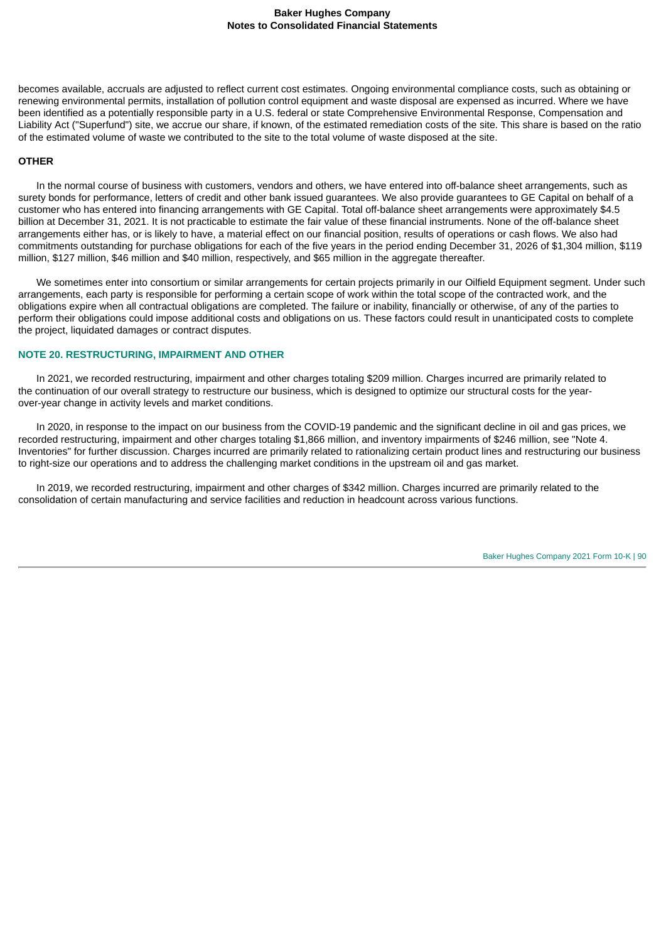becomes available, accruals are adjusted to reflect current cost estimates. Ongoing environmental compliance costs, such as obtaining or renewing environmental permits, installation of pollution control equipment and waste disposal are expensed as incurred. Where we have been identified as a potentially responsible party in a U.S. federal or state Comprehensive Environmental Response, Compensation and Liability Act ("Superfund") site, we accrue our share, if known, of the estimated remediation costs of the site. This share is based on the ratio of the estimated volume of waste we contributed to the site to the total volume of waste disposed at the site.

### **OTHER**

In the normal course of business with customers, vendors and others, we have entered into off-balance sheet arrangements, such as surety bonds for performance, letters of credit and other bank issued guarantees. We also provide guarantees to GE Capital on behalf of a customer who has entered into financing arrangements with GE Capital. Total off-balance sheet arrangements were approximately \$4.5 billion at December 31, 2021. It is not practicable to estimate the fair value of these financial instruments. None of the off-balance sheet arrangements either has, or is likely to have, a material effect on our financial position, results of operations or cash flows. We also had commitments outstanding for purchase obligations for each of the five years in the period ending December 31, 2026 of \$1,304 million, \$119 million, \$127 million, \$46 million and \$40 million, respectively, and \$65 million in the aggregate thereafter.

We sometimes enter into consortium or similar arrangements for certain projects primarily in our Oilfield Equipment segment. Under such arrangements, each party is responsible for performing a certain scope of work within the total scope of the contracted work, and the obligations expire when all contractual obligations are completed. The failure or inability, financially or otherwise, of any of the parties to perform their obligations could impose additional costs and obligations on us. These factors could result in unanticipated costs to complete the project, liquidated damages or contract disputes.

#### **NOTE 20. RESTRUCTURING, IMPAIRMENT AND OTHER**

In 2021, we recorded restructuring, impairment and other charges totaling \$209 million. Charges incurred are primarily related to the continuation of our overall strategy to restructure our business, which is designed to optimize our structural costs for the yearover-year change in activity levels and market conditions.

In 2020, in response to the impact on our business from the COVID-19 pandemic and the significant decline in oil and gas prices, we recorded restructuring, impairment and other charges totaling \$1,866 million, and inventory impairments of \$246 million, see "Note 4. Inventories" for further discussion. Charges incurred are primarily related to rationalizing certain product lines and restructuring our business to right-size our operations and to address the challenging market conditions in the upstream oil and gas market.

In 2019, we recorded restructuring, impairment and other charges of \$342 million. Charges incurred are primarily related to the consolidation of certain manufacturing and service facilities and reduction in headcount across various functions.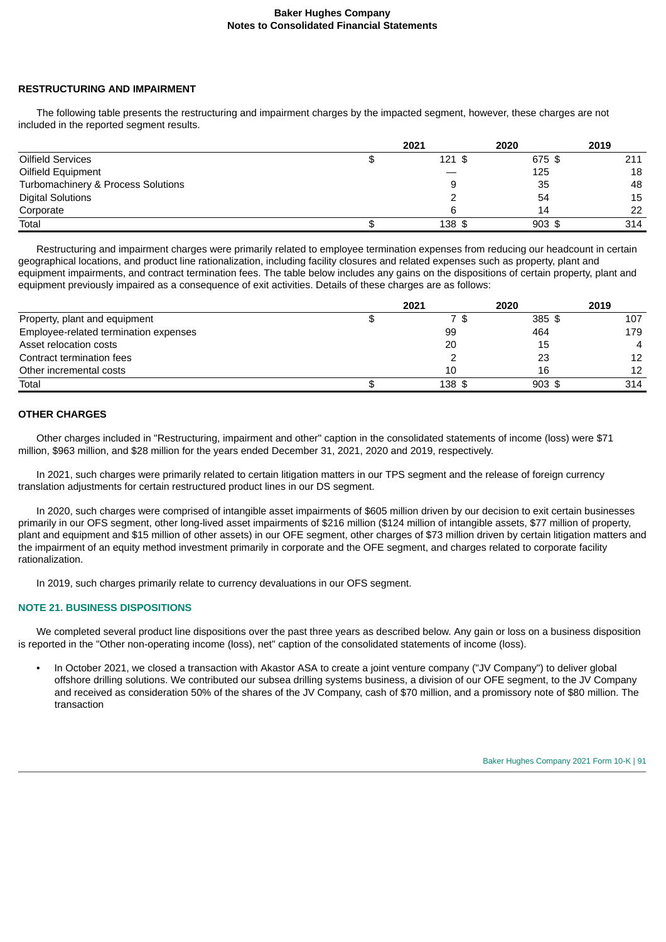#### **RESTRUCTURING AND IMPAIRMENT**

The following table presents the restructuring and impairment charges by the impacted segment, however, these charges are not included in the reported segment results.

|                                    | 2021     | 2020     | 2019 |
|------------------------------------|----------|----------|------|
| Oilfield Services                  | $121$ \$ | 675 \$   | 211  |
| Oilfield Equipment                 |          | 125      | 18   |
| Turbomachinery & Process Solutions | 9        | 35       | 48   |
| <b>Digital Solutions</b>           |          | 54       | 15   |
| Corporate                          |          | 14       | 22   |
| Total                              | 138 \$   | $903$ \$ | 314  |

Restructuring and impairment charges were primarily related to employee termination expenses from reducing our headcount in certain geographical locations, and product line rationalization, including facility closures and related expenses such as property, plant and equipment impairments, and contract termination fees. The table below includes any gains on the dispositions of certain property, plant and equipment previously impaired as a consequence of exit activities. Details of these charges are as follows:

|                                       | 2021   | 2020     | 2019           |
|---------------------------------------|--------|----------|----------------|
| Property, plant and equipment         | 7\$    | 385 \$   | 107            |
| Employee-related termination expenses | 99     | 464      | 179            |
| Asset relocation costs                | 20     | 15       | $\overline{4}$ |
| Contract termination fees             |        | 23       | 12             |
| Other incremental costs               | 10     | 16       | 12             |
| Total                                 | 138 \$ | $903$ \$ | 314            |

#### **OTHER CHARGES**

Other charges included in "Restructuring, impairment and other" caption in the consolidated statements of income (loss) were \$71 million, \$963 million, and \$28 million for the years ended December 31, 2021, 2020 and 2019, respectively.

In 2021, such charges were primarily related to certain litigation matters in our TPS segment and the release of foreign currency translation adjustments for certain restructured product lines in our DS segment.

In 2020, such charges were comprised of intangible asset impairments of \$605 million driven by our decision to exit certain businesses primarily in our OFS segment, other long-lived asset impairments of \$216 million (\$124 million of intangible assets, \$77 million of property, plant and equipment and \$15 million of other assets) in our OFE segment, other charges of \$73 million driven by certain litigation matters and the impairment of an equity method investment primarily in corporate and the OFE segment, and charges related to corporate facility rationalization.

In 2019, such charges primarily relate to currency devaluations in our OFS segment.

## **NOTE 21. BUSINESS DISPOSITIONS**

We completed several product line dispositions over the past three years as described below. Any gain or loss on a business disposition is reported in the "Other non-operating income (loss), net" caption of the consolidated statements of income (loss).

• In October 2021, we closed a transaction with Akastor ASA to create a joint venture company ("JV Company") to deliver global offshore drilling solutions. We contributed our subsea drilling systems business, a division of our OFE segment, to the JV Company and received as consideration 50% of the shares of the JV Company, cash of \$70 million, and a promissory note of \$80 million. The transaction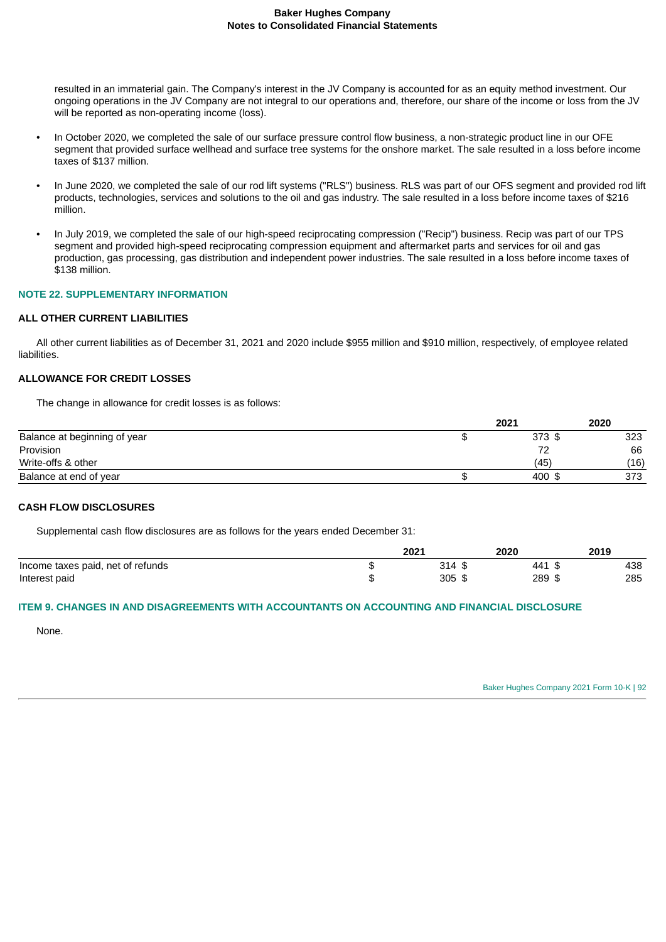resulted in an immaterial gain. The Company's interest in the JV Company is accounted for as an equity method investment. Our ongoing operations in the JV Company are not integral to our operations and, therefore, our share of the income or loss from the JV will be reported as non-operating income (loss).

- In October 2020, we completed the sale of our surface pressure control flow business, a non-strategic product line in our OFE segment that provided surface wellhead and surface tree systems for the onshore market. The sale resulted in a loss before income taxes of \$137 million.
- In June 2020, we completed the sale of our rod lift systems ("RLS") business. RLS was part of our OFS segment and provided rod lift products, technologies, services and solutions to the oil and gas industry. The sale resulted in a loss before income taxes of \$216 million.
- In July 2019, we completed the sale of our high-speed reciprocating compression ("Recip") business. Recip was part of our TPS segment and provided high-speed reciprocating compression equipment and aftermarket parts and services for oil and gas production, gas processing, gas distribution and independent power industries. The sale resulted in a loss before income taxes of \$138 million.

## **NOTE 22. SUPPLEMENTARY INFORMATION**

## **ALL OTHER CURRENT LIABILITIES**

All other current liabilities as of December 31, 2021 and 2020 include \$955 million and \$910 million, respectively, of employee related liabilities.

## **ALLOWANCE FOR CREDIT LOSSES**

The change in allowance for credit losses is as follows:

|                              | 2021        | 2020 |
|------------------------------|-------------|------|
| Balance at beginning of year | $373$ \$    | 323  |
| Provision                    | $7^{\circ}$ | 66   |
| Write-offs & other           | (45)        | (16) |
| Balance at end of year       | 400 \$      | 373  |

## **CASH FLOW DISCLOSURES**

Supplemental cash flow disclosures are as follows for the years ended December 31:

|                                   |   | 2021                       | 2020      | 2019 |
|-----------------------------------|---|----------------------------|-----------|------|
| Income taxes paid, net of refunds |   | 314<br>ົ                   | 441       | 438  |
| Interest paid                     | w | 305<br>$\rightarrow$<br>د⊐ | 289<br>᠊ᡮ | 285  |

## **ITEM 9. CHANGES IN AND DISAGREEMENTS WITH ACCOUNTANTS ON ACCOUNTING AND FINANCIAL DISCLOSURE**

None.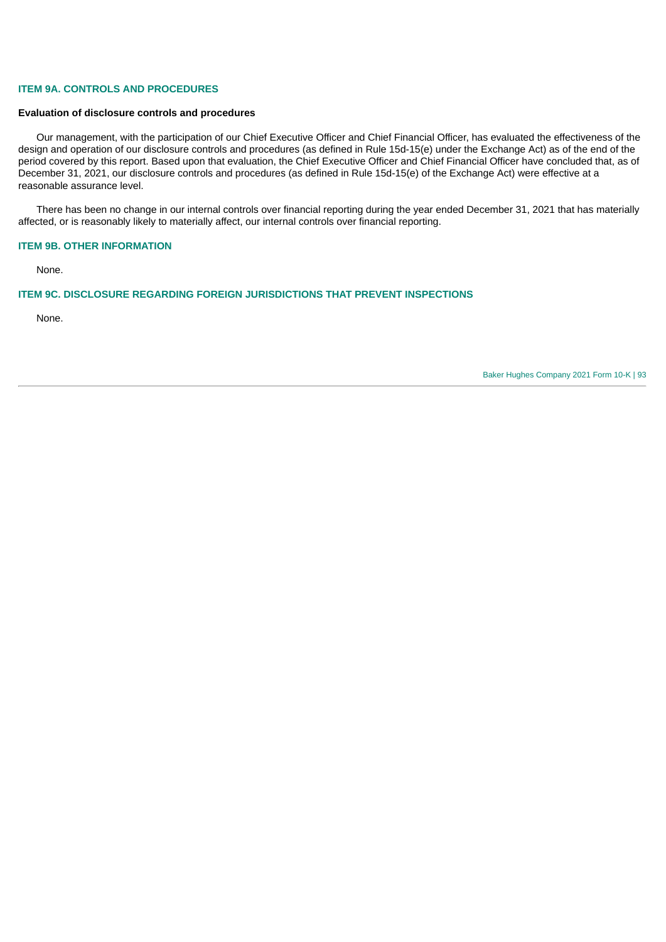## **ITEM 9A. CONTROLS AND PROCEDURES**

#### **Evaluation of disclosure controls and procedures**

Our management, with the participation of our Chief Executive Officer and Chief Financial Officer, has evaluated the effectiveness of the design and operation of our disclosure controls and procedures (as defined in Rule 15d-15(e) under the Exchange Act) as of the end of the period covered by this report. Based upon that evaluation, the Chief Executive Officer and Chief Financial Officer have concluded that, as of December 31, 2021, our disclosure controls and procedures (as defined in Rule 15d-15(e) of the Exchange Act) were effective at a reasonable assurance level.

There has been no change in our internal controls over financial reporting during the year ended December 31, 2021 that has materially affected, or is reasonably likely to materially affect, our internal controls over financial reporting.

#### **ITEM 9B. OTHER INFORMATION**

None.

#### **ITEM 9C. DISCLOSURE REGARDING FOREIGN JURISDICTIONS THAT PREVENT INSPECTIONS**

None.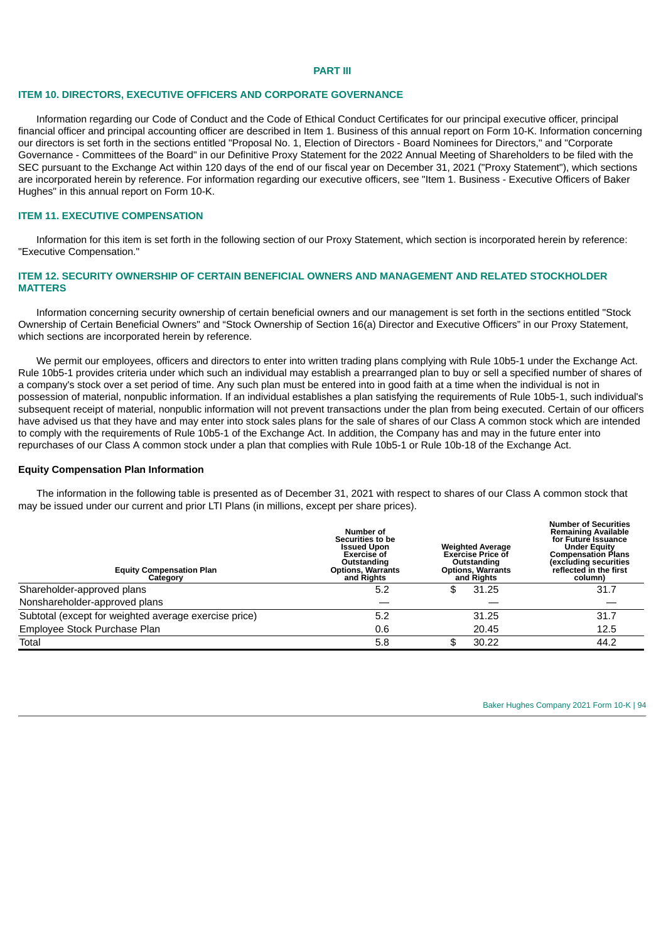#### **PART III**

#### **ITEM 10. DIRECTORS, EXECUTIVE OFFICERS AND CORPORATE GOVERNANCE**

Information regarding our Code of Conduct and the Code of Ethical Conduct Certificates for our principal executive officer, principal financial officer and principal accounting officer are described in Item 1. Business of this annual report on Form 10-K. Information concerning our directors is set forth in the sections entitled "Proposal No. 1, Election of Directors - Board Nominees for Directors," and "Corporate Governance - Committees of the Board" in our Definitive Proxy Statement for the 2022 Annual Meeting of Shareholders to be filed with the SEC pursuant to the Exchange Act within 120 days of the end of our fiscal year on December 31, 2021 ("Proxy Statement"), which sections are incorporated herein by reference. For information regarding our executive officers, see "Item 1. Business - Executive Officers of Baker Hughes" in this annual report on Form 10-K.

## **ITEM 11. EXECUTIVE COMPENSATION**

Information for this item is set forth in the following section of our Proxy Statement, which section is incorporated herein by reference: "Executive Compensation."

## **ITEM 12. SECURITY OWNERSHIP OF CERTAIN BENEFICIAL OWNERS AND MANAGEMENT AND RELATED STOCKHOLDER MATTERS**

Information concerning security ownership of certain beneficial owners and our management is set forth in the sections entitled "Stock Ownership of Certain Beneficial Owners" and "Stock Ownership of Section 16(a) Director and Executive Officers" in our Proxy Statement, which sections are incorporated herein by reference.

We permit our employees, officers and directors to enter into written trading plans complying with Rule 10b5-1 under the Exchange Act. Rule 10b5-1 provides criteria under which such an individual may establish a prearranged plan to buy or sell a specified number of shares of a company's stock over a set period of time. Any such plan must be entered into in good faith at a time when the individual is not in possession of material, nonpublic information. If an individual establishes a plan satisfying the requirements of Rule 10b5-1, such individual's subsequent receipt of material, nonpublic information will not prevent transactions under the plan from being executed. Certain of our officers have advised us that they have and may enter into stock sales plans for the sale of shares of our Class A common stock which are intended to comply with the requirements of Rule 10b5-1 of the Exchange Act. In addition, the Company has and may in the future enter into repurchases of our Class A common stock under a plan that complies with Rule 10b5-1 or Rule 10b-18 of the Exchange Act.

#### **Equity Compensation Plan Information**

The information in the following table is presented as of December 31, 2021 with respect to shares of our Class A common stock that may be issued under our current and prior LTI Plans (in millions, except per share prices).

| <b>Equity Compensation Plan</b><br>Category           | Number of<br>Securities to be<br><b>Issued Upon</b><br><b>Exercise of</b><br>Outstanding<br><b>Options, Warrants</b><br>and Rights | <b>Weighted Average</b><br><b>Exercise Price of</b><br>Outstanding<br><b>Options, Warrants</b><br>and Rights | <b>Number of Securities</b><br><b>Remaining Available</b><br>for Future Issuance<br><b>Under Equity</b><br><b>Compensation Plans</b><br>(excluding securities<br>reflected in the first<br>column) |
|-------------------------------------------------------|------------------------------------------------------------------------------------------------------------------------------------|--------------------------------------------------------------------------------------------------------------|----------------------------------------------------------------------------------------------------------------------------------------------------------------------------------------------------|
| Shareholder-approved plans                            | 5.2                                                                                                                                | 31.25<br>£                                                                                                   | 31.7                                                                                                                                                                                               |
| Nonshareholder-approved plans                         |                                                                                                                                    |                                                                                                              |                                                                                                                                                                                                    |
| Subtotal (except for weighted average exercise price) | 5.2                                                                                                                                | 31.25                                                                                                        | 31.7                                                                                                                                                                                               |
| Employee Stock Purchase Plan                          | 0.6                                                                                                                                | 20.45                                                                                                        | 12.5                                                                                                                                                                                               |
| Total                                                 | 5.8                                                                                                                                | 30.22<br>\$                                                                                                  | 44.2                                                                                                                                                                                               |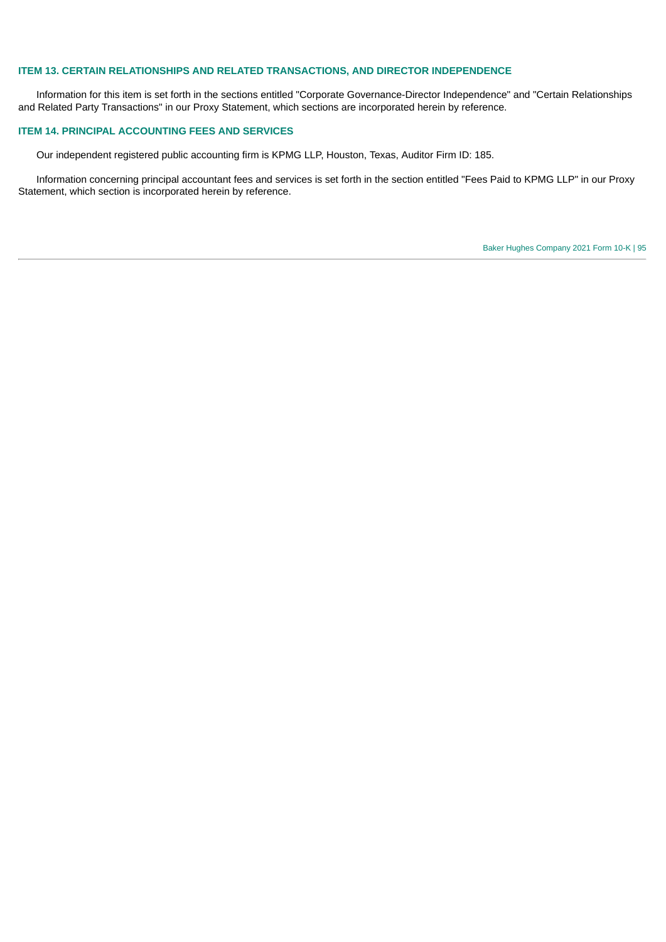## **ITEM 13. CERTAIN RELATIONSHIPS AND RELATED TRANSACTIONS, AND DIRECTOR INDEPENDENCE**

Information for this item is set forth in the sections entitled "Corporate Governance-Director Independence" and "Certain Relationships and Related Party Transactions" in our Proxy Statement, which sections are incorporated herein by reference.

### **ITEM 14. PRINCIPAL ACCOUNTING FEES AND SERVICES**

Our independent registered public accounting firm is KPMG LLP, Houston, Texas, Auditor Firm ID: 185.

Information concerning principal accountant fees and services is set forth in the section entitled "Fees Paid to KPMG LLP" in our Proxy Statement, which section is incorporated herein by reference.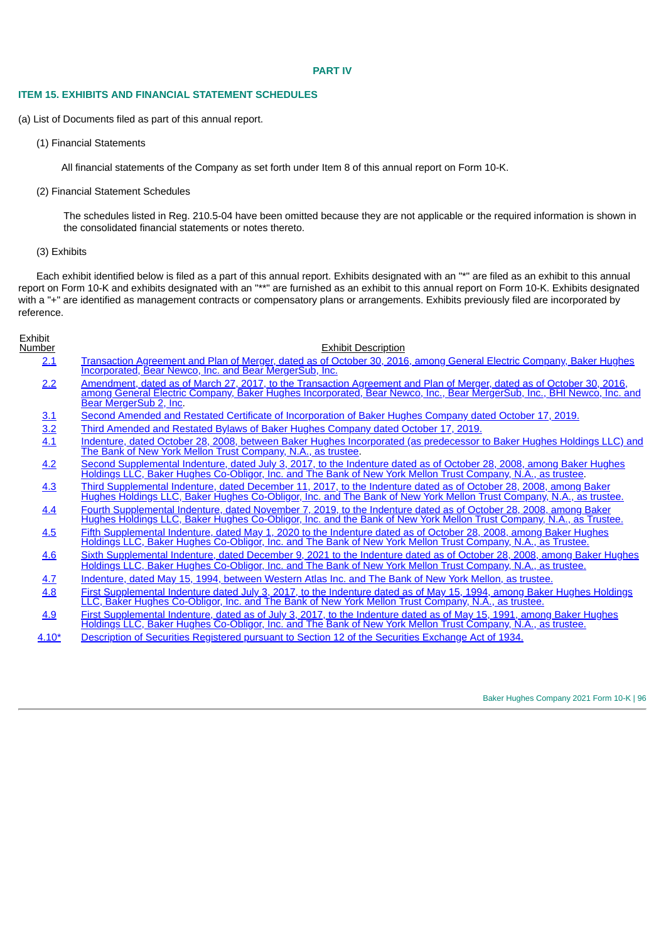#### **PART IV**

#### **ITEM 15. EXHIBITS AND FINANCIAL STATEMENT SCHEDULES**

(a) List of Documents filed as part of this annual report.

(1) Financial Statements

All financial statements of the Company as set forth under Item 8 of this annual report on Form 10-K.

(2) Financial Statement Schedules

The schedules listed in Reg. 210.5-04 have been omitted because they are not applicable or the required information is shown in the consolidated financial statements or notes thereto.

### (3) Exhibits

 $=$  Fig.  $\alpha$ 

Each exhibit identified below is filed as a part of this annual report. Exhibits designated with an "\*" are filed as an exhibit to this annual report on Form 10-K and exhibits designated with an "\*\*" are furnished as an exhibit to this annual report on Form 10-K. Exhibits designated with a "+" are identified as management contracts or compensatory plans or arrangements. Exhibits previously filed are incorporated by reference.

| EXNIDIT<br>Number | <b>Exhibit Description</b>                                                                                                                                                                                                                                                |
|-------------------|---------------------------------------------------------------------------------------------------------------------------------------------------------------------------------------------------------------------------------------------------------------------------|
| 2.1               | Transaction Agreement and Plan of Merger, dated as of October 30, 2016, among General Electric Company, Baker Hughes<br>Incorporated, Bear Newco, Inc. and Bear MergerSub, Inc.                                                                                           |
| 2.2               | Amendment, dated as of March 27, 2017, to the Transaction Agreement and Plan of Merger, dated as of October 30, 2016,<br>among General Electric Company, Baker Hughes Incorporated, Bear Newco, Inc., Bear MergerSub, Inc., BHI Newco, Inc. and<br>Bear MergerSub 2, Inc. |
| 3.1               | Second Amended and Restated Certificate of Incorporation of Baker Hughes Company dated October 17, 2019.                                                                                                                                                                  |
| 3.2               | <u>Third Amended and Restated Bylaws of Baker Hughes Company dated October 17, 2019.</u>                                                                                                                                                                                  |
| 4.1               | Indenture, dated October 28, 2008, between Baker Hughes Incorporated (as predecessor to Baker Hughes Holdings LLC) and<br>The Bank of New York Mellon Trust Company, N.A., as trustee.                                                                                    |
| 4.2               | Second Supplemental Indenture, dated July 3, 2017, to the Indenture dated as of October 28, 2008, among Baker Hughes<br>Holdings LLC, Baker Hughes Co-Obligor, Inc. and The Bank of New York Mellon Trust Company, N.A., as trustee.                                      |
| 4.3               | Third Supplemental Indenture, dated December 11, 2017, to the Indenture dated as of October 28, 2008, among Baker<br>Hughes Holdings LLC, Baker Hughes Co-Obligor, Inc. and The Bank of New York Mellon Trust Company, N.A., as trustee.                                  |
| 4.4               | Fourth Supplemental Indenture, dated November 7, 2019, to the Indenture dated as of October 28, 2008, among Baker<br>Hughes Holdings LLC, Baker Hughes Co-Obligor, Inc. and the Bank of New York Mellon Trust Company, N.A., as Trustee.                                  |
| 4.5               | Fifth Supplemental Indenture, dated May 1, 2020 to the Indenture dated as of October 28, 2008, among Baker Hughes<br>Holdings LLC, Baker Hughes Co-Obligor, Inc. and The Bank of New York Mellon Trust Company, N.A., as Trustee.                                         |
| 4.6               | Sixth Supplemental Indenture, dated December 9, 2021 to the Indenture dated as of October 28, 2008, among Baker Hughes<br>Holdings LLC, Baker Hughes Co-Obligor, Inc. and The Bank of New York Mellon Trust Company, N.A., as trustee.                                    |
| 4.7               | Indenture, dated May 15, 1994, between Western Atlas Inc. and The Bank of New York Mellon, as trustee.                                                                                                                                                                    |
| 4.8               | First Supplemental Indenture dated July 3, 2017, to the Indenture dated as of May 15, 1994, among Baker Hughes Holdings<br>LLC, Baker Hughes Co-Obligor, Inc. and The Bank of New York Mellon Trust Company, N.A., as trustee.                                            |
| 4.9               | First Supplemental Indenture, dated as of July 3, 2017, to the Indenture dated as of May 15, 1991, among Baker Hughes<br>Holdings LLC, Baker Hughes Co-Obligor, Inc. and The Bank of New York Mellon Trust Company, N.A., as trustee.                                     |

4.10<sup>\*</sup> [Description](#page-104-0) of Securities Registered pursuant to Section 12 of the Securities Exchange Act of 1934.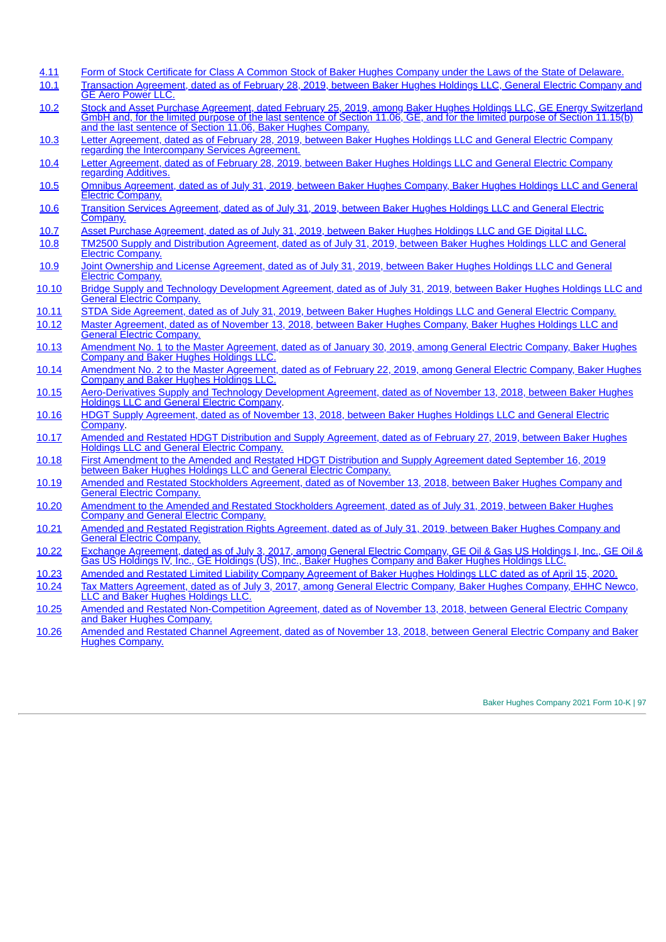| 4.11  | Form of Stock Certificate for Class A Common Stock of Baker Hughes Company under the Laws of the State of Delaware.                                                                                                                                                                                                  |
|-------|----------------------------------------------------------------------------------------------------------------------------------------------------------------------------------------------------------------------------------------------------------------------------------------------------------------------|
| 10.1  | Transaction Agreement, dated as of February 28, 2019, between Baker Hughes Holdings LLC, General Electric Company and<br><b>GE Aero Power LLC.</b>                                                                                                                                                                   |
| 10.2  | Stock and Asset Purchase Agreement, dated February 25, 2019, among Baker Hughes Holdings LLC, GE Energy Switzerland<br>GmbH and, for the limited purpose of the last sentence of Section 11.06, GE, and for the limited purpose of Section 11.15(b)<br>and the last sentence of Section 11.06, Baker Hughes Company. |
| 10.3  | Letter Agreement, dated as of February 28, 2019, between Baker Hughes Holdings LLC and General Electric Company<br>regarding the Intercompany Services Agreement.                                                                                                                                                    |
| 10.4  | Letter Agreement, dated as of February 28, 2019, between Baker Hughes Holdings LLC and General Electric Company<br>regarding Additives.                                                                                                                                                                              |
| 10.5  | Omnibus Agreement, dated as of July 31, 2019, between Baker Hughes Company, Baker Hughes Holdings LLC and General<br>Electric Company.                                                                                                                                                                               |
| 10.6  | Transition Services Agreement, dated as of July 31, 2019, between Baker Hughes Holdings LLC and General Electric<br>Company.                                                                                                                                                                                         |
| 10.7  | Asset Purchase Agreement, dated as of July 31, 2019, between Baker Hughes Holdings LLC and GE Digital LLC.                                                                                                                                                                                                           |
| 10.8  | TM2500 Supply and Distribution Agreement, dated as of July 31, 2019, between Baker Hughes Holdings LLC and General<br><b>Electric Company.</b>                                                                                                                                                                       |
| 10.9  | Joint Ownership and License Agreement, dated as of July 31, 2019, between Baker Hughes Holdings LLC and General<br><b>Electric Company.</b>                                                                                                                                                                          |
| 10.10 | Bridge Supply and Technology Development Agreement, dated as of July 31, 2019, between Baker Hughes Holdings LLC and<br><b>General Electric Company.</b>                                                                                                                                                             |
| 10.11 | STDA Side Agreement, dated as of July 31, 2019, between Baker Hughes Holdings LLC and General Electric Company.                                                                                                                                                                                                      |
| 10.12 | Master Agreement, dated as of November 13, 2018, between Baker Hughes Company, Baker Hughes Holdings LLC and<br><b>General Electric Company.</b>                                                                                                                                                                     |
| 10.13 | Amendment No. 1 to the Master Agreement, dated as of January 30, 2019, among General Electric Company, Baker Hughes<br><b>Company and Baker Hughes Holdings LLC.</b>                                                                                                                                                 |
| 10.14 | Amendment No. 2 to the Master Agreement, dated as of February 22, 2019, among General Electric Company, Baker Hughes<br>Company and Baker Hughes Holdings LLC.                                                                                                                                                       |
| 10.15 | Aero-Derivatives Supply and Technology Development Agreement, dated as of November 13, 2018, between Baker Hughes<br><b>Holdings LLC and General Electric Company.</b>                                                                                                                                               |
| 10.16 | HDGT Supply Agreement, dated as of November 13, 2018, between Baker Hughes Holdings LLC and General Electric<br>Company.                                                                                                                                                                                             |
| 10.17 | Amended and Restated HDGT Distribution and Supply Agreement, dated as of February 27, 2019, between Baker Hughes<br><b>Holdings LLC and General Electric Company.</b>                                                                                                                                                |
| 10.18 | First Amendment to the Amended and Restated HDGT Distribution and Supply Agreement dated September 16, 2019<br>between Baker Hughes Holdings LLC and General Electric Company.                                                                                                                                       |
| 10.19 | Amended and Restated Stockholders Agreement, dated as of November 13, 2018, between Baker Hughes Company and<br><b>General Electric Company.</b>                                                                                                                                                                     |
| 10.20 | Amendment to the Amended and Restated Stockholders Agreement, dated as of July 31, 2019, between Baker Hughes<br><b>Company and General Electric Company.</b>                                                                                                                                                        |
| 10.21 | Amended and Restated Registration Rights Agreement, dated as of July 31, 2019, between Baker Hughes Company and<br><b>General Electric Company.</b>                                                                                                                                                                  |
| 10.22 | Exchange Agreement, dated as of July 3, 2017, among General Electric Company, GE Oil & Gas US Holdings I, Inc., GE Oil &<br>Gas US Holdings IV, Inc., GE Holdings (US), Inc., Baker Hughes Company and Baker Hughes Holdings LLC.                                                                                    |
| 10.23 | Amended and Restated Limited Liability Company Agreement of Baker Hughes Holdings LLC dated as of April 15, 2020.                                                                                                                                                                                                    |
| 10.24 | Tax Matters Agreement, dated as of July 3, 2017, among General Electric Company, Baker Hughes Company, EHHC Newco,<br>LLC and Baker Hughes Holdings LLC.                                                                                                                                                             |
| 10.25 | Amended and Restated Non-Competition Agreement, dated as of November 13, 2018, between General Electric Company<br>and Baker Hughes Company.                                                                                                                                                                         |
| 10.26 | Amended and Restated Channel Agreement, dated as of November 13, 2018, between General Electric Company and Baker<br><b>Hughes Company.</b>                                                                                                                                                                          |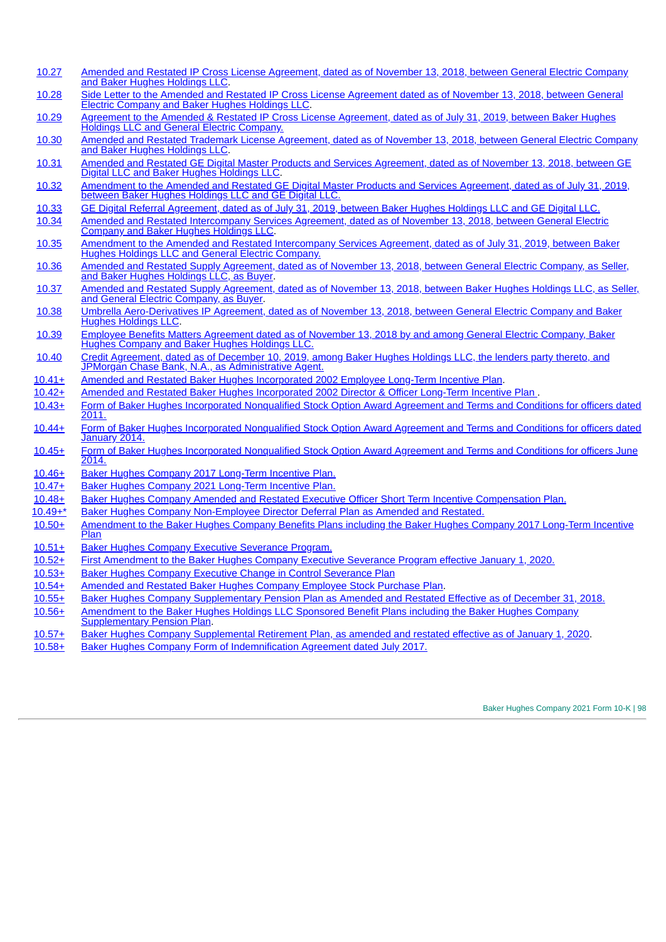- [10.27](http://www.sec.gov/Archives/edgar/data/808362/000095010318013305/dp98267_ex1011.htm) Amended and Restated IP Cross License [Agreement,](http://www.sec.gov/Archives/edgar/data/808362/000095010318013305/dp98267_ex1011.htm) dated as of November 13, 2018, between General Electric Company and Baker Hughes Holdings LLC.
- [10.28](http://www.sec.gov/Archives/edgar/data/808362/000095010318013305/dp98267_ex1012.htm) Side Letter to the Amended and Restated IP Cross License [Agreement](http://www.sec.gov/Archives/edgar/data/808362/000095010318013305/dp98267_ex1012.htm) dated as of November 13, 2018, between General Electric Company and Baker Hughes Holdings LLC.
- [10.29](http://www.sec.gov/Archives/edgar/data/1701605/000170160519000058/a20190630exhibit104.htm) Agreement to the Amended & Restated IP Cross License [Agreement,](http://www.sec.gov/Archives/edgar/data/1701605/000170160519000058/a20190630exhibit104.htm) dated as of July 31, 2019, between Baker Hughes Holdings LLC and General Electric Company.
- [10.30](http://www.sec.gov/Archives/edgar/data/808362/000095010318013305/dp98267_ex1013.htm) Amended and Restated Trademark License [Agreement,](http://www.sec.gov/Archives/edgar/data/808362/000095010318013305/dp98267_ex1013.htm) dated as of November 13, 2018, between General Electric Company and Baker Hughes Holdings LLC.
- [10.31](http://www.sec.gov/Archives/edgar/data/808362/000095010318013305/dp98267_ex1010.htm) Amended and Restated GE Digital Master Products and Services [Agreement,](http://www.sec.gov/Archives/edgar/data/808362/000095010318013305/dp98267_ex1010.htm) dated as of November 13, 2018, between GE Digital LLC and Baker Hughes Holdings LLC.
- [10.32](http://www.sec.gov/Archives/edgar/data/1701605/000170160519000058/a20190630exhibit106.htm) [Amendment](http://www.sec.gov/Archives/edgar/data/1701605/000170160519000058/a20190630exhibit106.htm) to the Amended and Restated GE Digital Master Products and Services Agreement, dated as of July 31, 2019, between Baker Hughes Holdings LLC and GE Digital LLC.
- [10.33](http://www.sec.gov/Archives/edgar/data/1701605/000170160519000058/a20190630exhibit107.htm) GE Digital Referral [Agreement,](http://www.sec.gov/Archives/edgar/data/1701605/000170160519000058/a20190630exhibit107.htm) dated as of July 31, 2019, between Baker Hughes Holdings LLC and GE Digital LLC.
- [10.34](http://www.sec.gov/Archives/edgar/data/808362/000095010318013305/dp98267_ex1009.htm) Amended and Restated [Intercompany](http://www.sec.gov/Archives/edgar/data/808362/000095010318013305/dp98267_ex1009.htm) Services Agreement, dated as of November 13, 2018, between General Electric Company and Baker Hughes Holdings LLC.
- [10.35](http://www.sec.gov/Archives/edgar/data/1701605/000170160519000058/a20190630exhibit103.htm) Amendment to the Amended and Restated [Intercompany](http://www.sec.gov/Archives/edgar/data/1701605/000170160519000058/a20190630exhibit103.htm) Services Agreement, dated as of July 31, 2019, between Baker Hughes Holdings LLC and General Electric Company.
- [10.36](http://www.sec.gov/Archives/edgar/data/808362/000095010318013305/dp98267_ex1005.htm) Amended and Restated Supply [Agreement,](http://www.sec.gov/Archives/edgar/data/808362/000095010318013305/dp98267_ex1005.htm) dated as of November 13, 2018, between General Electric Company, as Seller, and Baker Hughes Holdings LLC, as Buyer.
- [10.37](http://www.sec.gov/Archives/edgar/data/808362/000095010318013305/dp98267_ex1006.htm) Amended and Restated Supply [Agreement,](http://www.sec.gov/Archives/edgar/data/808362/000095010318013305/dp98267_ex1006.htm) dated as of November 13, 2018, between Baker Hughes Holdings LLC, as Seller, and General Electric Company, as Buyer.
- [10.38](http://www.sec.gov/Archives/edgar/data/808362/000095010318013305/dp98267_ex1014.htm) Umbrella [Aero-Derivatives](http://www.sec.gov/Archives/edgar/data/808362/000095010318013305/dp98267_ex1014.htm) IP Agreement, dated as of November 13, 2018, between General Electric Company and Baker Hughes Holdings LLC.
- [10.39](http://www.sec.gov/Archives/edgar/data/1701605/000170160519000021/fy18form10-kexhibit1053.htm) Employee Benefits Matters [Agreement](http://www.sec.gov/Archives/edgar/data/1701605/000170160519000021/fy18form10-kexhibit1053.htm) dated as of November 13, 2018 by and among General Electric Company, Baker Hughes Company and Baker Hughes Holdings LLC.
- [10.40](http://www.sec.gov/Archives/edgar/data/808362/000095010319017123/dp117431_ex1001.htm) Credit Agreement, dated as of December 10, 2019, among Baker Hughes Holdings LLC, the lenders party thereto, and JPMorgan Chase Bank, N.A., as [Administrative](http://www.sec.gov/Archives/edgar/data/808362/000095010319017123/dp117431_ex1001.htm) Agent.
- [10.41+](http://www.sec.gov/Archives/edgar/data/808362/000080836214000028/form8-kapril242014exhibit102.htm) Amended and Restated Baker Hughes [Incorporated](http://www.sec.gov/Archives/edgar/data/808362/000080836214000028/form8-kapril242014exhibit102.htm) 2002 Employee Long-Term Incentive Plan.
- [10.42+](http://www.sec.gov/Archives/edgar/data/808362/000080836214000028/form8-kapril242014exhibit101.htm) Amended and Restated Baker Hughes [Incorporated](http://www.sec.gov/Archives/edgar/data/808362/000080836214000028/form8-kapril242014exhibit101.htm) 2002 Director & Officer Long-Term Incentive Plan .
- [10.43+](http://www.sec.gov/Archives/edgar/data/808362/000119312512078521/d287548dex1070.htm) Form of Baker Hughes [Incorporated](http://www.sec.gov/Archives/edgar/data/808362/000119312512078521/d287548dex1070.htm) Nonqualified Stock Option Award Agreement and Terms and Conditions for officers dated  $2011.$
- [10.44+](http://www.sec.gov/Archives/edgar/data/808362/000119312514024032/d667203dex106.htm) Form of Baker Hughes [Incorporated](http://www.sec.gov/Archives/edgar/data/808362/000119312514024032/d667203dex106.htm) Nonqualified Stock Option Award Agreement and Terms and Conditions for officers dated January 2014.
- [10.45+](http://www.sec.gov/Archives/edgar/data/808362/000080836214000041/a20140630exhibit106.htm) Form of Baker Hughes [Incorporated](http://www.sec.gov/Archives/edgar/data/808362/000080836214000041/a20140630exhibit106.htm) Nonqualified Stock Option Award Agreement and Terms and Conditions for officers June 2014.
- [10.46+](http://www.sec.gov/Archives/edgar/data/1701605/000119312517220852/d343521dex1016.htm) Baker Hughes Company 2017 [Long-Term](http://www.sec.gov/Archives/edgar/data/1701605/000119312517220852/d343521dex1016.htm) Incentive Plan.
- [10.47](http://www.sec.gov/Archives/edgar/data/1701605/000095010321007221/dp150989_ex0401.htm)[+](http://www.sec.gov/Archives/edgar/data/1701605/000119312517220852/d343521dex1016.htm) Baker Hughes Company 2021 [Long-Term](http://www.sec.gov/Archives/edgar/data/1701605/000095010321007221/dp150989_ex0401.htm) Incentive Plan[.](http://www.sec.gov/Archives/edgar/data/1701605/000095010321007221/dp150989_ex0401.htm)
- [10.48+](http://www.sec.gov/Archives/edgar/data/1701605/000170160522000030/ex104bhc_executiveofficers.htm) Baker Hughes [Company](http://www.sec.gov/Archives/edgar/data/1701605/000170160522000030/ex104bhc_executiveofficers.htm) [Amended](http://www.sec.gov/Archives/edgar/data/1701605/000170160522000030/ex104bhc_executiveofficers.htm) and Restated Executive Officer Short Term Incentive [Compensation](http://www.sec.gov/Archives/edgar/data/1701605/000170160522000030/ex104bhc_executiveofficers.htm) Plan.
- [10.49+\\*](#page-106-0) Baker Hughes Company [Non-Employee](#page-106-0) Director Deferral Plan as [Amended](#page-106-0) and Restated[.](#page-106-0)
- [10.50+](http://www.sec.gov/Archives/edgar/data/1701605/000170160520000019/fy19form10-kexhibit1056.htm) [Amendment](http://www.sec.gov/Archives/edgar/data/1701605/000170160520000019/fy19form10-kexhibit1056.htm) to the Baker Hughes Company Benefits Plans including the Baker Hughes Company 2017 Long-Term Incentive **Plan**
- [10.51+](http://www.sec.gov/Archives/edgar/data/1701605/000170160519000021/fy18form10-kexhibit1025.htm) Baker Hughes Company Executive [Severance](http://www.sec.gov/Archives/edgar/data/1701605/000170160519000021/fy18form10-kexhibit1025.htm) Program.
- [10.52+](http://www.sec.gov/Archives/edgar/data/1701605/000170160520000019/fy19form10-kexhibit1058.htm) First [Amendment](http://www.sec.gov/Archives/edgar/data/1701605/000170160520000019/fy19form10-kexhibit1058.htm) to the Baker Hughes Company Executive Severance Program effective January 1, 2020.<br>10.53+ Baker Hughes Company Executive Change in Control Severance Plan
- **Baker Hughes Company Executive Change in Control [Severance](http://www.sec.gov/Archives/edgar/data/808362/000170160520000090/bhcicseveranceplanconfor.htm) Plan**
- [10.54+](http://www.sec.gov/Archives/edgar/data/1701605/000095010321007221/dp150989_ex0402.htm) Amended and Restated Baker Hughes Company [Employee](http://www.sec.gov/Archives/edgar/data/1701605/000095010321007221/dp150989_ex0402.htm) Stock Purchase Plan.
- [10.55+](http://www.sec.gov/Archives/edgar/data/1701605/000170160520000019/fy19form10-kexhibit1061.htm) Baker Hughes Company [Supplementary](http://www.sec.gov/Archives/edgar/data/1701605/000170160520000019/fy19form10-kexhibit1061.htm) Pension Plan as Amended and Restated Effective as of December 31, 2018.
- [10.56+](http://www.sec.gov/Archives/edgar/data/1701605/000170160520000019/fy19form10-kexhibit1062.htm) Amendment to the Baker Hughes Holdings LLC Sponsored Benefit Plans including the Baker Hughes Company
- **[Supplementary](http://www.sec.gov/Archives/edgar/data/1701605/000170160520000019/fy19form10-kexhibit1062.htm) Pension Plan.** [10.57+](http://www.sec.gov/Archives/edgar/data/1701605/000170160520000019/fy19form10-kexhibit1062.htm) Baker Hughes Company [Supplemental](http://www.sec.gov/Archives/edgar/data/1701605/000170160520000019/fy19form10-kexhibit1062.htm) Retirement Plan, as amended and restated effective as of January 1, 2020.
- 
- [10.58+](http://www.sec.gov/Archives/edgar/data/1701605/000119312517220852/d343521dex1015.htm) Baker Hughes Company Form of [Indemnification](http://www.sec.gov/Archives/edgar/data/1701605/000119312517220852/d343521dex1015.htm) Agreement dated July 2017.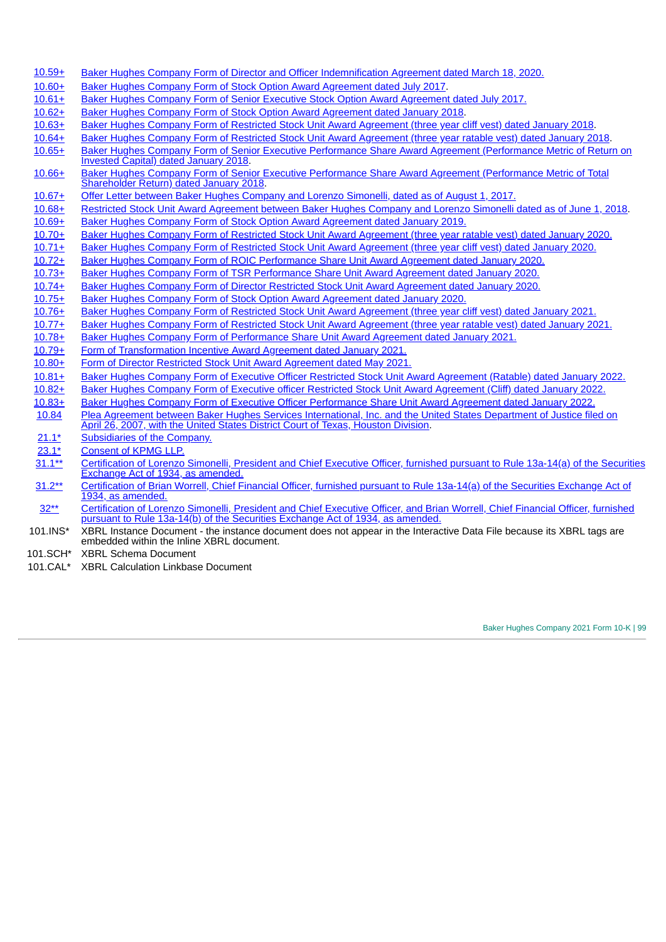- [10.59+](http://www.sec.gov/Archives/edgar/data/1701605/000170160520000039/a20200331exhibit101.htm) Baker Hughes Company Form of Director and Officer [Indemnification](http://www.sec.gov/Archives/edgar/data/1701605/000170160520000039/a20200331exhibit101.htm) Agreement dated March 18, 2020.
- [10.60+](http://www.sec.gov/Archives/edgar/data/1701605/000119312517220852/d343521dex1017.htm) Baker Hughes Company Form of Stock Option Award [Agreement](http://www.sec.gov/Archives/edgar/data/1701605/000119312517220852/d343521dex1017.htm) dated July 2017.
- [10.61+](http://www.sec.gov/Archives/edgar/data/1701605/000119312517220852/d343521dex1018.htm) Baker Hughes Company Form of Senior Executive Stock Option Award [Agreement](http://www.sec.gov/Archives/edgar/data/1701605/000119312517220852/d343521dex1018.htm) dated July 2017.
- [10.62+](http://www.sec.gov/Archives/edgar/data/1701605/000170160518000029/fy17form10-kexhibit1021.htm) Baker Hughes Company Form of Stock Option Award [Agreement](http://www.sec.gov/Archives/edgar/data/1701605/000170160518000029/fy17form10-kexhibit1021.htm) dated January 2018.
- [10.63+](http://www.sec.gov/Archives/edgar/data/1701605/000170160518000029/fy17form10-kexhibit1024.htm) Baker Hughes Company Form of Restricted Stock Unit Award [Agreement](http://www.sec.gov/Archives/edgar/data/1701605/000170160518000029/fy17form10-kexhibit1024.htm) (three year cliff vest) dated January 2018.
- [10.64+](http://www.sec.gov/Archives/edgar/data/1701605/000170160518000029/fy17form10-kexhibit1025.htm) Baker Hughes Company Form of Restricted Stock Unit Award [Agreement](http://www.sec.gov/Archives/edgar/data/1701605/000170160518000029/fy17form10-kexhibit1025.htm) (three year ratable vest) dated January 2018.
- [10.65+](http://www.sec.gov/Archives/edgar/data/1701605/000170160518000029/fy17form10-kexhibit1027.htm) Baker Hughes Company Form of Senior Executive Performance Share Award Agreement [\(Performance](http://www.sec.gov/Archives/edgar/data/1701605/000170160518000029/fy17form10-kexhibit1027.htm) Metric of Return on Invested Capital) dated January 2018.
- [10.66+](http://www.sec.gov/Archives/edgar/data/1701605/000170160518000029/fy17form10-kexhibit1028.htm) Baker Hughes Company Form of Senior Executive Performance Share Award Agreement [\(Performance](http://www.sec.gov/Archives/edgar/data/1701605/000170160518000029/fy17form10-kexhibit1028.htm) Metric of Total Shareholder Return) dated January 2018.
- [10.67+](http://www.sec.gov/Archives/edgar/data/808362/000095010317007635/dp79242_ex1002.htm) Offer Letter between Baker Hughes Company and Lorenzo [Simonelli,](http://www.sec.gov/Archives/edgar/data/808362/000095010317007635/dp79242_ex1002.htm) dated as of August 1, 2017.
- [10.68+](http://www.sec.gov/Archives/edgar/data/808362/000095010318006996/dp91839_ex1002.htm) Restricted Stock Unit Award [Agreement](http://www.sec.gov/Archives/edgar/data/808362/000095010318006996/dp91839_ex1002.htm) between Baker Hughes Company and Lorenzo Simonelli dated as of June 1, 2018.
- [10.69+](http://www.sec.gov/Archives/edgar/data/1701605/000170160519000021/fy18form10-kexhibit1054.htm) Baker Hughes Company Form of Stock Option Award [Agreement](http://www.sec.gov/Archives/edgar/data/1701605/000170160519000021/fy18form10-kexhibit1054.htm) dated January 2019.
- [10.70+](http://www.sec.gov/Archives/edgar/data/1701605/000170160520000019/fy19form10-kexhibit1080.htm) Baker Hughes Company Form of Restricted Stock Unit Award [Agreement](http://www.sec.gov/Archives/edgar/data/1701605/000170160520000019/fy19form10-kexhibit1080.htm) (three year [ratable](http://www.sec.gov/Archives/edgar/data/1701605/000170160520000019/fy19form10-kexhibit1080.htm) [vest\)](http://www.sec.gov/Archives/edgar/data/1701605/000170160520000019/fy19form10-kexhibit1080.htm) dated [January](http://www.sec.gov/Archives/edgar/data/1701605/000170160520000019/fy19form10-kexhibit1080.htm) 2020.
- [10.71+](http://www.sec.gov/Archives/edgar/data/1701605/000170160520000019/fy19form10-kexhibit1079.htm) Baker Hughes Company Form of Restricted Stock Unit Award [Agreement](http://www.sec.gov/Archives/edgar/data/1701605/000170160520000019/fy19form10-kexhibit1079.htm) (three year [cliff](http://www.sec.gov/Archives/edgar/data/1701605/000170160520000019/fy19form10-kexhibit1079.htm) vest) dated [January](http://www.sec.gov/Archives/edgar/data/1701605/000170160520000019/fy19form10-kexhibit1079.htm) 2020.
- [10.72+](http://www.sec.gov/Archives/edgar/data/1701605/000170160520000019/fy19form10-kexhibit1081.htm) Baker Hughes Company Form of ROIC [Performance](http://www.sec.gov/Archives/edgar/data/1701605/000170160520000019/fy19form10-kexhibit1081.htm) Share Unit Award Agreement dated January 2020.
- [10.73+](http://www.sec.gov/Archives/edgar/data/1701605/000170160520000019/fy19form10-kexhibit1082.htm) Baker Hughes Company Form of TSR [Performance](https://www.sec.gov/Archives/edgar/data/1701605/000170160520000019/fy19form10-kexhibit1082.htm) Share Unit Award Agreement dated January 2020.
- [10.74+](http://www.sec.gov/Archives/edgar/data/1701605/000170160520000019/fy19form10-kexhibit1083.htm) Baker Hughes Company Form of Director Restricted Stock Unit Award [Agreement](http://www.sec.gov/Archives/edgar/data/1701605/000170160520000019/fy19form10-kexhibit1083.htm) dated January 2020.
- [10.75+](http://www.sec.gov/Archives/edgar/data/1701605/000170160520000019/fy19form10-kexhibit1084.htm) Baker Hughes Company Form of Stock Option Award [Agreement](http://www.sec.gov/Archives/edgar/data/1701605/000170160520000019/fy19form10-kexhibit1084.htm) dated January 2020.
- [10.76+](http://www.sec.gov/Archives/edgar/data/1701605/000170160521000026/fy20form10-kexhibit1085.htm) Baker Hughes Company Form of Restricted Stock Unit Award [Agreement](http://www.sec.gov/Archives/edgar/data/1701605/000170160521000026/fy20form10-kexhibit1085.htm) (three year cliff vest) dated January 2021.
- [10.77+](http://www.sec.gov/Archives/edgar/data/1701605/000170160521000026/fy20form10-kexhibit1086.htm) Baker Hughes Company Form of Restricted Stock Unit Award [Agreement](http://www.sec.gov/Archives/edgar/data/1701605/000170160521000026/fy20form10-kexhibit1086.htm) (three year ratable vest) dated January 2021.
- [10.78+](http://www.sec.gov/Archives/edgar/data/1701605/000170160521000026/fy20form10-kexhibit1087.htm) Baker Hughes Company Form of [Performance](http://www.sec.gov/Archives/edgar/data/1701605/000170160521000026/fy20form10-kexhibit1087.htm) Share Unit Award Agreement dated January 2021.
- [10.79+](http://www.sec.gov/Archives/edgar/data/808362/000095010320024463/dp143135_ex1001.htm) Form of [Transformation](http://www.sec.gov/Archives/edgar/data/808362/000095010320024463/dp143135_ex1001.htm) Incentive Award Agreement dated January 20[21.](http://www.sec.gov/Archives/edgar/data/808362/000095010320024463/dp143135_ex1001.htm)
- [10.80](http://www.sec.gov/Archives/edgar/data/1701605/000170160521000072/directorrsuunder2021ltip.htm)[+](http://www.sec.gov/Archives/edgar/data/1701605/000119312517220852/d343521dex1016.htm) Form of Director Restricted Stock Unit Award [Agreement](http://www.sec.gov/Archives/edgar/data/1701605/000170160521000072/directorrsuunder2021ltip.htm) [dated](http://www.sec.gov/Archives/edgar/data/1701605/000170160521000072/directorrsuunder2021ltip.htm) May 202[1.](http://www.sec.gov/Archives/edgar/data/1701605/000170160521000072/directorrsuunder2021ltip.htm)
- [10.81](http://www.sec.gov/Archives/edgar/data/1701605/000170160522000030/ex1012022rsuunder2021ltira.htm)[+](http://www.sec.gov/Archives/edgar/data/1701605/000119312517220852/d343521dex1016.htm) Baker Hughes [Company](http://www.sec.gov/Archives/edgar/data/1701605/000170160522000030/ex1012022rsuunder2021ltira.htm) Form of [Execut](http://www.sec.gov/Archives/edgar/data/1701605/000170160522000030/ex1012022rsuunder2021ltira.htm)ive [Officer](http://www.sec.gov/Archives/edgar/data/1701605/000170160522000030/ex1012022rsuunder2021ltira.htm) Restricted Stock Unit Award [Agreement](http://www.sec.gov/Archives/edgar/data/1701605/000170160522000030/ex1012022rsuunder2021ltira.htm) (Ratable) dated [January](http://www.sec.gov/Archives/edgar/data/1701605/000170160522000030/ex1012022rsuunder2021ltira.htm) 202[2.](http://www.sec.gov/Archives/edgar/data/1701605/000170160522000030/ex1012022rsuunder2021ltira.htm)
- [10.82](http://www.sec.gov/Archives/edgar/data/1701605/000170160522000030/ex1022022rsuunder2021ltipc.htm)[+](http://www.sec.gov/Archives/edgar/data/1701605/000119312517220852/d343521dex1016.htm) Baker Hughes Company Form of Executive officer Restricted Stock Unit Award [Agreement](http://www.sec.gov/Archives/edgar/data/1701605/000170160522000030/ex1022022rsuunder2021ltipc.htm) (Cliff) dated January 2022.
- [10.83](http://www.sec.gov/Archives/edgar/data/1701605/000170160522000030/ex1032022psuunder2021ltip.htm)<sup>[+](http://www.sec.gov/Archives/edgar/data/1701605/000119312517220852/d343521dex1016.htm)</sup> Baker Hughes Company Form of Executive Officer [Performance](http://www.sec.gov/Archives/edgar/data/1701605/000170160522000030/ex1032022psuunder2021ltip.htm) Share Unit Award Agreement dated January 2022.<br>10.84 Plea Agreement between Baker Hughes Services International, Inc. and the United States Department of
- [10.84](http://www.sec.gov/Archives/edgar/data/808362/000095013407009594/h45705exv10w5.htm) Plea Agreement between Baker Hughes Services [International,](http://www.sec.gov/Archives/edgar/data/808362/000095013407009594/h45705exv10w5.htm) Inc. and the United States Department of Justice filed on April 26, 2007, with the United States District Court of Texas, Houston Division.
- $21.1*$  [Subsidiaries](#page-113-0) of the Company.
- [23.1\\*](#page-114-0) [Consent](#page-114-0) of KPMG LLP.
- [31.1\\*\\*](#page-115-0) [Certification](#page-115-0) of Lorenzo Simonelli, President and Chief Executive Officer, furnished pursuant to Rule 13a-14(a) of the Securities Exchange Act of 1934, as amended.
- [31.2\\*\\*](#page-116-0) [Certification](#page-116-0) of Brian Worrell, Chief Financial Officer, furnished pursuant to Rule 13a-14(a) of the Securities Exchange Act of 1934, as amended.
- 32<sup>\*\*</sup> [Certification](#page-117-0) of Lorenzo Simonelli, President and Chief Executive Officer, and Brian Worrell, Chief Financial Officer, furnished pursuant to Rule 13a-14(b) of the Securities Exchange Act of 1934, as amended.
- 101.INS\* XBRL Instance Document the instance document does not appear in the Interactive Data File because its XBRL tags are embedded within the Inline XBRL document.
- 101.SCH\* XBRL Schema Document
- 101.CAL\* XBRL Calculation Linkbase Document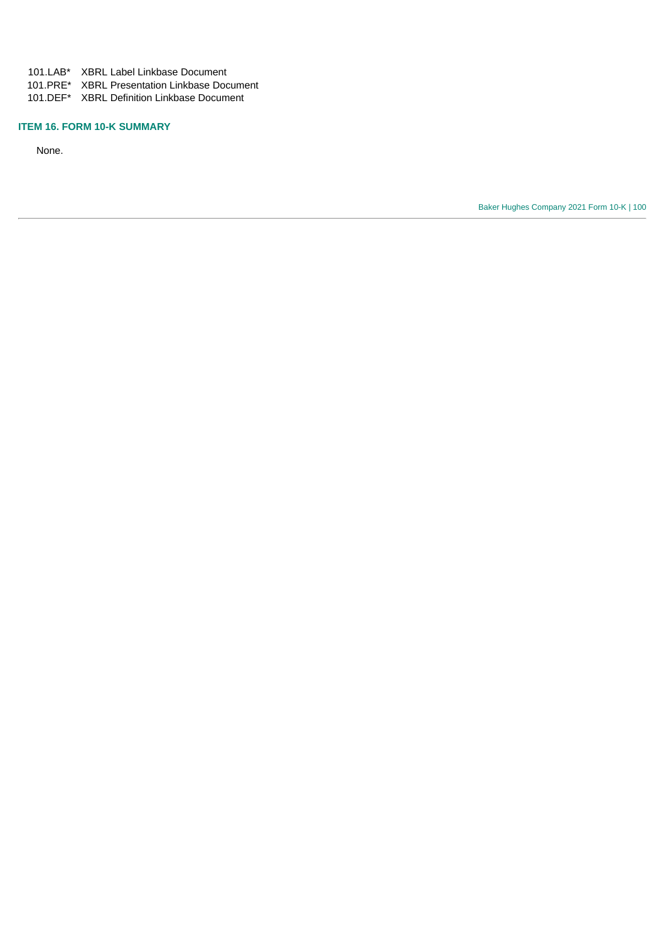101.LAB\* XBRL Label Linkbase Document

101.PRE\* XBRL Presentation Linkbase Document

101.DEF\* XBRL Definition Linkbase Document

## **ITEM 16. FORM 10-K SUMMARY**

None.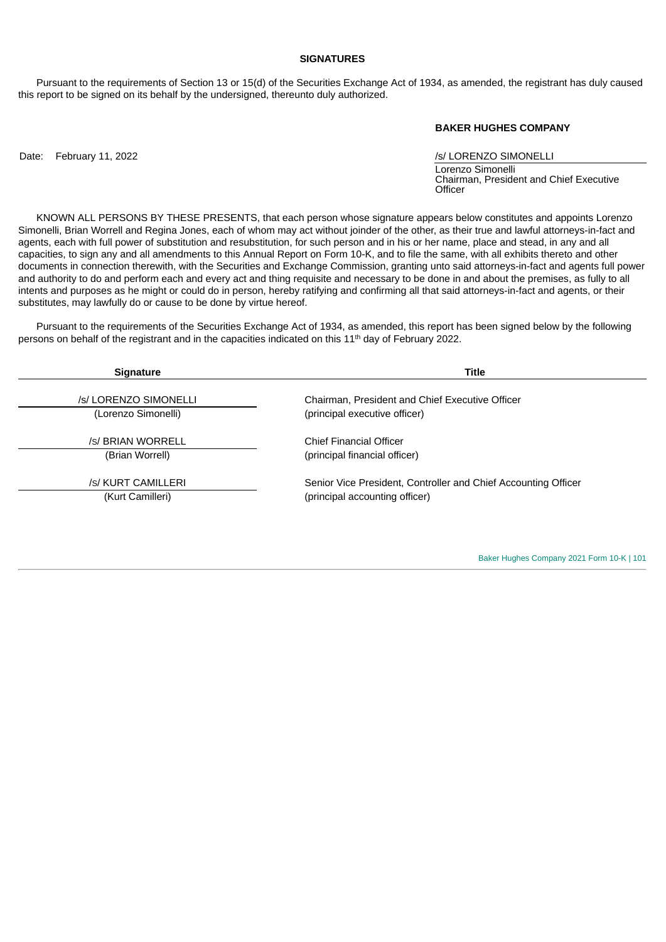### **SIGNATURES**

Pursuant to the requirements of Section 13 or 15(d) of the Securities Exchange Act of 1934, as amended, the registrant has duly caused this report to be signed on its behalf by the undersigned, thereunto duly authorized.

#### **BAKER HUGHES COMPANY**

Date: February 11, 2022 *Date:* February 11, 2022

Lorenzo Simonelli Chairman, President and Chief Executive **Officer** 

KNOWN ALL PERSONS BY THESE PRESENTS, that each person whose signature appears below constitutes and appoints Lorenzo Simonelli, Brian Worrell and Regina Jones, each of whom may act without joinder of the other, as their true and lawful attorneys-in-fact and agents, each with full power of substitution and resubstitution, for such person and in his or her name, place and stead, in any and all capacities, to sign any and all amendments to this Annual Report on Form 10-K, and to file the same, with all exhibits thereto and other documents in connection therewith, with the Securities and Exchange Commission, granting unto said attorneys-in-fact and agents full power and authority to do and perform each and every act and thing requisite and necessary to be done in and about the premises, as fully to all intents and purposes as he might or could do in person, hereby ratifying and confirming all that said attorneys-in-fact and agents, or their substitutes, may lawfully do or cause to be done by virtue hereof.

Pursuant to the requirements of the Securities Exchange Act of 1934, as amended, this report has been signed below by the following persons on behalf of the registrant and in the capacities indicated on this  $11<sup>th</sup>$  day of February 2022.

| <b>Signature</b>      | <b>Title</b>                                                   |
|-----------------------|----------------------------------------------------------------|
|                       |                                                                |
| /s/ LORENZO SIMONELLI | Chairman, President and Chief Executive Officer                |
| (Lorenzo Simonelli)   | (principal executive officer)                                  |
|                       |                                                                |
| /s/ BRIAN WORRELL     | <b>Chief Financial Officer</b>                                 |
| (Brian Worrell)       | (principal financial officer)                                  |
|                       |                                                                |
| /s/ KURT CAMILLERI    | Senior Vice President, Controller and Chief Accounting Officer |
| (Kurt Camilleri)      | (principal accounting officer)                                 |
|                       |                                                                |
|                       |                                                                |
|                       |                                                                |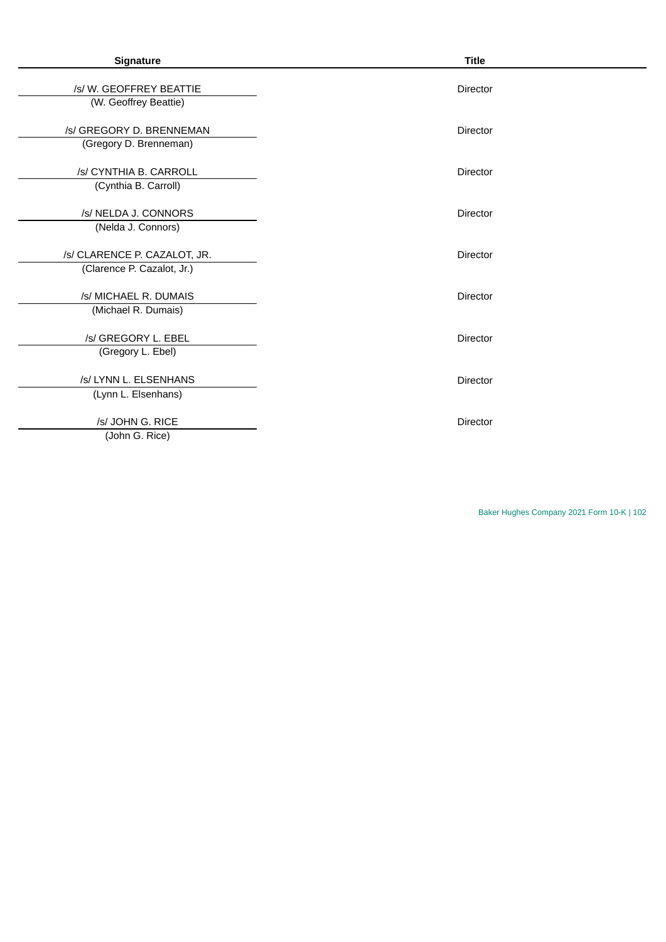| Signature                                                  | <b>Title</b>    |
|------------------------------------------------------------|-----------------|
| /s/W. GEOFFREY BEATTIE<br>(W. Geoffrey Beattie)            | Director        |
| /s/ GREGORY D. BRENNEMAN<br>(Gregory D. Brenneman)         | Director        |
| /s/ CYNTHIA B. CARROLL<br>(Cynthia B. Carroll)             | <b>Director</b> |
| /s/ NELDA J. CONNORS<br>(Nelda J. Connors)                 | <b>Director</b> |
| /s/ CLARENCE P. CAZALOT, JR.<br>(Clarence P. Cazalot, Jr.) | Director        |
| /s/ MICHAEL R. DUMAIS<br>(Michael R. Dumais)               | Director        |
| /s/ GREGORY L. EBEL<br>(Gregory L. Ebel)                   | Director        |
| /s/ LYNN L. ELSENHANS<br>(Lynn L. Elsenhans)               | <b>Director</b> |
| /s/ JOHN G. RICE<br>(John G. Rice)                         | Director        |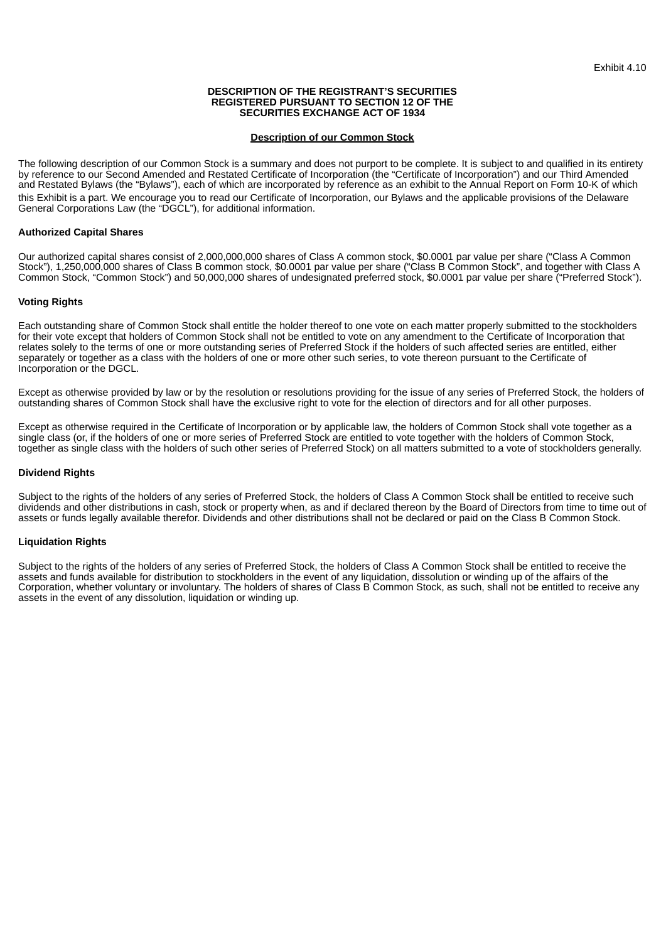#### **DESCRIPTION OF THE REGISTRANT'S SECURITIES REGISTERED PURSUANT TO SECTION 12 OF THE SECURITIES EXCHANGE ACT OF 1934**

#### **Description of our Common Stock**

<span id="page-104-0"></span>The following description of our Common Stock is a summary and does not purport to be complete. It is subject to and qualified in its entirety by reference to our Second Amended and Restated Certificate of Incorporation (the "Certificate of Incorporation") and our Third Amended and Restated Bylaws (the "Bylaws"), each of which are incorporated by reference as an exhibit to the Annual Report on Form 10-K of which this Exhibit is a part. We encourage you to read our Certificate of Incorporation, our Bylaws and the applicable provisions of the Delaware General Corporations Law (the "DGCL"), for additional information.

#### **Authorized Capital Shares**

Our authorized capital shares consist of 2,000,000,000 shares of Class A common stock, \$0.0001 par value per share ("Class A Common Stock"), 1,250,000,000 shares of Class B common stock, \$0.0001 par value per share ("Class B Common Stock", and together with Class A Common Stock, "Common Stock") and 50,000,000 shares of undesignated preferred stock, \$0.0001 par value per share ("Preferred Stock").

#### **Voting Rights**

Each outstanding share of Common Stock shall entitle the holder thereof to one vote on each matter properly submitted to the stockholders for their vote except that holders of Common Stock shall not be entitled to vote on any amendment to the Certificate of Incorporation that relates solely to the terms of one or more outstanding series of Preferred Stock if the holders of such affected series are entitled, either separately or together as a class with the holders of one or more other such series, to vote thereon pursuant to the Certificate of Incorporation or the DGCL.

Except as otherwise provided by law or by the resolution or resolutions providing for the issue of any series of Preferred Stock, the holders of outstanding shares of Common Stock shall have the exclusive right to vote for the election of directors and for all other purposes.

Except as otherwise required in the Certificate of Incorporation or by applicable law, the holders of Common Stock shall vote together as a single class (or, if the holders of one or more series of Preferred Stock are entitled to vote together with the holders of Common Stock, together as single class with the holders of such other series of Preferred Stock) on all matters submitted to a vote of stockholders generally.

#### **Dividend Rights**

Subject to the rights of the holders of any series of Preferred Stock, the holders of Class A Common Stock shall be entitled to receive such dividends and other distributions in cash, stock or property when, as and if declared thereon by the Board of Directors from time to time out of assets or funds legally available therefor. Dividends and other distributions shall not be declared or paid on the Class B Common Stock.

#### **Liquidation Rights**

Subject to the rights of the holders of any series of Preferred Stock, the holders of Class A Common Stock shall be entitled to receive the assets and funds available for distribution to stockholders in the event of any liquidation, dissolution or winding up of the affairs of the Corporation, whether voluntary or involuntary. The holders of shares of Class B Common Stock, as such, shall not be entitled to receive any assets in the event of any dissolution, liquidation or winding up.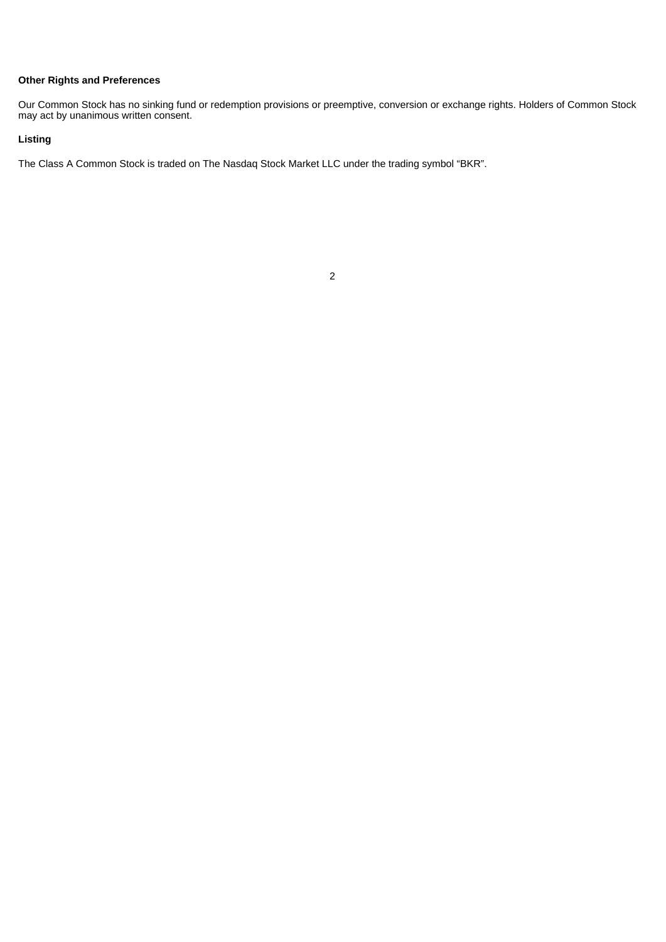# **Other Rights and Preferences**

Our Common Stock has no sinking fund or redemption provisions or preemptive, conversion or exchange rights. Holders of Common Stock may act by unanimous written consent.

# **Listing**

The Class A Common Stock is traded on The Nasdaq Stock Market LLC under the trading symbol "BKR".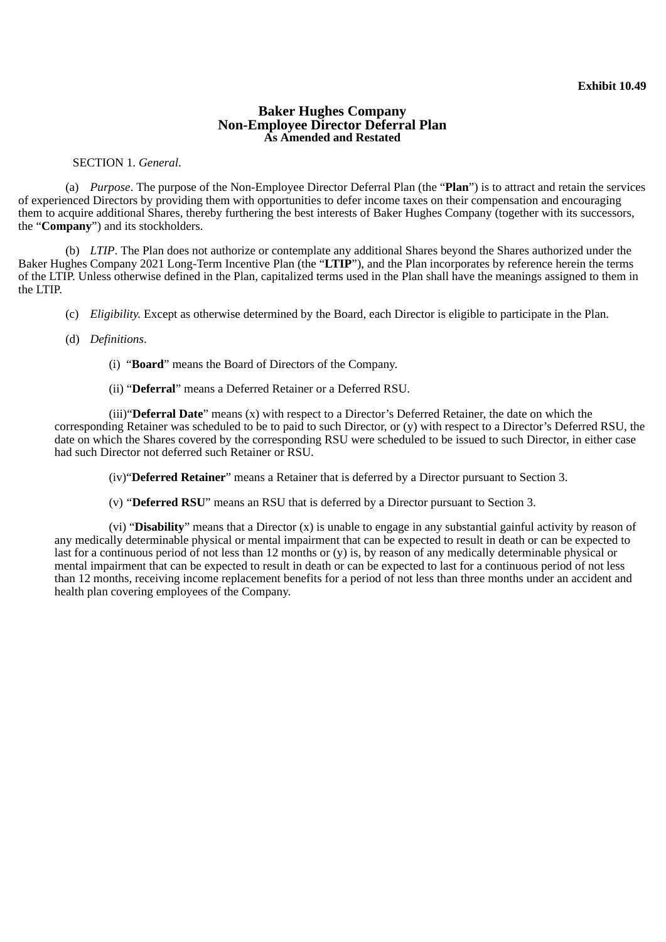# **Baker Hughes Company Non-Employee Director Deferral Plan As Amended and Restated**

<span id="page-106-0"></span>SECTION 1. *General*.

(a) *Purpose*. The purpose of the Non-Employee Director Deferral Plan (the "**Plan**") is to attract and retain the services of experienced Directors by providing them with opportunities to defer income taxes on their compensation and encouraging them to acquire additional Shares, thereby furthering the best interests of Baker Hughes Company (together with its successors, the "**Company**") and its stockholders.

(b) *LTIP*. The Plan does not authorize or contemplate any additional Shares beyond the Shares authorized under the Baker Hughes Company 2021 Long-Term Incentive Plan (the "**LTIP**"), and the Plan incorporates by reference herein the terms of the LTIP. Unless otherwise defined in the Plan, capitalized terms used in the Plan shall have the meanings assigned to them in the LTIP.

- (c) *Eligibility.* Except as otherwise determined by the Board, each Director is eligible to participate in the Plan.
- (d) *Definitions*.
	- (i) "**Board**" means the Board of Directors of the Company.
	- (ii) "**Deferral**" means a Deferred Retainer or a Deferred RSU.

(iii)"**Deferral Date**" means (x) with respect to a Director's Deferred Retainer, the date on which the corresponding Retainer was scheduled to be to paid to such Director, or (y) with respect to a Director's Deferred RSU, the date on which the Shares covered by the corresponding RSU were scheduled to be issued to such Director, in either case had such Director not deferred such Retainer or RSU.

(iv)"**Deferred Retainer**" means a Retainer that is deferred by a Director pursuant to Section 3.

(v) "**Deferred RSU**" means an RSU that is deferred by a Director pursuant to Section 3.

(vi) "**Disability**" means that a Director (x) is unable to engage in any substantial gainful activity by reason of any medically determinable physical or mental impairment that can be expected to result in death or can be expected to last for a continuous period of not less than 12 months or (y) is, by reason of any medically determinable physical or mental impairment that can be expected to result in death or can be expected to last for a continuous period of not less than 12 months, receiving income replacement benefits for a period of not less than three months under an accident and health plan covering employees of the Company.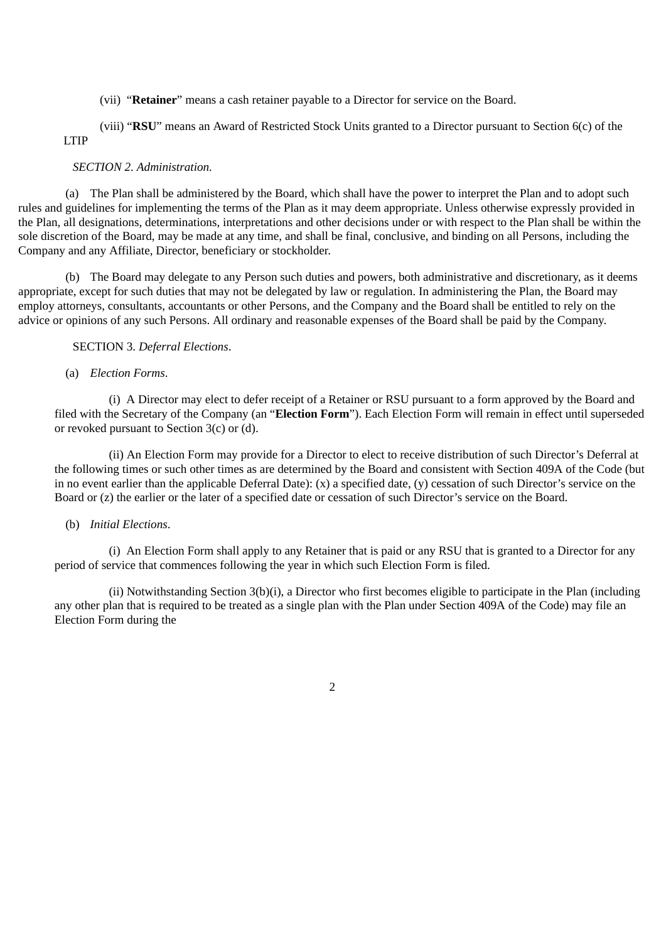- (vii) "**Retainer**" means a cash retainer payable to a Director for service on the Board.
- (viii) "**RSU**" means an Award of Restricted Stock Units granted to a Director pursuant to Section 6(c) of the LTIP

# *SECTION 2. Administration.*

(a) The Plan shall be administered by the Board, which shall have the power to interpret the Plan and to adopt such rules and guidelines for implementing the terms of the Plan as it may deem appropriate. Unless otherwise expressly provided in the Plan, all designations, determinations, interpretations and other decisions under or with respect to the Plan shall be within the sole discretion of the Board, may be made at any time, and shall be final, conclusive, and binding on all Persons, including the Company and any Affiliate, Director, beneficiary or stockholder.

(b) The Board may delegate to any Person such duties and powers, both administrative and discretionary, as it deems appropriate, except for such duties that may not be delegated by law or regulation. In administering the Plan, the Board may employ attorneys, consultants, accountants or other Persons, and the Company and the Board shall be entitled to rely on the advice or opinions of any such Persons. All ordinary and reasonable expenses of the Board shall be paid by the Company.

## SECTION 3. *Deferral Elections*.

# (a) *Election Forms*.

(i) A Director may elect to defer receipt of a Retainer or RSU pursuant to a form approved by the Board and filed with the Secretary of the Company (an "**Election Form**"). Each Election Form will remain in effect until superseded or revoked pursuant to Section 3(c) or (d).

(ii) An Election Form may provide for a Director to elect to receive distribution of such Director's Deferral at the following times or such other times as are determined by the Board and consistent with Section 409A of the Code (but in no event earlier than the applicable Deferral Date): (x) a specified date, (y) cessation of such Director's service on the Board or (z) the earlier or the later of a specified date or cessation of such Director's service on the Board.

## (b) *Initial Elections*.

(i) An Election Form shall apply to any Retainer that is paid or any RSU that is granted to a Director for any period of service that commences following the year in which such Election Form is filed.

(ii) Notwithstanding Section 3(b)(i), a Director who first becomes eligible to participate in the Plan (including any other plan that is required to be treated as a single plan with the Plan under Section 409A of the Code) may file an Election Form during the

2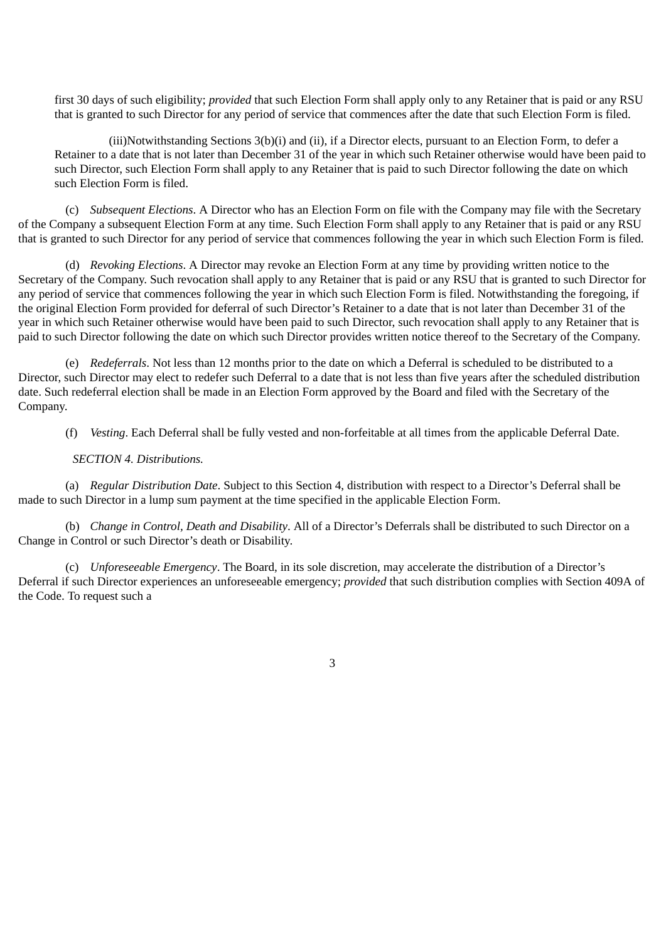first 30 days of such eligibility; *provided* that such Election Form shall apply only to any Retainer that is paid or any RSU that is granted to such Director for any period of service that commences after the date that such Election Form is filed.

(iii)Notwithstanding Sections 3(b)(i) and (ii), if a Director elects, pursuant to an Election Form, to defer a Retainer to a date that is not later than December 31 of the year in which such Retainer otherwise would have been paid to such Director, such Election Form shall apply to any Retainer that is paid to such Director following the date on which such Election Form is filed.

(c) *Subsequent Elections*. A Director who has an Election Form on file with the Company may file with the Secretary of the Company a subsequent Election Form at any time. Such Election Form shall apply to any Retainer that is paid or any RSU that is granted to such Director for any period of service that commences following the year in which such Election Form is filed.

(d) *Revoking Elections*. A Director may revoke an Election Form at any time by providing written notice to the Secretary of the Company. Such revocation shall apply to any Retainer that is paid or any RSU that is granted to such Director for any period of service that commences following the year in which such Election Form is filed. Notwithstanding the foregoing, if the original Election Form provided for deferral of such Director's Retainer to a date that is not later than December 31 of the year in which such Retainer otherwise would have been paid to such Director, such revocation shall apply to any Retainer that is paid to such Director following the date on which such Director provides written notice thereof to the Secretary of the Company.

(e) *Redeferrals*. Not less than 12 months prior to the date on which a Deferral is scheduled to be distributed to a Director, such Director may elect to redefer such Deferral to a date that is not less than five years after the scheduled distribution date. Such redeferral election shall be made in an Election Form approved by the Board and filed with the Secretary of the Company.

(f) *Vesting*. Each Deferral shall be fully vested and non-forfeitable at all times from the applicable Deferral Date.

# *SECTION 4. Distributions.*

(a) *Regular Distribution Date*. Subject to this Section 4, distribution with respect to a Director's Deferral shall be made to such Director in a lump sum payment at the time specified in the applicable Election Form.

(b) *Change in Control, Death and Disability*. All of a Director's Deferrals shall be distributed to such Director on a Change in Control or such Director's death or Disability.

(c) *Unforeseeable Emergency*. The Board, in its sole discretion, may accelerate the distribution of a Director's Deferral if such Director experiences an unforeseeable emergency; *provided* that such distribution complies with Section 409A of the Code. To request such a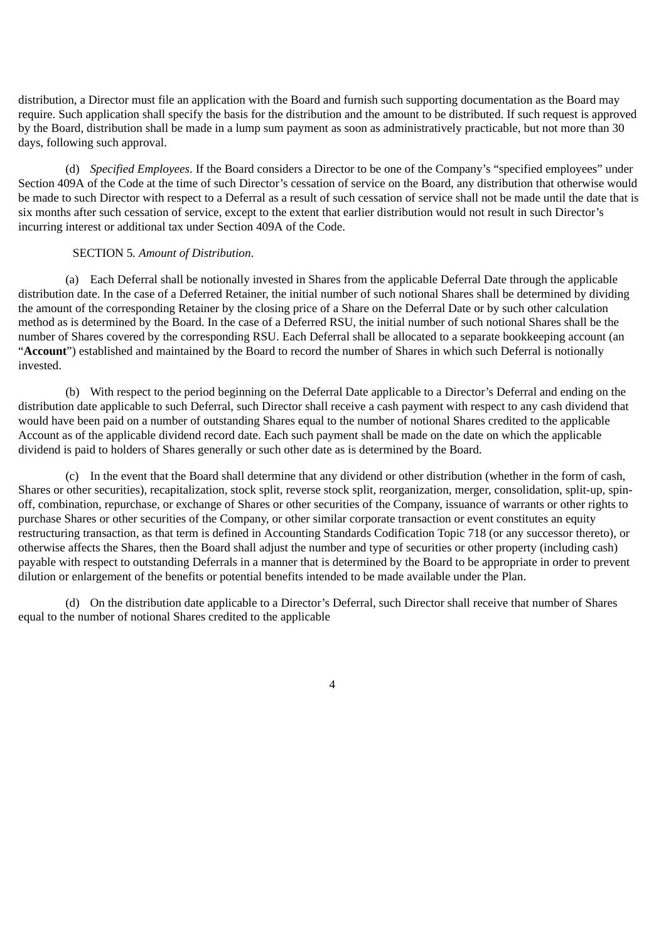distribution, a Director must file an application with the Board and furnish such supporting documentation as the Board may require. Such application shall specify the basis for the distribution and the amount to be distributed. If such request is approved by the Board, distribution shall be made in a lump sum payment as soon as administratively practicable, but not more than 30 days, following such approval.

(d) *Specified Employees*. If the Board considers a Director to be one of the Company's "specified employees" under Section 409A of the Code at the time of such Director's cessation of service on the Board, any distribution that otherwise would be made to such Director with respect to a Deferral as a result of such cessation of service shall not be made until the date that is six months after such cessation of service, except to the extent that earlier distribution would not result in such Director's incurring interest or additional tax under Section 409A of the Code.

## SECTION 5*. Amount of Distribution*.

(a) Each Deferral shall be notionally invested in Shares from the applicable Deferral Date through the applicable distribution date. In the case of a Deferred Retainer, the initial number of such notional Shares shall be determined by dividing the amount of the corresponding Retainer by the closing price of a Share on the Deferral Date or by such other calculation method as is determined by the Board. In the case of a Deferred RSU, the initial number of such notional Shares shall be the number of Shares covered by the corresponding RSU. Each Deferral shall be allocated to a separate bookkeeping account (an "**Account**") established and maintained by the Board to record the number of Shares in which such Deferral is notionally invested.

(b) With respect to the period beginning on the Deferral Date applicable to a Director's Deferral and ending on the distribution date applicable to such Deferral, such Director shall receive a cash payment with respect to any cash dividend that would have been paid on a number of outstanding Shares equal to the number of notional Shares credited to the applicable Account as of the applicable dividend record date. Each such payment shall be made on the date on which the applicable dividend is paid to holders of Shares generally or such other date as is determined by the Board.

(c) In the event that the Board shall determine that any dividend or other distribution (whether in the form of cash, Shares or other securities), recapitalization, stock split, reverse stock split, reorganization, merger, consolidation, split-up, spinoff, combination, repurchase, or exchange of Shares or other securities of the Company, issuance of warrants or other rights to purchase Shares or other securities of the Company, or other similar corporate transaction or event constitutes an equity restructuring transaction, as that term is defined in Accounting Standards Codification Topic 718 (or any successor thereto), or otherwise affects the Shares, then the Board shall adjust the number and type of securities or other property (including cash) payable with respect to outstanding Deferrals in a manner that is determined by the Board to be appropriate in order to prevent dilution or enlargement of the benefits or potential benefits intended to be made available under the Plan.

(d) On the distribution date applicable to a Director's Deferral, such Director shall receive that number of Shares equal to the number of notional Shares credited to the applicable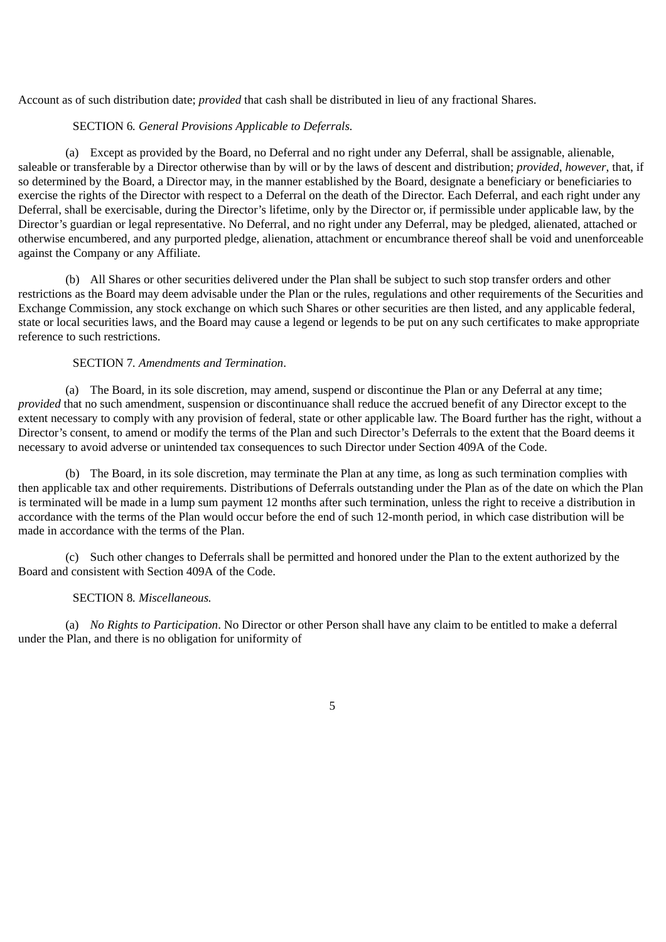Account as of such distribution date; *provided* that cash shall be distributed in lieu of any fractional Shares.

## SECTION 6*. General Provisions Applicable to Deferrals.*

(a) Except as provided by the Board, no Deferral and no right under any Deferral, shall be assignable, alienable, saleable or transferable by a Director otherwise than by will or by the laws of descent and distribution; *provided*, *however*, that, if so determined by the Board, a Director may, in the manner established by the Board, designate a beneficiary or beneficiaries to exercise the rights of the Director with respect to a Deferral on the death of the Director. Each Deferral, and each right under any Deferral, shall be exercisable, during the Director's lifetime, only by the Director or, if permissible under applicable law, by the Director's guardian or legal representative. No Deferral, and no right under any Deferral, may be pledged, alienated, attached or otherwise encumbered, and any purported pledge, alienation, attachment or encumbrance thereof shall be void and unenforceable against the Company or any Affiliate.

(b) All Shares or other securities delivered under the Plan shall be subject to such stop transfer orders and other restrictions as the Board may deem advisable under the Plan or the rules, regulations and other requirements of the Securities and Exchange Commission, any stock exchange on which such Shares or other securities are then listed, and any applicable federal, state or local securities laws, and the Board may cause a legend or legends to be put on any such certificates to make appropriate reference to such restrictions.

# SECTION 7*. Amendments and Termination*.

(a) The Board, in its sole discretion, may amend, suspend or discontinue the Plan or any Deferral at any time; *provided* that no such amendment, suspension or discontinuance shall reduce the accrued benefit of any Director except to the extent necessary to comply with any provision of federal, state or other applicable law. The Board further has the right, without a Director's consent, to amend or modify the terms of the Plan and such Director's Deferrals to the extent that the Board deems it necessary to avoid adverse or unintended tax consequences to such Director under Section 409A of the Code.

(b) The Board, in its sole discretion, may terminate the Plan at any time, as long as such termination complies with then applicable tax and other requirements. Distributions of Deferrals outstanding under the Plan as of the date on which the Plan is terminated will be made in a lump sum payment 12 months after such termination, unless the right to receive a distribution in accordance with the terms of the Plan would occur before the end of such 12-month period, in which case distribution will be made in accordance with the terms of the Plan.

(c) Such other changes to Deferrals shall be permitted and honored under the Plan to the extent authorized by the Board and consistent with Section 409A of the Code.

# SECTION 8*. Miscellaneous.*

(a) *No Rights to Participation*. No Director or other Person shall have any claim to be entitled to make a deferral under the Plan, and there is no obligation for uniformity of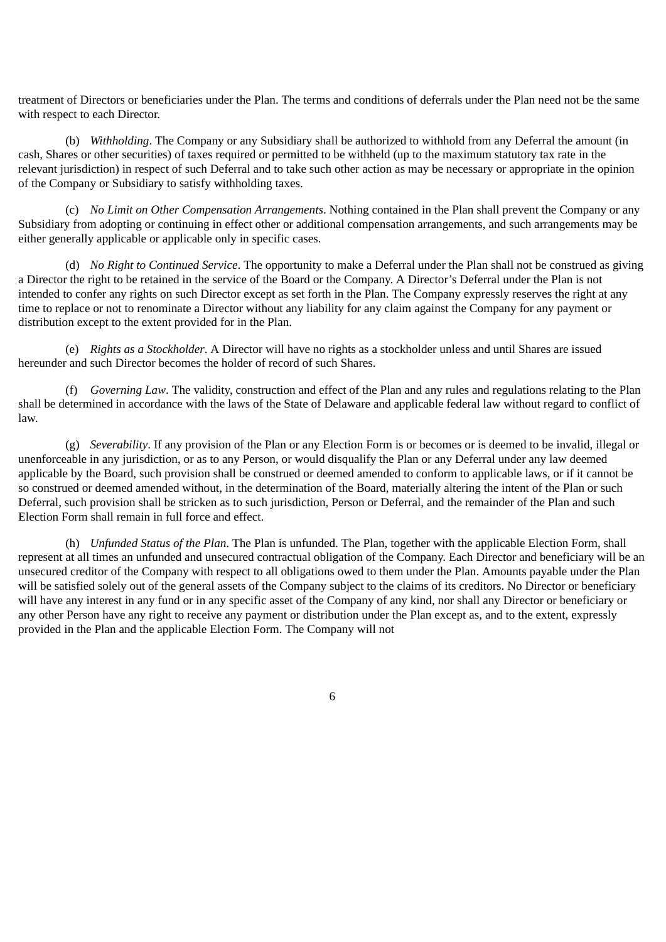treatment of Directors or beneficiaries under the Plan. The terms and conditions of deferrals under the Plan need not be the same with respect to each Director.

(b) *Withholding*. The Company or any Subsidiary shall be authorized to withhold from any Deferral the amount (in cash, Shares or other securities) of taxes required or permitted to be withheld (up to the maximum statutory tax rate in the relevant jurisdiction) in respect of such Deferral and to take such other action as may be necessary or appropriate in the opinion of the Company or Subsidiary to satisfy withholding taxes.

(c) *No Limit on Other Compensation Arrangements*. Nothing contained in the Plan shall prevent the Company or any Subsidiary from adopting or continuing in effect other or additional compensation arrangements, and such arrangements may be either generally applicable or applicable only in specific cases.

(d) *No Right to Continued Service*. The opportunity to make a Deferral under the Plan shall not be construed as giving a Director the right to be retained in the service of the Board or the Company. A Director's Deferral under the Plan is not intended to confer any rights on such Director except as set forth in the Plan. The Company expressly reserves the right at any time to replace or not to renominate a Director without any liability for any claim against the Company for any payment or distribution except to the extent provided for in the Plan.

(e) *Rights as a Stockholder*. A Director will have no rights as a stockholder unless and until Shares are issued hereunder and such Director becomes the holder of record of such Shares.

(f) *Governing Law*. The validity, construction and effect of the Plan and any rules and regulations relating to the Plan shall be determined in accordance with the laws of the State of Delaware and applicable federal law without regard to conflict of law.

(g) *Severability*. If any provision of the Plan or any Election Form is or becomes or is deemed to be invalid, illegal or unenforceable in any jurisdiction, or as to any Person, or would disqualify the Plan or any Deferral under any law deemed applicable by the Board, such provision shall be construed or deemed amended to conform to applicable laws, or if it cannot be so construed or deemed amended without, in the determination of the Board, materially altering the intent of the Plan or such Deferral, such provision shall be stricken as to such jurisdiction, Person or Deferral, and the remainder of the Plan and such Election Form shall remain in full force and effect.

(h) *Unfunded Status of the Plan*. The Plan is unfunded. The Plan, together with the applicable Election Form, shall represent at all times an unfunded and unsecured contractual obligation of the Company. Each Director and beneficiary will be an unsecured creditor of the Company with respect to all obligations owed to them under the Plan. Amounts payable under the Plan will be satisfied solely out of the general assets of the Company subject to the claims of its creditors. No Director or beneficiary will have any interest in any fund or in any specific asset of the Company of any kind, nor shall any Director or beneficiary or any other Person have any right to receive any payment or distribution under the Plan except as, and to the extent, expressly provided in the Plan and the applicable Election Form. The Company will not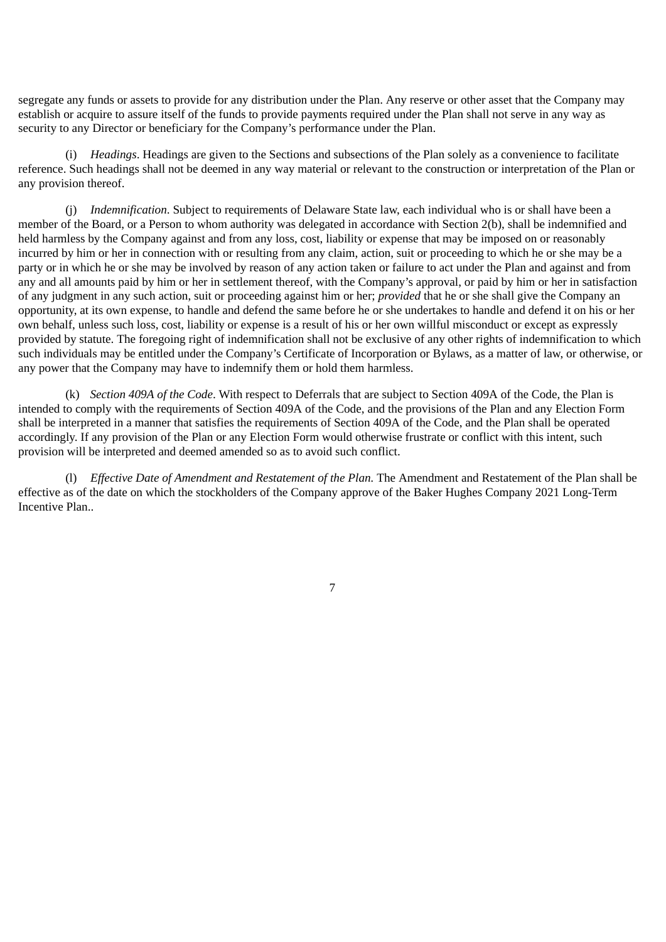segregate any funds or assets to provide for any distribution under the Plan. Any reserve or other asset that the Company may establish or acquire to assure itself of the funds to provide payments required under the Plan shall not serve in any way as security to any Director or beneficiary for the Company's performance under the Plan.

(i) *Headings*. Headings are given to the Sections and subsections of the Plan solely as a convenience to facilitate reference. Such headings shall not be deemed in any way material or relevant to the construction or interpretation of the Plan or any provision thereof.

(j) *Indemnification*. Subject to requirements of Delaware State law, each individual who is or shall have been a member of the Board, or a Person to whom authority was delegated in accordance with Section 2(b), shall be indemnified and held harmless by the Company against and from any loss, cost, liability or expense that may be imposed on or reasonably incurred by him or her in connection with or resulting from any claim, action, suit or proceeding to which he or she may be a party or in which he or she may be involved by reason of any action taken or failure to act under the Plan and against and from any and all amounts paid by him or her in settlement thereof, with the Company's approval, or paid by him or her in satisfaction of any judgment in any such action, suit or proceeding against him or her; *provided* that he or she shall give the Company an opportunity, at its own expense, to handle and defend the same before he or she undertakes to handle and defend it on his or her own behalf, unless such loss, cost, liability or expense is a result of his or her own willful misconduct or except as expressly provided by statute. The foregoing right of indemnification shall not be exclusive of any other rights of indemnification to which such individuals may be entitled under the Company's Certificate of Incorporation or Bylaws, as a matter of law, or otherwise, or any power that the Company may have to indemnify them or hold them harmless.

(k) *Section 409A of the Code*. With respect to Deferrals that are subject to Section 409A of the Code, the Plan is intended to comply with the requirements of Section 409A of the Code, and the provisions of the Plan and any Election Form shall be interpreted in a manner that satisfies the requirements of Section 409A of the Code, and the Plan shall be operated accordingly. If any provision of the Plan or any Election Form would otherwise frustrate or conflict with this intent, such provision will be interpreted and deemed amended so as to avoid such conflict.

(l) *Effective Date of Amendment and Restatement of the Plan.* The Amendment and Restatement of the Plan shall be effective as of the date on which the stockholders of the Company approve of the Baker Hughes Company 2021 Long-Term Incentive Plan..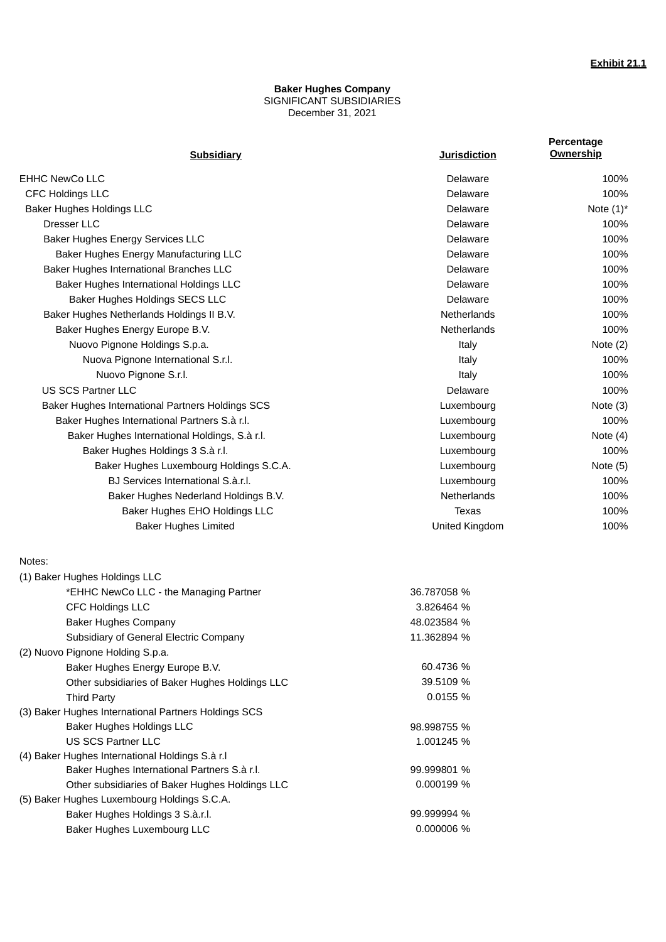### **Baker Hughes Company** SIGNIFICANT SUBSIDIARIES December 31, 2021

| <b>Subsidiary</b>                                    | <b>Jurisdiction</b> | Percentage<br><b>Ownership</b> |
|------------------------------------------------------|---------------------|--------------------------------|
|                                                      |                     |                                |
| <b>EHHC NewCo LLC</b>                                | Delaware            | 100%                           |
| <b>CFC Holdings LLC</b>                              | Delaware            | 100%                           |
| Baker Hughes Holdings LLC                            | Delaware            | Note $(1)^*$                   |
| Dresser LLC                                          | Delaware            | 100%                           |
| Baker Hughes Energy Services LLC                     | Delaware            | 100%                           |
| Baker Hughes Energy Manufacturing LLC                | Delaware            | 100%                           |
| Baker Hughes International Branches LLC              | Delaware            | 100%                           |
| Baker Hughes International Holdings LLC              | Delaware            | 100%                           |
| Baker Hughes Holdings SECS LLC                       | Delaware            | 100%                           |
| Baker Hughes Netherlands Holdings II B.V.            | Netherlands         | 100%                           |
| Baker Hughes Energy Europe B.V.                      | Netherlands         | 100%                           |
| Nuovo Pignone Holdings S.p.a.                        | Italy               | Note $(2)$                     |
| Nuova Pignone International S.r.l.                   | Italy               | 100%                           |
| Nuovo Pignone S.r.l.                                 | Italy               | 100%                           |
| <b>US SCS Partner LLC</b>                            | Delaware            | 100%                           |
| Baker Hughes International Partners Holdings SCS     | Luxembourg          | Note $(3)$                     |
| Baker Hughes International Partners S.à r.l.         | Luxembourg          | 100%                           |
| Baker Hughes International Holdings, S.à r.l.        | Luxembourg          | Note $(4)$                     |
| Baker Hughes Holdings 3 S.à r.l.                     | Luxembourg          | 100%                           |
| Baker Hughes Luxembourg Holdings S.C.A.              | Luxembourg          | Note $(5)$                     |
| BJ Services International S.à.r.l.                   | Luxembourg          | 100%                           |
| Baker Hughes Nederland Holdings B.V.                 | Netherlands         | 100%                           |
| Baker Hughes EHO Holdings LLC                        | <b>Texas</b>        | 100%                           |
| <b>Baker Hughes Limited</b>                          | United Kingdom      | 100%                           |
| Notes:                                               |                     |                                |
| (1) Baker Hughes Holdings LLC                        |                     |                                |
| *EHHC NewCo LLC - the Managing Partner               | 36.787058 %         |                                |
| CFC Holdings LLC                                     | 3.826464 %          |                                |
| <b>Baker Hughes Company</b>                          | 48.023584 %         |                                |
| Subsidiary of General Electric Company               | 11.362894 %         |                                |
| (2) Nuovo Pignone Holding S.p.a.                     |                     |                                |
| Baker Hughes Energy Europe B.V.                      | 60.4736 %           |                                |
| Other subsidiaries of Baker Hughes Holdings LLC      | 39.5109 %           |                                |
| <b>Third Party</b>                                   | 0.0155 %            |                                |
| (3) Baker Hughes International Partners Holdings SCS |                     |                                |
| Baker Hughes Holdings LLC                            | 98.998755 %         |                                |
| <b>US SCS Partner LLC</b>                            | 1.001245 %          |                                |
| (4) Baker Hughes International Holdings S.à r.l      |                     |                                |
| Baker Hughes International Partners S.à r.l.         | 99.999801 %         |                                |
| Other subsidiaries of Baker Hughes Holdings LLC      | 0.000199 %          |                                |
| (5) Baker Hughes Luxembourg Holdings S.C.A.          |                     |                                |
| Baker Hughes Holdings 3 S.à.r.l.                     | 99.999994 %         |                                |
| Baker Hughes Luxembourg LLC                          | 0.000006 %          |                                |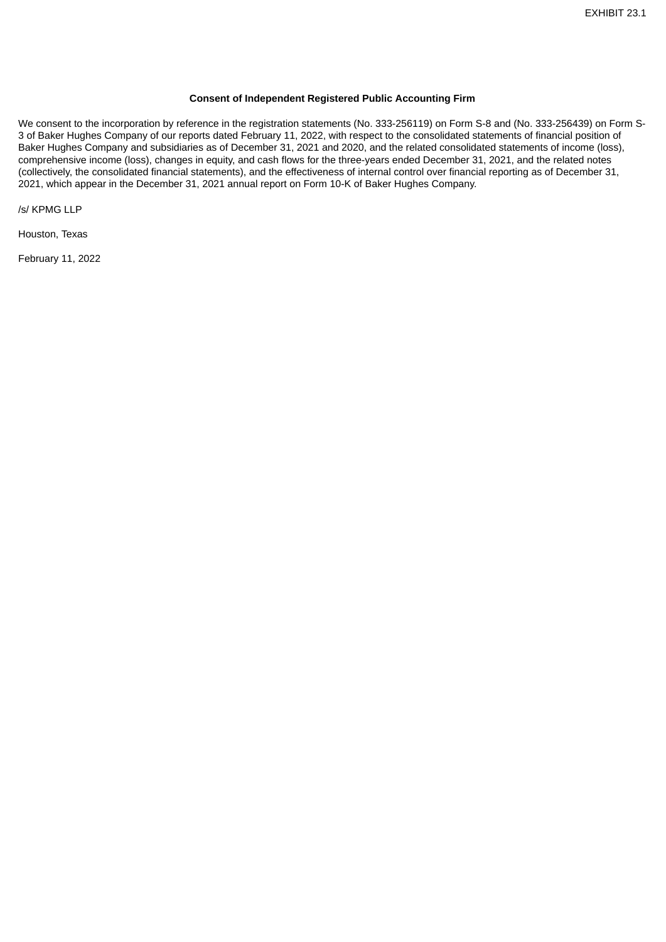#### **Consent of Independent Registered Public Accounting Firm**

We consent to the incorporation by reference in the registration statements (No. 333-256119) on Form S-8 and (No. 333-256439) on Form S-3 of Baker Hughes Company of our reports dated February 11, 2022, with respect to the consolidated statements of financial position of Baker Hughes Company and subsidiaries as of December 31, 2021 and 2020, and the related consolidated statements of income (loss), comprehensive income (loss), changes in equity, and cash flows for the three-years ended December 31, 2021, and the related notes (collectively, the consolidated financial statements), and the effectiveness of internal control over financial reporting as of December 31, 2021, which appear in the December 31, 2021 annual report on Form 10-K of Baker Hughes Company.

/s/ KPMG LLP

Houston, Texas

February 11, 2022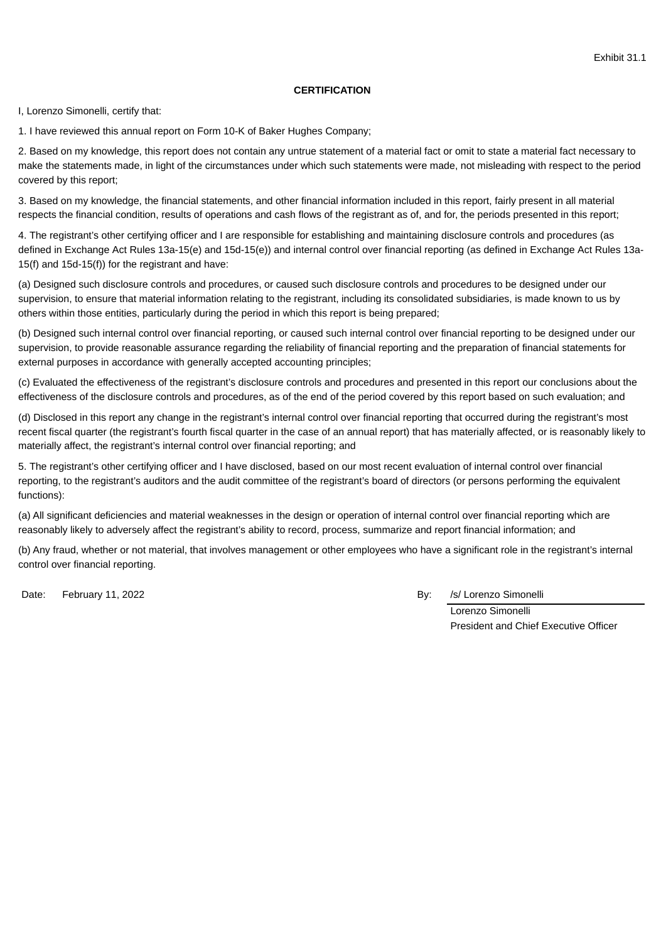## **CERTIFICATION**

I, Lorenzo Simonelli, certify that:

1. I have reviewed this annual report on Form 10-K of Baker Hughes Company;

2. Based on my knowledge, this report does not contain any untrue statement of a material fact or omit to state a material fact necessary to make the statements made, in light of the circumstances under which such statements were made, not misleading with respect to the period covered by this report;

3. Based on my knowledge, the financial statements, and other financial information included in this report, fairly present in all material respects the financial condition, results of operations and cash flows of the registrant as of, and for, the periods presented in this report;

4. The registrant's other certifying officer and I are responsible for establishing and maintaining disclosure controls and procedures (as defined in Exchange Act Rules 13a-15(e) and 15d-15(e)) and internal control over financial reporting (as defined in Exchange Act Rules 13a-15(f) and 15d-15(f)) for the registrant and have:

(a) Designed such disclosure controls and procedures, or caused such disclosure controls and procedures to be designed under our supervision, to ensure that material information relating to the registrant, including its consolidated subsidiaries, is made known to us by others within those entities, particularly during the period in which this report is being prepared;

(b) Designed such internal control over financial reporting, or caused such internal control over financial reporting to be designed under our supervision, to provide reasonable assurance regarding the reliability of financial reporting and the preparation of financial statements for external purposes in accordance with generally accepted accounting principles;

(c) Evaluated the effectiveness of the registrant's disclosure controls and procedures and presented in this report our conclusions about the effectiveness of the disclosure controls and procedures, as of the end of the period covered by this report based on such evaluation; and

(d) Disclosed in this report any change in the registrant's internal control over financial reporting that occurred during the registrant's most recent fiscal quarter (the registrant's fourth fiscal quarter in the case of an annual report) that has materially affected, or is reasonably likely to materially affect, the registrant's internal control over financial reporting; and

5. The registrant's other certifying officer and I have disclosed, based on our most recent evaluation of internal control over financial reporting, to the registrant's auditors and the audit committee of the registrant's board of directors (or persons performing the equivalent functions):

(a) All significant deficiencies and material weaknesses in the design or operation of internal control over financial reporting which are reasonably likely to adversely affect the registrant's ability to record, process, summarize and report financial information; and

(b) Any fraud, whether or not material, that involves management or other employees who have a significant role in the registrant's internal control over financial reporting.

Date: February 11, 2022 **By:** *By: /s/ Lorenzo Simonelli* 

Lorenzo Simonelli President and Chief Executive Officer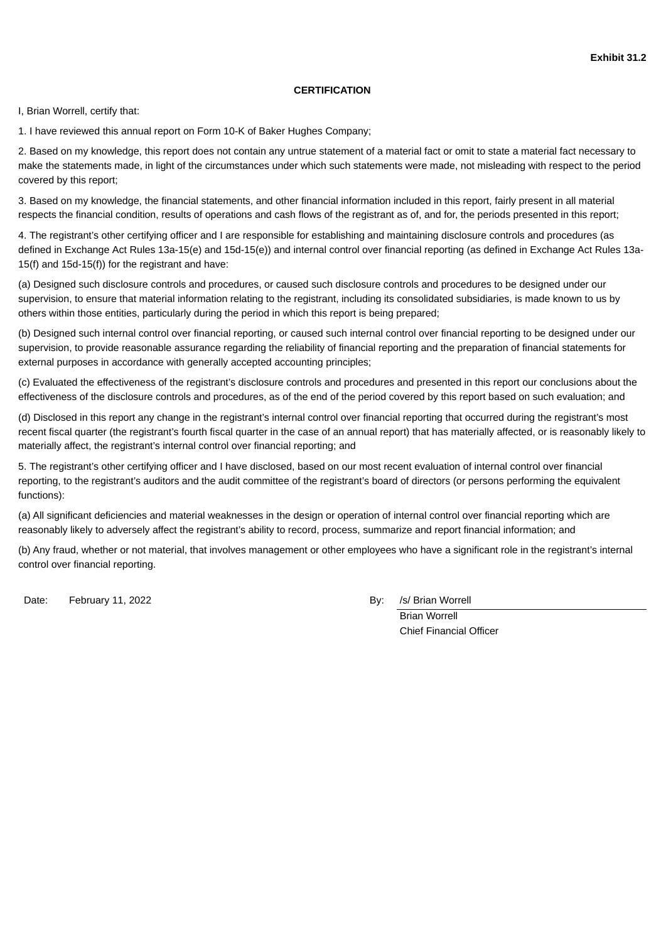## **CERTIFICATION**

I, Brian Worrell, certify that:

1. I have reviewed this annual report on Form 10-K of Baker Hughes Company;

2. Based on my knowledge, this report does not contain any untrue statement of a material fact or omit to state a material fact necessary to make the statements made, in light of the circumstances under which such statements were made, not misleading with respect to the period covered by this report;

3. Based on my knowledge, the financial statements, and other financial information included in this report, fairly present in all material respects the financial condition, results of operations and cash flows of the registrant as of, and for, the periods presented in this report;

4. The registrant's other certifying officer and I are responsible for establishing and maintaining disclosure controls and procedures (as defined in Exchange Act Rules 13a-15(e) and 15d-15(e)) and internal control over financial reporting (as defined in Exchange Act Rules 13a-15(f) and 15d-15(f)) for the registrant and have:

(a) Designed such disclosure controls and procedures, or caused such disclosure controls and procedures to be designed under our supervision, to ensure that material information relating to the registrant, including its consolidated subsidiaries, is made known to us by others within those entities, particularly during the period in which this report is being prepared;

(b) Designed such internal control over financial reporting, or caused such internal control over financial reporting to be designed under our supervision, to provide reasonable assurance regarding the reliability of financial reporting and the preparation of financial statements for external purposes in accordance with generally accepted accounting principles;

(c) Evaluated the effectiveness of the registrant's disclosure controls and procedures and presented in this report our conclusions about the effectiveness of the disclosure controls and procedures, as of the end of the period covered by this report based on such evaluation; and

(d) Disclosed in this report any change in the registrant's internal control over financial reporting that occurred during the registrant's most recent fiscal quarter (the registrant's fourth fiscal quarter in the case of an annual report) that has materially affected, or is reasonably likely to materially affect, the registrant's internal control over financial reporting; and

5. The registrant's other certifying officer and I have disclosed, based on our most recent evaluation of internal control over financial reporting, to the registrant's auditors and the audit committee of the registrant's board of directors (or persons performing the equivalent functions):

(a) All significant deficiencies and material weaknesses in the design or operation of internal control over financial reporting which are reasonably likely to adversely affect the registrant's ability to record, process, summarize and report financial information; and

(b) Any fraud, whether or not material, that involves management or other employees who have a significant role in the registrant's internal control over financial reporting.

Date: February 11, 2022 **By:** *By: /s/ Brian Worrell* 

Brian Worrell Chief Financial Officer